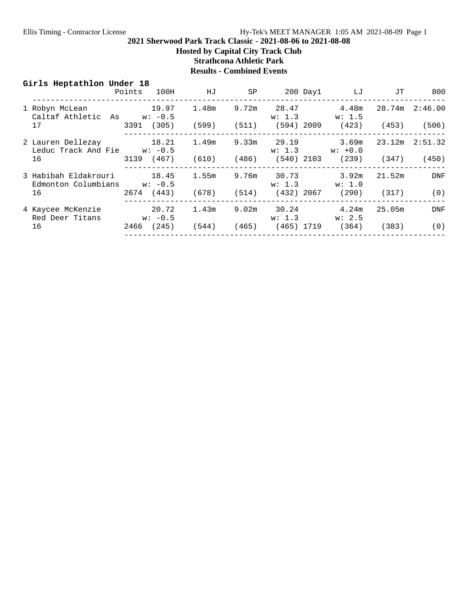**Hosted by Capital City Track Club**

**Strathcona Athletic Park**

## **Results - Combined Events**

| Girls Heptathlon Under 18                                      |                    | Points 100H HJ                                      |       |         | SP 200 Day1 LJ                                               | JT     | 800        |
|----------------------------------------------------------------|--------------------|-----------------------------------------------------|-------|---------|--------------------------------------------------------------|--------|------------|
| 1 Robyn McLean 19.97<br>Caltaf Athletic As $w: -0.5$           |                    | 1.48m                                               |       |         | 9.72m 28.47 4.48m<br>$w: 1.3$ $w: 1.5$                       |        |            |
| 17                                                             |                    | 3391 (305) (599) (511) (594) 2009 (423) (453) (506) |       |         |                                                              |        |            |
| 2 Lauren Dellezay 18.21 1.49m<br>Leduc Track And Fie $w: -0.5$ |                    |                                                     |       |         | $9.33$ m 29.19 $3.69$ m 23.12m 2:51.32<br>$w: 1.3$ $w: +0.0$ |        |            |
| 16                                                             |                    | 3139 (467) (610) (486) (540) 2103 (239) (347)       |       |         |                                                              |        | (450)      |
| Edmonton Columbians $w: -0.5$                                  |                    |                                                     |       | w: 1, 3 | 9.76m 30.73 3.92m<br>w: 1.0                                  | 21.52m | DNF        |
| 16                                                             |                    | 2674 (443) (678) (514) (432) 2067 (290) (317)       |       |         |                                                              |        | (0)        |
| 4 Kaycee McKenzie<br>Red Deer Titans                           | 20.72<br>$w: -0.5$ | 1.43m                                               |       | w: 1.3  | $9.02m$ $30.24$ $4.24m$<br>w: 2.5                            | 25.05m | <b>DNF</b> |
| 16                                                             |                    | 2466 (245) (544)                                    | (465) |         | (465) 1719 (364) (383)                                       |        | (0)        |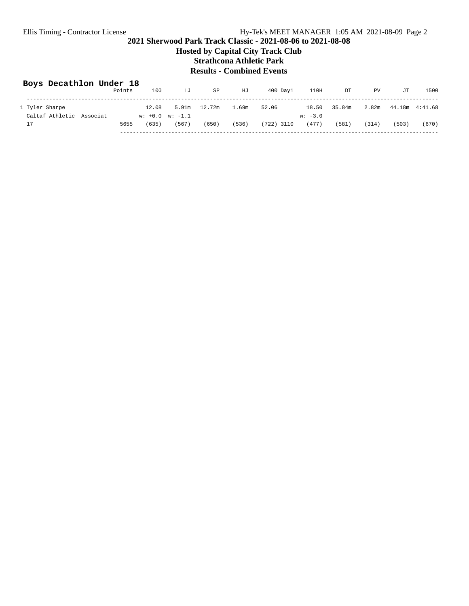**Hosted by Capital City Track Club Strathcona Athletic Park**

## **Results - Combined Events**

## **Boys Decathlon Under 18**

|                          | Points | 100                     | LJ    | SP           | HJ    | $400$ Day $1$ | 110H      | DT     | PV    | JT              | 1500  |
|--------------------------|--------|-------------------------|-------|--------------|-------|---------------|-----------|--------|-------|-----------------|-------|
|                          |        |                         |       |              |       |               |           |        |       |                 |       |
| 1 Tyler Sharpe           |        | 12.08                   |       | 5.91m 12.72m | 1.69m | 52.06         | 18.50     | 35.84m | 2.82m | 44.18m  4:41.68 |       |
| Caltaf Athletic Associat |        | $w: +0.0 \quad w: -1.1$ |       |              |       |               | $w: -3.0$ |        |       |                 |       |
| 17                       | 5655   | (635)                   | (567) | (650)        | (536) | (722) 3110    | (477)     | (581)  | (314) | (503)           | (670) |
|                          |        |                         |       |              |       |               |           |        |       |                 |       |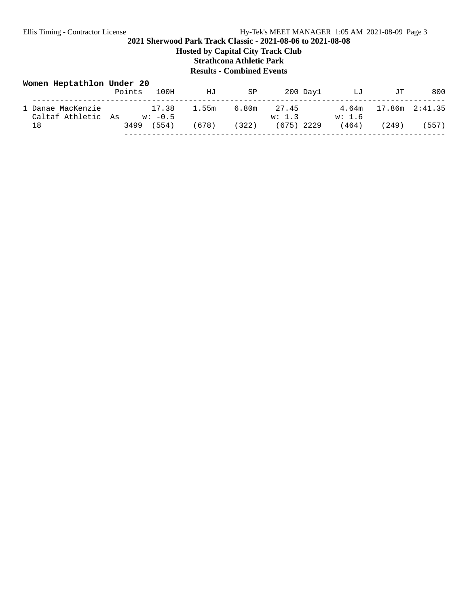## **2021 Sherwood Park Track Classic - 2021-08-06 to 2021-08-08 Hosted by Capital City Track Club Strathcona Athletic Park**

**Results - Combined Events**

| Women Heptathlon Under 20               | Points | 100H               | ΗJ    | SP    | 200 Day1        | LJ              | JТ             | 800   |
|-----------------------------------------|--------|--------------------|-------|-------|-----------------|-----------------|----------------|-------|
| 1 Danae MacKenzie<br>Caltaf Athletic As |        | 17.38<br>$w: -0.5$ | 1.55m | 6.80m | 27.45<br>w: 1.3 | 4.64m<br>w: 1.6 | 17.86m 2:41.35 |       |
| 18                                      | 3499   | (554)              | (678) | (322) | $(675)$ 2229    | (464)           | (249)          | (557) |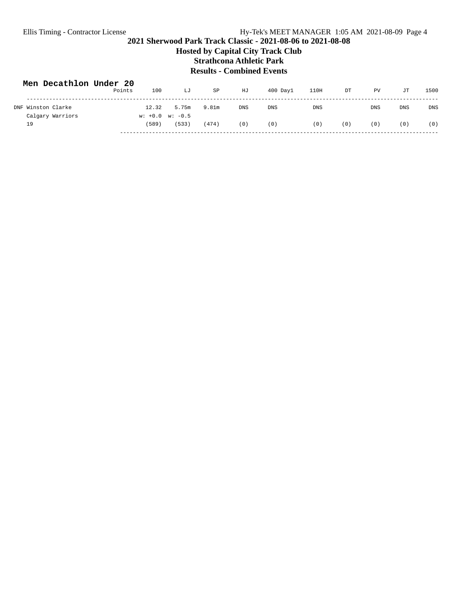## **2021 Sherwood Park Track Classic - 2021-08-06 to 2021-08-08 Hosted by Capital City Track Club Strathcona Athletic Park Results - Combined Events**

| Men Decathlon Under 20 | Points | 100                              | LJ    | SP    | HJ         | $400$ Dav $1$ | 110H       | DT  | PV         | JТ         | 1500       |
|------------------------|--------|----------------------------------|-------|-------|------------|---------------|------------|-----|------------|------------|------------|
| DNF Winston Clarke     |        | 12.32                            | 5.75m | 9.81m | <b>DNS</b> | <b>DNS</b>    | <b>DNS</b> |     | <b>DNS</b> | <b>DNS</b> | <b>DNS</b> |
| Calgary Warriors<br>19 |        | $w: +0.0 \quad w: -0.5$<br>(589) | (533) | (474) | (0)        | (0)           | (0)        | (0) | (0)        | (0)        | (0)        |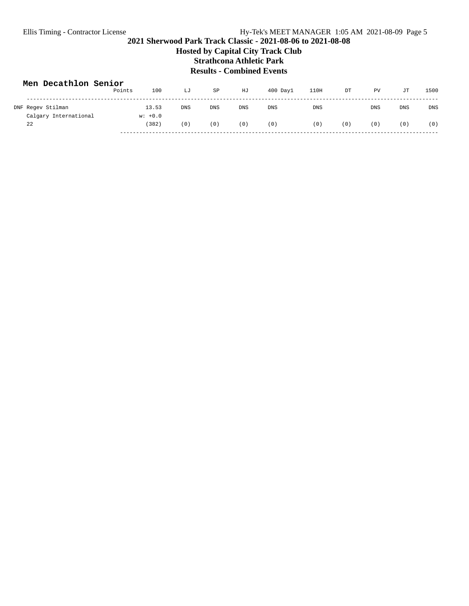## **2021 Sherwood Park Track Classic - 2021-08-06 to 2021-08-08 Hosted by Capital City Track Club Strathcona Athletic Park Results - Combined Events**

| Men Decathlon Senior  | Points | 100<br>LJ           | SP         | HJ         | $400$ Day $1$ | 110H       | DT  | PV         | JT         | 1500       |
|-----------------------|--------|---------------------|------------|------------|---------------|------------|-----|------------|------------|------------|
| DNF Regev Stilman     |        | 13.53<br><b>DNS</b> | <b>DNS</b> | <b>DNS</b> | <b>DNS</b>    | <b>DNS</b> |     | <b>DNS</b> | <b>DNS</b> | <b>DNS</b> |
| Calgary International |        | $w: +0.0$           |            |            |               |            |     |            |            |            |
| 22                    |        | (382)<br>(0)        | (0)        | (0)        | (0)           | (0)        | (0) | (0)        | (0)        | (0)        |
|                       |        |                     |            |            |               |            |     |            |            |            |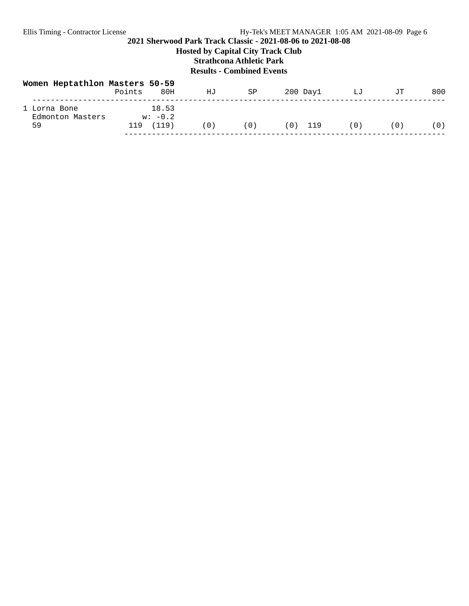## **2021 Sherwood Park Track Classic - 2021-08-06 to 2021-08-08 Hosted by Capital City Track Club Strathcona Athletic Park Results - Combined Events**

| Women Heptathlon Masters 50-59         | Points | 80H                         | ΗJ  | SP  | 200 Day1  | LJ  | JТ  | 800 |
|----------------------------------------|--------|-----------------------------|-----|-----|-----------|-----|-----|-----|
| 1 Lorna Bone<br>Edmonton Masters<br>59 | 119    | 18.53<br>$w: -0.2$<br>(119) | (0) | (0) | $(0)$ 119 | (0) | (0) | (0) |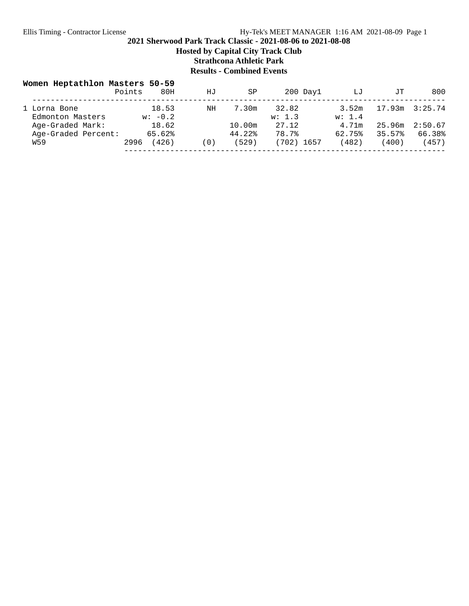**Hosted by Capital City Track Club**

**Strathcona Athletic Park**

# **Results - Combined Events**

| Women Heptathlon Masters 50-59   | Points | 80H                | ΗJ  | SP     | $200$ Day $1$   | LJ              | JT.    | 800     |
|----------------------------------|--------|--------------------|-----|--------|-----------------|-----------------|--------|---------|
| 1 Lorna Bone<br>Edmonton Masters |        | 18.53<br>$w: -0.2$ | ΝH  | 7.30m  | 32.82<br>w: 1.3 | 3.52m<br>w: 1.4 | 17.93m | 3:25.74 |
| Age-Graded Mark:                 |        | 18.62              |     | 10.00m | 27.12           | 4.71m           | 25.96m | 2:50.67 |
| Age-Graded Percent:              |        | 65.62%             |     | 44.22% | 78.7%           | 62.75%          | 35.57% | 66.38%  |
| W59                              | 2996   | 426)               | (0) | (529)  | (702) 1657      | (482)           | (400)  | (457)   |
|                                  |        |                    |     |        |                 |                 |        |         |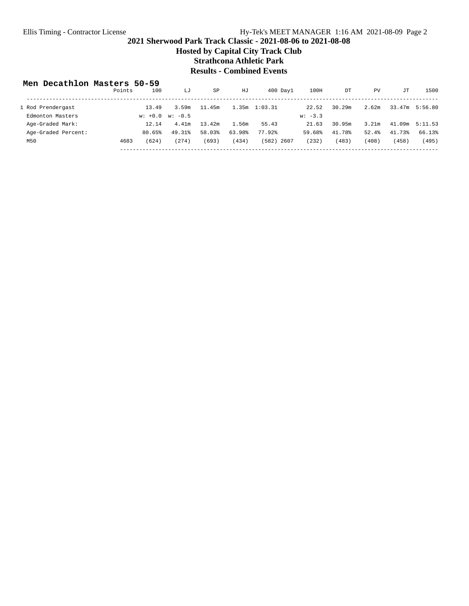**Hosted by Capital City Track Club**

**Strathcona Athletic Park**

# **Results - Combined Events**

### **Men Decathlon Masters 50-59**

|                     | Points | 100       | LJ        | SP     | HJ     | $400$ Day $1$     | 100H      | DT     | PV    | JТ     | 1500               |
|---------------------|--------|-----------|-----------|--------|--------|-------------------|-----------|--------|-------|--------|--------------------|
| 1 Rod Prendergast   |        | 13.49     | 3.59m     | 11.45m |        | $1.35m$ $1:03.31$ | 22.52     | 30.29m | 2.62m |        | 33.47m 5:56.80     |
| Edmonton Masters    |        | $w: +0.0$ | $w: -0.5$ |        |        |                   | $w: -3.3$ |        |       |        |                    |
| Age-Graded Mark:    |        | 12.14     | 4.41m     | 13.42m | 1.56m  | 55.43             | 21.63     | 30.95m | 3.21m |        | $41.09m$ $5:11.53$ |
| Age-Graded Percent: |        | 80.65%    | 49.31%    | 58.03% | 63.98% | 77.92%            | 59.68%    | 41.78% | 52.4% | 41.73% | 66.13%             |
| M50                 | 4683   | (624)     | 274)      | (693)  | (434)  | (582)<br>2607     | (232)     | (483)  | (408) | (458)  | (495)              |
|                     |        |           |           |        |        |                   |           |        |       |        |                    |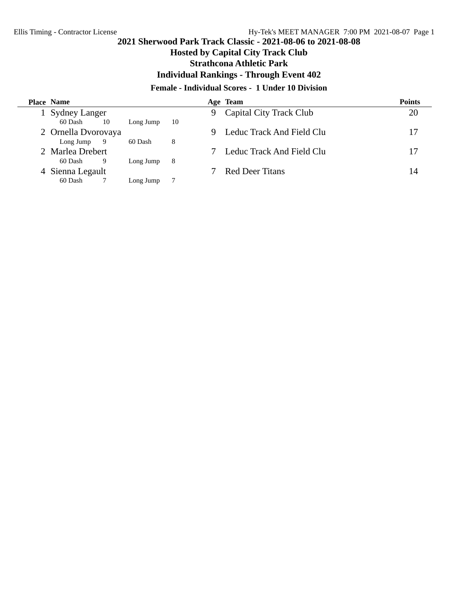# **Hosted by Capital City Track Club**

**Strathcona Athletic Park**

**Individual Rankings - Through Event 402**

## **Female - Individual Scores - 1 Under 10 Division**

| <b>Place Name</b>    |     |           |     |   | Age Team                  | <b>Points</b> |
|----------------------|-----|-----------|-----|---|---------------------------|---------------|
| <b>Sydney Langer</b> |     |           |     | 9 | Capital City Track Club   | 20            |
| 60 Dash              | 10  | Long Jump | 10  |   |                           |               |
| 2 Ornella Dvorovaya  |     |           |     |   | Leduc Track And Field Clu | 17            |
| Long Jump            | - 9 | 60 Dash   | 8   |   |                           |               |
| 2 Marlea Drebert     |     |           |     |   | Leduc Track And Field Clu | 17            |
| 60 Dash              | 9   | Long Jump | - 8 |   |                           |               |
| Sienna Legault       |     |           |     |   | <b>Red Deer Titans</b>    | 14            |
| 60 Dash              |     | Long Jump | -7  |   |                           |               |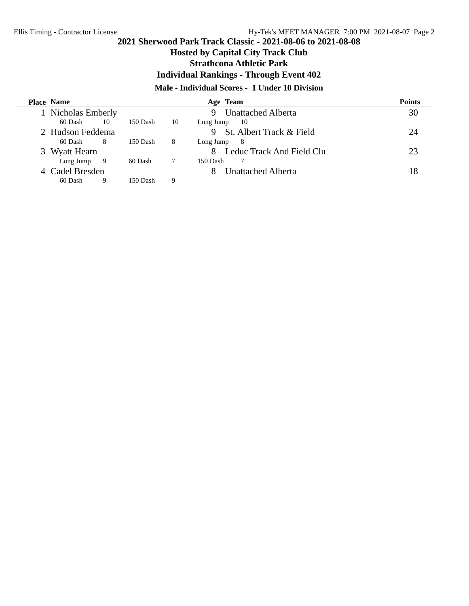# **Hosted by Capital City Track Club**

## **Strathcona Athletic Park**

**Individual Rankings - Through Event 402**

## **Male - Individual Scores - 1 Under 10 Division**

|    | <b>Place Name</b> |    |          |    | Age Team                       | <b>Points</b> |
|----|-------------------|----|----------|----|--------------------------------|---------------|
|    | Nicholas Emberly  |    |          |    | <b>Unattached Alberta</b><br>9 | 30            |
|    | 60 Dash           | 10 | 150 Dash | 10 | Long Jump<br>- 10              |               |
|    | 2 Hudson Feddema  |    |          |    | St. Albert Track & Field       | 24            |
|    | 60 Dash           | 8  | 150 Dash | 8  | Long Jump<br>- 8               |               |
| 3. | Wyatt Hearn       |    |          |    | Leduc Track And Field Clu      | 23            |
|    | Long Jump $9$     |    | 60 Dash  |    | 150 Dash                       |               |
|    | Cadel Bresden     |    |          |    | Unattached Alberta             | 18            |
|    | 60 Dash           |    | 150 Dash | 9  |                                |               |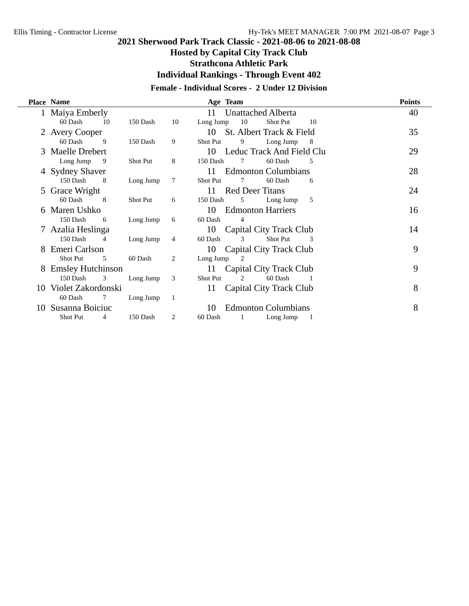# **Hosted by Capital City Track Club**

**Strathcona Athletic Park**

**Individual Rankings - Through Event 402**

## **Female - Individual Scores - 2 Under 12 Division**

|    | <b>Place Name</b>          |                 |    |                 | Age Team |                            |    | <b>Points</b> |
|----|----------------------------|-----------------|----|-----------------|----------|----------------------------|----|---------------|
|    | 1 Maiya Emberly            |                 |    | 11              |          | <b>Unattached Alberta</b>  |    | 40            |
|    | 60 Dash                    | 10<br>150 Dash  | 10 | Long Jump       | 10       | Shot Put                   | 10 |               |
|    | <b>Avery Cooper</b>        |                 |    | 10              |          | St. Albert Track & Field   |    | 35            |
|    | 60 Dash<br>9               | 150 Dash        | 9  | <b>Shot Put</b> | 9        | Long Jump                  | 8  |               |
|    | 3 Maelle Drebert           |                 |    | 10              |          | Leduc Track And Field Clu  |    | 29            |
|    | Long Jump<br>- 9           | <b>Shot Put</b> | 8  | 150 Dash        | 7        | 60 Dash                    | 5  |               |
|    | 4 Sydney Shaver            |                 |    | 11              |          | <b>Edmonton Columbians</b> |    | 28            |
|    | 150 Dash<br>8              | Long Jump       | 7  | <b>Shot Put</b> | 7        | 60 Dash                    | 6  |               |
|    | 5 Grace Wright             |                 |    | 11              |          | <b>Red Deer Titans</b>     |    | 24            |
|    | 60 Dash<br>-8              | <b>Shot Put</b> | 6  | 150 Dash        | 5        | Long Jump                  | 5  |               |
| 6  | Maren Ushko                |                 |    | 10              |          | <b>Edmonton Harriers</b>   |    | 16            |
|    | 150 Dash<br>6              | Long Jump       | 6  | 60 Dash         | 4        |                            |    |               |
|    | Azalia Heslinga            |                 |    | 10              |          | Capital City Track Club    |    | 14            |
|    | 150 Dash<br>$\overline{4}$ | Long Jump       | 4  | 60 Dash         | 3        | Shot Put                   | 3  |               |
|    | Emeri Carlson              |                 |    | 10              |          | Capital City Track Club    |    | 9             |
|    | Shot Put<br>5              | 60 Dash         | 2  | Long Jump       | 2        |                            |    |               |
| 8  | <b>Emsley Hutchinson</b>   |                 |    | 11              |          | Capital City Track Club    |    | 9             |
|    | 150 Dash                   | 3<br>Long Jump  | 3  | <b>Shot Put</b> | 2        | 60 Dash                    |    |               |
| 10 | Violet Zakordonski         |                 |    | 11              |          | Capital City Track Club    |    | 8             |
|    | 60 Dash<br>7               | Long Jump       | -1 |                 |          |                            |    |               |
| 10 | Susanna Boiciuc            |                 |    | 10              |          | <b>Edmonton Columbians</b> |    | 8             |
|    | <b>Shot Put</b>            | 150 Dash<br>4   | 2  | 60 Dash         | 1        | Long Jump                  |    |               |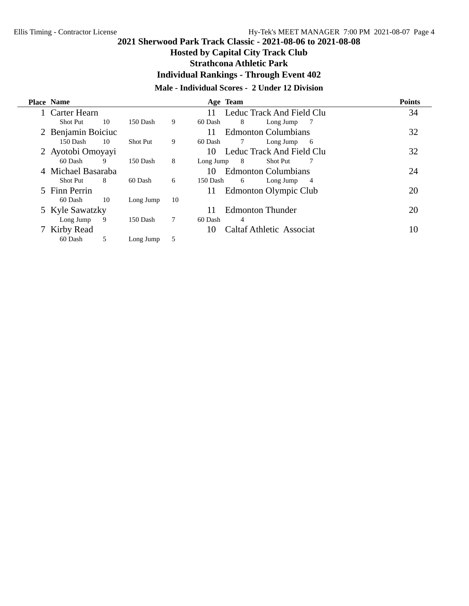# **Hosted by Capital City Track Club**

**Strathcona Athletic Park**

**Individual Rankings - Through Event 402**

# **Male - Individual Scores - 2 Under 12 Division**

| <b>Place Name</b>  |    |                 |    |           | Age Team |                                 | <b>Points</b> |
|--------------------|----|-----------------|----|-----------|----------|---------------------------------|---------------|
| Carter Hearn       |    |                 |    | 11        |          | Leduc Track And Field Clu       | 34            |
| <b>Shot Put</b>    | 10 | 150 Dash        | 9  | 60 Dash   | 8        | Long Jump<br>- 7                |               |
| 2 Benjamin Boiciuc |    |                 |    | 11        |          | <b>Edmonton Columbians</b>      | 32            |
| 150 Dash           | 10 | <b>Shot Put</b> | 9  | 60 Dash   |          | Long Jump<br>-6                 |               |
| 2 Ayotobi Omoyayi  |    |                 |    | 10        |          | Leduc Track And Field Clu       | 32            |
| 60 Dash            | 9  | 150 Dash        | 8  | Long Jump | - 8      | <b>Shot Put</b>                 |               |
| Michael Basaraba   |    |                 |    | 10        |          | <b>Edmonton Columbians</b>      | 24            |
| Shot Put           | -8 | 60 Dash         | 6  | 150 Dash  | 6        | Long Jump<br>- 4                |               |
| 5 Finn Perrin      |    |                 |    | 11        |          | Edmonton Olympic Club           | 20            |
| 60 Dash            | 10 | Long Jump       | 10 |           |          |                                 |               |
| 5 Kyle Sawatzky    |    |                 |    | 11        |          | <b>Edmonton Thunder</b>         | 20            |
| Long Jump          | 9  | 150 Dash        | 7  | 60 Dash   | 4        |                                 |               |
| Kirby Read         |    |                 |    | 10        |          | <b>Caltaf Athletic Associat</b> | 10            |
| 60 Dash            | 5  | Long Jump       | 5  |           |          |                                 |               |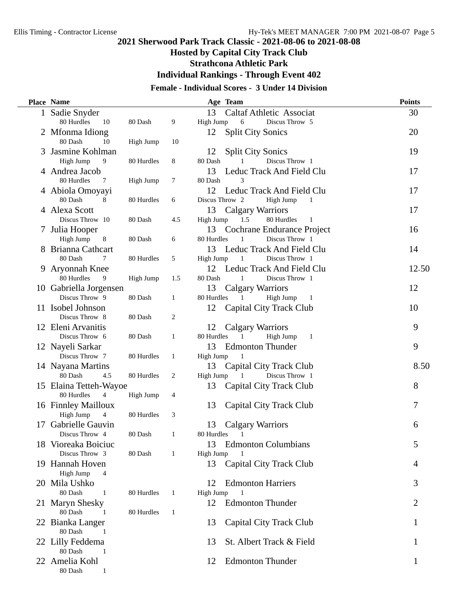# **Hosted by Capital City Track Club**

**Strathcona Athletic Park**

**Individual Rankings - Through Event 402**

# **Female - Individual Scores - 3 Under 14 Division**

|    | <b>Place Name</b>                 |            |              | Age Team                                   | <b>Points</b> |
|----|-----------------------------------|------------|--------------|--------------------------------------------|---------------|
|    | 1 Sadie Snyder                    |            |              | 13<br><b>Caltaf Athletic Associat</b>      | 30            |
|    | 80 Hurdles<br>10                  | 80 Dash    | 9            | High Jump<br>6<br>Discus Throw 5           |               |
|    | 2 Mfonma Idiong                   |            |              | <b>Split City Sonics</b><br>12             | 20            |
|    | 80 Dash<br>10                     | High Jump  | 10           |                                            |               |
|    | Jasmine Kohlman                   |            |              | 12<br><b>Split City Sonics</b>             | 19            |
|    | High Jump<br>9                    | 80 Hurdles | 8            | 80 Dash<br>Discus Throw 1                  |               |
|    | 4 Andrea Jacob                    |            |              | Leduc Track And Field Clu<br>13            | 17            |
|    | 80 Hurdles<br>7                   | High Jump  | 7            | 80 Dash<br>3<br>Leduc Track And Field Clu  |               |
|    | 4 Abiola Omoyayi<br>80 Dash<br>8  | 80 Hurdles | 6            | 12<br>Discus Throw 2<br>High Jump<br>-1    | 17            |
|    | 4 Alexa Scott                     |            |              | <b>Calgary Warriors</b><br>13              | 17            |
|    | Discus Throw 10                   | 80 Dash    | 4.5          | High Jump<br>1.5<br>80 Hurdles<br>-1       |               |
|    | 7 Julia Hooper                    |            |              | 13<br>Cochrane Endurance Project           | 16            |
|    | High Jump<br>8                    | 80 Dash    | 6            | 80 Hurdles<br>Discus Throw 1<br>1          |               |
|    | 8 Brianna Cathcart                |            |              | Leduc Track And Field Clu<br>13            | 14            |
|    | 80 Dash<br>7                      | 80 Hurdles | 5            | High Jump<br>Discus Throw 1<br>1           |               |
|    | 9 Aryonnah Knee                   |            |              | Leduc Track And Field Clu<br>12            | 12.50         |
|    | 80 Hurdles<br>9                   | High Jump  | 1.5          | 80 Dash<br>Discus Throw 1<br>1             |               |
|    | 10 Gabriella Jorgensen            |            |              | 13<br><b>Calgary Warriors</b>              | 12            |
|    | Discus Throw 9                    | 80 Dash    | 1            | 80 Hurdles<br>High Jump<br>1<br>-1         |               |
|    | 11 Isobel Johnson                 |            |              | <b>Capital City Track Club</b><br>12       | 10            |
|    | Discus Throw 8                    | 80 Dash    | 2            |                                            |               |
|    | 12 Eleni Arvanitis                |            |              | 12<br>Calgary Warriors                     | 9             |
|    | Discus Throw 6                    | 80 Dash    | $\mathbf{1}$ | 80 Hurdles<br>High Jump<br>$\mathbf{1}$    |               |
|    | 12 Nayeli Sarkar                  |            |              | <b>Edmonton Thunder</b><br>13              | 9             |
|    | Discus Throw 7                    | 80 Hurdles | 1            | High Jump<br>-1                            |               |
|    | 14 Nayana Martins                 |            |              | 13<br>Capital City Track Club              | 8.50          |
|    | 80 Dash<br>4.5                    | 80 Hurdles | 2            | Discus Throw 1<br>High Jump                |               |
|    | 15 Elaina Tetteh-Wayoe            |            |              | Capital City Track Club<br>13              | 8             |
|    | 80 Hurdles<br>4                   | High Jump  | 4            |                                            |               |
|    | 16 Finnley Mailloux               |            |              | 13<br>Capital City Track Club              | 7             |
|    | High Jump<br>$\overline{4}$       | 80 Hurdles | 3            |                                            |               |
| 17 | Gabrielle Gauvin                  |            |              | 13<br><b>Calgary Warriors</b>              | 6             |
|    | Discus Throw 4                    | 80 Dash    | 1            | 80 Hurdles<br>1                            |               |
|    | 18 Vioreaka Boiciuc               |            |              | <b>Edmonton Columbians</b><br>13           | 5             |
|    | Discus Throw 3                    | 80 Dash    | 1            | High Jump                                  |               |
|    | 19 Hannah Hoven                   |            |              | 13<br>Capital City Track Club              | 4             |
|    | High Jump<br>4                    |            |              |                                            |               |
|    | 20 Mila Ushko<br>80 Dash<br>1     |            |              | <b>Edmonton Harriers</b><br>12             | 3             |
|    |                                   | 80 Hurdles | 1            | High Jump<br>12<br><b>Edmonton Thunder</b> | 2             |
|    | 21 Maryn Shesky<br>80 Dash<br>- 1 | 80 Hurdles | 1            |                                            |               |
|    | 22 Bianka Langer                  |            |              | Capital City Track Club<br>13              |               |
|    | 80 Dash<br>$\overline{1}$         |            |              |                                            |               |
|    | 22 Lilly Feddema                  |            |              | St. Albert Track & Field<br>13             |               |
|    | 80 Dash<br>-1                     |            |              |                                            |               |
|    | 22 Amelia Kohl                    |            |              | <b>Edmonton Thunder</b><br>12              | 1             |
|    | 80 Dash<br>1                      |            |              |                                            |               |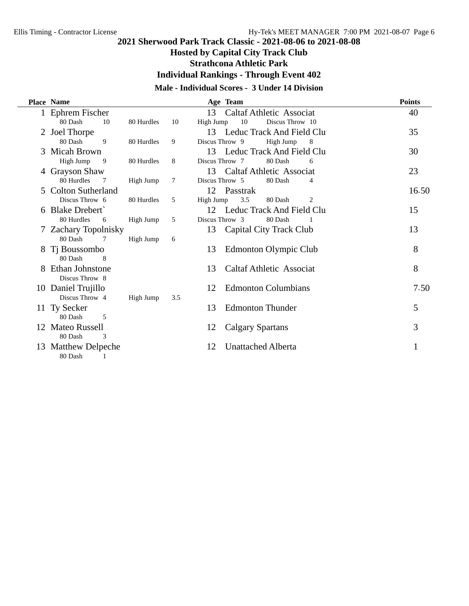# **Hosted by Capital City Track Club**

**Strathcona Athletic Park**

**Individual Rankings - Through Event 402**

# **Male - Individual Scores - 3 Under 14 Division**

|   | <b>Place Name</b>            |            |     | Age Team                              | <b>Points</b> |
|---|------------------------------|------------|-----|---------------------------------------|---------------|
|   | Ephrem Fischer               |            |     | 13<br><b>Caltaf Athletic Associat</b> | 40            |
|   | 80 Dash<br>10                | 80 Hurdles | 10  | Discus Throw 10<br>High Jump<br>10    |               |
|   | 2 Joel Thorpe                |            |     | Leduc Track And Field Clu<br>13       | 35            |
|   | 80 Dash<br>9                 | 80 Hurdles | 9   | Discus Throw 9<br>High Jump<br>8      |               |
|   | 3 Micah Brown                |            |     | 13<br>Leduc Track And Field Clu       | 30            |
|   | High Jump<br>9               | 80 Hurdles | 8   | Discus Throw 7<br>80 Dash<br>6        |               |
|   | 4 Grayson Shaw               |            |     | 13<br>Caltaf Athletic Associat        | 23            |
|   | 80 Hurdles                   | High Jump  | 7   | Discus Throw 5<br>80 Dash<br>4        |               |
|   | 5 Colton Sutherland          |            |     | Passtrak<br>12                        | 16.50         |
|   | Discus Throw 6               | 80 Hurdles | 5   | High Jump<br>3.5<br>80 Dash<br>2      |               |
|   | <b>Blake Drebert</b>         |            |     | 12 Leduc Track And Field Clu          | 15            |
|   | 80 Hurdles<br>6              | High Jump  | 5   | Discus Throw 3<br>80 Dash             |               |
|   | 7 Zachary Topolnisky         |            |     | 13<br>Capital City Track Club         | 13            |
|   | 80 Dash<br>7                 | High Jump  | 6   |                                       |               |
| 8 | Ti Boussombo<br>80 Dash<br>8 |            |     | 13<br>Edmonton Olympic Club           | 8             |
|   | Ethan Johnstone              |            |     | <b>Caltaf Athletic Associat</b><br>13 | 8             |
|   | Discus Throw 8               |            |     |                                       |               |
|   | 10 Daniel Trujillo           |            |     | <b>Edmonton Columbians</b><br>12      | 7.50          |
|   | Discus Throw 4               | High Jump  | 3.5 |                                       |               |
|   | 11 Ty Secker                 |            |     | <b>Edmonton Thunder</b><br>13         | 5             |
|   | 80 Dash<br>5                 |            |     |                                       |               |
|   | 12 Mateo Russell             |            |     | <b>Calgary Spartans</b><br>12         | 3             |
|   | 80 Dash<br>3                 |            |     |                                       |               |
|   | 13 Matthew Delpeche          |            |     | <b>Unattached Alberta</b><br>12       |               |
|   | 80 Dash<br>1                 |            |     |                                       |               |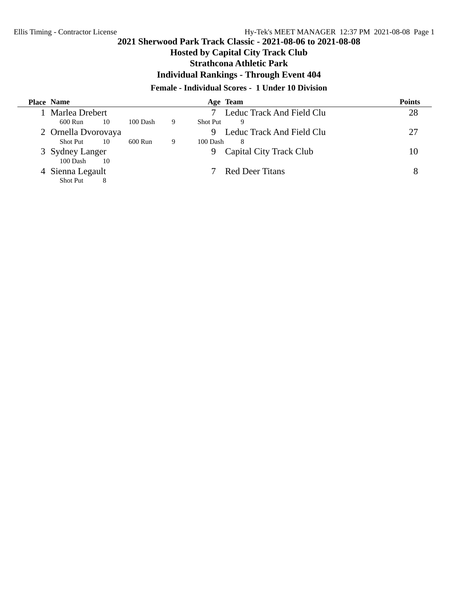# **Hosted by Capital City Track Club**

## **Strathcona Athletic Park**

**Individual Rankings - Through Event 404**

## **Female - Individual Scores - 1 Under 10 Division**

| <b>Place Name</b>   |    |          |   | Age Team        |                           | <b>Points</b> |
|---------------------|----|----------|---|-----------------|---------------------------|---------------|
| Marlea Drebert      |    |          |   |                 | Leduc Track And Field Clu | 28            |
| 600 Run             | 10 | 100 Dash | 9 | <b>Shot Put</b> | 9                         |               |
| 2 Ornella Dvorovaya |    |          |   |                 | Leduc Track And Field Clu | 27            |
| Shot Put            | 10 | 600 Run  | 9 | 100 Dash        | 8                         |               |
| 3 Sydney Langer     |    |          |   | 9               | Capital City Track Club   | 10            |
| 100 Dash            | 10 |          |   |                 |                           |               |
| Sienna Legault      |    |          |   |                 | Red Deer Titans           | 8             |
| Shot Put            | 8  |          |   |                 |                           |               |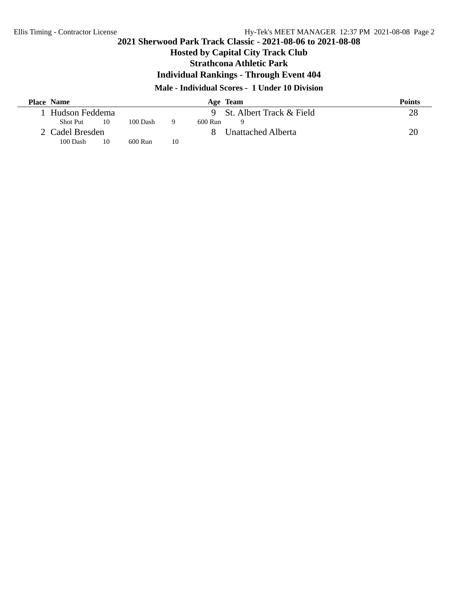÷.

# **2021 Sherwood Park Track Classic - 2021-08-06 to 2021-08-08**

# **Hosted by Capital City Track Club**

**Strathcona Athletic Park**

**Individual Rankings - Through Event 404**

## **Male - Individual Scores - 1 Under 10 Division**

| <b>Place Name</b> |    |          |    |         | Age Team                   | <b>Points</b> |
|-------------------|----|----------|----|---------|----------------------------|---------------|
| Hudson Feddema    |    |          |    |         | 9 St. Albert Track & Field | 28            |
| <b>Shot Put</b>   | 10 | 100 Dash |    | 600 Run | Q                          |               |
| 2 Cadel Bresden   |    |          |    |         | Unattached Alberta         | 20            |
| 100 Dash          | 10 | 600 Run  | 10 |         |                            |               |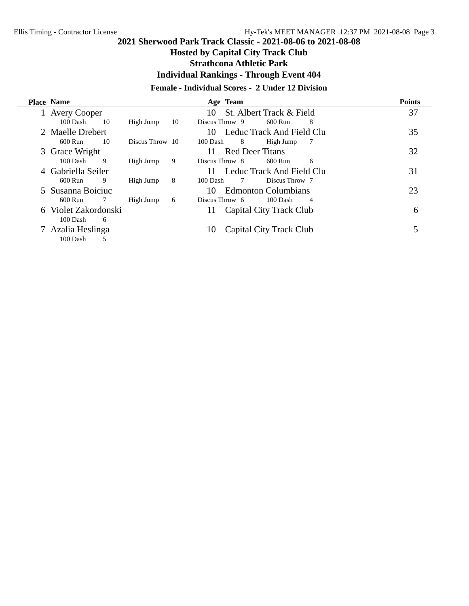# **Hosted by Capital City Track Club**

## **Strathcona Athletic Park**

**Individual Rankings - Through Event 404**

## **Female - Individual Scores - 2 Under 12 Division**

|   | <b>Place Name</b>   |    |                 |    |                | Age Team        |                            |    | <b>Points</b> |
|---|---------------------|----|-----------------|----|----------------|-----------------|----------------------------|----|---------------|
|   | <b>Avery Cooper</b> |    |                 |    | 10             |                 | St. Albert Track & Field   |    | 37            |
|   | 100 Dash            | 10 | High Jump       | 10 | Discus Throw 9 |                 | 600 Run                    | 8  |               |
|   | 2 Maelle Drebert    |    |                 |    | 10.            |                 | Leduc Track And Field Clu  |    | 35            |
|   | 600 Run             | 10 | Discus Throw 10 |    | 100 Dash       | 8               | High Jump                  | -7 |               |
|   | 3 Grace Wright      |    |                 |    | 11             | Red Deer Titans |                            |    | 32            |
|   | 100 Dash            | 9  | High Jump       | 9  | Discus Throw 8 |                 | 600 Run                    | 6  |               |
|   | Gabriella Seiler    |    |                 |    |                |                 | Leduc Track And Field Clu  |    | 31            |
|   | 600 Run             | 9  | High Jump       | 8  | 100 Dash       | 7               | Discus Throw 7             |    |               |
|   | 5 Susanna Boiciuc   |    |                 |    | 10             |                 | <b>Edmonton Columbians</b> |    | 23            |
|   | 600 Run             |    | High Jump       | 6  | Discus Throw 6 |                 | 100 Dash                   | 4  |               |
| 6 | Violet Zakordonski  |    |                 |    | 11             |                 | Capital City Track Club    |    | 6             |
|   | 100 Dash            | 6  |                 |    |                |                 |                            |    |               |
|   | Azalia Heslinga     |    |                 |    | 10             |                 | Capital City Track Club    |    |               |
|   | 100 Dash            |    |                 |    |                |                 |                            |    |               |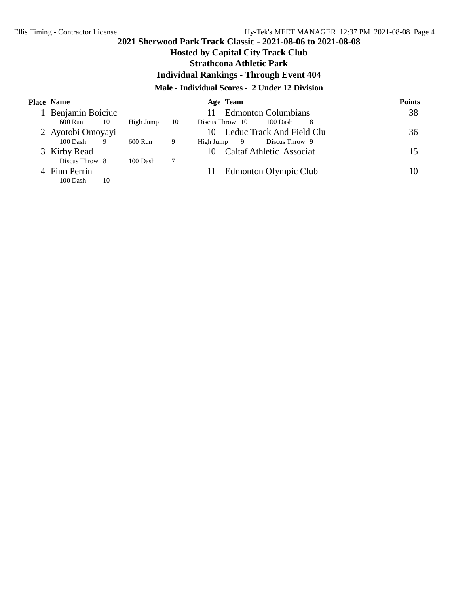# **Hosted by Capital City Track Club**

**Strathcona Athletic Park**

**Individual Rankings - Through Event 404**

## **Male - Individual Scores - 2 Under 12 Division**

| <b>Place Name</b> |    |           |                 | Age Team                         | <b>Points</b> |
|-------------------|----|-----------|-----------------|----------------------------------|---------------|
| Benjamin Boiciuc  |    |           |                 | <b>Edmonton Columbians</b><br>11 | 38            |
| 600 Run           | 10 | High Jump | 10              | Discus Throw 10<br>100 Dash<br>8 |               |
| 2 Ayotobi Omoyayi |    |           |                 | Leduc Track And Field Clu        | 36            |
| 100 Dash          | 9  | 600 Run   | 9               | Discus Throw 9<br>High Jump<br>9 |               |
| 3 Kirby Read      |    |           |                 | Caltaf Athletic Associat<br>10.  | 15            |
| Discus Throw 8    |    | 100 Dash  | $7\phantom{.0}$ |                                  |               |
| 4 Finn Perrin     |    |           |                 | Edmonton Olympic Club<br>11      | 10            |
| 100 Dash          | 10 |           |                 |                                  |               |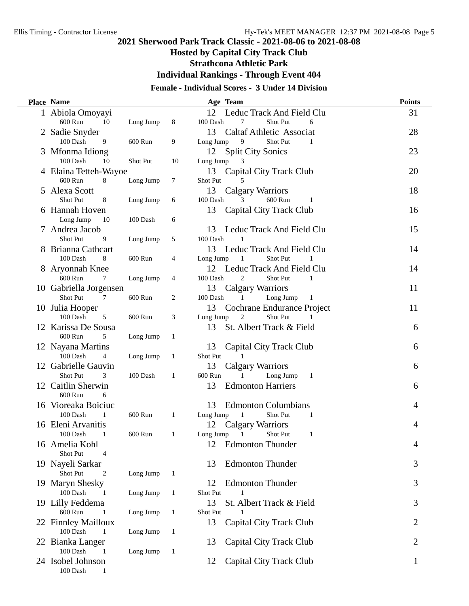# **Hosted by Capital City Track Club**

**Strathcona Athletic Park**

**Individual Rankings - Through Event 404**

# **Female - Individual Scores - 3 Under 14 Division**

| Place Name                                      |           |              | Age Team                                          | <b>Points</b>  |
|-------------------------------------------------|-----------|--------------|---------------------------------------------------|----------------|
| 1 Abiola Omoyayi                                |           |              | 12<br>Leduc Track And Field Clu                   | 31             |
| 600 Run<br>- 10                                 | Long Jump | 8            | 100 Dash<br>7<br>Shot Put<br>6                    |                |
| 2 Sadie Snyder                                  |           |              | 13<br><b>Caltaf Athletic Associat</b>             | 28             |
| 100 Dash<br>9                                   | 600 Run   | 9            | Long Jump<br>9<br>Shot Put<br>1                   |                |
| 3 Mfonma Idiong                                 |           |              | 12<br><b>Split City Sonics</b>                    | 23             |
| 100 Dash<br>10                                  | Shot Put  | 10           | Long Jump<br>3                                    |                |
| 4 Elaina Tetteh-Wayoe                           |           |              | Capital City Track Club<br>13                     | 20             |
| 600 Run<br>8                                    | Long Jump | $\tau$       | Shot Put<br>5                                     |                |
| 5 Alexa Scott                                   |           |              | 13<br><b>Calgary Warriors</b>                     | 18             |
| Shot Put<br>8                                   | Long Jump | 6            | 600 Run<br>100 Dash<br>3<br>1                     |                |
| 6 Hannah Hoven                                  |           |              | 13<br>Capital City Track Club                     | 16             |
| Long Jump<br>10                                 | 100 Dash  | 6            |                                                   |                |
| 7 Andrea Jacob                                  |           |              | Leduc Track And Field Clu<br>13                   | 15             |
| Shot Put<br>9                                   | Long Jump | 5            | 100 Dash                                          |                |
| 8 Brianna Cathcart                              |           |              | 13<br>Leduc Track And Field Clu                   | 14             |
| 8<br>100 Dash                                   | 600 Run   | 4            | Long Jump<br>Shot Put<br>1<br>1                   |                |
| 8 Aryonnah Knee                                 |           |              | 12<br>Leduc Track And Field Clu                   | 14             |
| 600 Run<br>7                                    | Long Jump | 4            | 100 Dash<br>2<br><b>Shot Put</b><br>1             |                |
| 10 Gabriella Jorgensen                          |           |              | 13<br>Calgary Warriors                            | 11             |
| Shot Put<br>7                                   | 600 Run   | 2            | 100 Dash<br>Long Jump<br>1<br>$\mathbf{1}$        |                |
| 10 Julia Hooper<br>100 Dash<br>5                | 600 Run   |              | 13<br>Cochrane Endurance Project<br>Shot Put<br>2 | 11             |
|                                                 |           | 3            | Long Jump<br>1<br>St. Albert Track & Field<br>13  |                |
| 12 Karissa De Sousa<br>600 Run<br>5             | Long Jump | 1            |                                                   | 6              |
|                                                 |           |              | 13                                                | 6              |
| 12 Nayana Martins<br>100 Dash<br>$\overline{4}$ | Long Jump | 1            | Capital City Track Club<br>Shot Put<br>1          |                |
| 12 Gabrielle Gauvin                             |           |              | 13<br><b>Calgary Warriors</b>                     | 6              |
| Shot Put<br>3                                   | 100 Dash  | 1            | 600 Run<br>Long Jump<br>$\mathbf{1}$              |                |
| 12 Caitlin Sherwin                              |           |              | 13<br><b>Edmonton Harriers</b>                    | 6              |
| 600 Run<br>6                                    |           |              |                                                   |                |
| 16 Vioreaka Boiciuc                             |           |              | 13<br><b>Edmonton Columbians</b>                  | 4              |
| 100 Dash<br>1                                   | 600 Run   | 1            | Long Jump<br>1<br><b>Shot Put</b><br>$\mathbf{1}$ |                |
| 16 Eleni Arvanitis                              |           |              | 12<br>Calgary Warriors                            | 4              |
| 100 Dash<br>1                                   | 600 Run   | 1            | Long Jump<br>1<br>Shot Put<br>1                   |                |
| 16 Amelia Kohl                                  |           |              | 12<br><b>Edmonton Thunder</b>                     | $\overline{4}$ |
| Shot Put<br>4                                   |           |              |                                                   |                |
| 19 Nayeli Sarkar                                |           |              | 13<br><b>Edmonton Thunder</b>                     | 3              |
| Shot Put<br>2                                   | Long Jump | 1            |                                                   |                |
| 19 Maryn Shesky                                 |           |              | 12<br><b>Edmonton Thunder</b>                     | 3              |
| 100 Dash<br>-1                                  | Long Jump | 1            | Shot Put                                          |                |
| 19 Lilly Feddema                                |           |              | 13<br>St. Albert Track & Field                    | 3              |
| 600 Run<br>$\mathbf{1}$                         | Long Jump | 1            | Shot Put                                          |                |
| 22 Finnley Mailloux                             |           |              | 13<br>Capital City Track Club                     | $\overline{2}$ |
| 100 Dash<br>$\mathbf{1}$                        | Long Jump | $\mathbf{1}$ |                                                   |                |
| 22 Bianka Langer                                |           |              | 13<br>Capital City Track Club                     | 2              |
| 100 Dash<br>-1                                  | Long Jump | 1            |                                                   |                |
| 24 Isobel Johnson                               |           |              | 12<br>Capital City Track Club                     | 1              |
| $100$ Dash $\,$<br>1                            |           |              |                                                   |                |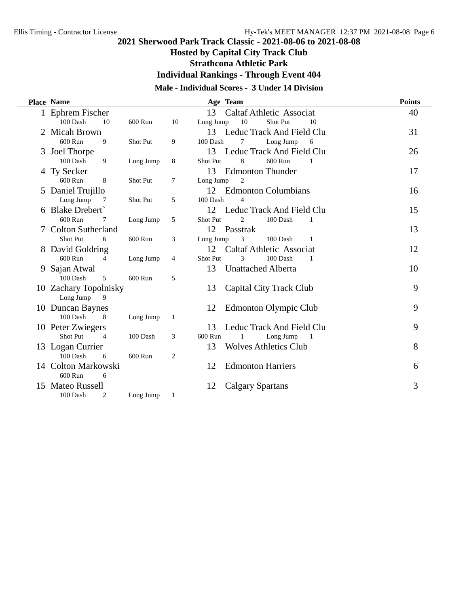**Hosted by Capital City Track Club**

**Strathcona Athletic Park**

**Individual Rankings - Through Event 404**

## **Male - Individual Scores - 3 Under 14 Division**

| Place Name                 |                 |    | Age Team                                         | <b>Points</b> |
|----------------------------|-----------------|----|--------------------------------------------------|---------------|
| 1 Ephrem Fischer           |                 |    | 13<br><b>Caltaf Athletic Associat</b>            | 40            |
| 100 Dash<br>10             | 600 Run         | 10 | 10<br>Long Jump<br>Shot Put<br>10                |               |
| <b>Micah Brown</b>         |                 |    | Leduc Track And Field Clu<br>13                  | 31            |
| 600 Run<br>9               | Shot Put        | 9  | 100 Dash<br>Long Jump<br>6<br>7                  |               |
| 3 Joel Thorpe              |                 |    | 13<br>Leduc Track And Field Clu                  | 26            |
| 100 Dash<br>9              | Long Jump       | 8  | <b>Shot Put</b><br>8<br>600 Run<br>1             |               |
| 4 Ty Secker                |                 |    | 13<br><b>Edmonton Thunder</b>                    | 17            |
| 600 Run<br>8               | Shot Put        | 7  | $\overline{2}$<br>Long Jump                      |               |
| 5 Daniel Trujillo          |                 |    | 12<br><b>Edmonton Columbians</b>                 | 16            |
| Long Jump<br>7             | <b>Shot Put</b> | 5  | 100 Dash<br>4                                    |               |
| <b>Blake Drebert</b>       |                 |    | Leduc Track And Field Clu<br>12                  | 15            |
| 600 Run<br>7               | Long Jump       | 5  | Shot Put<br>2<br>100 Dash                        |               |
| <b>Colton Sutherland</b>   |                 |    | 12<br>Passtrak                                   | 13            |
| Shot Put<br>6              | 600 Run         | 3  | Long Jump<br>3<br>100 Dash<br>1                  |               |
| 8 David Goldring           |                 |    | 12<br><b>Caltaf Athletic Associat</b>            | 12            |
| 600 Run<br>4               | Long Jump       | 4  | 3<br>100 Dash<br>Shot Put<br>1                   |               |
| 9 Sajan Atwal              |                 |    | 13<br><b>Unattached Alberta</b>                  | 10            |
| 100 Dash<br>5              | 600 Run         | 5  |                                                  |               |
| 10 Zachary Topolnisky      |                 |    | 13<br>Capital City Track Club                    | 9             |
| Long Jump<br>9             |                 |    |                                                  |               |
| 10 Duncan Baynes           |                 |    | Edmonton Olympic Club<br>12                      | 9             |
| 100 Dash<br>8              | Long Jump       | 1  |                                                  |               |
| 10 Peter Zwiegers          |                 |    | Leduc Track And Field Clu<br>13                  | 9             |
| Shot Put<br>$\overline{4}$ | 100 Dash        | 3  | 600 Run<br>Long Jump<br>$\overline{\phantom{0}}$ |               |
| 13 Logan Currier           |                 |    | 13<br><b>Wolves Athletics Club</b>               | 8             |
| 100 Dash<br>6              | 600 Run         | 2  |                                                  |               |
| 14 Colton Markowski        |                 |    | <b>Edmonton Harriers</b><br>12                   | 6             |
| 600 Run<br>6               |                 |    |                                                  |               |
| 15 Mateo Russell           |                 |    | 12<br><b>Calgary Spartans</b>                    | 3             |
| 100 Dash<br>2              | Long Jump       | 1  |                                                  |               |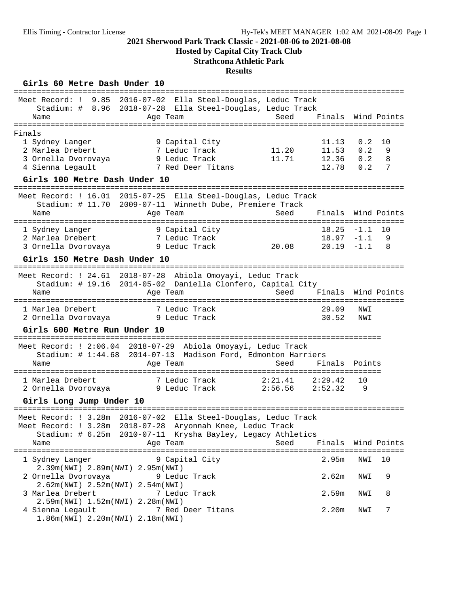**Hosted by Capital City Track Club**

# **Strathcona Athletic Park**

### **Results**

### Girls 60 Metre Dash Under 10

| Meet Record: ! 9.85 2016-07-02 Ella Steel-Douglas, Leduc Track  |               |                                            |         |                    |        |             |
|-----------------------------------------------------------------|---------------|--------------------------------------------|---------|--------------------|--------|-------------|
| Stadium: # 8.96 2018-07-28 Ella Steel-Douglas, Leduc Track      |               |                                            |         |                    |        |             |
| Name                                                            | Age Team      |                                            | Seed    | Finals Wind Points |        |             |
| ==================                                              |               |                                            |         |                    |        |             |
| Finals                                                          |               |                                            |         |                    |        |             |
| 1 Sydney Langer                                                 |               | 9 Capital City                             |         | 11.13              | 0.2    | 10          |
| 2 Marlea Drebert                                                |               | 7 Leduc Track                              | 11.20   | 11.53              | 0.2    | 9           |
| 3 Ornella Dvorovaya                                             |               | 9 Leduc Track                              | 11.71   | 12.36              | 0.2    | 8           |
| 4 Sienna Legault                                                |               | 7 Red Deer Titans                          |         | 12.78              | 0.2    | 7           |
| Girls 100 Metre Dash Under 10<br>========================       |               |                                            |         |                    |        |             |
| Meet Record: ! 16.01 2015-07-25 Ella Steel-Douglas, Leduc Track |               |                                            |         |                    |        |             |
| Stadium: # 11.70 2009-07-11 Winneth Dube, Premiere Track        |               |                                            |         |                    |        |             |
| Name                                                            | Age Team      |                                            | Seed    | Finals             |        | Wind Points |
|                                                                 |               |                                            |         |                    |        |             |
| 1 Sydney Langer                                                 |               | 9 Capital City                             |         | 18.25              | $-1.1$ | 10          |
| 2 Marlea Drebert                                                |               | 7 Leduc Track                              |         | $18.97 - 1.1$      |        | 9           |
| 3 Ornella Dvorovaya                                             |               | 9 Leduc Track                              | 20.08   | $20.19 - 1.1$      |        | 8           |
| Girls 150 Metre Dash Under 10                                   |               |                                            |         |                    |        |             |
| Meet Record: ! 24.61 2018-07-28 Abiola Omoyayi, Leduc Track     |               |                                            |         |                    |        |             |
| Stadium: # 19.16 2014-05-02 Daniella Clonfero, Capital City     |               |                                            |         |                    |        |             |
| Name                                                            | Age Team      |                                            | Seed    | Finals             |        | Wind Points |
|                                                                 |               |                                            |         |                    |        |             |
| 1 Marlea Drebert                                                |               | 7 Leduc Track                              |         | 29.09              | NWI    |             |
| 2 Ornella Dvorovaya                                             | 9 Leduc Track |                                            |         | 30.52              | NWI    |             |
| Girls 600 Metre Run Under 10                                    |               |                                            |         |                    |        |             |
|                                                                 |               |                                            |         |                    |        |             |
| Meet Record: ! 2:06.04 2018-07-29 Abiola Omoyayi, Leduc Track   |               |                                            |         |                    |        |             |
| Stadium: $\#$ 1:44.68                                           |               | 2014-07-13 Madison Ford, Edmonton Harriers |         |                    |        |             |
| Name                                                            | Age Team      |                                            | Seed    | Finals             | Points |             |
|                                                                 |               |                                            |         |                    |        |             |
| 1 Marlea Drebert                                                |               | 7 Leduc Track                              | 2:21.41 | 2:29.42            | 10     |             |
| 2 Ornella Dvorovaya (2008) 9 Leduc Track                        |               |                                            | 2:56.56 | 2:52.32            | 9      |             |
| Girls Long Jump Under 10                                        |               |                                            |         |                    |        |             |
|                                                                 |               |                                            |         |                    |        |             |
| Meet Record: ! 3.28m 2016-07-02 Ella Steel-Douglas, Leduc Track |               |                                            |         |                    |        |             |
| Meet Record: ! 3.28m 2018-07-28 Aryonnah Knee, Leduc Track      |               |                                            |         |                    |        |             |
| Stadium: # 6.25m 2010-07-11 Krysha Bayley, Legacy Athletics     |               |                                            |         |                    |        |             |
| Name                                                            | Age Team      |                                            | Seed    | Finals             |        | Wind Points |
|                                                                 |               |                                            |         |                    |        |             |
| 1 Sydney Langer<br>2.39m(NWI) 2.89m(NWI) 2.95m(NWI)             |               | 9 Capital City                             |         | 2.95m              | NWI    | 10          |
| 2 Ornella Dvorovaya                                             |               | 9 Leduc Track                              |         | 2.62m              | NWI    | 9           |
| 2.62m(NWI) 2.52m(NWI) 2.54m(NWI)                                |               |                                            |         |                    |        |             |
| 3 Marlea Drebert                                                |               | 7 Leduc Track                              |         | 2.59m              | NWI    | 8           |
| 2.59m(NWI) 1.52m(NWI) 2.28m(NWI)                                |               |                                            |         |                    |        |             |
| 4 Sienna Legault                                                |               | 7 Red Deer Titans                          |         | 2.20 <sub>m</sub>  | NWI    | 7           |
| 1.86m(NWI) 2.20m(NWI) 2.18m(NWI)                                |               |                                            |         |                    |        |             |
|                                                                 |               |                                            |         |                    |        |             |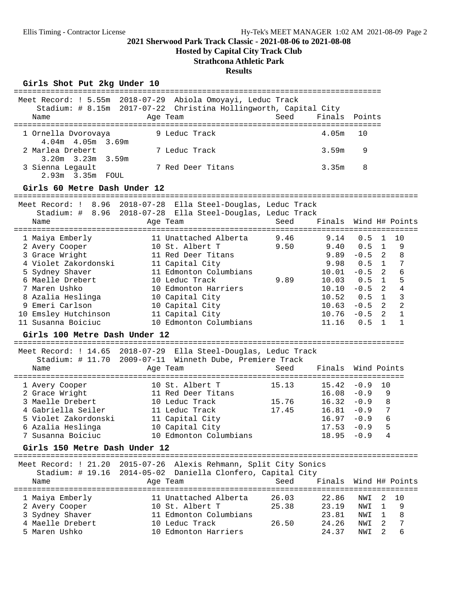**Hosted by Capital City Track Club**

# **Strathcona Athletic Park**

#### **Results**

### Girls Shot Put 2kg Under 10

|                                             | Meet Record: ! 5.55m 2018-07-29 Abiola Omoyayi, Leduc Track                                                     |       |                             |               |                |                |
|---------------------------------------------|-----------------------------------------------------------------------------------------------------------------|-------|-----------------------------|---------------|----------------|----------------|
|                                             | Stadium: # 8.15m 2017-07-22 Christina Hollingworth, Capital City                                                |       |                             |               |                |                |
| Name                                        | Age Team                                                                                                        | Seed  | Finals Points               |               |                |                |
|                                             |                                                                                                                 |       |                             |               |                |                |
| 1 Ornella Dvorovaya<br>4.04m 4.05m 3.69m    | 9 Leduc Track                                                                                                   |       | 4.05m                       | 10            |                |                |
| 2 Marlea Drebert<br>$3.20m$ $3.23m$ $3.59m$ | 7 Leduc Track                                                                                                   |       | 3.59m                       | 9             |                |                |
| 3 Sienna Legault<br>2.93m 3.35m FOUL        | 7 Red Deer Titans                                                                                               |       | 3.35m                       | 8             |                |                |
| Girls 60 Metre Dash Under 12                |                                                                                                                 |       |                             |               |                |                |
|                                             | Meet Record: ! 8.96 2018-07-28 Ella Steel-Douglas, Leduc Track                                                  |       |                             |               |                |                |
|                                             | Stadium: # 8.96 2018-07-28 Ella Steel-Douglas, Leduc Track                                                      |       |                             |               |                |                |
| Name                                        | Age Team                                                                                                        | Seed  | Finals Wind H# Points       |               |                |                |
|                                             |                                                                                                                 |       |                             |               |                |                |
| 1 Maiya Emberly                             | 11 Unattached Alberta                                                                                           | 9.46  | 9.14                        | 0.5           | 1              | 10             |
| 2 Avery Cooper                              | 10 St. Albert T                                                                                                 | 9.50  | 9.40                        | 0.5           | $\mathbf{1}$   | 9              |
| 3 Grace Wright                              | 11 Red Deer Titans                                                                                              |       | 9.89                        | $-0.5$ 2      |                | 8              |
| 4 Violet Zakordonski                        | 11 Capital City                                                                                                 |       | 9.98                        | $0.5 \quad 1$ |                | 7              |
| 5 Sydney Shaver                             | 11 Edmonton Columbians                                                                                          |       | 10.01                       | $-0.5$ 2      |                | 6              |
| 6 Maelle Drebert                            | 10 Leduc Track                                                                                                  | 9.89  | 10.03                       | $0.5 \quad 1$ |                | 5              |
| 7 Maren Ushko                               | 10 Edmonton Harriers                                                                                            |       | $10.10 - 0.5$ 2             |               |                | $\overline{4}$ |
| 8 Azalia Heslinga                           | 10 Capital City                                                                                                 |       | $10.52$ $0.5$ 1             |               |                | $\mathbf{3}$   |
| 9 Emeri Carlson                             | 10 Capital City                                                                                                 |       | $10.63 - 0.5$ 2             |               |                | $\overline{2}$ |
| 10 Emsley Hutchinson                        | 11 Capital City                                                                                                 |       | $10.76 - 0.5$ 2             |               |                | 1              |
| 11 Susanna Boiciuc                          | 10 Edmonton Columbians                                                                                          |       | 11.16                       | $0.5 \quad 1$ |                | $\mathbf{1}$   |
| Girls 100 Metre Dash Under 12               |                                                                                                                 |       |                             |               |                |                |
|                                             | Meet Record: ! 14.65 2018-07-29 Ella Steel-Douglas, Leduc Track                                                 |       |                             |               |                |                |
|                                             | Stadium: # 11.70 2009-07-11 Winneth Dube, Premiere Track                                                        |       |                             |               |                |                |
| Name                                        | Age Team                                                                                                        | Seed  | Finals                      | Wind Points   |                |                |
| 1 Avery Cooper                              | 10 St. Albert T                                                                                                 | 15.13 | $15.42 - 0.9$               |               | 10             |                |
| 2 Grace Wright                              | 11 Red Deer Titans                                                                                              |       | $16.08 - 0.9$               |               | 9              |                |
| 3 Maelle Drebert                            | 10 Leduc Track                                                                                                  | 15.76 | $16.32 - 0.9$               |               | 8              |                |
| 4 Gabriella Seiler                          | 11 Leduc Track                                                                                                  | 17.45 | 16.81                       | $-0.9$        | $\overline{7}$ |                |
| 5 Violet Zakordonski                        | 11 Capital City                                                                                                 |       | 16.97                       | $-0.9$        | 6              |                |
| 6 Azalia Heslinga                           | 10 Capital City                                                                                                 |       | 17.53                       | $-0.9$        | 5              |                |
| 7 Susanna Boiciuc                           | 10 Edmonton Columbians                                                                                          |       | $18.95 - 0.9$               |               | 4              |                |
| Girls 150 Metre Dash Under 12               |                                                                                                                 |       |                             |               |                |                |
|                                             |                                                                                                                 |       |                             |               |                |                |
| Stadium: # 19.16                            | Meet Record: ! 21.20 2015-07-26 Alexis Rehmann, Split City Sonics<br>2014-05-02 Daniella Clonfero, Capital City |       |                             |               |                |                |
| Name                                        | Age Team                                                                                                        | Seed  | Finals                      |               |                | Wind H# Points |
|                                             |                                                                                                                 |       | =========================== |               |                |                |
| 1 Maiya Emberly                             | 11 Unattached Alberta                                                                                           | 26.03 | 22.86                       | NWI           | 2              | 10             |
| 2 Avery Cooper                              | 10 St. Albert T                                                                                                 | 25.38 | 23.19                       | NWI           | 1              | 9              |
| 3 Sydney Shaver                             | 11 Edmonton Columbians                                                                                          |       | 23.81                       | NWI           | 1              | 8              |
| 4 Maelle Drebert                            | 10 Leduc Track                                                                                                  | 26.50 | 24.26                       | NWI           | 2              | 7              |
| 5 Maren Ushko                               | 10 Edmonton Harriers                                                                                            |       | 24.37                       | NWI           | 2              | 6              |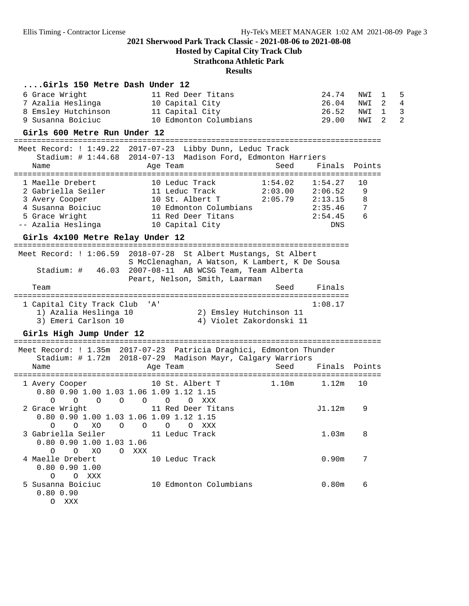**Hosted by Capital City Track Club**

# **Strathcona Athletic Park**

#### **Results**

| Girls 150 Metre Dash Under 12                                       |                                                               |                                           |                           |            |                   |                                           |
|---------------------------------------------------------------------|---------------------------------------------------------------|-------------------------------------------|---------------------------|------------|-------------------|-------------------------------------------|
| 6 Grace Wright                                                      | 11 Red Deer Titans                                            |                                           | 24.74                     | NWI        | 1                 | 5                                         |
| 7 Azalia Heslinga<br>8 Emsley Hutchinson                            | 10 Capital City<br>11 Capital City                            |                                           | 26.04<br>26.52            | NWI<br>NWI | 2<br>$\mathbf{1}$ | $\overline{4}$<br>$\overline{\mathbf{3}}$ |
| 9 Susanna Boiciuc                                                   | 10 Edmonton Columbians                                        |                                           | 29.00                     | NWI        | 2                 | $\overline{2}$                            |
| Girls 600 Metre Run Under 12                                        |                                                               |                                           |                           |            |                   |                                           |
| Meet Record: ! 1:49.22 2017-07-23 Libby Dunn, Leduc Track           |                                                               |                                           |                           |            |                   |                                           |
|                                                                     | Stadium: # 1:44.68 2014-07-13 Madison Ford, Edmonton Harriers |                                           |                           |            |                   |                                           |
| Name                                                                | Age Team                                                      | Seed                                      | Finals Points             |            |                   |                                           |
| 1 Maelle Drebert                                                    | 10 Leduc Track                                                | =======<br>1:54.02                        | ==============<br>1:54.27 | 10         |                   |                                           |
| 2 Gabriella Seiler                                                  | 11 Leduc Track                                                | 2:03.00                                   | 2:06.52                   | 9          |                   |                                           |
| 3 Avery Cooper                                                      | 10 St. Albert T                                               | $2:05.79$ $2:13.15$                       |                           | 8          |                   |                                           |
| 4 Susanna Boiciuc                                                   | 10 Edmonton Columbians                                        |                                           | 2:35.46                   | 7          |                   |                                           |
| 5 Grace Wright                                                      | 11 Red Deer Titans                                            |                                           | 2:54.45                   | 6          |                   |                                           |
| -- Azalia Heslinga                                                  | 10 Capital City                                               |                                           | DNS                       |            |                   |                                           |
| Girls 4x100 Metre Relay Under 12                                    |                                                               |                                           |                           |            |                   |                                           |
|                                                                     |                                                               |                                           |                           |            |                   |                                           |
| Meet Record: ! 1:06.59 2018-07-28 St Albert Mustangs, St Albert     |                                                               |                                           |                           |            |                   |                                           |
|                                                                     | S McClenaghan, A Watson, K Lambert, K De Sousa                |                                           |                           |            |                   |                                           |
| Stadium: # 46.03                                                    | 2007-08-11 AB WCSG Team, Team Alberta                         |                                           |                           |            |                   |                                           |
|                                                                     | Peart, Nelson, Smith, Laarman                                 |                                           |                           |            |                   |                                           |
| Team                                                                |                                                               | Seed                                      | Finals                    |            |                   |                                           |
| 1 Capital City Track Club 'A'                                       |                                                               |                                           | 1:08.17                   |            |                   |                                           |
| 1) Azalia Heslinga 10                                               | 2) Emsley Hutchinson 11                                       |                                           |                           |            |                   |                                           |
| 3) Emeri Carlson 10                                                 | 4) Violet Zakordonski 11                                      |                                           |                           |            |                   |                                           |
| Girls High Jump Under 12                                            |                                                               |                                           |                           |            |                   |                                           |
| Meet Record: ! 1.35m 2017-07-23 Patricia Draghici, Edmonton Thunder |                                                               |                                           |                           |            |                   |                                           |
|                                                                     | Stadium: # 1.72m 2018-07-29 Madison Mayr, Calgary Warriors    |                                           |                           |            |                   |                                           |
| Name                                                                | Age Team                                                      | Seed                                      | Finals Points             |            |                   |                                           |
| =======================<br>1 Avery Cooper                           | ============================<br>10 St. Albert T               | ================================<br>1.10m | 1.12m                     | 10         |                   |                                           |
| 0.80 0.90 1.00 1.03 1.06 1.09 1.12 1.15                             |                                                               |                                           |                           |            |                   |                                           |
| 0<br>$\circ$<br>$\circ$<br>$\circ$                                  | $\circ$<br>$\circ$<br>XXX<br>$\circ$                          |                                           |                           |            |                   |                                           |
| 2 Grace Wright                                                      | 11 Red Deer Titans                                            |                                           | J1.12m                    | 9          |                   |                                           |
| 0.80 0.90 1.00 1.03 1.06 1.09 1.12 1.15                             |                                                               |                                           |                           |            |                   |                                           |
| 0 0 XO 0 0 0 0 XXX                                                  |                                                               |                                           |                           |            |                   |                                           |
| 3 Gabriella Seiler 11 Leduc Track                                   |                                                               |                                           | 1.03 <sub>m</sub>         | 8          |                   |                                           |
| 0.80 0.90 1.00 1.03 1.06                                            |                                                               |                                           |                           |            |                   |                                           |
| O O XO O XXX                                                        |                                                               |                                           |                           |            |                   |                                           |
| 4 Maelle Drebert                                                    | 10 Leduc Track                                                |                                           | 0.90 <sub>m</sub>         | 7          |                   |                                           |
| $0.80$ $0.90$ 1.00                                                  |                                                               |                                           |                           |            |                   |                                           |
| O O XXX                                                             |                                                               |                                           |                           |            |                   |                                           |
| 5 Susanna Boiciuc                                                   | 10 Edmonton Columbians                                        |                                           | 0.80 <sub>m</sub>         | 6          |                   |                                           |
| 0.800.90<br>O XXX                                                   |                                                               |                                           |                           |            |                   |                                           |
|                                                                     |                                                               |                                           |                           |            |                   |                                           |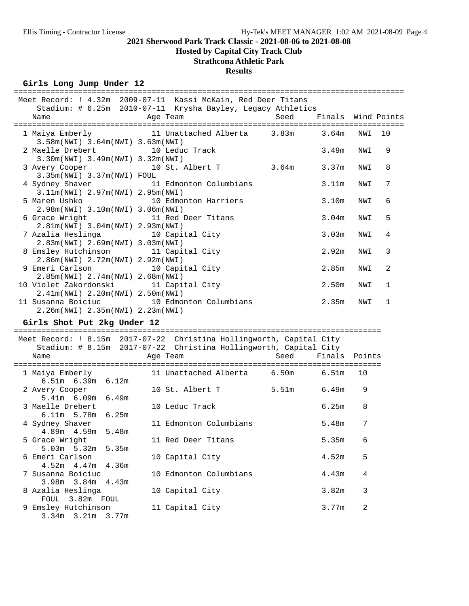### **Hosted by Capital City Track Club**

## **Strathcona Athletic Park**

## **Results**

#### Girls Long Jump Under 12

|                                              | Meet Record: ! 4.32m 2009-07-11 Kassi McKain, Red Deer Titans |                 |                   |     |    |
|----------------------------------------------|---------------------------------------------------------------|-----------------|-------------------|-----|----|
|                                              | Stadium: # 6.25m 2010-07-11 Krysha Bayley, Legacy Athletics   |                 |                   |     |    |
| and the Magnetic Press, and the Team<br>Name | Seed Finals Wind Points                                       |                 |                   |     |    |
|                                              |                                                               |                 |                   |     |    |
|                                              | 1 Maiya Emberly 11 Unattached Alberta 3.83m 3.64m             |                 |                   | NWI | 10 |
| 3.58m(NWI) 3.64m(NWI) 3.63m(NWI)             |                                                               |                 |                   |     |    |
| 2 Maelle Drebert 10 Leduc Track              |                                                               |                 | 3.49m             | NWI | 9  |
| 3.30m(NWI) 3.49m(NWI) 3.32m(NWI)             |                                                               |                 |                   |     |    |
| 3 Avery Cooper 10 St. Albert T               |                                                               | $3.64m$ $3.37m$ |                   | NWI | 8  |
| 3.35m(NWI) 3.37m(NWI) FOUL                   |                                                               |                 |                   |     |    |
|                                              | 4 Sydney Shaver 11 Edmonton Columbians                        |                 | 3.11m             | NWI | 7  |
| 3.11m(NWI) 2.97m(NWI) 2.95m(NWI)             |                                                               |                 |                   |     |    |
| 5 Maren Ushko 10 Edmonton Harriers           |                                                               |                 | 3.10m             | NWI | 6  |
| 2.98m(NWI) 3.10m(NWI) 3.06m(NWI)             |                                                               |                 |                   |     |    |
| 6 Grace Wright 11 Red Deer Titans            |                                                               |                 | 3.04m             | NWI | 5  |
| 2.81m(NWI) 3.04m(NWI) 2.93m(NWI)             |                                                               |                 |                   |     |    |
| 7 Azalia Heslinga (10 Capital City           |                                                               |                 | 3.03m             | NWI | 4  |
| 2.83m(NWI) 2.69m(NWI) 3.03m(NWI)             |                                                               |                 |                   |     |    |
| 8 Emsley Hutchinson 11 Capital City          |                                                               |                 | 2.92m             | NWI | 3  |
| $2.86m(NWT)$ $2.72m(NWT)$ $2.92m(NWT)$       |                                                               |                 |                   |     |    |
| 9 Emeri Carlson 10 Capital City              |                                                               |                 | 2.85m             | NWI | 2  |
| 2.85m(NWI) 2.74m(NWI) 2.68m(NWI)             |                                                               |                 |                   |     |    |
| 10 Violet Zakordonski 11 Capital City        |                                                               |                 | 2.50 <sub>m</sub> | NWI | 1  |
| 2.41m(NWI) 2.20m(NWI) 2.50m(NWI)             |                                                               |                 |                   |     |    |
|                                              | 11 Susanna Boiciuc 10 Edmonton Columbians                     |                 | 2.35m             | NWI | 1  |
| 2.26m(NWI) 2.35m(NWI) 2.23m(NWI)             |                                                               |                 |                   |     |    |

**Girls Shot Put 2kg Under 12** ================================================================================ Meet Record: ! 8.15m 2017-07-22 Christina Hollingworth, Capital City Stadium: # 8.15m 2017-07-22 Christina Hollingworth, Capital City Name Age Team Seed Finals Points ================================================================================ 1 Maiya Emberly 11 Unattached Alberta 6.50m 6.51m 10 6.51m 6.39m 6.12m 2 Avery Cooper 10 St. Albert T 5.51m 6.49m 9 5.41m 6.09m 6.49m 3 Maelle Drebert 10 Leduc Track 6.25m 8 6.11m 5.78m 6.25m 4 Sydney Shaver 11 Edmonton Columbians 5.48m 7 4.89m 4.59m 5.48m 5 Grace Wright 11 Red Deer Titans 5.35m 6 5.03m 5.32m 5.35m 6 Emeri Carlson 10 Capital City 4.52m 5 4.52m 4.47m 4.36m 7 Susanna Boiciuc 10 Edmonton Columbians 4.43m 4 3.98m 3.84m 4.43m 8 Azalia Heslinga  $10$  Capital City  $3.82$ m 3 FOUL 3.82m FOUL PUUL 3.02m PUUL<br>9 Emsley Hutchinson 11 Capital City 3.77m 2 3.34m 3.21m 3.77m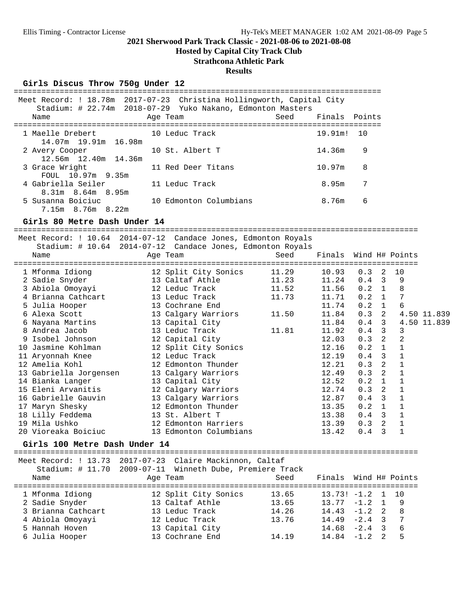**Hosted by Capital City Track Club**

## **Strathcona Athletic Park**

#### **Results**

#### Girls Discus Throw 750g Under 12

|                                               | Meet Record: ! 18.78m 2017-07-23 Christina Hollingworth, Capital City<br>Stadium: # 22.74m 2018-07-29 Yuko Nakano, Edmonton Masters |      |               |     |
|-----------------------------------------------|-------------------------------------------------------------------------------------------------------------------------------------|------|---------------|-----|
| Name                                          | Age Team                                                                                                                            | Seed | Finals Points |     |
| 1 Maelle Drebert<br>14.07m 19.91m 16.98m      | 10 Leduc Track                                                                                                                      |      | 19.91m!       | 1 O |
| 2 Avery Cooper<br>12.56m 12.40m 14.36m        | 10 St. Albert T                                                                                                                     |      | 14.36m        | 9   |
| 3 Grace Wright<br>FOUL 10.97m 9.35m           | 11 Red Deer Titans                                                                                                                  |      | 10.97m        | 8   |
| 4 Gabriella Seiler<br>$8.31m$ $8.64m$ $8.95m$ | 11 Leduc Track                                                                                                                      |      | 8.95m         |     |
| 5 Susanna Boiciuc<br>7.15m 8.76m 8.22m        | 10 Edmonton Columbians                                                                                                              |      | 8.76m         | 6   |

**Girls 80 Metre Dash Under 14** ========================================================================================

|                               | Meet Record: ! 10.64 2014-07-12 Candace Jones, Edmonton Royals                                                       |       |        |                       |                |             |
|-------------------------------|----------------------------------------------------------------------------------------------------------------------|-------|--------|-----------------------|----------------|-------------|
|                               | Stadium: # 10.64 2014-07-12 Candace Jones, Edmonton Royals                                                           |       |        |                       |                |             |
| Name                          | Age Team                                                                                                             | Seed  | Finals |                       | Wind H# Points |             |
| 1 Mfonma Idiong               | 12 Split City Sonics                                                                                                 | 11.29 | 10.93  | 0.3<br>-2             | 10             |             |
| 2 Sadie Snyder                | 13 Caltaf Athle                                                                                                      | 11.23 | 11.24  | $0.4 \quad 3$         | 9              |             |
| 3 Abiola Omoyayi              | 12 Leduc Track                                                                                                       | 11.52 | 11.56  | $0.2 \quad 1$         | 8              |             |
| 4 Brianna Cathcart            | 13 Leduc Track                                                                                                       | 11.73 | 11.71  | 0.2<br>$\overline{1}$ | 7              |             |
| 5 Julia Hooper                | 13 Cochrane End                                                                                                      |       | 11.74  | $0.2 \quad 1$         | 6              |             |
| 6 Alexa Scott                 | 13 Calgary Warriors                                                                                                  | 11.50 | 11.84  | 2<br>0.3              |                | 4.50 11.839 |
| 6 Nayana Martins              | 13 Capital City                                                                                                      |       | 11.84  | $0.4 \quad 3$         |                | 4.50 11.839 |
| 8 Andrea Jacob                | 13 Leduc Track                                                                                                       | 11.81 | 11.92  | $0.4-3$               | $\mathbf{3}$   |             |
| 9 Isobel Johnson              | 12 Capital City                                                                                                      |       | 12.03  | $0.3$ 2               | $\overline{2}$ |             |
| 10 Jasmine Kohlman            | 12 Split City Sonics                                                                                                 |       | 12.16  | 0.2 1                 | $\mathbf{1}$   |             |
| 11 Aryonnah Knee              | 12 Leduc Track                                                                                                       |       | 12.19  | $0.4 \quad 3$         | $\mathbf{1}$   |             |
| 12 Amelia Kohl                | 12 Edmonton Thunder                                                                                                  |       | 12.21  | $0.3$ 2               | $\mathbf{1}$   |             |
| 13 Gabriella Jorgensen        | 13 Calgary Warriors                                                                                                  |       | 12.49  | $0.3$ 2               | $\mathbf{1}$   |             |
| 14 Bianka Langer              | 13 Capital City                                                                                                      |       | 12.52  | 0.2 1                 | $\mathbf{1}$   |             |
| 15 Eleni Arvanitis            | 12 Calgary Warriors                                                                                                  |       | 12.74  | 0.3 2                 | $\mathbf{1}$   |             |
| 16 Gabrielle Gauvin           | 13 Calgary Warriors                                                                                                  |       | 12.87  | $0.4 \quad 3$         | $\mathbf{1}$   |             |
| 17 Maryn Shesky               | 12 Edmonton Thunder                                                                                                  |       | 13.35  | $0.2 \quad 1$         | $\mathbf{1}$   |             |
| 18 Lilly Feddema              | 13 St. Albert T                                                                                                      |       | 13.38  | $0.4 \quad 3$         | $\mathbf{1}$   |             |
| 19 Mila Ushko                 | 12 Edmonton Harriers                                                                                                 |       | 13.39  | $0.3$ 2               | $\mathbf{1}$   |             |
| 20 Vioreaka Boiciuc           | 13 Edmonton Columbians                                                                                               |       | 13.42  | $0.4 \quad 3$         | $\mathbf{1}$   |             |
| Girls 100 Metre Dash Under 14 |                                                                                                                      |       |        |                       |                |             |
|                               |                                                                                                                      |       |        |                       |                |             |
|                               | Meet Record: ! 13.73 2017-07-23 Claire Mackinnon, Caltaf<br>Stadium: # 11.70 2009-07-11 Winneth Dube, Premiere Track |       |        |                       |                |             |
| Name                          |                                                                                                                      | Seed  | Finals | Wind H# Points        |                |             |
|                               | Age Team                                                                                                             |       |        |                       |                |             |
| 1 Mfonma Idiong               | 12 Split City Sonics                                                                                                 | 13.65 |        | $13.73! -1.2$ 1       | 10             |             |
| 2 Sadie Snyder                | 13 Caltaf Athle                                                                                                      | 13.65 |        | $13.77 - 1.2$ 1       | 9              |             |
| 3 Brianna Cathcart            | 13 Leduc Track                                                                                                       | 14.26 | 14.43  | $-1.2$ 2              | 8              |             |
| 4 Abiola Omoyayi              | 12 Leduc Track                                                                                                       | 13.76 | 14.49  | $-2.4$ 3              | 7              |             |

 5 Hannah Hoven 13 Capital City 14.68 -2.4 3 6 6 Julia Hooper 13 Cochrane End 14.19 14.84 -1.2 2 5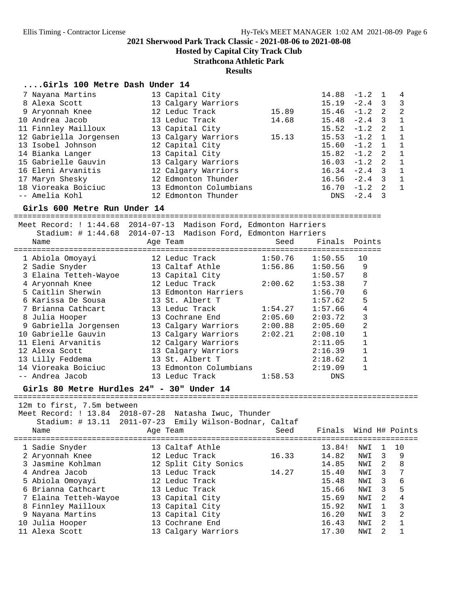**Hosted by Capital City Track Club**

**Strathcona Athletic Park**

**Results**

#### **....Girls 100 Metre Dash Under 14**

| 7 Nayana Martins       | 13 Capital City        |       | 14.88           | $-1.2$   |                | 4                          |
|------------------------|------------------------|-------|-----------------|----------|----------------|----------------------------|
| 8 Alexa Scott          | 13 Calgary Warriors    |       | 15.19           | $-2.4$ 3 |                | 3                          |
| 9 Aryonnah Knee        | 12 Leduc Track         | 15.89 | $15.46 - 1.2$ 2 |          |                | $\overline{\phantom{0}}^2$ |
| 10 Andrea Jacob        | 13 Leduc Track         | 14.68 | $15.48 -2.4$ 3  |          |                | $\mathbf{1}$               |
| 11 Finnley Mailloux    | 13 Capital City        |       | $15.52 -1.2$ 2  |          |                | $\overline{1}$             |
| 12 Gabriella Jorgensen | 13 Calgary Warriors    | 15.13 | $15.53 -1.2 1$  |          |                | $\overline{1}$             |
| 13 Isobel Johnson      | 12 Capital City        |       | $15.60 - 1.2$   |          | $\overline{1}$ | $\mathbf{1}$               |
| 14 Bianka Langer       | 13 Capital City        |       | $15.82 - 1.2$   |          | $\overline{2}$ | $\overline{1}$             |
| 15 Gabrielle Gauvin    | 13 Calgary Warriors    |       | $16.03 - 1.2$ 2 |          |                | $\mathbf{1}$               |
| 16 Eleni Arvanitis     | 12 Calgary Warriors    |       | $16.34 -2.4$ 3  |          |                | 1                          |
| 17 Maryn Shesky        | 12 Edmonton Thunder    |       | $16.56 -2.4$ 3  |          |                | $\overline{1}$             |
| 18 Vioreaka Boiciuc    | 13 Edmonton Columbians |       | 16.70           | $-1.2$   | -2.            | $\overline{1}$             |
| -- Amelia Kohl         | 12 Edmonton Thunder    |       | DNS             | $-2.4$   | -3             |                            |

**Girls 600 Metre Run Under 14** ================================================================================

| Meet Record: ! 1:44.68 2014-07-13<br>Stadium: # 1:44.68 2014-07-13<br>Name<br>--------------------------- | Age Team               | Madison Ford, Edmonton Harriers<br>Madison Ford, Edmonton Harriers<br>Seed<br>============================== | Finals Points |
|-----------------------------------------------------------------------------------------------------------|------------------------|--------------------------------------------------------------------------------------------------------------|---------------|
| 1 Abiola Omoyayi                                                                                          | 12 Leduc Track         | 1:50.76<br>1:50.55                                                                                           | 10            |
| 2 Sadie Snyder                                                                                            | 13 Caltaf Athle        | 1:56.86<br>1:50.56                                                                                           | 9             |
| 3 Elaina Tetteh-Wayoe                                                                                     | 13 Capital City        | 1:50.57                                                                                                      | 8             |
| 4 Aryonnah Knee                                                                                           | 12 Leduc Track         | 1:53.38<br>2:00.62                                                                                           | 7             |
| 5 Caitlin Sherwin                                                                                         | 13 Edmonton Harriers   | 1:56.70                                                                                                      | 6             |
| 6 Karissa De Sousa                                                                                        | 13 St. Albert T        | 1:57.62                                                                                                      | 5             |
| 7 Brianna Cathcart                                                                                        | 13 Leduc Track         | 1:57.66<br>1:54.27                                                                                           | 4             |
| 8 Julia Hooper                                                                                            | 13 Cochrane End        | 2:05.60<br>2:03.72                                                                                           | 3             |
| Gabriella Jorgensen<br>9                                                                                  | 13 Calgary Warriors    | 2:00.88<br>2:05.60                                                                                           | 2             |
| 10 Gabrielle Gauvin                                                                                       | 13 Calgary Warriors    | 2:02.21<br>2:08.10                                                                                           |               |
| Eleni Arvanitis<br>11                                                                                     | 12 Calgary Warriors    | 2:11.05                                                                                                      |               |
| 12 Alexa Scott                                                                                            | 13 Calgary Warriors    | 2:16.39                                                                                                      |               |
| 13 Lilly Feddema                                                                                          | 13 St. Albert T        | 2:18.62                                                                                                      |               |
| 14 Vioreaka Boiciuc                                                                                       | 13 Edmonton Columbians | 2:19.09                                                                                                      |               |
| -- Andrea Jacob                                                                                           | 13 Leduc Track         | 1:58.53<br><b>DNS</b>                                                                                        |               |

**Girls 80 Metre Hurdles 24" - 30" Under 14** ========================================================================================

12m to first, 7.5m between

Meet Record: ! 13.84 2018-07-28 Natasha Iwuc, Thunder

|  |  |  |  |  |  | Stadium: # 13.11 2011-07-23 Emily Wilson-Bodnar, Caltaf |  |
|--|--|--|--|--|--|---------------------------------------------------------|--|
|--|--|--|--|--|--|---------------------------------------------------------|--|

| Name |                                                                                                                                                                                                                            | Seed                                                                                                                                                                                                                           | Finals |     |   |                |
|------|----------------------------------------------------------------------------------------------------------------------------------------------------------------------------------------------------------------------------|--------------------------------------------------------------------------------------------------------------------------------------------------------------------------------------------------------------------------------|--------|-----|---|----------------|
|      |                                                                                                                                                                                                                            |                                                                                                                                                                                                                                | 13.84! | NWI |   | 10             |
|      |                                                                                                                                                                                                                            | 16.33                                                                                                                                                                                                                          | 14.82  | NWI | 3 | 9              |
|      |                                                                                                                                                                                                                            |                                                                                                                                                                                                                                | 14.85  | NWI | 2 | -8             |
|      |                                                                                                                                                                                                                            | 14.27                                                                                                                                                                                                                          | 15.40  | NWI | 3 | -7             |
|      |                                                                                                                                                                                                                            |                                                                                                                                                                                                                                | 15.48  | NWI | 3 | 6              |
|      |                                                                                                                                                                                                                            |                                                                                                                                                                                                                                | 15.66  | NWI | 3 | 5              |
|      |                                                                                                                                                                                                                            |                                                                                                                                                                                                                                | 15.69  | NWI | 2 | 4              |
|      |                                                                                                                                                                                                                            |                                                                                                                                                                                                                                | 15.92  | NWI |   | $\overline{3}$ |
|      |                                                                                                                                                                                                                            |                                                                                                                                                                                                                                | 16.20  | NWI | 3 | 2              |
|      |                                                                                                                                                                                                                            |                                                                                                                                                                                                                                | 16.43  | NWI | 2 |                |
|      |                                                                                                                                                                                                                            |                                                                                                                                                                                                                                | 17.30  | NWI |   |                |
|      | 1 Sadie Snyder<br>2 Aryonnah Knee<br>3 Jasmine Kohlman<br>4 Andrea Jacob<br>5 Abiola Omoyayi<br>6 Brianna Cathcart<br>7 Elaina Tetteh-Wayoe<br>8 Finnley Mailloux<br>9 Nayana Martins<br>10 Julia Hooper<br>11 Alexa Scott | Age Team<br>13 Caltaf Athle<br>12 Leduc Track<br>12 Split City Sonics<br>13 Leduc Track<br>12 Leduc Track<br>13 Leduc Track<br>13 Capital City<br>13 Capital City<br>13 Capital City<br>13 Cochrane End<br>13 Calgary Warriors |        |     |   | Wind H# Points |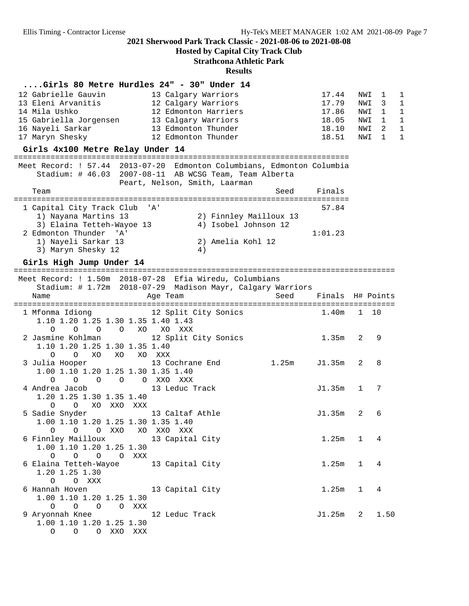**Hosted by Capital City Track Club**

**Strathcona Athletic Park**

**Results**

#### **....Girls 80 Metre Hurdles 24" - 30" Under 14**

| 12 Gabrielle Gauvin    | 13 Calgary Warriors  | 17.44 NWI 1 |         | $\overline{1}$ |
|------------------------|----------------------|-------------|---------|----------------|
| 13 Eleni Arvanitis     | 12 Calgary Warriors  | 17.79       | NWI 3   | $\overline{1}$ |
| 14 Mila Ushko          | 12 Edmonton Harriers | 17.86       | NWI 1 1 |                |
| 15 Gabriella Jorgensen | 13 Calgary Warriors  | 18.05       | NWI 1   | $\overline{1}$ |
| 16 Nayeli Sarkar       | 13 Edmonton Thunder  | 18.10       | NWI 2   | $\overline{1}$ |
| 17 Maryn Shesky        | 12 Edmonton Thunder  | 18.51       | NWI 1   | $\overline{1}$ |

**Girls 4x100 Metre Relay Under 14** ========================================================================= Meet Record: ! 57.44 2013-07-20 Edmonton Columbians, Edmonton Columbia Stadium: # 46.03 2007-08-11 AB WCSG Team, Team Alberta Peart, Nelson, Smith, Laarman Team Seed Finals ========================================================================= 1 Capital City Track Club 'A' 57.84 1) Nayana Martins 13 2) Finnley Mailloux 13 3) Elaina Tetteh-Wayoe 13 4) Isobel Johnson 12 2 Edmonton Thunder 'A' 1:01.23 1) Nayeli Sarkar 13 2) Amelia Kohl 12 3) Maryn Shesky 12 (4)

**Girls High Jump Under 14** =================================================================================== Meet Record: ! 1.50m 2018-07-28 Efia Wiredu, Columbians Stadium: # 1.72m 2018-07-29 Madison Mayr, Calgary Warriors Name Age Team Seed Finals H# Points =================================================================================== 1 Mfonma Idiong 12 Split City Sonics 1.40m 1 10 1.10 1.20 1.25 1.30 1.35 1.40 1.43 O O O O XO XO XXX 2 Jasmine Kohlman 12 Split City Sonics 1.35m 2 9 1.10 1.20 1.25 1.30 1.35 1.40 O O XO XO XO XXX 3 Julia Hooper 13 Cochrane End 1.25m J1.35m 2 8 1.00 1.10 1.20 1.25 1.30 1.35 1.40 O O O O O XXO XXX 4 Andrea Jacob 13 Leduc Track J1.35m 1 7 1.20 1.25 1.30 1.35 1.40 O O XO XXO XXX 5 Sadie Snyder 13 Caltaf Athle J1.35m 2 6 1.00 1.10 1.20 1.25 1.30 1.35 1.40 O O O XXO XO XXO XXX 6 Finnley Mailloux 13 Capital City 1.25m 1 4 1.00 1.10 1.20 1.25 1.30 O O O O XXX 6 Elaina Tetteh-Wayoe 13 Capital City 1.25m 1 4 1.20 1.25 1.30 O O XXX 6 Hannah Hoven 13 Capital City 1.25m 1 4 1.00 1.10 1.20 1.25 1.30 O O O O XXX 9 Aryonnah Knee 12 Leduc Track 11.25m 2 1.50 1.00 1.10 1.20 1.25 1.30 O O O XXO XXX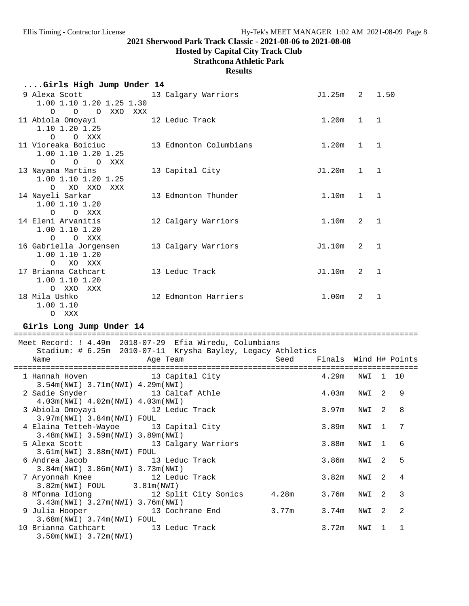# **Hosted by Capital City Track Club**

# **Strathcona Athletic Park**

## **Results**

| Girls High Jump Under 14                  |  |                        |                   |                |                |  |  |  |  |
|-------------------------------------------|--|------------------------|-------------------|----------------|----------------|--|--|--|--|
| 9 Alexa Scott                             |  | 13 Calgary Warriors    | $J1.25m$ 2 1.50   |                |                |  |  |  |  |
| 1.00 1.10 1.20 1.25 1.30<br>O O O XXO XXX |  |                        |                   |                |                |  |  |  |  |
| 11 Abiola Omoyayi                         |  | 12 Leduc Track         | 1.20m             | $\mathbf{1}$   | $\overline{1}$ |  |  |  |  |
| 1.10 1.20 1.25                            |  |                        |                   |                |                |  |  |  |  |
| O O XXX                                   |  |                        |                   |                |                |  |  |  |  |
| 11 Vioreaka Boiciuc                       |  | 13 Edmonton Columbians | 1.20m             | $\mathbf{1}$   | $\overline{1}$ |  |  |  |  |
| 1.00 1.10 1.20 1.25                       |  |                        |                   |                |                |  |  |  |  |
| O O O XXX                                 |  |                        |                   |                |                |  |  |  |  |
| 13 Nayana Martins                         |  | 13 Capital City        | J1.20m            | $1 \quad 1$    |                |  |  |  |  |
| 1.00 1.10 1.20 1.25                       |  |                        |                   |                |                |  |  |  |  |
| XO XXO XXX<br>$\Omega$                    |  |                        |                   |                |                |  |  |  |  |
| 14 Nayeli Sarkar                          |  | 13 Edmonton Thunder    | 1.10m             | $\mathbf{1}$   | $\sqrt{1}$     |  |  |  |  |
| 1.00 1.10 1.20                            |  |                        |                   |                |                |  |  |  |  |
| O O XXX<br>14 Eleni Arvanitis             |  | 12 Calgary Warriors    | 1.10m             | $\mathcal{L}$  | $\overline{1}$ |  |  |  |  |
| 1.00 1.10 1.20                            |  |                        |                   |                |                |  |  |  |  |
| O O XXX                                   |  |                        |                   |                |                |  |  |  |  |
| 16 Gabriella Jorgensen                    |  | 13 Calgary Warriors    | J1.10m            | 2              | $\overline{1}$ |  |  |  |  |
| 1.00 1.10 1.20                            |  |                        |                   |                |                |  |  |  |  |
| XO XXX<br>$\circ$                         |  |                        |                   |                |                |  |  |  |  |
| 17 Brianna Cathcart                       |  | 13 Leduc Track         | J1.10m            | $\mathfrak{D}$ | $\mathbf{1}$   |  |  |  |  |
| 1.00 1.10 1.20                            |  |                        |                   |                |                |  |  |  |  |
| XXO XXX<br>$\Omega$                       |  |                        |                   |                |                |  |  |  |  |
| 18 Mila Ushko                             |  | 12 Edmonton Harriers   | 1.00 <sub>m</sub> | $\mathfrak{D}$ | $\mathbf{1}$   |  |  |  |  |
| 1.00 1.10                                 |  |                        |                   |                |                |  |  |  |  |

## Girls Long Jump Under 14

O XXX

| Meet Record: ! 4.49m 2018-07-29 Efia Wiredu, Columbians     |                                                                                                                 |                            |       |          |               |                |
|-------------------------------------------------------------|-----------------------------------------------------------------------------------------------------------------|----------------------------|-------|----------|---------------|----------------|
| Stadium: # 6.25m 2010-07-11 Krysha Bayley, Legacy Athletics |                                                                                                                 |                            |       |          |               |                |
| Name                                                        | Age Team and the state of the state of the state of the state of the state of the state of the state of the sta | Seed Finals Wind H# Points |       |          |               |                |
| 1 Hannah Hoven 13 Capital City                              |                                                                                                                 |                            | 4.29m | NWI 1 10 |               |                |
| $3.54m(NWT)$ 3.71 $m(NWT)$ 4.29 $m(NWT)$                    |                                                                                                                 |                            |       |          |               |                |
| 2 Sadie Snyder 13 Caltaf Athle                              |                                                                                                                 |                            | 4.03m | NWI      | 2             | 9              |
| 4.03m(NWI) 4.02m(NWI) 4.03m(NWI)                            |                                                                                                                 |                            |       |          |               |                |
| 3 Abiola Omoyayi 12 Leduc Track                             |                                                                                                                 |                            | 3.97m | NWI      | $\mathcal{L}$ | 8              |
| 3.97m(NWI) 3.84m(NWI) FOUL                                  |                                                                                                                 |                            |       |          |               |                |
| 4 Elaina Tetteh-Wayoe 13 Capital City                       |                                                                                                                 |                            | 3.89m | NWI      | $\mathbf{1}$  | 7              |
| 3.48m(NWI) 3.59m(NWI) 3.89m(NWI)                            |                                                                                                                 |                            |       |          |               |                |
| 5 Alexa Scott 13 Calgary Warriors                           |                                                                                                                 |                            | 3.88m | NWI      | $\mathbf{1}$  | 6              |
| 3.61m(NWI) 3.88m(NWI) FOUL                                  |                                                                                                                 |                            |       |          |               |                |
| 6 Andrea Jacob 13 Leduc Track                               |                                                                                                                 |                            | 3.86m | NWI      | 2             | 5              |
| $3.84m(NW1)$ 3.86 $m(NW1)$ 3.73 $m(NW1)$                    |                                                                                                                 |                            |       |          |               |                |
| 7 Aryonnah Knee 12 Leduc Track                              |                                                                                                                 |                            | 3.82m | NWI      | $\mathcal{L}$ | 4              |
| $3.82m(NWI)$ FOUL 3.81m(NWI)                                |                                                                                                                 |                            |       |          |               |                |
| 8 Mfonma Idiong 12 Split City Sonics                        |                                                                                                                 | 4.28m                      | 3.76m | NWI      | $\mathcal{L}$ | $\mathcal{R}$  |
| $3.43m(NWI)$ $3.27m(NWI)$ $3.76m(NWI)$                      |                                                                                                                 |                            |       |          |               |                |
| 9 Julia Hooper 13 Cochrane End                              |                                                                                                                 | 3.77m                      | 3.74m | NWI      | $\mathcal{L}$ | $\mathfrak{D}$ |
| 3.68m(NWI) 3.74m(NWI) FOUL                                  |                                                                                                                 |                            |       |          |               |                |
| 10 Brianna Cathcart 13 Leduc Track                          |                                                                                                                 |                            | 3.72m | NWI      | 1             | $\mathbf{1}$   |
| $3.50m(NWL)$ 3.72 $m(NWL)$                                  |                                                                                                                 |                            |       |          |               |                |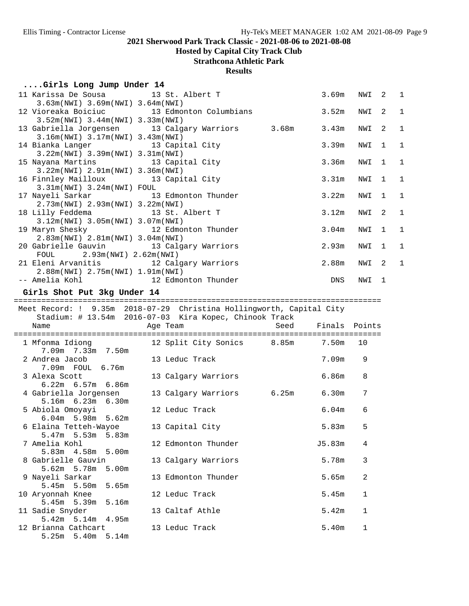# **Hosted by Capital City Track Club**

# **Strathcona Athletic Park**

#### **Results**

## **....Girls Long Jump Under 14**

| 11 Karissa De Sousa 13 St. Albert T<br>3.63m(NWI) 3.69m(NWI) 3.64m(NWI)                                   |                                                                      |      | 3.69m             | NWI          | 2              | $\mathbf 1$  |
|-----------------------------------------------------------------------------------------------------------|----------------------------------------------------------------------|------|-------------------|--------------|----------------|--------------|
| 12 Vioreaka Boiciuc 13 Edmonton Columbians<br>3.52m(NWI) 3.44m(NWI) 3.33m(NWI)                            |                                                                      |      | 3.52m             | NWI          | 2              | $\mathbf{1}$ |
| 13 Gabriella Jorgensen 13 Calgary Warriors 3.68m                                                          |                                                                      |      | 3.43m             | NWI          | 2              | $\mathbf 1$  |
| 3.16m(NWI) 3.17m(NWI) 3.43m(NWI)<br>14 Bianka Langer 13 Capital City                                      |                                                                      |      | 3.39m             | NWI          | $\mathbf{1}$   | $\mathbf{1}$ |
| 3.22m(NWI) 3.39m(NWI) 3.31m(NWI)<br>15 Nayana Martins 13 Capital City                                     |                                                                      |      | 3.36m             | NWI          | $\mathbf{1}$   | $\mathbf{1}$ |
| 3.22m(NWI) 2.91m(NWI) 3.36m(NWI)<br>16 Finnley Mailloux 13 Capital City<br>$3.31m(NWI)$ $3.24m(NWI)$ FOUL |                                                                      |      | 3.31m             | NWI          | $\mathbf{1}$   | $\mathbf{1}$ |
| 17 Nayeli Sarkar<br>2.73m(NWI) 2.93m(NWI) 3.22m(NWI)                                                      | 13 Edmonton Thunder                                                  |      | 3.22m             | NWI          | 1              | $\mathbf{1}$ |
| 18 Lilly Feddema 13 St. Albert T<br>3.12m(NWI) 3.05m(NWI) 3.07m(NWI)                                      |                                                                      |      | 3.12m             | NWI          | 2              | $\mathbf{1}$ |
| 19 Maryn Shesky 12 Edmonton Thunder<br>2.83m(NWI) 2.81m(NWI) 3.04m(NWI)                                   |                                                                      |      | 3.04 <sub>m</sub> | NWI          | 1              | 1            |
| 20 Gabrielle Gauvin 13 Calgary Warriors<br>FOUL 2.93m (NWI) 2.62m (NWI)                                   |                                                                      |      | 2.93m             | NWI          | 1              | $\mathbf 1$  |
| 21 Eleni Arvanitis 12 Calgary Warriors<br>2.88m(NWI) 2.75m(NWI) 1.91m(NWI)                                |                                                                      |      | 2.88m             | NWI          | 2              | $\mathbf{1}$ |
| -- Amelia Kohl 12 Edmonton Thunder                                                                        |                                                                      |      | DNS               | NWI          | $\overline{1}$ |              |
| Girls Shot Put 3kg Under 14                                                                               |                                                                      |      |                   |              |                |              |
|                                                                                                           | Meet Record: ! 9.35m 2018-07-29 Christina Hollingworth, Capital City |      |                   |              |                |              |
|                                                                                                           |                                                                      |      |                   |              |                |              |
|                                                                                                           | Stadium: # 13.54m 2016-07-03 Kira Kopec, Chinook Track               |      |                   |              |                |              |
| Name                                                                                                      | Age Team                                                             | Seed | Finals Points     |              |                |              |
| 1 Mfonma Idiong                                                                                           | 12 Split City Sonics 8.85m 7.50m                                     |      |                   | 10           |                |              |
| 7.09m 7.33m 7.50m<br>2 Andrea Jacob                                                                       | 13 Leduc Track                                                       |      | 7.09m             | 9            |                |              |
| 7.09m  FOUL  6.76m<br>3 Alexa Scott                                                                       | 13 Calgary Warriors                                                  |      | 6.86m             | 8            |                |              |
| 6.22m 6.57m 6.86m<br>4 Gabriella Jorgensen                                                                | 13 Calgary Warriors 6.25m 6.30m                                      |      |                   | 7            |                |              |
| 5.16m 6.23m 6.30m<br>5 Abiola Omoyayi                                                                     | 12 Leduc Track                                                       |      | 6.04m             | 6            |                |              |
| $6.04m$ 5.98m 5.62m<br>6 Elaina Tetteh-Wayoe                                                              | 13 Capital City                                                      |      | 5.83m             | 5            |                |              |
| 5.83m<br>$5.47m$ $5.53m$<br>7 Amelia Kohl                                                                 | 12 Edmonton Thunder                                                  |      | J5.83m            | 4            |                |              |
| 5.83m  4.58m  5.00m<br>8 Gabrielle Gauvin                                                                 | 13 Calgary Warriors                                                  |      | 5.78m             | 3            |                |              |
| 5.62m 5.78m<br>5.00m<br>9 Nayeli Sarkar                                                                   | 13 Edmonton Thunder                                                  |      | 5.65m             | 2            |                |              |
| $5.45m$ $5.50m$<br>5.65m<br>10 Aryonnah Knee                                                              | 12 Leduc Track                                                       |      | 5.45 <sub>m</sub> | 1            |                |              |
| 5.45m 5.39m<br>5.16m<br>11 Sadie Snyder                                                                   | 13 Caltaf Athle                                                      |      | 5.42m             | $\mathbf 1$  |                |              |
| 5.42m 5.14m<br>4.95m<br>12 Brianna Cathcart<br>5.25m 5.40m 5.14m                                          | 13 Leduc Track                                                       |      | 5.40m             | $\mathbf{1}$ |                |              |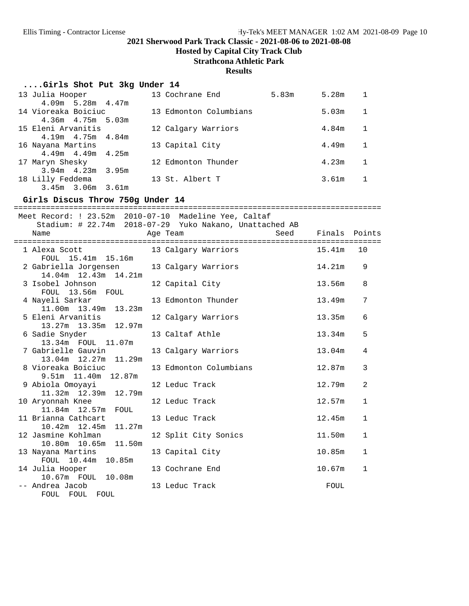**Hosted by Capital City Track Club**

# **Strathcona Athletic Park**

#### **Results**

| Girls Shot Put 3kg Under 14 |  |  |  |  |  |
|-----------------------------|--|--|--|--|--|
|-----------------------------|--|--|--|--|--|

| 13 Julia Hooper         |  | 13 Cochrane End        | 5.83m | 5.28m |  |
|-------------------------|--|------------------------|-------|-------|--|
| $4.09m$ 5.28m $4.47m$   |  |                        |       |       |  |
| 14 Vioreaka Boiciuc     |  | 13 Edmonton Columbians |       | 5.03m |  |
| $4.36m$ $4.75m$ 5.03m   |  |                        |       |       |  |
| 15 Eleni Arvanitis      |  | 12 Calgary Warriors    |       | 4.84m |  |
| $4.19m$ $4.75m$ $4.84m$ |  |                        |       |       |  |
| 16 Nayana Martins       |  | 13 Capital City        |       | 4.49m |  |
| $4.49m$ $4.49m$ $4.25m$ |  |                        |       |       |  |
| 17 Maryn Shesky         |  | 12 Edmonton Thunder    |       | 4.23m |  |
| $3.94m$ 4.23m 3.95m     |  |                        |       |       |  |
| 18 Lilly Feddema        |  | 13 St. Albert T        |       | 3.61m |  |
| 3.45m 3.06m 3.61m       |  |                        |       |       |  |

| Girls Discus Throw 750g Under 14                      | ================                                        |                        |
|-------------------------------------------------------|---------------------------------------------------------|------------------------|
| Meet Record: ! 23.52m 2010-07-10 Madeline Yee, Caltaf |                                                         |                        |
|                                                       | Stadium: # 22.74m 2018-07-29 Yuko Nakano, Unattached AB |                        |
| Name                                                  | Seed<br>Age Team                                        | Finals Points          |
|                                                       |                                                         |                        |
| 1 Alexa Scott                                         | 13 Calgary Warriors                                     | 15.41m<br>10           |
| FOUL 15.41m 15.16m                                    |                                                         |                        |
| 2 Gabriella Jorgensen                                 | 13 Calgary Warriors                                     | 14.21m<br>9            |
| 14.04m  12.43m  14.21m                                |                                                         |                        |
| 3 Isobel Johnson                                      | 12 Capital City                                         | 13.56m<br>8            |
| FOUL 13.56m FOUL<br>4 Nayeli Sarkar                   | 13 Edmonton Thunder                                     | 13.49m<br>7            |
| 11.00m  13.49m  13.23m                                |                                                         |                        |
| 5 Eleni Arvanitis                                     | 12 Calgary Warriors                                     | 13.35m<br>6            |
| 13.27m 13.35m 12.97m                                  |                                                         |                        |
| 6 Sadie Snyder                                        | 13 Caltaf Athle                                         | 13.34m<br>5            |
| 13.34m FOUL 11.07m                                    |                                                         |                        |
| 7 Gabrielle Gauvin                                    | 13 Calgary Warriors                                     | 13.04m<br>4            |
| 13.04m 12.27m 11.29m                                  |                                                         |                        |
| 8 Vioreaka Boiciuc                                    | 13 Edmonton Columbians                                  | 12.87m<br>3            |
| 9.51m 11.40m 12.87m                                   |                                                         |                        |
| 9 Abiola Omoyayi                                      | 12 Leduc Track                                          | 2<br>12.79m            |
| 11.32m  12.39m  12.79m                                |                                                         |                        |
| 10 Aryonnah Knee<br>11.84m 12.57m FOUL                | 12 Leduc Track                                          | 12.57m<br>1            |
| 11 Brianna Cathcart                                   | 13 Leduc Track                                          | 12.45m<br>$\mathbf{1}$ |
| $10.42m$ $12.45m$<br>11.27m                           |                                                         |                        |
| 12 Jasmine Kohlman                                    | 12 Split City Sonics                                    | 11.50m<br>$\mathbf{1}$ |
| 10.80m 10.65m 11.50m                                  |                                                         |                        |
| 13 Nayana Martins                                     | 13 Capital City                                         | 10.85m<br>$\mathbf{1}$ |
| FOUL 10.44m 10.85m                                    |                                                         |                        |
| 14 Julia Hooper                                       | 13 Cochrane End                                         | 10.67m<br>$\mathbf{1}$ |
| 10.67m FOUL 10.08m                                    |                                                         |                        |
| -- Andrea Jacob                                       | 13 Leduc Track                                          | FOUL                   |
| FOUL<br>FOUL FOUL                                     |                                                         |                        |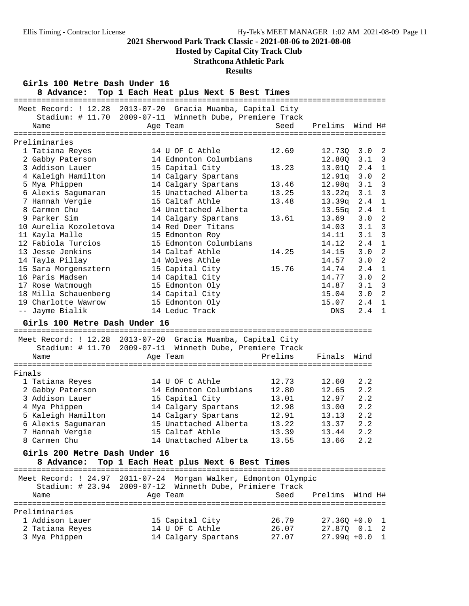# **Hosted by Capital City Track Club**

# **Strathcona Athletic Park**

#### **Results**

| Girls 100 Metre Dash Under 16<br>8 Advance: | Top 1 Each Heat plus Next 5 Best Times                                                                                              |         |                 |            |                             |
|---------------------------------------------|-------------------------------------------------------------------------------------------------------------------------------------|---------|-----------------|------------|-----------------------------|
| Name                                        | Meet Record: ! 12.28 2013-07-20 Gracia Muamba, Capital City<br>Stadium: # 11.70 2009-07-11 Winneth Dube, Premiere Track<br>Age Team | Seed    | Prelims         | Wind H#    |                             |
|                                             |                                                                                                                                     |         |                 |            |                             |
| Preliminaries                               |                                                                                                                                     |         |                 |            |                             |
| 1 Tatiana Reyes                             | 14 U OF C Athle                                                                                                                     | 12.69   | 12.73Q          | 3.0        | $\overline{c}$              |
| 2 Gabby Paterson                            | 14 Edmonton Columbians                                                                                                              |         | 12.80Q          | 3.1        | $\overline{\phantom{a}}$    |
| 3 Addison Lauer                             | 15 Capital City                                                                                                                     | 13.23   | 13.01Q          | 2.4        | $\mathbf{1}$                |
| 4 Kaleigh Hamilton                          | 14 Calgary Spartans                                                                                                                 |         | 12.91q          | 3.0        | $\overline{c}$              |
| 5 Mya Phippen                               | 14 Calgary Spartans                                                                                                                 | 13.46   | 12.98q          | 3.1        | 3                           |
| 6 Alexis Sagumaran                          | 15 Unattached Alberta                                                                                                               | 13.25   | 13.22q          | 3.1        | 3                           |
| 7 Hannah Vergie<br>8 Carmen Chu             | 15 Caltaf Athle<br>14 Unattached Alberta                                                                                            | 13.48   | 13.39q          | 2.4        | $\mathbf 1$<br>$\mathbf{1}$ |
| 9 Parker Sim                                |                                                                                                                                     | 13.61   | 13.55q<br>13.69 | 2.4<br>3.0 | $\overline{a}$              |
| 10 Aurelia Kozoletova                       | 14 Calgary Spartans<br>14 Red Deer Titans                                                                                           |         | 14.03           | 3.1        | 3                           |
| 11 Kayla Malle                              | 15 Edmonton Roy                                                                                                                     |         | 14.11           | 3.1        | 3                           |
| 12 Fabiola Turcios                          | 15 Edmonton Columbians                                                                                                              |         | 14.12           | 2.4        | $\mathbf 1$                 |
| 13 Jesse Jenkins                            | 14 Caltaf Athle                                                                                                                     | 14.25   | 14.15           | 3.0        | $\overline{a}$              |
| 14 Tayla Pillay                             | 14 Wolves Athle                                                                                                                     |         | 14.57           | 3.0        | $\overline{2}$              |
| 15 Sara Morgensztern                        | 15 Capital City                                                                                                                     | 15.76   | 14.74           | 2.4        | $\mathbf{1}$                |
| 16 Paris Madsen                             | 14 Capital City                                                                                                                     |         | 14.77           | 3.0        | $\overline{a}$              |
| 17 Rose Watmough                            | 15 Edmonton Oly                                                                                                                     |         | 14.87           | 3.1        | 3                           |
| 18 Milla Schauenberg                        | 14 Capital City                                                                                                                     |         | 15.04           | 3.0        | $\overline{2}$              |
| 19 Charlotte Wawrow                         | 15 Edmonton Oly                                                                                                                     |         | 15.07           | 2.4        | $\mathbf{1}$                |
| -- Jayme Bialik                             | 14 Leduc Track                                                                                                                      |         | DNS             | 2.4        | 1                           |
| Girls 100 Metre Dash Under 16               |                                                                                                                                     |         |                 |            |                             |
|                                             | Meet Record: ! 12.28 2013-07-20 Gracia Muamba, Capital City                                                                         |         |                 |            |                             |
|                                             | Stadium: # 11.70 2009-07-11 Winneth Dube, Premiere Track                                                                            |         |                 |            |                             |
| Name                                        | Age Team                                                                                                                            | Prelims | Finals          | Wind       |                             |
|                                             |                                                                                                                                     |         |                 |            |                             |
| Finals                                      |                                                                                                                                     |         |                 |            |                             |
| 1 Tatiana Reyes                             | 14 U OF C Athle                                                                                                                     | 12.73   | 12.60           | 2.2        |                             |
| 2 Gabby Paterson                            | 14 Edmonton Columbians                                                                                                              | 12.80   | 12.65           | 2.2        |                             |
| 3 Addison Lauer                             | 15 Capital City                                                                                                                     | 13.01   | 12.97           | 2.2        |                             |
| 4 Mya Phippen                               | 14 Calgary Spartans                                                                                                                 | 12.98   | 13.00           | 2.2        |                             |
| 5 Kaleigh Hamilton                          | 14 Calgary Spartans                                                                                                                 | 12.91   | 13.13           | 2.2        |                             |
| 6 Alexis Sagumaran                          | 15 Unattached Alberta                                                                                                               | 13.22   | 13.37           | 2.2        |                             |
| 7 Hannah Vergie                             | 15 Caltaf Athle                                                                                                                     | 13.39   | 13.44           | 2.2        |                             |
| 8 Carmen Chu                                | 14 Unattached Alberta                                                                                                               | 13.55   | 13.66           | 2.2        |                             |
| Girls 200 Metre Dash Under 16<br>8 Advance: | Top 1 Each Heat plus Next 6 Best Times                                                                                              |         |                 |            |                             |
|                                             |                                                                                                                                     |         |                 |            |                             |
|                                             | Meet Record: ! 24.97 2011-07-24 Morgan Walker, Edmonton Olympic                                                                     |         |                 |            |                             |
|                                             | Stadium: # 23.94 2009-07-12 Winneth Dube, Primiere Track                                                                            |         |                 |            |                             |
| Name                                        | Age Team                                                                                                                            | Seed    | Prelims         | Wind H#    |                             |
|                                             |                                                                                                                                     |         |                 |            |                             |
| Preliminaries                               |                                                                                                                                     |         |                 |            |                             |
| 1 Addison Lauer                             | 15 Capital City                                                                                                                     | 26.79   | $27.36Q + 0.0$  |            | $\mathbf 1$                 |
| 2 Tatiana Reyes                             | 14 U OF C Athle                                                                                                                     | 26.07   | 27.87Q 0.1      |            | $\overline{2}$              |
| 3 Mya Phippen                               | 14 Calgary Spartans                                                                                                                 | 27.07   | $27.99q +0.0$   |            | $\mathbf 1$                 |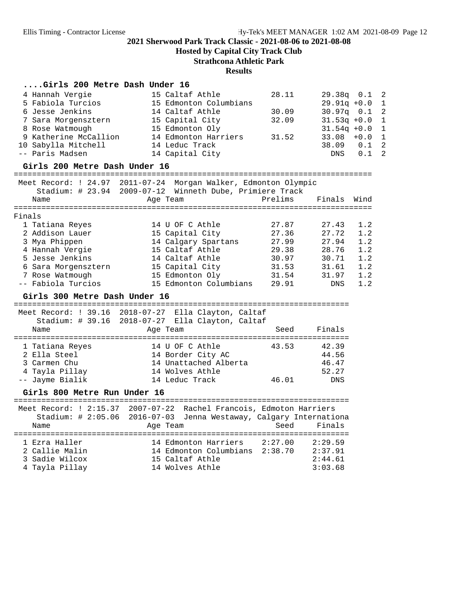**Hosted by Capital City Track Club**

**Strathcona Athletic Park**

#### **Results**

## **....Girls 200 Metre Dash Under 16**

| 4 Hannah Vergie<br>5 Fabiola Turcios<br>6 Jesse Jenkins<br>7 Sara Morgensztern<br>8 Rose Watmough<br>9 Katherine McCallion<br>10 Sabylla Mitchell<br>-- Paris Madsen<br>Girls 200 Metre Dash Under 16 | 15 Caltaf Athle<br>15 Edmonton Columbians<br>14 Caltaf Athle<br>15 Capital City<br>15 Edmonton Oly<br>14 Edmonton Harriers<br>14 Leduc Track<br>14 Capital City | 28.11<br>30.09<br>32.09<br>31.52 | 29.38q 0.1<br>$29.91q + 0.0$<br>$30.97q$ $0.1$<br>$31.53q + 0.0$<br>$31.54q + 0.0$<br>33.08<br>38.09<br>DNS | $+0.0$<br>0.1<br>0.1 | 2<br>1<br>$\overline{2}$<br>$\mathbf{1}$<br>1<br>$\mathbf 1$<br>$\overline{2}$<br>$\overline{2}$ |
|-------------------------------------------------------------------------------------------------------------------------------------------------------------------------------------------------------|-----------------------------------------------------------------------------------------------------------------------------------------------------------------|----------------------------------|-------------------------------------------------------------------------------------------------------------|----------------------|--------------------------------------------------------------------------------------------------|
|                                                                                                                                                                                                       |                                                                                                                                                                 |                                  |                                                                                                             |                      |                                                                                                  |
|                                                                                                                                                                                                       | Meet Record: ! 24.97 2011-07-24 Morgan Walker, Edmonton Olympic<br>Stadium: # 23.94 2009-07-12 Winneth Dube, Primiere Track                                     |                                  |                                                                                                             |                      |                                                                                                  |
| Name                                                                                                                                                                                                  | Age Team                                                                                                                                                        | Prelims                          | Finals                                                                                                      | Wind                 |                                                                                                  |
|                                                                                                                                                                                                       |                                                                                                                                                                 |                                  |                                                                                                             |                      |                                                                                                  |
| Finals                                                                                                                                                                                                |                                                                                                                                                                 |                                  |                                                                                                             |                      |                                                                                                  |
| 1 Tatiana Reyes                                                                                                                                                                                       | 14 U OF C Athle                                                                                                                                                 | 27.87                            | 27.43                                                                                                       | 1.2                  |                                                                                                  |
| 2 Addison Lauer                                                                                                                                                                                       | 15 Capital City                                                                                                                                                 | 27.36                            | 27.72                                                                                                       | 1.2                  |                                                                                                  |
| 3 Mya Phippen                                                                                                                                                                                         | 14 Calgary Spartans                                                                                                                                             | 27.99                            | 27.94                                                                                                       | 1.2                  |                                                                                                  |
| 4 Hannah Vergie<br>5 Jesse Jenkins                                                                                                                                                                    | 15 Caltaf Athle<br>14 Caltaf Athle                                                                                                                              | 29.38<br>30.97                   | 28.76<br>30.71                                                                                              | 1.2<br>1.2           |                                                                                                  |
| 6 Sara Morgensztern                                                                                                                                                                                   | 15 Capital City                                                                                                                                                 | 31.53                            | 31.61                                                                                                       | 1.2                  |                                                                                                  |
| 7 Rose Watmough                                                                                                                                                                                       | 15 Edmonton Oly                                                                                                                                                 | 31.54                            | 31.97                                                                                                       | 1.2                  |                                                                                                  |
| -- Fabiola Turcios                                                                                                                                                                                    | 15 Edmonton Columbians                                                                                                                                          | 29.91                            | DNS                                                                                                         | 1.2                  |                                                                                                  |
| Girls 300 Metre Dash Under 16                                                                                                                                                                         |                                                                                                                                                                 |                                  |                                                                                                             |                      |                                                                                                  |
|                                                                                                                                                                                                       |                                                                                                                                                                 |                                  |                                                                                                             |                      |                                                                                                  |
|                                                                                                                                                                                                       | Meet Record: ! 39.16 2018-07-27 Ella Clayton, Caltaf                                                                                                            |                                  |                                                                                                             |                      |                                                                                                  |
|                                                                                                                                                                                                       | Stadium: # 39.16 2018-07-27 Ella Clayton, Caltaf                                                                                                                |                                  |                                                                                                             |                      |                                                                                                  |
| Name                                                                                                                                                                                                  | Age Team                                                                                                                                                        | Seed                             | Finals                                                                                                      |                      |                                                                                                  |
| 1 Tatiana Reyes                                                                                                                                                                                       | 14 U OF C Athle                                                                                                                                                 | 43.53                            | 42.39                                                                                                       |                      |                                                                                                  |
| 2 Ella Steel                                                                                                                                                                                          | 14 Border City AC                                                                                                                                               |                                  | 44.56                                                                                                       |                      |                                                                                                  |
| 3 Carmen Chu                                                                                                                                                                                          | 14 Unattached Alberta                                                                                                                                           |                                  | 46.47                                                                                                       |                      |                                                                                                  |
| 4 Tayla Pillay                                                                                                                                                                                        | 14 Wolves Athle                                                                                                                                                 |                                  | 52.27                                                                                                       |                      |                                                                                                  |
| -- Jayme Bialik                                                                                                                                                                                       | 14 Leduc Track                                                                                                                                                  | 46.01                            | <b>DNS</b>                                                                                                  |                      |                                                                                                  |
| Girls 800 Metre Run Under 16                                                                                                                                                                          |                                                                                                                                                                 |                                  |                                                                                                             |                      |                                                                                                  |
|                                                                                                                                                                                                       |                                                                                                                                                                 |                                  |                                                                                                             |                      |                                                                                                  |
|                                                                                                                                                                                                       | Meet Record: ! 2:15.37 2007-07-22 Rachel Francois, Edmoton Harriers                                                                                             |                                  |                                                                                                             |                      |                                                                                                  |
|                                                                                                                                                                                                       | Stadium: # 2:05.06 2016-07-03 Jenna Westaway, Calgary Internationa                                                                                              |                                  |                                                                                                             |                      |                                                                                                  |
| Name                                                                                                                                                                                                  | Age Team                                                                                                                                                        | Seed                             | Finals                                                                                                      |                      |                                                                                                  |
|                                                                                                                                                                                                       |                                                                                                                                                                 |                                  |                                                                                                             |                      |                                                                                                  |
| 1 Ezra Haller                                                                                                                                                                                         | 14 Edmonton Harriers                                                                                                                                            | 2:27.00                          | 2:29.59                                                                                                     |                      |                                                                                                  |
| 2 Callie Malin                                                                                                                                                                                        | 14 Edmonton Columbians                                                                                                                                          | 2:38.70                          | 2:37.91                                                                                                     |                      |                                                                                                  |
| 3 Sadie Wilcox                                                                                                                                                                                        | 15 Caltaf Athle                                                                                                                                                 |                                  | 2:44.61                                                                                                     |                      |                                                                                                  |
| 4 Tayla Pillay                                                                                                                                                                                        | 14 Wolves Athle                                                                                                                                                 |                                  | 3:03.68                                                                                                     |                      |                                                                                                  |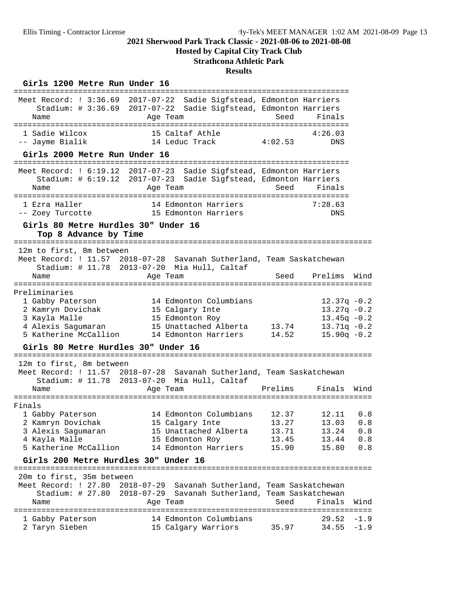**Hosted by Capital City Track Club**

# **Strathcona Athletic Park**

### **Results**

### Girls 1200 Metre Run Under 16

| Name                                                                                                                   | Meet Record: ! 3:36.69 2017-07-22 Sadie Sigfstead, Edmonton Harriers<br>Stadium: # 3:36.69 2017-07-22 Sadie Sigfstead, Edmonton Harriers<br>Age Team   | Seed                                      | Finals                                                                               |                                 |
|------------------------------------------------------------------------------------------------------------------------|--------------------------------------------------------------------------------------------------------------------------------------------------------|-------------------------------------------|--------------------------------------------------------------------------------------|---------------------------------|
| 1 Sadie Wilcox<br>-- Jayme Bialik                                                                                      | 15 Caltaf Athle<br>14 Leduc Track                                                                                                                      | 4:02.53                                   | 4:26.03<br>DNS                                                                       |                                 |
| Girls 2000 Metre Run Under 16                                                                                          |                                                                                                                                                        |                                           |                                                                                      |                                 |
| Name                                                                                                                   | Meet Record: ! 6:19.12 2017-07-23 Sadie Sigfstead, Edmonton Harriers<br>Stadium: # 6:19.12 2017-07-23 Sadie Sigfstead, Edmonton Harriers<br>Age Team   | Seed                                      | Finals                                                                               |                                 |
| 1 Ezra Haller<br>-- Zoey Turcotte                                                                                      | 14 Edmonton Harriers<br>15 Edmonton Harriers                                                                                                           |                                           | 7:28.63<br>DNS                                                                       |                                 |
| Girls 80 Metre Hurdles 30" Under 16<br>Top 8 Advance by Time                                                           |                                                                                                                                                        |                                           |                                                                                      |                                 |
| 12m to first, 8m between                                                                                               |                                                                                                                                                        |                                           |                                                                                      |                                 |
|                                                                                                                        | Meet Record: ! 11.57 2018-07-28 Savanah Sutherland, Team Saskatchewan<br>Stadium: # 11.78 2013-07-20 Mia Hull, Caltaf                                  |                                           |                                                                                      |                                 |
| Name                                                                                                                   | Age Team                                                                                                                                               | Seed                                      | Prelims                                                                              | Wind                            |
| Preliminaries<br>1 Gabby Paterson<br>2 Kamryn Dovichak<br>3 Kayla Malle<br>4 Alexis Sagumaran<br>5 Katherine McCallion | 14 Edmonton Columbians<br>15 Calgary Inte<br>15 Edmonton Roy<br>15 Unattached Alberta<br>14 Edmonton Harriers                                          | 13.74<br>14.52                            | $12.37q - 0.2$<br>$13.27q - 0.2$<br>$13.45q -0.2$<br>$13.71q - 0.2$<br>$15.90q -0.2$ |                                 |
| Girls 80 Metre Hurdles 30" Under 16                                                                                    |                                                                                                                                                        |                                           |                                                                                      |                                 |
| 12m to first, 8m between<br>Name                                                                                       | Meet Record: ! 11.57 2018-07-28 Savanah Sutherland, Team Saskatchewan<br>Stadium: # 11.78 2013-07-20 Mia Hull, Caltaf<br>Age Team                      | Prelims                                   | Finals                                                                               | Wind                            |
| Finals                                                                                                                 |                                                                                                                                                        |                                           |                                                                                      |                                 |
| 1 Gabby Paterson<br>2 Kamryn Dovichak<br>3 Alexis Sagumaran<br>4 Kayla Malle<br>5 Katherine McCallion                  | 14 Edmonton Columbians<br>15 Calgary Inte<br>15 Unattached Alberta<br>15 Edmonton Roy<br>14 Edmonton Harriers                                          | 12.37<br>13.27<br>13.71<br>13.45<br>15.90 | 12.11<br>13.03<br>13.24<br>13.44<br>15.80                                            | 0.8<br>0.8<br>0.8<br>0.8<br>0.8 |
| Girls 200 Metre Hurdles 30" Under 16                                                                                   |                                                                                                                                                        |                                           |                                                                                      |                                 |
| 20m to first, 35m between<br>Name                                                                                      | Meet Record: ! 27.80 2018-07-29 Savanah Sutherland, Team Saskatchewan<br>Stadium: # 27.80 2018-07-29 Savanah Sutherland, Team Saskatchewan<br>Age Team | Seed                                      | Finals                                                                               | Wind                            |
| 1 Gabby Paterson<br>2 Taryn Sieben                                                                                     | 14 Edmonton Columbians<br>15 Calgary Warriors                                                                                                          | 35.97                                     | 29.52<br>$34.55 - 1.9$                                                               | $-1.9$                          |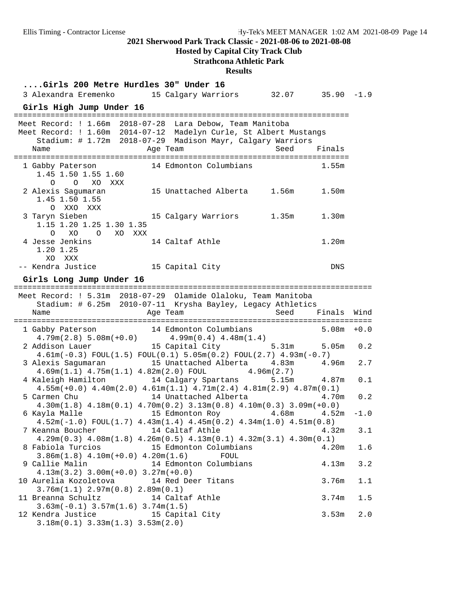**Hosted by Capital City Track Club**

# **Strathcona Athletic Park**

#### **Results**

| Girls 200 Metre Hurdles 30" Under 16<br>3 Alexandra Eremenko 15 Calgary Warriors 32.07 35.90 -1.9                                                                                                                |       |                   |        |
|------------------------------------------------------------------------------------------------------------------------------------------------------------------------------------------------------------------|-------|-------------------|--------|
|                                                                                                                                                                                                                  |       |                   |        |
| Girls High Jump Under 16                                                                                                                                                                                         |       |                   |        |
| Meet Record: ! 1.66m 2018-07-28 Lara Debow, Team Manitoba<br>Meet Record: ! 1.60m 2014-07-12 Madelyn Curle, St Albert Mustangs<br>Stadium: # 1.72m 2018-07-29 Madison Mayr, Calgary Warriors<br>Age Team<br>Name | Seed  | Finals            |        |
| 14 Edmonton Columbians<br>1 Gabby Paterson<br>1.45 1.50 1.55 1.60<br>O O XO XXX                                                                                                                                  |       | 1.55m             |        |
| 2 Alexis Sagumaran<br>15 Unattached Alberta 1.56m<br>1.45 1.50 1.55<br>O XXO XXX                                                                                                                                 |       | 1.50m             |        |
| 3 Taryn Sieben<br>15 Calgary Warriors<br>1.15 1.20 1.25 1.30 1.35<br>O XO O XO XXX                                                                                                                               | 1.35m | 1.30m             |        |
| 4 Jesse Jenkins<br>14 Caltaf Athle<br>1.20 1.25<br>XO XXX                                                                                                                                                        |       | 1.20 <sub>m</sub> |        |
| -- Kendra Justice<br>15 Capital City                                                                                                                                                                             |       | DNS               |        |
| Girls Long Jump Under 16                                                                                                                                                                                         |       |                   |        |
| Meet Record: ! 5.31m 2018-07-29 Olamide Olaloku, Team Manitoba<br>Stadium: # 6.25m 2010-07-11 Krysha Bayley, Legacy Athletics                                                                                    |       |                   |        |
| Age Team<br>Name                                                                                                                                                                                                 | Seed  | Finals            | Wind   |
|                                                                                                                                                                                                                  |       | $5.08m + 0.0$     |        |
| $14$ Edmonton Columbians<br>$4.79$ m $(2.8)$ 5.08m $(+0.0)$<br>$14$ Edmonton Columbians<br>$4.9$ 9m $(0.4)$ 4.48m $(1.4)$<br>ddison Lauer<br>$15$ Capital City<br>1 Gabby Paterson                               |       |                   |        |
| 15 Capital City 5.31m 5.05m<br>2 Addison Lauer<br>$4.61m(-0.3)$ FOUL $(1.5)$ FOUL $(0.1)$ $5.05m(0.2)$ FOUL $(2.7)$ $4.93m(-0.7)$                                                                                |       |                   | 0.2    |
| 3 Alexis Sagumaran 15 Unattached Alberta 4.83m<br>$4.69m(1.1)$ $4.75m(1.1)$ $4.82m(2.0)$ FOUL $4.96m(2.7)$                                                                                                       |       | 4.96m             | 2.7    |
| 4 Kaleigh Hamilton 14 Calgary Spartans 5.15m 4.87m<br>$4.55m(+0.0)$ $4.40m(2.0)$ $4.61m(1.1)$ $4.71m(2.4)$ $4.81m(2.9)$ $4.87m(0.1)$                                                                             |       |                   | 0.1    |
| 14 Unattached Alberta<br>5 Carmen Chu<br>$4.30m(1.8)$ $4.18m(0.1)$ $4.70m(0.2)$ $3.13m(0.8)$ $4.10m(0.3)$ $3.09m(+0.0)$                                                                                          |       | 4.70m             | 0.2    |
| 6 Kayla Malle                               15 Edmonton Roy                   4.68m                                                                                                                              |       | 4.52m             | $-1.0$ |
| $4.52m(-1.0)$ FOUL $(1.7)$ $4.43m(1.4)$ $4.45m(0.2)$ $4.34m(1.0)$ $4.51m(0.8)$<br>14 Caltaf Athle<br>7 Keanna Boucher                                                                                            |       | 4.32m             | 3.1    |
| $4.29m(0.3)$ $4.08m(1.8)$ $4.26m(0.5)$ $4.13m(0.1)$ $4.32m(3.1)$ $4.30m(0.1)$                                                                                                                                    |       |                   |        |
| 15 Edmonton Columbians<br>8 Fabiola Turcios<br>$3.86m(1.8)$ 4.10m(+0.0) 4.20m(1.6)<br>FOUL                                                                                                                       |       | 4.20m             | 1.6    |
| 9 Callie Malin<br>14 Edmonton Columbians<br>$4.13m(3.2)$ $3.00m(+0.0)$ $3.27m(+0.0)$                                                                                                                             |       | 4.13m             | 3.2    |
| 10 Aurelia Kozoletova<br>14 Red Deer Titans                                                                                                                                                                      |       | 3.76m             | 1.1    |
| 3.76m(1.1) 2.97m(0.8) 2.89m(0.1)<br>11 Breanna Schultz<br>14 Caltaf Athle                                                                                                                                        |       | 3.74m             | 1.5    |
| $3.63m(-0.1)$ $3.57m(1.6)$ $3.74m(1.5)$<br>12 Kendra Justice<br>15 Capital City                                                                                                                                  |       | 3.53m             | 2.0    |
| $3.18m(0.1)$ $3.33m(1.3)$ $3.53m(2.0)$                                                                                                                                                                           |       |                   |        |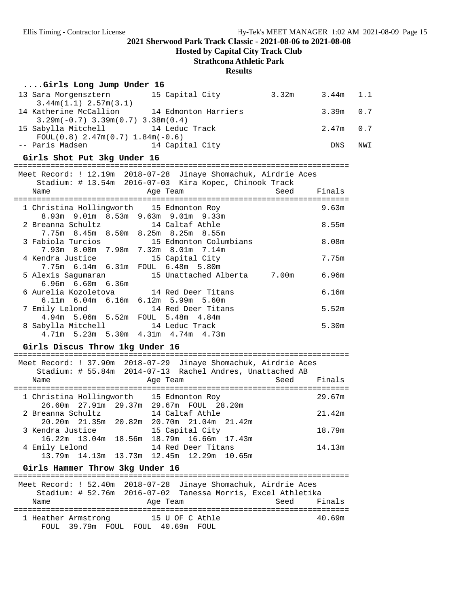**Hosted by Capital City Track Club**

# **Strathcona Athletic Park**

#### **Results**

| Girls Long Jump Under 16 |  |  |  |  |
|--------------------------|--|--|--|--|
|--------------------------|--|--|--|--|

| 13 Sara Morgensztern                                            | 15 Capital City      | 3.32m | $3.44m$ 1.1 |     |
|-----------------------------------------------------------------|----------------------|-------|-------------|-----|
| $3.44m(1.1)$ 2.57m(3.1)                                         |                      |       |             |     |
| 14 Katherine McCallion                                          | 14 Edmonton Harriers |       | $3.39m$ 0.7 |     |
| $3.29m(-0.7)$ 3.39m(0.7) 3.38m(0.4)                             |                      |       |             |     |
| 15 Sabylla Mitchell                                             | 14 Leduc Track       |       | $2.47m$ 0.7 |     |
| $FOUL(0.8)$ 2.47m(0.7) 1.84m(-0.6)                              |                      |       |             |     |
| -- Paris Madsen                                                 | 14 Capital City      |       | <b>DNS</b>  | NWI |
| Girls Shot Put 3kg Under 16                                     |                      |       |             |     |
| Meet Record: ! 12.19m 2018-07-28 Jinaye Shomachuk, Airdrie Aces |                      |       |             |     |

|                                                 | Stadium: # 13.54m 2016-07-03 Kira Kopec, Chinook Track |             |
|-------------------------------------------------|--------------------------------------------------------|-------------|
| Name                                            | Age Team                                               | Seed Finals |
| ========================                        |                                                        |             |
| 1 Christina Hollingworth 15 Edmonton Roy        |                                                        | 9.63m       |
| 8.93m 9.01m 8.53m 9.63m 9.01m 9.33m             |                                                        |             |
| 2 Breanna Schultz 14 Caltaf Athle               |                                                        | 8.55m       |
| 7.75m 8.45m 8.50m 8.25m 8.25m 8.55m             |                                                        |             |
| 3 Fabiola Turcios 6 15 Edmonton Columbians      |                                                        | 8.08m       |
| 7.93m 8.08m 7.98m 7.32m 8.01m 7.14m             |                                                        |             |
| 4 Kendra Justice 15 Capital City                |                                                        | 7.75m       |
| 7.75m 6.14m 6.31m FOUL 6.48m 5.80m              |                                                        |             |
|                                                 | 5 Alexis Saqumaran 15 Unattached Alberta 7.00m         | 6.96m       |
| $6.96m$ $6.60m$ $6.36m$                         |                                                        |             |
| 6 Aurelia Kozoletova 14 Red Deer Titans         |                                                        | 6.16m       |
| $6.11m$ $6.04m$ $6.16m$ $6.12m$ $5.99m$ $5.60m$ |                                                        |             |
| 7 Emily Lelond 14 Red Deer Titans               |                                                        | 5.52m       |
| 4.94m 5.06m 5.52m FOUL 5.48m 4.84m              |                                                        |             |
| 8 Sabylla Mitchell 14 Leduc Track               |                                                        | 5.30m       |
| $4.71m$ 5.23m 5.30m $4.31m$ $4.74m$ $4.73m$     |                                                        |             |

## Girls Discus Throw 1kg Under 16

| Name              |  | Meet Record: ! 37.90m 2018-07-29 Jinaye Shomachuk, Airdrie Aces<br>Stadium: # 55.84m 2014-07-13 Rachel Andres, Unattached AB<br>Seed<br>Age Team | Finals |
|-------------------|--|--------------------------------------------------------------------------------------------------------------------------------------------------|--------|
|                   |  | 1 Christina Hollingworth 15 Edmonton Roy                                                                                                         | 29.67m |
|                   |  | 26.60m 27.91m 29.37m 29.67m FOUL 28.20m                                                                                                          |        |
| 2 Breanna Schultz |  | 14 Caltaf Athle                                                                                                                                  | 21.42m |
|                   |  | 20.20m 21.35m 20.82m 20.70m 21.04m 21.42m                                                                                                        |        |
| 3 Kendra Justice  |  | 15 Capital City                                                                                                                                  | 18.79m |
|                   |  | 16.22m  13.04m  18.56m  18.79m  16.66m  17.43m                                                                                                   |        |
| 4 Emily Lelond    |  | 14 Red Deer Titans                                                                                                                               | 14.13m |
|                   |  | 13.79m 14.13m 13.73m 12.45m 12.29m 10.65m                                                                                                        |        |

## Girls Hammer Throw 3kg Under 16

|                     | Meet Record: ! 52.40m 2018-07-28 Jinaye Shomachuk, Airdrie Aces<br>Stadium: # 52.76m 2016-07-02 Tanessa Morris, Excel Athletika |      |        |
|---------------------|---------------------------------------------------------------------------------------------------------------------------------|------|--------|
| Name                | Age Team                                                                                                                        | Seed | Finals |
| 1 Heather Armstrong | 15 U OF C Athle<br>FOUL 39.79m FOUL FOUL 40.69m FOUL                                                                            |      | 40.69m |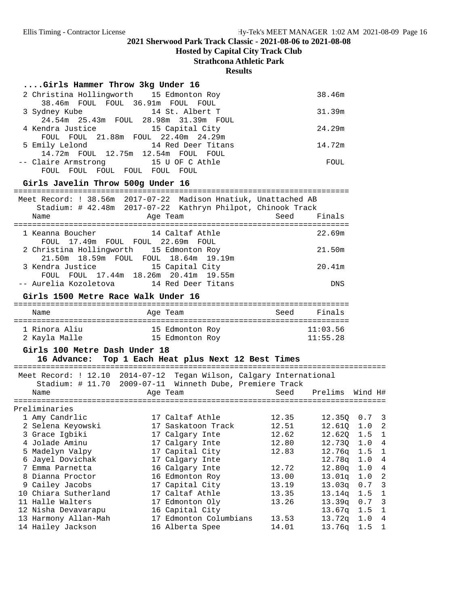**Hosted by Capital City Track Club**

**Strathcona Athletic Park**

#### **Results**

| Girls Hammer Throw 3kg Under 16 |  |  |  |  |
|---------------------------------|--|--|--|--|
|---------------------------------|--|--|--|--|

| 2 Christina Hollingworth 15 Edmonton Roy     | 38.46m |
|----------------------------------------------|--------|
| 38.46m FOUL FOUL 36.91m FOUL FOUL            |        |
| 14 St. Albert T<br>3 Sydney Kube             | 31.39m |
| 24.54m  25.43m  FOUL  28.98m  31.39m  FOUL   |        |
| 4 Kendra Justice 15 Capital City             | 24.29m |
| FOUL FOUL 21.88m FOUL 22.40m 24.29m          |        |
| 5 Emily Lelond 14 Red Deer Titans            | 14.72m |
| 14.72m FOUL 12.75m 12.54m FOUL<br>FOUL       |        |
| -- Claire Armstrong 15 U OF C Athle          | FOUL   |
| FOUL<br>FOUL<br>FOUL<br>FOUL<br>FOUL<br>FOUL |        |

## Girls Javelin Throw 500g Under 16

|                  |                                          |                 | Meet Record: ! 38.56m 2017-07-22 Madison Hnatiuk, Unattached AB<br>Stadium: # 42.48m 2017-07-22 Kathryn Philpot, Chinook Track |            |
|------------------|------------------------------------------|-----------------|--------------------------------------------------------------------------------------------------------------------------------|------------|
| Name             | Age Team                                 |                 | Seed                                                                                                                           | Finals     |
|                  |                                          |                 |                                                                                                                                |            |
| 1 Keanna Boucher | 14 Caltaf Athle                          |                 |                                                                                                                                | 22.69m     |
|                  | FOUL 17.49m FOUL FOUL 22.69m FOUL        |                 |                                                                                                                                |            |
|                  | 2 Christina Hollingworth 15 Edmonton Roy |                 |                                                                                                                                | 21.50m     |
|                  | 21.50m 18.59m FOUL FOUL 18.64m 19.19m    |                 |                                                                                                                                |            |
| 3 Kendra Justice |                                          | 15 Capital City |                                                                                                                                | 20.41m     |
|                  | FOUL FOUL 17.44m 18.26m 20.41m 19.55m    |                 |                                                                                                                                |            |
|                  | -- Aurelia Kozoletova 14 Red Deer Titans |                 |                                                                                                                                | <b>DNS</b> |

#### Girls 1500 Metre Race Walk Under 16

| Name          | Age Team        | Seed | Finals   |
|---------------|-----------------|------|----------|
| 1 Rinora Aliu | 15 Edmonton Roy |      | 11:03.56 |
| 2 Kayla Malle | 15 Edmonton Roy |      | 11:55.28 |

### **Girls 100 Metre Dash Under 18**

## 16 Advance: Top 1 Each Heat plus Next 12 Best Times

| Name |                                                                                                                                                                                                                                                                                                           |                                                                                                                                                                                                                                                                                                                                      | Prelims                | Wind H#                                                                                                                                                                                 |
|------|-----------------------------------------------------------------------------------------------------------------------------------------------------------------------------------------------------------------------------------------------------------------------------------------------------------|--------------------------------------------------------------------------------------------------------------------------------------------------------------------------------------------------------------------------------------------------------------------------------------------------------------------------------------|------------------------|-----------------------------------------------------------------------------------------------------------------------------------------------------------------------------------------|
|      |                                                                                                                                                                                                                                                                                                           |                                                                                                                                                                                                                                                                                                                                      |                        |                                                                                                                                                                                         |
|      |                                                                                                                                                                                                                                                                                                           |                                                                                                                                                                                                                                                                                                                                      |                        |                                                                                                                                                                                         |
|      |                                                                                                                                                                                                                                                                                                           |                                                                                                                                                                                                                                                                                                                                      |                        | $12.350$ 0.7 3                                                                                                                                                                          |
|      |                                                                                                                                                                                                                                                                                                           |                                                                                                                                                                                                                                                                                                                                      |                        | 12.610 1.0 2                                                                                                                                                                            |
|      |                                                                                                                                                                                                                                                                                                           |                                                                                                                                                                                                                                                                                                                                      | 12.620 1.5             | $\overline{1}$                                                                                                                                                                          |
|      |                                                                                                                                                                                                                                                                                                           |                                                                                                                                                                                                                                                                                                                                      | 12.730 1.0             | $\overline{4}$                                                                                                                                                                          |
|      |                                                                                                                                                                                                                                                                                                           |                                                                                                                                                                                                                                                                                                                                      |                        | $12.76q$ 1.5 1                                                                                                                                                                          |
|      |                                                                                                                                                                                                                                                                                                           |                                                                                                                                                                                                                                                                                                                                      |                        | $12.78q$ 1.0 4                                                                                                                                                                          |
|      |                                                                                                                                                                                                                                                                                                           |                                                                                                                                                                                                                                                                                                                                      |                        | $12.80q$ 1.0 4                                                                                                                                                                          |
|      |                                                                                                                                                                                                                                                                                                           |                                                                                                                                                                                                                                                                                                                                      |                        | $13.01q$ $1.0$ 2                                                                                                                                                                        |
|      |                                                                                                                                                                                                                                                                                                           |                                                                                                                                                                                                                                                                                                                                      |                        | $13.03q$ 0.7 3                                                                                                                                                                          |
|      |                                                                                                                                                                                                                                                                                                           |                                                                                                                                                                                                                                                                                                                                      |                        | $13.14q$ 1.5 1                                                                                                                                                                          |
|      |                                                                                                                                                                                                                                                                                                           |                                                                                                                                                                                                                                                                                                                                      |                        | $13.39q$ 0.7 3                                                                                                                                                                          |
|      |                                                                                                                                                                                                                                                                                                           |                                                                                                                                                                                                                                                                                                                                      |                        | $13.67q$ 1.5 1                                                                                                                                                                          |
|      |                                                                                                                                                                                                                                                                                                           |                                                                                                                                                                                                                                                                                                                                      |                        | $13.72q$ 1.0 4                                                                                                                                                                          |
|      |                                                                                                                                                                                                                                                                                                           |                                                                                                                                                                                                                                                                                                                                      | 13.76q                 | $1.5 \quad 1$                                                                                                                                                                           |
|      | Preliminaries<br>1 Amy Candrlic<br>2 Selena Keyowski<br>3 Grace Igbiki<br>4 Jolade Aminu<br>5 Madelyn Valpy<br>6 Jayel Dovichak<br>7 Emma Parnetta<br>8 Dianna Proctor<br>9 Cailey Jacobs<br>10 Chiara Sutherland<br>11 Halle Walters<br>12 Nisha Devavarapu<br>13 Harmony Allan-Mah<br>14 Hailey Jackson | Meet Record: ! 12.10 2014-07-12<br>Stadium: # 11.70 2009-07-11<br>Age Team<br>17 Caltaf Athle<br>17 Saskatoon Track<br>17 Calgary Inte<br>17 Calgary Inte<br>17 Capital City<br>17 Calgary Inte<br>16 Calgary Inte<br>16 Edmonton Roy<br>17 Capital City<br>17 Caltaf Athle<br>17 Edmonton Oly<br>16 Capital City<br>16 Alberta Spee | 17 Edmonton Columbians | Tegan Wilson, Calgary International<br>Winneth Dube, Premiere Track<br>Seed<br>12.35<br>12.51<br>12.62<br>12.80<br>12.83<br>12.72<br>13.00<br>13.19<br>13.35<br>13.26<br>13.53<br>14.01 |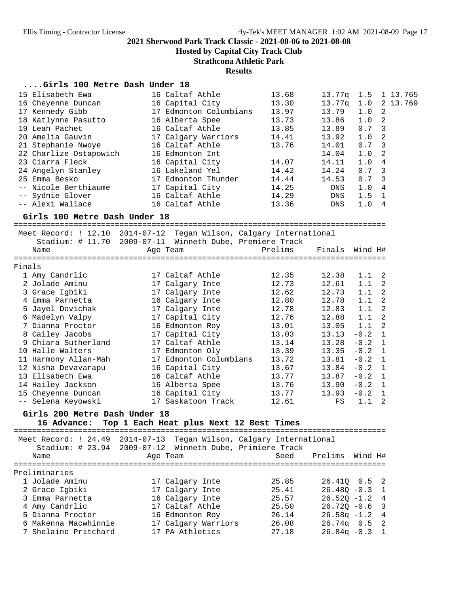**Hosted by Capital City Track Club**

**Strathcona Athletic Park**

#### **Results**

#### **....Girls 100 Metre Dash Under 18**

| 15 Elisabeth Ewa       | 16 Caltaf Athle        | 13.68 | 13.77g     | 1.5              | 1 13.765                 |
|------------------------|------------------------|-------|------------|------------------|--------------------------|
| 16 Cheyenne Duncan     | 16 Capital City        | 13.30 | 13.77a     | 1.0              | 2 13.769                 |
| 17 Kennedy Gibb        | 17 Edmonton Columbians | 13.97 | 13.79      | $1.0 \t2$        |                          |
| 18 Katlynne Pasutto    | 16 Alberta Spee        | 13.73 | 13.86      | 1.0              | $\overline{2}$           |
| 19 Leah Pachet         | 16 Caltaf Athle        | 13.85 | 13.89      | $0.7 \quad 3$    |                          |
| 20 Amelia Gauvin       | 17 Calgary Warriors    | 14.41 | 13.92      | 1.0 <sub>2</sub> |                          |
| 21 Stephanie Nwoye     | 16 Caltaf Athle        | 13.76 | 14.01      | 0.7              | $\overline{\phantom{a}}$ |
| 22 Charlize Ostapowich | 16 Edmonton Int        |       | 14.04      | $1.0 \t2$        |                          |
| 23 Ciarra Fleck        | 16 Capital City        | 14.07 | 14.11      | 1.04             |                          |
| 24 Angelyn Stanley     | 16 Lakeland Yel        | 14.42 | 14.24      | $0.7 \quad 3$    |                          |
| 25 Emma Besko          | 17 Edmonton Thunder    | 14.44 | 14.53      | $0.7-3$          |                          |
| -- Nicole Berthiaume   | 17 Capital City        | 14.25 | DNS        | 1.04             |                          |
| -- Sydnie Glover       | 16 Caltaf Athle        | 14.29 | DNS        | 1.5              | $\overline{1}$           |
| -- Alexi Wallace       | 16 Caltaf Athle        | 13.36 | <b>DNS</b> | 1.0              | 4                        |
|                        |                        |       |            |                  |                          |

# **Girls 100 Metre Dash Under 18** =================================================================================

 Meet Record: ! 12.10 2014-07-12 Tegan Wilson, Calgary International Stadium: # 11.70 2009-07-11 Winneth Dube, Premiere Track Name Age Team Prelims Finals Wind H# ================================================================================= Finals 1 Amy Candrlic 17 Caltaf Athle 12.35 12.38 1.1 2 2 Jolade Aminu 17 Calgary Inte 12.73 12.61 1.1 2 3 Grace Igbiki 17 Calgary Inte 12.62 12.73 1.1 2 4 Emma Parnetta 16 Calgary Inte 12.80 12.78 1.1 2 5 Jayel Dovichak 17 Calgary Inte 12.78 12.83 1.1 2 6 Madelyn Valpy 17 Capital City 12.76 12.88 1.1 2 7 Dianna Proctor 16 Edmonton Roy 13.01 13.05 1.1 2 8 Cailey Jacobs 17 Capital City 13.03 13.13 -0.2 1 9 Chiara Sutherland 17 Caltaf Athle 13.14 13.28 -0.2 1 10 Halle Walters 17 Edmonton Oly 13.39 13.35 -0.2 1 11 Harmony Allan-Mah 17 Edmonton Columbians 13.72 13.81 -0.2 1 12 Nisha Devavarapu 16 Capital City 13.67 13.84 -0.2 1 13 Elisabeth Ewa 16 Caltaf Athle 13.77 13.87 -0.2 1 14 Hailey Jackson 16 Alberta Spee 13.76 13.90 -0.2 1 15 Cheyenne Duncan 16 Capital City 13.77 13.93 -0.2 1 -- Selena Keyowski 17 Saskatoon Track 12.61 FS 1.1 2 **Girls 200 Metre Dash Under 18 16 Advance: Top 1 Each Heat plus Next 12 Best Times** =================================================================================

 Meet Record: ! 24.49 2014-07-13 Tegan Wilson, Calgary International Stadium: # 23.94 2009-07-12 Winneth Dube, Primiere Track Name Age Team Seed Prelims Wind H# ================================================================================= Preliminaries 1 Jolade Aminu 17 Calgary Inte 25.85 26.41Q 0.5 2 2 Grace Igbiki 17 Calgary Inte 25.41 26.48Q -0.3 1 3 Emma Parnetta 16 Calgary Inte 25.57 26.52Q -1.2 4 4 Amy Candrlic 17 Caltaf Athle 25.50 26.72Q -0.6 3 5 Dianna Proctor 16 Edmonton Roy 26.14 26.58q -1.2 4

 6 Makenna Macwhinnie 17 Calgary Warriors 26.08 26.74q 0.5 2 7 Shelaine Pritchard 17 PA Athletics 27.18 26.84q -0.3 1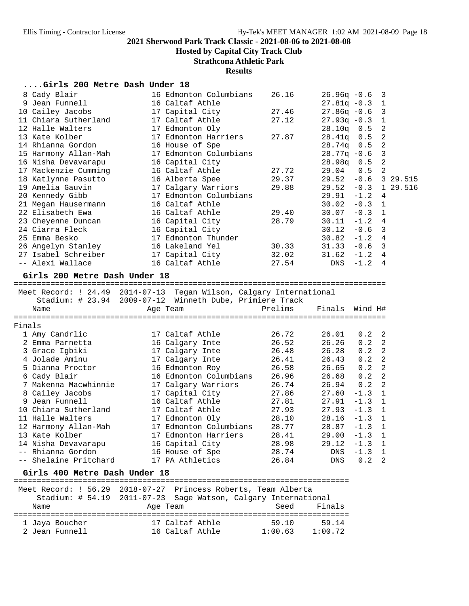**Hosted by Capital City Track Club**

**Strathcona Athletic Park**

## **Results**

| Girls 200 Metre Dash Under 18 |  |  |  |  |
|-------------------------------|--|--|--|--|
|-------------------------------|--|--|--|--|

|        | 8 Cady Blair                  | 16 Edmonton Columbians                                              | 26.16   | $26.96q -0.6$  |         | 3              |          |
|--------|-------------------------------|---------------------------------------------------------------------|---------|----------------|---------|----------------|----------|
|        | 9 Jean Funnell                | 16 Caltaf Athle                                                     |         | $27.81q - 0.3$ |         | 1              |          |
|        | 10 Cailey Jacobs              | 17 Capital City                                                     | 27.46   | $27.86q - 0.6$ |         | $\mathbf{3}$   |          |
|        | 11 Chiara Sutherland          | 17 Caltaf Athle                                                     | 27.12   | $27.93q - 0.3$ |         | $\mathbf{1}$   |          |
|        | 12 Halle Walters              | 17 Edmonton Oly                                                     |         | 28.10q         | 0.5     | 2              |          |
|        | 13 Kate Kolber                | 17 Edmonton Harriers                                                | 27.87   | 28.41q         | 0.5     | $\overline{2}$ |          |
|        | 14 Rhianna Gordon             | 16 House of Spe                                                     |         | 28.74q         | 0.5     | $\sqrt{2}$     |          |
|        | 15 Harmony Allan-Mah          | 17 Edmonton Columbians                                              |         | $28.77q - 0.6$ |         | $\overline{3}$ |          |
|        | 16 Nisha Devavarapu           | 16 Capital City                                                     |         | 28.98q         | 0.5     | 2              |          |
|        | 17 Mackenzie Cumming          | 16 Caltaf Athle                                                     | 27.72   | 29.04          | 0.5     | $\overline{2}$ |          |
|        | 18 Katlynne Pasutto           | 16 Alberta Spee                                                     | 29.37   | 29.52          | $-0.6$  |                | 3 29.515 |
|        | 19 Amelia Gauvin              | 17 Calgary Warriors                                                 | 29.88   | $29.52 - 0.3$  |         |                | 1 29.516 |
|        | 20 Kennedy Gibb               | 17 Edmonton Columbians                                              |         | 29.91          | $-1.2$  | 4              |          |
|        | 21 Megan Hausermann           | 16 Caltaf Athle                                                     |         | 30.02          | $-0.3$  | $\mathbf{1}$   |          |
|        | 22 Elisabeth Ewa              | 16 Caltaf Athle                                                     | 29.40   | 30.07          | $-0.3$  | $\mathbf{1}$   |          |
|        | 23 Cheyenne Duncan            | 16 Capital City                                                     | 28.79   | 30.11          | $-1.2$  | 4              |          |
|        | 24 Ciarra Fleck               | 16 Capital City                                                     |         | 30.12          | $-0.6$  | 3              |          |
|        | 25 Emma Besko                 | 17 Edmonton Thunder                                                 |         | 30.82          | $-1.2$  | 4              |          |
|        | 26 Angelyn Stanley            | 16 Lakeland Yel                                                     | 30.33   | 31.33          | $-0.6$  | 3              |          |
|        | 27 Isabel Schreiber           | 17 Capital City                                                     | 32.02   | 31.62          | $-1.2$  | $\overline{4}$ |          |
|        | -- Alexi Wallace              | 16 Caltaf Athle                                                     | 27.54   | DNS            | $-1.2$  | 4              |          |
|        | Girls 200 Metre Dash Under 18 | Meet Record: ! 24.49 2014-07-13 Tegan Wilson, Calgary International |         |                |         |                |          |
|        |                               | Stadium: # 23.94 2009-07-12 Winneth Dube, Primiere Track            | Prelims | Finals         |         |                |          |
|        | Name                          | Age Team                                                            |         |                | Wind H# |                |          |
| Finals |                               |                                                                     |         |                |         |                |          |
|        | 1 Amy Candrlic                | 17 Caltaf Athle                                                     | 26.72   | 26.01          | 0.2     | 2              |          |
|        | 2 Emma Parnetta               | 16 Calgary Inte                                                     | 26.52   | 26.26          | 0.2     | $\overline{2}$ |          |
|        | 3 Grace Igbiki                | 17 Calgary Inte                                                     | 26.48   | 26.28          | 0.2     | $\overline{2}$ |          |
|        | 4 Jolade Aminu                | 17 Calgary Inte                                                     | 26.41   | 26.43          | 0.2     | 2              |          |
|        | 5 Dianna Proctor              | 16 Edmonton Roy                                                     | 26.58   | 26.65          | 0.2     | $\overline{2}$ |          |
|        | 6 Cady Blair                  | 16 Edmonton Columbians                                              | 26.96   | 26.68          | 0.2     | $\overline{2}$ |          |
|        | 7 Makenna Macwhinnie          | 17 Calgary Warriors                                                 | 26.74   | 26.94          | 0.2     | 2              |          |
|        |                               |                                                                     |         |                |         | $\mathbf{1}$   |          |
|        |                               |                                                                     |         |                |         |                |          |
|        | 8 Cailey Jacobs               | 17 Capital City                                                     | 27.86   | 27.60          | $-1.3$  |                |          |
|        | 9 Jean Funnell                | 16 Caltaf Athle                                                     | 27.81   | 27.91          | $-1.3$  | 1              |          |
|        | 10 Chiara Sutherland          | 17 Caltaf Athle                                                     | 27.93   | 27.93          | $-1.3$  | 1              |          |
|        | 11 Halle Walters              | 17 Edmonton Oly                                                     | 28.10   | 28.16          | $-1.3$  | 1              |          |
|        | 12 Harmony Allan-Mah          | 17 Edmonton Columbians                                              | 28.77   | 28.87          | $-1.3$  | 1              |          |
|        | 13 Kate Kolber                | 17 Edmonton Harriers                                                | 28.41   | $29.00 - 1.3$  |         | 1              |          |
|        | 14 Nisha Devavarapu           | 16 Capital City                                                     | 28.98   | 29.12          | $-1.3$  | 1              |          |
|        | -- Rhianna Gordon             | 16 House of Spe                                                     | 28.74   | DNS            | $-1.3$  | 1              |          |
|        | -- Shelaine Pritchard         | 17 PA Athletics                                                     | 26.84   | <b>DNS</b>     | 0.2     | 2              |          |

**Girls 400 Metre Dash Under 18** ========================================================================= Meet Record: ! 56.29 2018-07-27 Princess Roberts, Team Alberta Stadium: # 54.19 2011-07-23 Sage Watson, Calgary International Age Team Seed Finals ========================================================================= 1 Jaya Boucher 17 Caltaf Athle 59.10 59.14 2 Jean Funnell 16 Caltaf Athle 1:00.63 1:00.72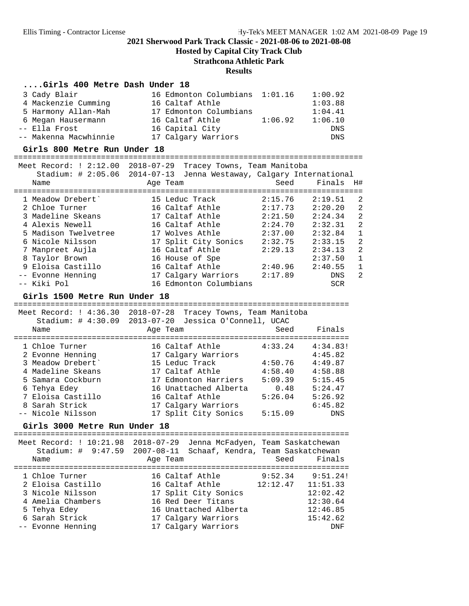**Hosted by Capital City Track Club**

## **Strathcona Athletic Park**

#### **Results**

#### **....Girls 400 Metre Dash Under 18**

| 3 Cady Blair          | 16 Edmonton Columbians 1:01.16 |         | 1:00.92    |
|-----------------------|--------------------------------|---------|------------|
| 4 Mackenzie Cumming   | 16 Caltaf Athle                |         | 1:03.88    |
| 5 Harmony Allan-Mah   | 17 Edmonton Columbians         |         | 1:04.41    |
| 6 Megan Hausermann    | 16 Caltaf Athle                | 1:06.92 | 1:06.10    |
| -- Ella Frost         | 16 Capital City                |         | <b>DNS</b> |
| -- Makenna Macwhinnie | 17 Calgary Warriors            |         | DNS        |

**Girls 800 Metre Run Under 18** ============================================================================ Meet Record: ! 2:12.00 2018-07-29 Tracey Towns, Team Manitoba

| 2010 07 22 ILACCY IOWIN, ICAM PAILLEONA |                                                                     |         |            |              |  |  |  |
|-----------------------------------------|---------------------------------------------------------------------|---------|------------|--------------|--|--|--|
|                                         | Stadium: # 2:05.06 2014-07-13 Jenna Westaway, Calgary International |         |            |              |  |  |  |
| Name                                    | Age Team                                                            | Seed    | Finals     | H#           |  |  |  |
|                                         |                                                                     |         |            |              |  |  |  |
| 1 Meadow Drebert'                       | 15 Leduc Track                                                      | 2:15.76 | 2:19.51    | -2           |  |  |  |
| 2 Chloe Turner                          | 16 Caltaf Athle                                                     | 2:17.73 | 2:20.20    | 2            |  |  |  |
| 3 Madeline Skeans                       | 17 Caltaf Athle                                                     | 2:21.50 | 2:24.34    | 2            |  |  |  |
| 4 Alexis Newell                         | 16 Caltaf Athle                                                     | 2:24.70 | 2:32.31    | 2            |  |  |  |
| 5 Madison Twelvetree                    | 17 Wolves Athle                                                     | 2:37.00 | 2:32.84    | $\mathbf{1}$ |  |  |  |
| 6 Nicole Nilsson                        | 17 Split City Sonics                                                | 2:32.75 | 2:33.15    | 2            |  |  |  |
| 7 Manpreet Aujla                        | 16 Caltaf Athle                                                     | 2:29.13 | 2:34.13    | 2            |  |  |  |
| 8 Taylor Brown                          | 16 House of Spe                                                     |         | 2:37.50    | $\mathbf{1}$ |  |  |  |
| 9 Eloisa Castillo                       | 16 Caltaf Athle                                                     | 2:40.96 | 2:40.55    | $\mathbf{1}$ |  |  |  |
| -- Evonne Henning                       | 17 Calgary Warriors                                                 | 2:17.89 | <b>DNS</b> | 2            |  |  |  |
| -- Kiki Pol                             | 16 Edmonton Columbians                                              |         | <b>SCR</b> |              |  |  |  |
|                                         |                                                                     |         |            |              |  |  |  |

**Girls 1500 Metre Run Under 18** =========================================================================

| $2018 - 07 - 28$<br>$2013 - 07 - 20$ |         |                                                        |
|--------------------------------------|---------|--------------------------------------------------------|
| Age Team                             | Seed    | Finals                                                 |
| 16 Caltaf Athle                      | 4:33.24 | 4:34.83!                                               |
| 17 Calgary Warriors                  |         | 4:45.82                                                |
| 15 Leduc Track                       | 4:50.76 | 4:49.87                                                |
| 17 Caltaf Athle                      | 4:58.40 | 4:58.88                                                |
| 17 Edmonton Harriers                 | 5:09.39 | 5:15.45                                                |
| 16 Unattached Alberta                | 0.48    | 5:24.47                                                |
| 16 Caltaf Athle                      | 5:26.04 | 5:26.92                                                |
| 17 Calgary Warriors                  |         | 6:45.82                                                |
| 17 Split City Sonics                 | 5:15.09 | <b>DNS</b>                                             |
|                                      |         | Tracey Towns, Team Manitoba<br>Jessica O'Connell, UCAC |

**Girls 3000 Metre Run Under 18** ========================================================================= Meet Record: ! 10:21.98 2018-07-29 Jenna McFadyen, Team Saskatchewan

|                   |  |                                                |                 |                                                                                                                                      | Finals              |                                                                                                                                      |
|-------------------|--|------------------------------------------------|-----------------|--------------------------------------------------------------------------------------------------------------------------------------|---------------------|--------------------------------------------------------------------------------------------------------------------------------------|
|                   |  |                                                |                 |                                                                                                                                      |                     |                                                                                                                                      |
|                   |  |                                                |                 |                                                                                                                                      |                     |                                                                                                                                      |
| 2 Eloisa Castillo |  |                                                |                 |                                                                                                                                      |                     |                                                                                                                                      |
| 3 Nicole Nilsson  |  |                                                |                 |                                                                                                                                      | 12:02.42            |                                                                                                                                      |
| 4 Amelia Chambers |  |                                                |                 |                                                                                                                                      | 12:30.64            |                                                                                                                                      |
|                   |  |                                                |                 |                                                                                                                                      | 12:46.85            |                                                                                                                                      |
|                   |  |                                                |                 |                                                                                                                                      | 15:42.62            |                                                                                                                                      |
| -- Evonne Henning |  |                                                |                 |                                                                                                                                      |                     | DNF                                                                                                                                  |
|                   |  | Meel Record. : IU.21.98 2018-07-29<br>Age Team | 16 Caltaf Athle | 16 Caltaf Athle<br>17 Split City Sonics<br>16 Red Deer Titans<br>16 Unattached Alberta<br>17 Calgary Warriors<br>17 Calgary Warriors | 9:52.34<br>12:12.47 | Jenna McFadyen, Team Saskatchewan<br>Stadium: # 9:47.59 2007-08-11 Schaaf, Kendra, Team Saskatchewan<br>Seed<br>9:51.24!<br>11:51.33 |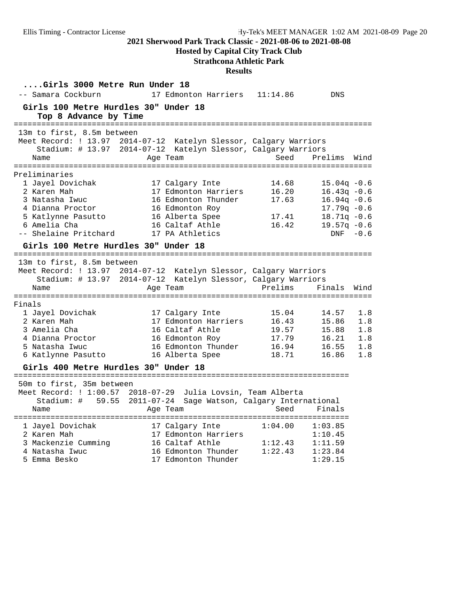## **Hosted by Capital City Track Club**

## **Strathcona Athletic Park**

| Girls 3000 Metre Run Under 18<br>-- Samara Cockburn                                                                                  | 17 Edmonton Harriers 11:14.86                                                                                                                  |                                                    | <b>DNS</b>                                                                                                     |                                        |
|--------------------------------------------------------------------------------------------------------------------------------------|------------------------------------------------------------------------------------------------------------------------------------------------|----------------------------------------------------|----------------------------------------------------------------------------------------------------------------|----------------------------------------|
| Girls 100 Metre Hurdles 30" Under 18<br>Top 8 Advance by Time                                                                        |                                                                                                                                                |                                                    |                                                                                                                |                                        |
| 13m to first, 8.5m between<br>Name                                                                                                   | Meet Record: ! 13.97 2014-07-12 Katelyn Slessor, Calgary Warriors<br>Stadium: # 13.97 2014-07-12 Katelyn Slessor, Calgary Warriors<br>Age Team | Seed                                               | Prelims                                                                                                        | Wind                                   |
| Preliminaries                                                                                                                        |                                                                                                                                                |                                                    |                                                                                                                |                                        |
| 1 Jayel Dovichak<br>2 Karen Mah<br>3 Natasha Iwuc<br>4 Dianna Proctor<br>5 Katlynne Pasutto<br>6 Amelia Cha<br>-- Shelaine Pritchard | 17 Calgary Inte<br>17 Edmonton Harriers<br>16 Edmonton Thunder<br>16 Edmonton Roy<br>16 Alberta Spee<br>16 Caltaf Athle<br>17 PA Athletics     | 14.68<br>16.20<br>17.63<br>17.41<br>16.42          | $15.04q - 0.6$<br>$16.43q -0.6$<br>$16.94q - 0.6$<br>$17.79q - 0.6$<br>$18.71q - 0.6$<br>$19.57q - 0.6$<br>DNF | $-0.6$                                 |
| Girls 100 Metre Hurdles 30" Under 18                                                                                                 |                                                                                                                                                |                                                    |                                                                                                                |                                        |
| 13m to first, 8.5m between<br>Name                                                                                                   | Meet Record: ! 13.97 2014-07-12 Katelyn Slessor, Calgary Warriors<br>Stadium: # 13.97 2014-07-12 Katelyn Slessor, Calgary Warriors<br>Age Team | Prelims                                            | Finals                                                                                                         | Wind                                   |
| Finals                                                                                                                               |                                                                                                                                                |                                                    |                                                                                                                |                                        |
| 1 Jayel Dovichak<br>2 Karen Mah<br>3 Amelia Cha<br>4 Dianna Proctor<br>5 Natasha Iwuc<br>6 Katlynne Pasutto                          | 17 Calgary Inte<br>17 Edmonton Harriers<br>16 Caltaf Athle<br>16 Edmonton Roy<br>16 Edmonton Thunder<br>16 Alberta Spee                        | 15.04<br>16.43<br>19.57<br>17.79<br>16.94<br>18.71 | 14.57<br>15.86<br>15.88<br>16.21<br>16.55<br>16.86                                                             | 1.8<br>1.8<br>1.8<br>1.8<br>1.8<br>1.8 |
| Girls 400 Metre Hurdles 30" Under 18                                                                                                 |                                                                                                                                                |                                                    |                                                                                                                |                                        |
| 50m to first, 35m between<br>Name                                                                                                    | Meet Record: ! 1:00.57 2018-07-29 Julia Lovsin, Team Alberta<br>Stadium: # 59.55 2011-07-24 Sage Watson, Calgary International<br>Age Team     | Seed                                               | Finals                                                                                                         |                                        |
| 1 Jayel Dovichak<br>2 Karen Mah<br>3 Mackenzie Cumming<br>4 Natasha Iwuc<br>5 Emma Besko                                             | 17 Calgary Inte<br>17 Edmonton Harriers<br>16 Caltaf Athle<br>16 Edmonton Thunder<br>17 Edmonton Thunder                                       | 1:04.00<br>1:12.43<br>1:22.43                      | 1:03.85<br>1:10.45<br>1:11.59<br>1:23.84<br>1:29.15                                                            |                                        |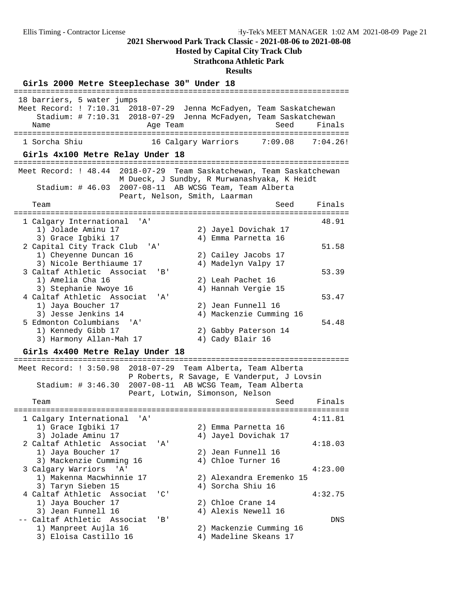**Hosted by Capital City Track Club**

#### **Strathcona Athletic Park**

**Results**

**Girls 2000 Metre Steeplechase 30" Under 18** ========================================================================= 18 barriers, 5 water jumps Meet Record: ! 7:10.31 2018-07-29 Jenna McFadyen, Team Saskatchewan Stadium: # 7:10.31 2018-07-29 Jenna McFadyen, Team Saskatchewan Name **Age Team** Age Team Seed Finals ========================================================================= 16 Calgary Warriors 7:09.08 7:04.26! **Girls 4x100 Metre Relay Under 18** ========================================================================= Meet Record: ! 48.44 2018-07-29 Team Saskatchewan, Team Saskatchewan M Dueck, J Sundby, R Murwanashyaka, K Heidt Stadium: # 46.03 2007-08-11 AB WCSG Team, Team Alberta Peart, Nelson, Smith, Laarman Team Seed Finals ========================================================================= 1 Calgary International 'A' 48.91 1) Jolade Aminu 17 2) Jayel Dovichak 17 3) Grace Igbiki 17 4) Emma Parnetta 16 2 Capital City Track Club 'A'  $\frac{1}{2}$  Capital City Track Club 'A' 51.58<br>1) Cailey Jacobs 17 1) Cheyenne Duncan 16 2) Cailey Jacobs 17 3) Nicole Berthiaume 17 4) Madelyn Valpy 17 3 Caltaf Athletic Associat 'B' 53.39 1) Amelia Cha 16 2) Leah Pachet 16 3) Stephanie Nwoye 16  $\hskip1cm \hskip1cm 4$ ) Hannah Vergie 15 4 Caltaf Athletic Associat 'A' 53.47 1) Jaya Boucher 17 2) Jean Funnell 16 3) Jesse Jenkins 14 4) Mackenzie Cumming 16 5 Edmonton Columbians 11<br>5 Edmonton Columbians 'A' 54.48 1) Kennedy Gibb 17 2) Gabby Paterson 14 3) Harmony Allan-Mah 17 (4) Cady Blair 16 **Girls 4x400 Metre Relay Under 18** ========================================================================= Meet Record: ! 3:50.98 2018-07-29 Team Alberta, Team Alberta P Roberts, R Savage, E Vanderput, J Lovsin Stadium: # 3:46.30 2007-08-11 AB WCSG Team, Team Alberta Peart, Lotwin, Simonson, Nelson Team Seed Finals ========================================================================= 1 Calgary International 'A' 4:11.81 1) Grace Igbiki 17 3) Jolade Aminu 17 4) Jayel Dovichak 17 2 Caltaf Athletic Associat 'A' 4:18.03 1) Jaya Boucher 17 2) Jean Funnell 16 dical forms of the control of the control of the control of the control of the control of the control of the c<br>3) Mackenzie Cumming 16 (4) Chloe Turner 16 3 Calgary Warriors 'A' 4:23.00 1) Makenna Macwhinnie 17 2) Alexandra Eremenko 15 3) Taryn Sieben 15 4) Sorcha Shiu 16 4 Caltaf Athletic Associat 'C' 4:32.75 1) Jaya Boucher 17 2) Chloe Crane 14 3) Jean Funnell 16 4) Alexis Newell 16 -- Caltaf Athletic Associat 'B' DNS<br>1) Manpreet Aujla 16 2) Mackenzie Cumming 16<br>3) Eloisa Castillo 16 4) Madeline Skeans 17 1) Manpreet Aujla 16 2) Mackenzie Cumming 16 3) Eloisa Castillo 16 4) Madeline Skeans 17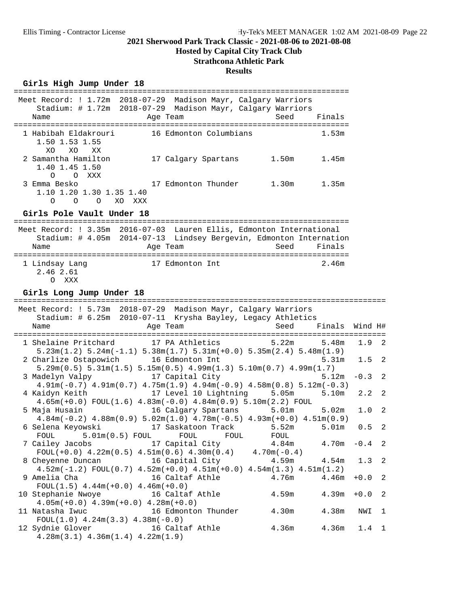## **Hosted by Capital City Track Club**

## **Strathcona Athletic Park**

## **Results**

## Girls High Jump Under 18

|                                                                             | Meet Record: ! 1.72m 2018-07-29 Madison Mayr, Calgary Warriors<br>Stadium: # 1.72m 2018-07-29 Madison Mayr, Calgary Warriors                           |                   |                   |         |                |
|-----------------------------------------------------------------------------|--------------------------------------------------------------------------------------------------------------------------------------------------------|-------------------|-------------------|---------|----------------|
| Name                                                                        | Age Team                                                                                                                                               | Seed              | Finals            |         |                |
| 1 Habibah Eldakrouri<br>1.50 1.53 1.55<br>XO<br>XO.<br>XX                   | 16 Edmonton Columbians                                                                                                                                 |                   | 1.53m             |         |                |
| 2 Samantha Hamilton<br>1.40 1.45 1.50<br>$\Omega$<br>O XXX                  | 17 Calgary Spartans 1.50m                                                                                                                              |                   | 1.45m             |         |                |
| 3 Emma Besko<br>1.10 1.20 1.30 1.35 1.40<br>$\Omega$<br>$\circ$<br>$\Omega$ | 17 Edmonton Thunder<br>XO XXX                                                                                                                          | 1.30m             | 1.35m             |         |                |
| Girls Pole Vault Under 18                                                   |                                                                                                                                                        |                   |                   |         |                |
| Name                                                                        | Meet Record: ! 3.35m 2016-07-03 Lauren Ellis, Edmonton International<br>Stadium: # 4.05m 2014-07-13 Lindsey Bergevin, Edmonton Internation<br>Age Team | Seed              | Finals            |         |                |
| 1 Lindsay Lang<br>2.46 2.61<br>O XXX                                        | 17 Edmonton Int                                                                                                                                        |                   | 2.46m             |         |                |
| Girls Long Jump Under 18                                                    |                                                                                                                                                        |                   |                   |         |                |
|                                                                             | Meet Record: ! 5.73m 2018-07-29 Madison Mayr, Calgary Warriors<br>Stadium: # 6.25m 2010-07-11 Krysha Bayley, Legacy Athletics                          |                   |                   |         |                |
| Name                                                                        | Age Team                                                                                                                                               | Seed              | Finals            | Wind H# |                |
| 1 Shelaine Pritchard                                                        | 17 PA Athletics<br>$5.23m(1.2)$ $5.24m(-1.1)$ $5.38m(1.7)$ $5.31m(+0.0)$ $5.35m(2.4)$ $5.48m(1.9)$                                                     | 5.22m             | 5.48m             | 1.9     | $\overline{2}$ |
| 2 Charlize Ostapowich                                                       | 16 Edmonton Int<br>$5.29\text{m}(0.5)$ $5.31\text{m}(1.5)$ $5.15\text{m}(0.5)$ $4.99\text{m}(1.3)$ $5.10\text{m}(0.7)$ $4.99\text{m}(1.7)$             |                   | 5.31 <sub>m</sub> | 1.5     | $\overline{2}$ |
|                                                                             | 3 Madelyn Valpy 17 Capital City<br>$4.91m(-0.7)$ $4.91m(0.7)$ $4.75m(1.9)$ $4.94m(-0.9)$ $4.58m(0.8)$ $5.12m(-0.3)$                                    |                   | 5.12m             | $-0.3$  | $\overline{c}$ |
| 4 Kaidyn Keith                                                              | 17 Level 10 Lightning<br>$4.65m(+0.0)$ FOUL $(1.6)$ $4.83m(-0.0)$ $4.84m(0.9)$ $5.10m(2.2)$ FOUL                                                       | 5.05m             | 5.10m             | 2.2     | $\overline{2}$ |
| 5 Maja Husain                                                               | 16 Calgary Spartans<br>$4.84m(-0.2)$ $4.88m(0.9)$ $5.02m(1.0)$ $4.78m(-0.5)$ $4.93m(+0.0)$ $4.51m(0.9)$                                                | 5.01 <sub>m</sub> | 5.02m             | 1.0     | $\overline{c}$ |
|                                                                             |                                                                                                                                                        |                   |                   |         |                |
|                                                                             | 6 Selena Keyowski                   17 Saskatoon Track                                                                                                 | 5.52m             | 5.01 <sub>m</sub> | 0.5     | $\overline{2}$ |
| ${\tt FOUL}$<br>7 Cailey Jacobs                                             | $5.01m(0.5)$ FOUL FOUL<br>FOUL<br>17 Capital City                                                                                                      | FOUL<br>4.84m     | $4.70m - 0.4$ 2   |         |                |
| 8 Cheyenne Duncan                                                           | $FOUL(+0.0)$ 4.22m(0.5) 4.51m(0.6) 4.30m(0.4) 4.70m(-0.4)<br>16 Capital City                                                                           | 4.59m             | 4.54m             | 1.3     | $\overline{c}$ |
| 9 Amelia Cha                                                                | $4.52m(-1.2)$ FOUL $(0.7)$ $4.52m(+0.0)$ $4.51m(+0.0)$ $4.54m(1.3)$ $4.51m(1.2)$<br>16 Caltaf Athle                                                    | 4.76m             | 4.46m             | $+0.0$  | $\overline{c}$ |
| $FOUL(1.5)$ 4.44m(+0.0) 4.46m(+0.0)<br>10 Stephanie Nwoye                   | 16 Caltaf Athle                                                                                                                                        | 4.59m             | 4.39m             | $+0.0$  | $\overline{c}$ |
| 11 Natasha Iwuc<br>$FOUL(1.0)$ 4.24m $(3.3)$ 4.38m $(-0.0)$                 | $4.05m(+0.0)$ $4.39m(+0.0)$ $4.28m(+0.0)$<br>16 Edmonton Thunder                                                                                       | 4.30 <sub>m</sub> | 4.38m             | NWI     | $\mathbf{1}$   |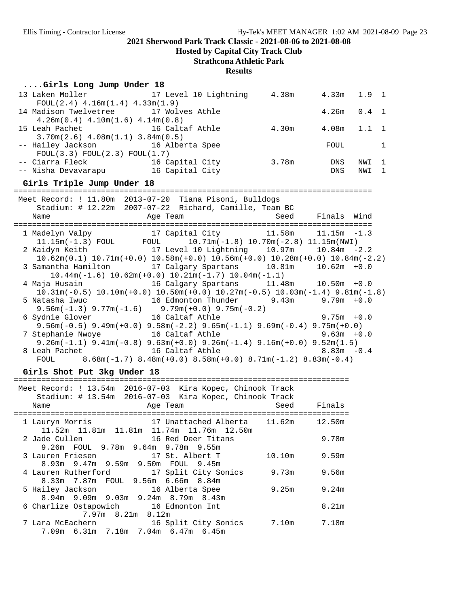**Hosted by Capital City Track Club**

## **Strathcona Athletic Park**

**Results**

### **....Girls Long Jump Under 18**

| 13 Laken Moller 17 Level 10 Lightning        |                 | 4.38m | $4.33m$ $1.9$ 1 |     |                |
|----------------------------------------------|-----------------|-------|-----------------|-----|----------------|
| $FOUL(2.4)$ 4.16m(1.4) 4.33m(1.9)            |                 |       |                 |     |                |
| 14 Madison Twelvetree 17 Wolves Athle        |                 |       | $4.26m$ 0.4 1   |     |                |
| $4.26m(0.4)$ $4.10m(1.6)$ $4.14m(0.8)$       |                 |       |                 |     |                |
| 15 Leah Pachet 16 Caltaf Athle               |                 | 4.30m | $4.08m$ $1.1$ 1 |     |                |
| $3.70$ m $(2.6)$ 4.08m $(1.1)$ 3.84m $(0.5)$ |                 |       |                 |     |                |
| -- Hailey Jackson 16 Alberta Spee            |                 |       | FOUL            |     |                |
| FOUL(3.3) FOUL(2.3) FOUL(1.7)                |                 |       |                 |     |                |
| -- Ciarra Fleck                              | 16 Capital City | 3.78m | DNS             | NWI | $\mathbf{1}$   |
| -- Nisha Devavarapu                          | 16 Capital City |       | <b>DNS</b>      | NWI | $\overline{1}$ |

**Girls Triple Jump Under 18** ============================================================================== Meet Record: ! 11.80m 2013-07-20 Tiana Pisoni, Bulldogs

|      | MEEL RECUIU: ; II.OUM ZUIJ-07-ZU TIANA PISUNI, BUIIUOYS                                                                            |  |  |
|------|------------------------------------------------------------------------------------------------------------------------------------|--|--|
|      | Stadium: $\#$ 12.22m 2007-07-22 Richard, Camille, Team BC                                                                          |  |  |
| Name | Age Team and Seed Finals Wind                                                                                                      |  |  |
|      |                                                                                                                                    |  |  |
|      | 1 Madelyn Valpy 17 Capital City 11.58m 11.15m -1.3                                                                                 |  |  |
|      | $11.15m(-1.3)$ FOUL FOUL $10.71m(-1.8)$ $10.70m(-2.8)$ $11.15m(NWI)$                                                               |  |  |
|      | 2 Kaidyn Keith 17 Level 10 Lightning 10.97m 10.84m -2.2                                                                            |  |  |
|      | $10.62m(0.1)$ $10.71m(+0.0)$ $10.58m(+0.0)$ $10.56m(+0.0)$ $10.28m(+0.0)$ $10.84m(-2.2)$                                           |  |  |
|      | 3 Samantha Hamilton 17 Calgary Spartans 10.81m 10.62m +0.0                                                                         |  |  |
|      | $10.44$ m( $-1.6$ ) $10.62$ m( $+0.0$ ) $10.21$ m( $-1.7$ ) $10.04$ m( $-1.1$ )                                                    |  |  |
|      | 4 Maja Husain $16$ Calgary Spartans $11.48$ m $10.50$ m +0.0                                                                       |  |  |
|      | $10.31\text{m}(-0.5)$ $10.10\text{m}(+0.0)$ $10.50\text{m}(+0.0)$ $10.27\text{m}(-0.5)$ $10.03\text{m}(-1.4)$ $9.81\text{m}(-1.8)$ |  |  |
|      | 5 Natasha Iwuc                 16 Edmonton Thunder         9.43m       9.79m +0.0                                                  |  |  |
|      | $9.56m(-1.3)$ $9.77m(-1.6)$ $9.79m(+0.0)$ $9.75m(-0.2)$                                                                            |  |  |
|      | 6 Sydnie Glover 16 Caltaf Athle 5 9.75m +0.0                                                                                       |  |  |
|      | $9.56$ m( $-0.5$ ) $9.49$ m( $+0.0$ ) $9.58$ m( $-2.2$ ) $9.65$ m( $-1.1$ ) $9.69$ m( $-0.4$ ) $9.75$ m( $+0.0$ )                  |  |  |
|      | 7 Stephanie Nwoye 16 Caltaf Athle 5 16 30 10 10 10 10 10 10 11 12 13 14 15 16 20 17 18 19 19 10 10 1                               |  |  |
|      | $9.26m(-1.1)$ $9.41m(-0.8)$ $9.63m(+0.0)$ $9.26m(-1.4)$ $9.16m(+0.0)$ $9.52m(1.5)$                                                 |  |  |
|      | 8 Leah Pachet 16 Caltaf Athle 8.83m -0.4                                                                                           |  |  |
|      | FOUL $8.68\text{m}(-1.7)$ $8.48\text{m}(+0.0)$ $8.58\text{m}(+0.0)$ $8.71\text{m}(-1.2)$ $8.83\text{m}(-0.4)$                      |  |  |

#### Girls Shot Put 3kg Under 18

| Meet Record: ! 13.54m 2016-07-03 Kira Kopec, Chinook Track   |        |        |
|--------------------------------------------------------------|--------|--------|
| Stadium: # 13.54m 2016-07-03 Kira Kopec, Chinook Track       |        |        |
| Name<br>Age Team                                             | Seed   | Finals |
|                                                              |        |        |
| 17 Unattached Alberta 11.62m<br>1 Lauryn Morris              |        | 12.50m |
|                                                              |        |        |
| 11.52m  11.81m  11.81m  11.74m  11.76m  12.50m               |        |        |
| 16 Red Deer Titans<br>2 Jade Cullen                          |        | 9.78m  |
| 9.26m FOUL 9.78m 9.64m 9.78m 9.55m                           |        |        |
| 3 Lauren Friesen 17 St. Albert T                             | 10.10m | 9.59m  |
| 8.93m 9.47m 9.59m 9.50m FOUL<br>9.45m                        |        |        |
| 4 Lauren Rutherford 17 Split City Sonics                     | 9.73m  | 9.56m  |
| 8.33m 7.87m FOUL 9.56m 6.66m 8.84m                           |        |        |
|                                                              |        |        |
| 5 Hailey Jackson                             16 Alberta Spee | 9.25m  | 9.24m  |
| 8.94 m 9.09 m 9.03 m 9.24 m 8.79 m 8.43 m                    |        |        |
| 6 Charlize Ostapowich 16 Edmonton Int                        |        | 8.21m  |
| $7.97m$ 8.21m 8.12m                                          |        |        |
| 7 Lara McEachern 16 Split City Sonics 7.10m                  |        | 7.18m  |
|                                                              |        |        |
| 7.09m 6.31m 7.18m 7.04m 6.47m 6.45m                          |        |        |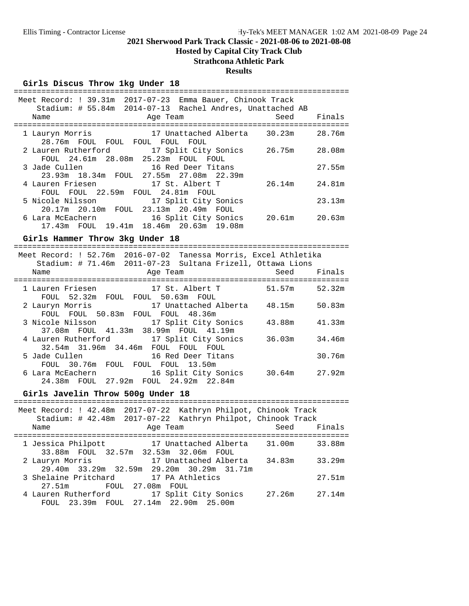## **Hosted by Capital City Track Club**

## **Strathcona Athletic Park**

## **Results**

## Girls Discus Throw 1kg Under 18

| ----------------------                                                                      |        |
|---------------------------------------------------------------------------------------------|--------|
| Meet Record: ! 39.31m 2017-07-23 Emma Bauer, Chinook Track                                  |        |
| Stadium: # 55.84m 2014-07-13 Rachel Andres, Unattached AB                                   |        |
| Seed<br>Name<br>Age Team                                                                    | Finals |
| ==================================<br>====================================                  |        |
| 1 Lauryn Morris 17 Unattached Alberta 30.23m 28.76m                                         |        |
| 28.76m FOUL FOUL FOUL FOUL FOUL                                                             |        |
| 2 Lauren Rutherford 17 Split City Sonics 26.75m 28.08m                                      |        |
| FOUL 24.61m 28.08m 25.23m FOUL FOUL                                                         |        |
| 16 Red Deer Titans<br>3 Jade Cullen                                                         | 27.55m |
| 23.93m 18.34m FOUL 27.55m 27.08m 22.39m                                                     |        |
| 4 Lauren Friesen 17 St. Albert T 26.14m                                                     | 24.81m |
| FOUL FOUL 22.59m FOUL 24.81m FOUL                                                           |        |
|                                                                                             | 23.13m |
| 5 Nicole Nilsson 17 Split City Sonics<br>20.17m 20.10m FOUL 23.13m 20.49m FOUL              |        |
| 6 Lara McEachern 16 Split City Sonics 20.61m 20.63m                                         |        |
| 17.43m FOUL 19.41m 18.46m 20.63m 19.08m                                                     |        |
|                                                                                             |        |
| Girls Hammer Throw 3kg Under 18                                                             |        |
|                                                                                             |        |
|                                                                                             |        |
| Meet Record: ! 52.76m 2016-07-02 Tanessa Morris, Excel Athletika                            |        |
| Stadium: # 71.46m 2011-07-23 Sultana Frizell, Ottawa Lions                                  |        |
| Age Team and Seed Finals<br>Name                                                            |        |
|                                                                                             |        |
| 1 Lauren Friesen 17 St. Albert T 51.57m                                                     | 52.32m |
| FOUL 52.32m FOUL FOUL 50.63m FOUL                                                           |        |
| 2 Lauryn Morris 17 Unattached Alberta 48.15m 50.83m                                         |        |
| FOUL FOUL 50.83m FOUL FOUL 48.36m                                                           |        |
| 3 Nicole Nilsson                     17 Split City Sonics<br>43.88m                         | 41.33m |
| 37.08m FOUL 41.33m 38.99m FOUL 41.19m                                                       |        |
| 4 Lauren Rutherford 17 Split City Sonics<br>36.03m                                          | 34.46m |
| 32.54m 31.96m 34.46m FOUL FOUL FOUL                                                         |        |
| 5 Jade Cullen<br>16 Red Deer Titans                                                         | 30.76m |
| FOUL 30.76m FOUL FOUL FOUL 13.50m                                                           |        |
| 6 Lara McEachern<br>16 Split City Sonics<br>30.64m<br>24.38m FOUL 27.92m FOUL 24.92m 22.84m | 27.92m |

# **Girls Javelin Throw 500g Under 18** =========================================================================

| Meet Record: ! 42.48m 2017-07-22 Kathryn Philpot, Chinook Track |                                           |                       |  | Stadium: # 42.48m 2017-07-22 Kathryn Philpot, Chinook Track |        |
|-----------------------------------------------------------------|-------------------------------------------|-----------------------|--|-------------------------------------------------------------|--------|
| Name                                                            |                                           | Age Team              |  | Seed                                                        | Finals |
| 1 Jessica Philpott 17 Unattached Alberta 31.00m                 | 33.88m FOUL 32.57m 32.53m 32.06m FOUL     |                       |  |                                                             | 33.88m |
| 2 Lauryn Morris                                                 | 29.40m 33.29m 32.59m 29.20m 30.29m 31.71m | 17 Unattached Alberta |  | 34.83m                                                      | 33.29m |
| 3 Shelaine Pritchard 17 PA Athletics<br>27.51m                  |                                           | FOUL 27.08m FOUL      |  |                                                             | 27.51m |
| 4 Lauren Rutherford 17 Split City Sonics                        | FOUL 23.39m FOUL 27.14m 22.90m 25.00m     |                       |  | 27.26m                                                      | 27.14m |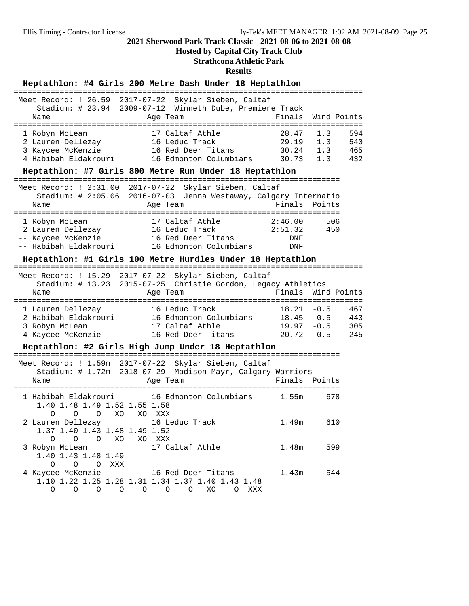## **Hosted by Capital City Track Club**

## **Strathcona Athletic Park**

| Heptathlon: #4 Girls 200 Metre Dash Under 18 Heptathlon                                                                                                                                            |                           |                          |                          |
|----------------------------------------------------------------------------------------------------------------------------------------------------------------------------------------------------|---------------------------|--------------------------|--------------------------|
| Meet Record: ! 26.59<br>2017-07-22 Skylar Sieben, Caltaf<br>Stadium: # 23.94 2009-07-12 Winneth Dube, Premiere Track<br>Name<br>Age Team                                                           | Finals                    | Wind Points              |                          |
| 17 Caltaf Athle<br>1 Robyn McLean<br>2 Lauren Dellezay 16 Leduc Track<br>29.19<br>16 Red Deer Titans 30.24<br>3 Kaycee McKenzie<br>4 Habibah Eldakrouri<br>16 Edmonton Columbians 30.73            | 28.47                     | 1.3<br>1.3<br>1.3<br>1.3 | 594<br>540<br>465<br>432 |
| Heptathlon: #7 Girls 800 Metre Run Under 18 Heptathlon                                                                                                                                             |                           |                          |                          |
| Meet Record: ! 2:31.00 2017-07-22 Skylar Sieben, Caltaf<br>Stadium: # 2:05.06 2016-07-03 Jenna Westaway, Calgary Internatio<br>Age Team<br>Name                                                    | Finals                    | Points                   |                          |
| 17 Caltaf Athle<br>1 Robyn McLean<br>2.40.00<br>2 Lauren Dellezay 16 Leduc Track 2:51.32<br>-- Kaycee McKenzie 16 Red Deer Titans DNF<br>-- Habibah Eldakrouri 16 Edmonton Columbians              | 2:46.00<br>DNF            | 506<br>450               |                          |
| Heptathlon: #1 Girls 100 Metre Hurdles Under 18 Heptathlon                                                                                                                                         |                           |                          |                          |
| Meet Record: ! 15.29 2017-07-22 Skylar Sieben, Caltaf<br>Stadium: # 13.23 2015-07-25 Christie Gordon, Legacy Athletics<br>Name<br>Age Team                                                         | Finals                    | Wind Points              |                          |
| 1 Lauren Dellezay 16 Leduc Track 18.21 -0.5<br>2 Habibah Eldakrouri 16 Edmonton Columbians 18.45 -0.5<br>17 Caltaf Athle<br>3 Robyn McLean<br>16 Red Deer Titans $20.72 -0.5$<br>4 Kaycee McKenzie |                           | $19.97 - 0.5$            | 467<br>443<br>305<br>245 |
| Heptathlon: #2 Girls High Jump Under 18 Heptathlon                                                                                                                                                 | ------------------------- |                          |                          |
| Meet Record: ! 1.59m 2017-07-22 Skylar Sieben, Caltaf<br>Stadium: # 1.72m 2018-07-29 Madison Mayr, Calgary Warriors<br>Age Team<br>Name                                                            | Finals                    | Points                   |                          |
| 1 Habibah Eldakrouri 16 Edmonton Columbians<br>1.40 1.48 1.49 1.52 1.55 1.58<br>$\circ$ $\circ$<br>XO XO XXX<br>0                                                                                  | 1.55m                     | 678                      |                          |
| 2 Lauren Dellezay 16 Leduc Track<br>1.37 1.40 1.43 1.48 1.49 1.52<br>O O O XO XO XXX                                                                                                               | 1.49m                     | 610                      |                          |
| 17 Caltaf Athle<br>3 Robyn McLean<br>1.40 1.43 1.48 1.49<br>O O O XXX                                                                                                                              | 1.48m                     | 599                      |                          |
| 16 Red Deer Titans<br>4 Kaycee McKenzie<br>1.10 1.22 1.25 1.28 1.31 1.34 1.37 1.40 1.43 1.48<br>$0\qquad 0\qquad 0\qquad 0\qquad 0\qquad 0\qquad 0\qquad \text{X0}\qquad 0\quad \text{XXX}$        | 1.43m                     | 544                      |                          |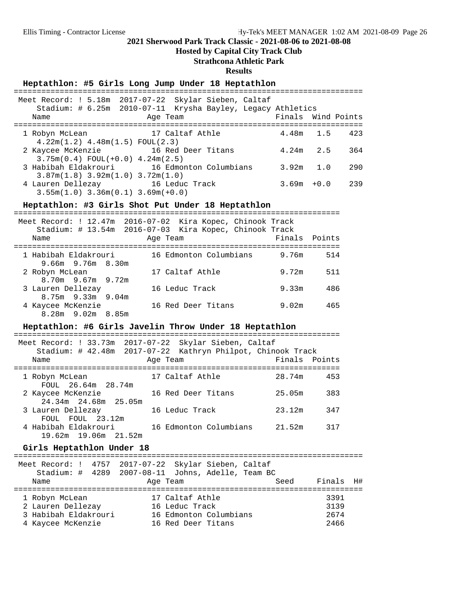## **Hosted by Capital City Track Club**

## **Strathcona Athletic Park**

## **Results**

## Heptathlon: #5 Girls Long Jump Under 18 Heptathlon

|                                          | Meet Record: ! 5.18m 2017-07-22 Skylar Sieben, Caltaf<br>Stadium: # 6.25m 2010-07-11 Krysha Bayley, Legacy Athletics |                    |                     |
|------------------------------------------|----------------------------------------------------------------------------------------------------------------------|--------------------|---------------------|
| Name                                     | Age Team                                                                                                             | Finals Wind Points |                     |
|                                          |                                                                                                                      |                    |                     |
| 1 Robyn McLean                           | 17 Caltaf Athle                                                                                                      |                    | $4.48m$ $1.5$ $423$ |
| $4.22m(1.2)$ $4.48m(1.5)$ FOUL(2.3)      |                                                                                                                      |                    |                     |
| 2 Kaycee McKenzie 3 16 Red Deer Titans   |                                                                                                                      | $4.24m$ 2.5        | 364                 |
| $3.75m(0.4)$ FOUL $(+0.0)$ 4.24m $(2.5)$ |                                                                                                                      |                    |                     |
|                                          | 3 Habibah Eldakrouri 16 Edmonton Columbians                                                                          | $3.92m$ 1.0        | 290                 |
| $3.87m(1.8)$ $3.92m(1.0)$ $3.72m(1.0)$   |                                                                                                                      |                    |                     |
| 4 Lauren Dellezay 16 Leduc Track         |                                                                                                                      | $3.69m + 0.0$      | 239                 |
| $3.55m(1.0)$ $3.36m(0.1)$ $3.69m(+0.0)$  |                                                                                                                      |                    |                     |

#### Heptathlon: #3 Girls Shot Put Under 18 Heptathlon

| Meet Record: ! 12.47m 2016-07-02 Kira Kopec, Chinook Track | Stadium: # 13.54m 2016-07-03 Kira Kopec, Chinook Track |               |     |
|------------------------------------------------------------|--------------------------------------------------------|---------------|-----|
| Name                                                       | Age Team                                               | Finals Points |     |
|                                                            |                                                        |               |     |
| 1 Habibah Eldakrouri                                       | 16 Edmonton Columbians                                 | 9.76m         | 514 |
| $9.66m$ $9.76m$ $8.30m$                                    |                                                        |               |     |
| 2 Robyn McLean                                             | 17 Caltaf Athle                                        | 9.72m         | 511 |
| $8.70m$ 9.67m 9.72m                                        |                                                        |               |     |
| 3 Lauren Dellezay                                          | 16 Leduc Track                                         | 9.33m         | 486 |
| $8.75m$ 9.33m 9.04m                                        |                                                        |               |     |
| 4 Kaycee McKenzie                                          | 16 Red Deer Titans                                     | 9.02m         | 465 |
| $8.28m$ 9.02m $8.85m$                                      |                                                        |               |     |

#### Heptathlon: #6 Girls Javelin Throw Under 18 Heptathlon

| Meet Record: ! 33.73m 2017-07-22 Skylar Sieben, Caltaf      |          |                        |               |     |
|-------------------------------------------------------------|----------|------------------------|---------------|-----|
| Stadium: # 42.48m 2017-07-22 Kathryn Philpot, Chinook Track |          |                        |               |     |
| Name                                                        | Age Team |                        | Finals Points |     |
|                                                             |          |                        |               |     |
| 1 Robyn McLean                                              |          | 17 Caltaf Athle        | 28.74m        | 453 |
| FOUL 26.64m 28.74m                                          |          |                        |               |     |
| 2 Kaycee McKenzie                                           |          | 16 Red Deer Titans     | 25.05m        | 383 |
| 24.34m 24.68m 25.05m                                        |          |                        |               |     |
| 3 Lauren Dellezay                                           |          | 16 Leduc Track         | 23.12m        | 347 |
| FOUL FOUL 23.12m                                            |          |                        |               |     |
| 4 Habibah Eldakrouri                                        |          | 16 Edmonton Columbians | 21.52m        | 317 |
| 19.62m 19.06m 21.52m                                        |          |                        |               |     |
|                                                             |          |                        |               |     |

#### Girls Heptathlon Under 18

| Name                                                                             | Meet Record: ! 4757 2017-07-22 Skylar Sieben, Caltaf<br>Stadium: # 4289 2007-08-11 Johns, Adelle, Team BC<br>Age Team | Seed | Finals H#                    |
|----------------------------------------------------------------------------------|-----------------------------------------------------------------------------------------------------------------------|------|------------------------------|
| 1 Robyn McLean<br>2 Lauren Dellezay<br>3 Habibah Eldakrouri<br>4 Kaycee McKenzie | 17 Caltaf Athle<br>16 Leduc Track<br>16 Edmonton Columbians<br>16 Red Deer Titans                                     |      | 3391<br>3139<br>2674<br>2466 |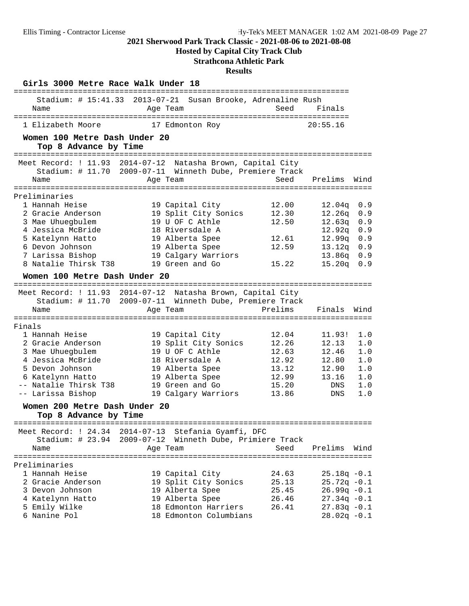**Hosted by Capital City Track Club**

## **Strathcona Athletic Park**

| Girls 3000 Metre Race Walk Under 18                |                                                                                                                         |                |                  |            |
|----------------------------------------------------|-------------------------------------------------------------------------------------------------------------------------|----------------|------------------|------------|
| Name                                               | =====================<br>Stadium: # 15:41.33 2013-07-21 Susan Brooke, Adrenaline Rush<br>Age Team                       | Seed           | Finals           |            |
| 1 Elizabeth Moore<br>Women 100 Metre Dash Under 20 | 17 Edmonton Roy                                                                                                         |                | 20:55.16         |            |
| Top 8 Advance by Time                              |                                                                                                                         |                |                  |            |
|                                                    | Meet Record: ! 11.93 2014-07-12 Natasha Brown, Capital City<br>Stadium: # 11.70 2009-07-11 Winneth Dube, Premiere Track |                |                  |            |
| Name                                               | Age Team                                                                                                                | Seed           | Prelims          | Wind       |
| Preliminaries                                      |                                                                                                                         |                |                  |            |
| 1 Hannah Heise<br>2 Gracie Anderson                | 19 Capital City<br>19 Split City Sonics                                                                                 | 12.00<br>12.30 | 12.04q<br>12.26q | 0.9<br>0.9 |
| 3 Mae Uhuegbulem                                   | 19 U OF C Athle                                                                                                         | 12.50          | 12.63q           | 0.9        |
| 4 Jessica McBride                                  | 18 Riversdale A                                                                                                         |                | 12.92q           | 0.9        |
| 5 Katelynn Hatto                                   | 19 Alberta Spee                                                                                                         | 12.61          | 12.99q           | 0.9        |
| 6 Devon Johnson                                    | 19 Alberta Spee                                                                                                         | 12.59          | 13.12q           | 0.9        |
| 7 Larissa Bishop                                   | 19 Calgary Warriors                                                                                                     |                | 13.86q           | 0.9        |
| 8 Natalie Thirsk T38                               | 19 Green and Go                                                                                                         | 15.22          | 15.20q           | 0.9        |
| Women 100 Metre Dash Under 20                      |                                                                                                                         |                |                  |            |
|                                                    | Meet Record: ! 11.93 2014-07-12 Natasha Brown, Capital City<br>Stadium: # 11.70 2009-07-11 Winneth Dube, Premiere Track |                |                  |            |
| Name                                               | Age Team                                                                                                                | Prelims        | Finals           | Wind       |
|                                                    |                                                                                                                         |                |                  |            |
| Finals                                             |                                                                                                                         |                |                  |            |
| 1 Hannah Heise<br>2 Gracie Anderson                | 19 Capital City<br>19 Split City Sonics                                                                                 | 12.04<br>12.26 | 11.93!<br>12.13  | 1.0<br>1.0 |
| 3 Mae Uhuegbulem                                   | 19 U OF C Athle                                                                                                         | 12.63          | 12.46            | 1.0        |
| 4 Jessica McBride                                  | 18 Riversdale A                                                                                                         | 12.92          | 12.80            | 1.0        |
| 5 Devon Johnson                                    | 19 Alberta Spee                                                                                                         | 13.12          | 12.90            | 1.0        |
| 6 Katelynn Hatto                                   | 19 Alberta Spee                                                                                                         | 12.99          | 13.16            | 1.0        |
| -- Natalie Thirsk T38                              | 19 Green and Go                                                                                                         | 15.20          | <b>DNS</b>       | 1.0        |
| -- Larissa Bishop                                  | 19 Calgary Warriors                                                                                                     | 13.86          | <b>DNS</b>       | 1.0        |
| Women 200 Metre Dash Under 20                      |                                                                                                                         |                |                  |            |
| Top 8 Advance by Time                              |                                                                                                                         |                |                  |            |
|                                                    |                                                                                                                         |                |                  |            |
|                                                    | Meet Record: ! 24.34 2014-07-13 Stefania Gyamfi, DFC<br>Stadium: # 23.94 2009-07-12 Winneth Dube, Primiere Track        |                |                  |            |
| Name                                               | Age Team                                                                                                                | Seed           | Prelims          | Wind       |
| Preliminaries                                      |                                                                                                                         |                |                  |            |
| 1 Hannah Heise                                     | 19 Capital City                                                                                                         | 24.63          | $25.18q - 0.1$   |            |
| 2 Gracie Anderson                                  | 19 Split City Sonics                                                                                                    | 25.13          | $25.72q - 0.1$   |            |
| 3 Devon Johnson                                    | 19 Alberta Spee                                                                                                         | 25.45          | $26.99q -0.1$    |            |
| 4 Katelynn Hatto                                   | 19 Alberta Spee                                                                                                         | 26.46          | $27.34q - 0.1$   |            |
| 5 Emily Wilke                                      | 18 Edmonton Harriers                                                                                                    | 26.41          | $27.83q - 0.1$   |            |
| 6 Nanine Pol                                       | 18 Edmonton Columbians                                                                                                  |                | $28.02q - 0.1$   |            |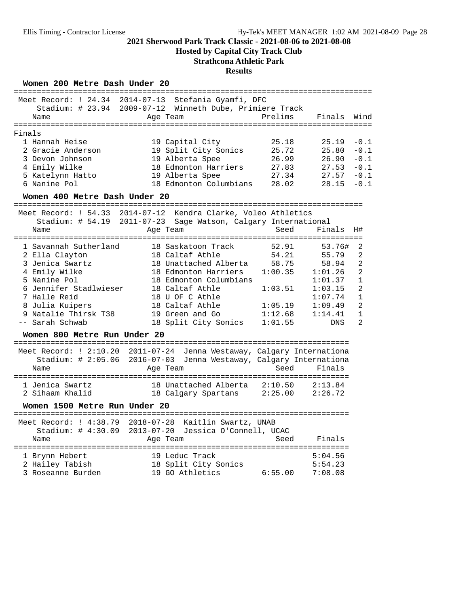**Hosted by Capital City Track Club**

## **Strathcona Athletic Park**

| Women 200 Metre Dash Under 20                                                                                                                                                                       |                                                                                                                                                                                                                      |                                                                                |                                                                                                          |                                                                                                                                     |
|-----------------------------------------------------------------------------------------------------------------------------------------------------------------------------------------------------|----------------------------------------------------------------------------------------------------------------------------------------------------------------------------------------------------------------------|--------------------------------------------------------------------------------|----------------------------------------------------------------------------------------------------------|-------------------------------------------------------------------------------------------------------------------------------------|
| Meet Record: ! 24.34 2014-07-13<br>Name                                                                                                                                                             | Stefania Gyamfi, DFC<br>Stadium: # 23.94 2009-07-12 Winneth Dube, Primiere Track<br>Age Team                                                                                                                         | Prelims                                                                        | Finals                                                                                                   | Wind                                                                                                                                |
| Finals<br>1 Hannah Heise<br>2 Gracie Anderson<br>3 Devon Johnson<br>4 Emily Wilke<br>5 Katelynn Hatto<br>6 Nanine Pol<br>Women 400 Metre Dash Under 20                                              | 19 Capital City<br>19 Split City Sonics<br>19 Alberta Spee<br>18 Edmonton Harriers<br>19 Alberta Spee<br>18 Edmonton Columbians                                                                                      | 25.18<br>25.72<br>26.99<br>27.83<br>27.34<br>28.02                             | 25.19<br>25.80<br>26.90<br>27.53<br>27.57<br>28.15                                                       | $-0.1$<br>$-0.1$<br>$-0.1$<br>$-0.1$<br>$-0.1$<br>$-0.1$                                                                            |
| Meet Record: $: 54.33$<br>Name                                                                                                                                                                      | 2014-07-12 Kendra Clarke, Voleo Athletics<br>Stadium: # 54.19 2011-07-23 Sage Watson, Calgary International<br>Age Team                                                                                              | Seed                                                                           | Finals                                                                                                   | H#                                                                                                                                  |
| 1 Savannah Sutherland<br>2 Ella Clayton<br>3 Jenica Swartz<br>4 Emily Wilke<br>5 Nanine Pol<br>6 Jennifer Stadlwieser<br>7 Halle Reid<br>8 Julia Kuipers<br>9 Natalie Thirsk T38<br>-- Sarah Schwab | 18 Saskatoon Track<br>18 Caltaf Athle<br>18 Unattached Alberta<br>18 Edmonton Harriers<br>18 Edmonton Columbians<br>18 Caltaf Athle<br>18 U OF C Athle<br>18 Caltaf Athle<br>19 Green and Go<br>18 Split City Sonics | 52.91<br>54.21<br>58.75<br>1:00.35<br>1:03.51<br>1:05.19<br>1:12.68<br>1:01.55 | 53.76#<br>55.79<br>58.94<br>1:01.26<br>1:01.37<br>1:03.15<br>1:07.74<br>1:09.49<br>1:14.41<br><b>DNS</b> | 2<br>$\overline{2}$<br>2<br>2<br>$\mathbf{1}$<br>$\overline{2}$<br>$\mathbf{1}$<br>$\overline{2}$<br>$\mathbf{1}$<br>$\overline{2}$ |
| Women 800 Metre Run Under 20<br>Meet Record: $1, 2:10.20$<br>Stadium: # 2:05.06<br>Name                                                                                                             | $2011 - 07 - 24$<br>Jenna Westaway, Calgary Internationa<br>2016-07-03 Jenna Westaway, Calgary Internationa<br>Age Team                                                                                              | Seed                                                                           | Finals                                                                                                   |                                                                                                                                     |
| 1 Jenica Swartz<br>2 Sihaam Khalid<br>Women 1500 Metre Run Under 20                                                                                                                                 | 18 Unattached Alberta<br>18 Calgary Spartans                                                                                                                                                                         | 2:10.50<br>2:25.00                                                             | 2:13.84<br>2:26.72                                                                                       |                                                                                                                                     |
| Meet Record: $1\,4:38.79$<br>Stadium: $\#$ 4:30.09<br>Name                                                                                                                                          | $2018 - 07 - 28$<br>Kaitlin Swartz, UNAB<br>2013-07-20 Jessica O'Connell, UCAC<br>Age Team                                                                                                                           | Seed                                                                           | Finals                                                                                                   |                                                                                                                                     |
| 1 Brynn Hebert<br>2 Hailey Tabish<br>3 Roseanne Burden                                                                                                                                              | 19 Leduc Track<br>18 Split City Sonics<br>19 GO Athletics                                                                                                                                                            | 6:55.00                                                                        | 5:04.56<br>5:54.23<br>7:08.08                                                                            |                                                                                                                                     |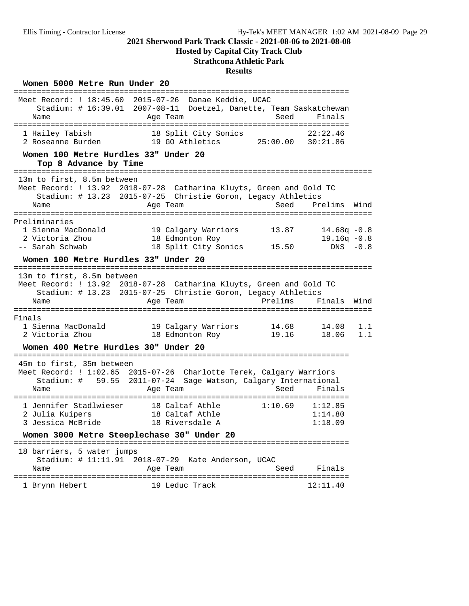## **Hosted by Capital City Track Club**

## **Strathcona Athletic Park**

### **Results**

### Women 5000 Metre Run Under 20

| Meet Record: ! 18:45.60 2015-07-26<br>Name                                                              | Danae Keddie, UCAC<br>Stadium: # 16:39.01 2007-08-11 Doetzel, Danette, Team Saskatchewan<br>Age Team                                            | Seed           | Finals                           |            |
|---------------------------------------------------------------------------------------------------------|-------------------------------------------------------------------------------------------------------------------------------------------------|----------------|----------------------------------|------------|
| 1 Hailey Tabish<br>2 Roseanne Burden                                                                    | 18 Split City Sonics<br>19 GO Athletics                                                                                                         | 25:00.00       | 22:22.46<br>30:21.86             |            |
| Women 100 Metre Hurdles 33" Under 20<br>Top 8 Advance by Time                                           |                                                                                                                                                 |                |                                  |            |
| .====================================<br>13m to first, 8.5m between<br>Name                             | Meet Record: ! 13.92 2018-07-28 Catharina Kluyts, Green and Gold TC<br>Stadium: # 13.23 2015-07-25 Christie Goron, Legacy Athletics<br>Age Team | Seed           | Prelims                          | Wind       |
| ==================                                                                                      |                                                                                                                                                 |                |                                  |            |
| Preliminaries<br>1 Sienna MacDonald<br>2 Victoria Zhou                                                  | 19 Calgary Warriors<br>18 Edmonton Roy                                                                                                          | 13.87          | $14.68q - 0.8$<br>$19.16q - 0.8$ |            |
| -- Sarah Schwab<br>Women 100 Metre Hurdles 33" Under 20                                                 | 18 Split City Sonics                                                                                                                            | 15.50          | $DNS - 0.8$                      |            |
|                                                                                                         |                                                                                                                                                 |                |                                  |            |
| 13m to first, 8.5m between                                                                              | Meet Record: ! 13.92 2018-07-28 Catharina Kluyts, Green and Gold TC<br>Stadium: # 13.23 2015-07-25 Christie Goron, Legacy Athletics             |                |                                  |            |
| Name                                                                                                    | Age Team                                                                                                                                        | Prelims        | Finals                           | Wind       |
| Finals                                                                                                  |                                                                                                                                                 |                |                                  |            |
| 1 Sienna MacDonald<br>2 Victoria Zhou                                                                   | 19 Calgary Warriors<br>18 Edmonton Roy                                                                                                          | 14.68<br>19.16 | 14.08<br>18.06                   | 1.1<br>1.1 |
| Women 400 Metre Hurdles 30" Under 20                                                                    |                                                                                                                                                 |                |                                  |            |
| :============================<br>45m to first, 35m between<br>Stadium: #<br>59.55<br>Name               | Meet Record: ! 1:02.65 2015-07-26 Charlotte Terek, Calgary Warriors<br>$2011 - 07 - 24$<br>Sage Watson, Calgary International<br>Age Team       | Seed           | Finals                           |            |
| _____________________________________<br>1 Jennifer Stadlwieser<br>2 Julia Kuipers<br>3 Jessica McBride | 18 Caltaf Athle<br>18 Caltaf Athle<br>18 Riversdale A                                                                                           | 1:10.69        | 1:12.85<br>1:14.80<br>1:18.09    |            |
| Women 3000 Metre Steeplechase 30" Under 20                                                              |                                                                                                                                                 |                |                                  |            |
| 18 barriers, 5 water jumps<br>Stadium: # 11:11.91 2018-07-29<br>Name                                    | Kate Anderson, UCAC<br>Age Team                                                                                                                 | Seed           | Finals                           |            |
| 1 Brynn Hebert                                                                                          | 19 Leduc Track                                                                                                                                  |                | 12:11.40                         |            |
|                                                                                                         |                                                                                                                                                 |                |                                  |            |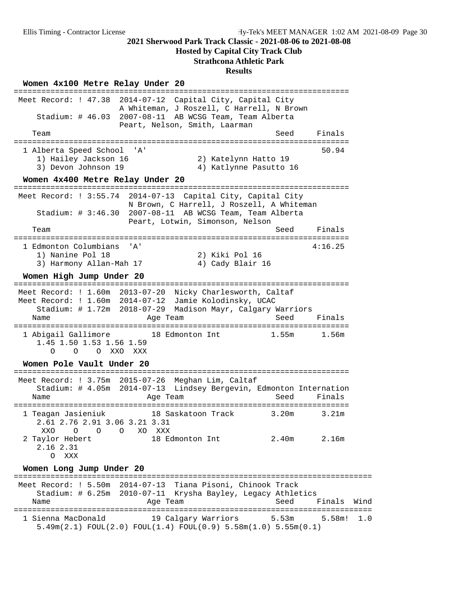#### **Hosted by Capital City Track Club**

#### **Strathcona Athletic Park**

#### **Results**

**Women 4x100 Metre Relay Under 20** ========================================================================= Meet Record: ! 47.38 2014-07-12 Capital City, Capital City A Whiteman, J Roszell, C Harrell, N Brown Stadium: # 46.03 2007-08-11 AB WCSG Team, Team Alberta Peart, Nelson, Smith, Laarman Team Seed Finals ========================================================================= 1 Alberta Speed School 'A' 1) Hailey Jackson 16 2) Katelynn Hatto 19 3) Devon Johnson 19 4) Katlynne Pasutto 16 **Women 4x400 Metre Relay Under 20** ========================================================================= Meet Record: ! 3:55.74 2014-07-13 Capital City, Capital City N Brown, C Harrell, J Roszell, A Whiteman Stadium: # 3:46.30 2007-08-11 AB WCSG Team, Team Alberta Peart, Lotwin, Simonson, Nelson Team Seed Finals ========================================================================= 1 Edmonton Columbians 'A' 4:16.25 1) Nanine Pol 18 2) Kiki Pol 16 3) Harmony Allan-Mah 17 (4) Cady Blair 16 **Women High Jump Under 20** ========================================================================= Meet Record: ! 1.60m 2013-07-20 Nicky Charlesworth, Caltaf Meet Record: ! 1.60m 2014-07-12 Jamie Kolodinsky, UCAC Stadium: # 1.72m 2018-07-29 Madison Mayr, Calgary Warriors Name Age Team Age Team Seed Finals ========================================================================= 1 Abigail Gallimore 18 Edmonton Int 1.45 1.50 1.53 1.56 1.59 O O O XXO XXX **Women Pole Vault Under 20** ========================================================================= Meet Record: ! 3.75m 2015-07-26 Meghan Lim, Caltaf Stadium: # 4.05m 2014-07-13 Lindsey Bergevin, Edmonton Internation Name **Age Team** Age Team Seed Finals ========================================================================= 1 Teagan Jasieniuk 18 Saskatoon Track 3.20m 3.21m 2.61 2.76 2.91 3.06 3.21 3.31 XXO O O O XO XXX<br>2 Taylor Hebert 18 Ec 18 Edmonton Int 2.40m 2.16m 2.16 2.31 O XXX **Women Long Jump Under 20** ============================================================================== Meet Record: ! 5.50m 2014-07-13 Tiana Pisoni, Chinook Track Stadium: # 6.25m 2010-07-11 Krysha Bayley, Legacy Athletics Name **Age Team** Age Team Seed Finals Wind ============================================================================== 1 Sienna MacDonald 19 Calgary Warriors 5.53m 5.58m! 1.0 5.49m(2.1) FOUL(2.0) FOUL(1.4) FOUL(0.9) 5.58m(1.0) 5.55m(0.1)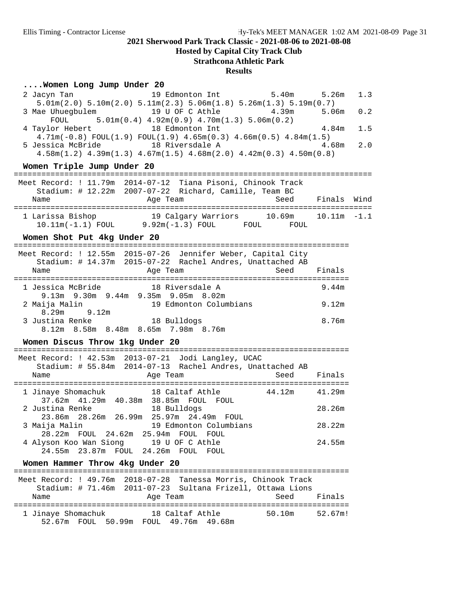**Hosted by Capital City Track Club**

## **Strathcona Athletic Park**

#### **Results**

## **....Women Long Jump Under 20**

| 19 Edmonton Int<br>5.40 <sub>m</sub><br>2 Jacyn Tan<br>$5.01m(2.0)$ $5.10m(2.0)$ $5.11m(2.3)$ $5.06m(1.8)$ $5.26m(1.3)$ $5.19m(0.7)$<br>3 Mae Uhuegbulem 19 U OF C Athle<br>4.39m<br>$5.01m(0.4)$ $4.92m(0.9)$ $4.70m(1.3)$ $5.06m(0.2)$<br>FOUL<br>4 Taylor Hebert<br>18 Edmonton Int<br>$4.71m(-0.8)$ FOUL $(1.9)$ FOUL $(1.9)$ $4.65m(0.3)$ $4.66m(0.5)$ $4.84m(1.5)$<br>5 Jessica McBride 18 Riversdale A<br>$4.58$ m $(1.2)$ $4.39$ m $(1.3)$ $4.67$ m $(1.5)$ $4.68$ m $(2.0)$ $4.42$ m $(0.3)$ $4.50$ m $(0.8)$<br>Women Triple Jump Under 20 | 5.26 <sub>m</sub><br>5.06 <sub>m</sub><br>4.84m<br>4.68m | 1.3<br>0.2<br>1.5<br>2.0 |
|------------------------------------------------------------------------------------------------------------------------------------------------------------------------------------------------------------------------------------------------------------------------------------------------------------------------------------------------------------------------------------------------------------------------------------------------------------------------------------------------------------------------------------------------------|----------------------------------------------------------|--------------------------|
|                                                                                                                                                                                                                                                                                                                                                                                                                                                                                                                                                      |                                                          |                          |
| Meet Record: ! 11.79m 2014-07-12 Tiana Pisoni, Chinook Track<br>Stadium: # 12.22m 2007-07-22 Richard, Camille, Team BC<br>Seed<br>Age Team<br>Name                                                                                                                                                                                                                                                                                                                                                                                                   | Finals Wind                                              |                          |
| 1 Larissa Bishop 19 Calgary Warriors 10.69m<br>10.11m(-1.1) FOUL 9.92m(-1.3) FOUL FOUL FOUL FOUL                                                                                                                                                                                                                                                                                                                                                                                                                                                     | $10.11m - 1.1$                                           |                          |
| Women Shot Put 4kg Under 20                                                                                                                                                                                                                                                                                                                                                                                                                                                                                                                          |                                                          |                          |
| Meet Record: ! 12.55m 2015-07-26 Jennifer Weber, Capital City<br>Stadium: # 14.37m 2015-07-22 Rachel Andres, Unattached AB<br>Seed<br>Age Team<br>Name                                                                                                                                                                                                                                                                                                                                                                                               | Finals                                                   |                          |
| 1 Jessica McBride 18 Riversdale A                                                                                                                                                                                                                                                                                                                                                                                                                                                                                                                    | 9.44m                                                    |                          |
| 9.13m 9.30m 9.44m 9.35m 9.05m 8.02m<br>19 Edmonton Columbians<br>2 Maija Malin<br>8.29m<br>9.12m                                                                                                                                                                                                                                                                                                                                                                                                                                                     | 9.12m                                                    |                          |
| 3 Justina Renke 18 Bulldogs<br>8.12m 8.58m 8.48m 8.65m 7.98m 8.76m                                                                                                                                                                                                                                                                                                                                                                                                                                                                                   | 8.76m                                                    |                          |
| Women Discus Throw 1kg Under 20                                                                                                                                                                                                                                                                                                                                                                                                                                                                                                                      |                                                          |                          |
| Meet Record: ! 42.53m 2013-07-21 Jodi Langley, UCAC<br>Stadium: # 55.84m 2014-07-13 Rachel Andres, Unattached AB<br>Seed<br>Name<br>Age Team                                                                                                                                                                                                                                                                                                                                                                                                         | Finals                                                   |                          |
|                                                                                                                                                                                                                                                                                                                                                                                                                                                                                                                                                      |                                                          |                          |
| 1 Jinaye Shomachuk 18 Caltaf Athle<br>$44.12m$ $41.29m$<br>37.62m  41.29m  40.38m  38.85m  FOUL  FOUL<br>2 Justina Renke<br>18 Bulldogs                                                                                                                                                                                                                                                                                                                                                                                                              | 28.26m                                                   |                          |
| 23.86m 28.26m 26.99m 25.97m 24.49m FOUL<br>19 Edmonton Columbians<br>3 Maija Malin                                                                                                                                                                                                                                                                                                                                                                                                                                                                   | 28.22m                                                   |                          |
| 28.22m FOUL 24.62m 25.94m FOUL FOUL<br>4 Alyson Koo Wan Siong 19 U OF C Athle<br>24.55m  23.87m  FOUL  24.26m  FOUL  FOUL                                                                                                                                                                                                                                                                                                                                                                                                                            | 24.55m                                                   |                          |
| Women Hammer Throw 4kg Under 20                                                                                                                                                                                                                                                                                                                                                                                                                                                                                                                      |                                                          |                          |
| Meet Record: ! 49.76m 2018-07-28 Tanessa Morris, Chinook Track<br>Stadium: # 71.46m 2011-07-23 Sultana Frizell, Ottawa Lions                                                                                                                                                                                                                                                                                                                                                                                                                         |                                                          |                          |
| Age Team<br>Seed<br>Name                                                                                                                                                                                                                                                                                                                                                                                                                                                                                                                             | Finals                                                   |                          |
| 1 Jinaye Shomachuk<br>18 Caltaf Athle<br>50.10m<br>52.67m FOUL 50.99m FOUL 49.76m 49.68m                                                                                                                                                                                                                                                                                                                                                                                                                                                             | 52.67m!                                                  |                          |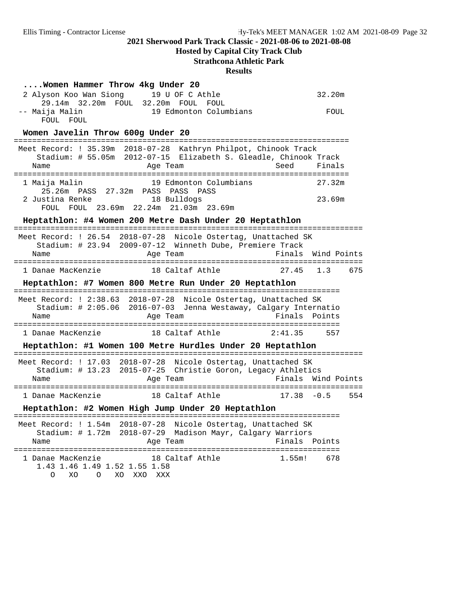**Hosted by Capital City Track Club**

## **Strathcona Athletic Park**

| Women Hammer Throw 4kg Under 20<br>2 Alyson Koo Wan Siong 19 U OF C Athle<br>-<br>29.14m 32.20m FOUL 32.20m FOUL FOUL<br>19 Edmonton Columbians<br>-- Maija Malin                 |                                   | 32.20m<br>FOUL       |  |
|-----------------------------------------------------------------------------------------------------------------------------------------------------------------------------------|-----------------------------------|----------------------|--|
| FOUL FOUL<br>Women Javelin Throw 600g Under 20                                                                                                                                    |                                   |                      |  |
| Meet Record: ! 35.39m 2018-07-28 Kathryn Philpot, Chinook Track<br>Stadium: # 55.05m 2012-07-15 Elizabeth S. Gleadle, Chinook Track<br>Age Team<br>Name                           | Seed                              | Finals               |  |
| 19 Edmonton Columbians<br>1 Maija Malin<br>25.26m PASS 27.32m PASS PASS<br>PASS<br>2 Justina Renke<br>18 Bulldogs<br>FOUL FOUL 23.69m 22.24m 21.03m 23.69m                        |                                   | 27.32m<br>23.69m     |  |
| Heptathlon: #4 Women 200 Metre Dash Under 20 Heptathlon                                                                                                                           |                                   |                      |  |
| Meet Record: ! 26.54 2018-07-28 Nicole Ostertag, Unattached SK<br>Stadium: # 23.94 2009-07-12 Winneth Dube, Premiere Track<br>Name<br>Age Team<br>:============================== |                                   | Finals Wind Points   |  |
| 1 Danae MacKenzie 18 Caltaf Athle<br>27.45                                                                                                                                        |                                   | 1.3<br>675           |  |
| Heptathlon: #7 Women 800 Metre Run Under 20 Heptathlon                                                                                                                            |                                   |                      |  |
| Meet Record: ! 2:38.63 2018-07-28 Nicole Ostertag, Unattached SK<br>Stadium: # 2:05.06 2016-07-03 Jenna Westaway, Calgary Internatio<br>Age Team<br>Name                          | ================<br>Finals Points |                      |  |
| 1 Danae MacKenzie 18 Caltaf Athle                                                                                                                                                 | 2:41.35                           | 557                  |  |
| Heptathlon: #1 Women 100 Metre Hurdles Under 20 Heptathlon                                                                                                                        |                                   |                      |  |
| Meet Record: ! 17.03 2018-07-28 Nicole Ostertag, Unattached SK<br>Stadium: # 13.23 2015-07-25 Christie Goron, Legacy Athletics<br>Age Team<br>Name                                |                                   | Finals Wind Points   |  |
| 18 Caltaf Athle<br>1 Danae MacKenzie                                                                                                                                              |                                   | $17.38 - 0.5$<br>554 |  |
| Heptathlon: #2 Women High Jump Under 20 Heptathlon                                                                                                                                |                                   |                      |  |
| Meet Record: ! 1.54m<br>2018-07-28<br>Nicole Ostertag, Unattached SK<br>Stadium: # 1.72m<br>$2018 - 07 - 29$<br>Madison Mayr, Calgary Warriors<br>Name<br>Age Team                | Finals                            | Points               |  |
| 18 Caltaf Athle<br>1 Danae MacKenzie<br>1.43 1.46 1.49 1.52 1.55 1.58<br>XO O<br>O<br>XO XXO XXX                                                                                  | 1.55m!                            | 678                  |  |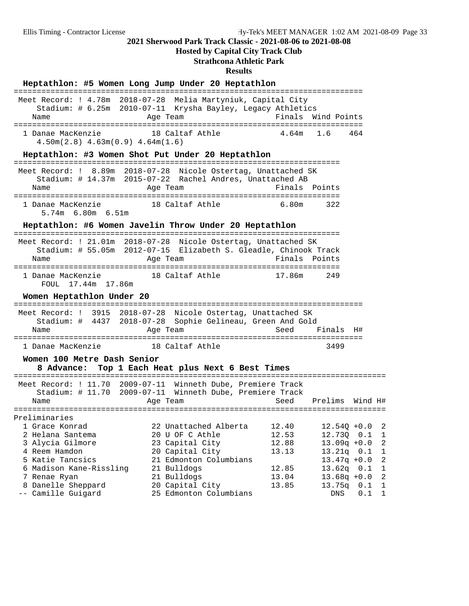## **Hosted by Capital City Track Club**

## **Strathcona Athletic Park**

|                                                                                             | Heptathlon: #5 Women Long Jump Under 20 Heptathlon                                                                                              |                                   |                                                                        |                   |                                |
|---------------------------------------------------------------------------------------------|-------------------------------------------------------------------------------------------------------------------------------------------------|-----------------------------------|------------------------------------------------------------------------|-------------------|--------------------------------|
| Name                                                                                        | Meet Record: ! 4.78m 2018-07-28 Melia Martyniuk, Capital City<br>Stadium: # 6.25m 2010-07-11 Krysha Bayley, Legacy Athletics<br>Age Team        |                                   | Finals Wind Points                                                     |                   |                                |
| 1 Danae MacKenzie<br>$4.50m(2.8)$ $4.63m(0.9)$ $4.64m(1.6)$                                 | 18 Caltaf Athle                                                                                                                                 | 4.64m                             | 1.6                                                                    | 464               |                                |
| --------------------------------------                                                      | Heptathlon: #3 Women Shot Put Under 20 Heptathlon<br>--------------------------------------                                                     |                                   |                                                                        |                   |                                |
| Name                                                                                        | Meet Record: ! 8.89m 2018-07-28 Nicole Ostertag, Unattached SK<br>Stadium: # 14.37m 2015-07-22 Rachel Andres, Unattached AB<br>Age Team         | Finals Points                     |                                                                        |                   |                                |
| 1 Danae MacKenzie<br>5.74m 6.80m 6.51m                                                      | 18 Caltaf Athle                                                                                                                                 | 6.80m                             | 322                                                                    |                   |                                |
|                                                                                             | Heptathlon: #6 Women Javelin Throw Under 20 Heptathlon                                                                                          |                                   |                                                                        |                   |                                |
| Name                                                                                        | Meet Record: ! 21.01m 2018-07-28 Nicole Ostertag, Unattached SK<br>Stadium: # 55.05m 2012-07-15 Elizabeth S. Gleadle, Chinook Track<br>Age Team | Finals                            | Points                                                                 |                   |                                |
| 1 Danae MacKenzie<br>FOUL 17.44m 17.86m                                                     | 18 Caltaf Athle                                                                                                                                 | 17.86m                            | 249                                                                    |                   |                                |
| Women Heptathlon Under 20                                                                   |                                                                                                                                                 |                                   |                                                                        |                   |                                |
| Name                                                                                        | Meet Record: ! 3915 2018-07-28 Nicole Ostertag, Unattached SK<br>Stadium: # 4437 2018-07-28 Sophie Gelineau, Green And Gold<br>Age Team         | Seed                              | Finals                                                                 | H#                |                                |
|                                                                                             | 1 Danae MacKenzie                       18 Caltaf Athle                                                                                         |                                   | 3499                                                                   |                   |                                |
| Women 100 Metre Dash Senior<br>8 Advance:                                                   | Top 1 Each Heat plus Next 6 Best Times                                                                                                          |                                   |                                                                        |                   |                                |
| Name                                                                                        | Meet Record: ! 11.70 2009-07-11 Winneth Dube, Premiere Track<br>Stadium: # 11.70 2009-07-11 Winneth Dube, Premiere Track<br>Age Team            | Seed                              | Prelims                                                                | Wind H#           |                                |
| Preliminaries                                                                               | ========================                                                                                                                        | ================================= |                                                                        |                   |                                |
| 1 Grace Konrad<br>2 Helana Santema<br>3 Alycia Gilmore<br>4 Reem Hamdon<br>5 Katie Tancsics | 22 Unattached Alberta<br>20 U OF C Athle<br>23 Capital City<br>20 Capital City<br>21 Edmonton Columbians                                        | 12.40<br>12.53<br>12.88<br>13.13  | $12.54Q + 0.0$<br>12.73Q<br>$13.09q + 0.0$<br>13.21q<br>$13.47q + 0.0$ | 0.1<br>0.1        | 2<br>1<br>$\sqrt{2}$<br>1<br>2 |
| 6 Madison Kane-Rissling<br>7 Renae Ryan<br>8 Danelle Sheppard<br>-- Camille Guigard         | 21 Bulldogs<br>21 Bulldogs<br>20 Capital City<br>25 Edmonton Columbians                                                                         | 12.85<br>13.04<br>13.85           | 13.62q<br>$13.68q + 0.0$<br>13.75q<br>DNS                              | 0.1<br>0.1<br>0.1 | 1<br>2<br>1<br>$\mathbf 1$     |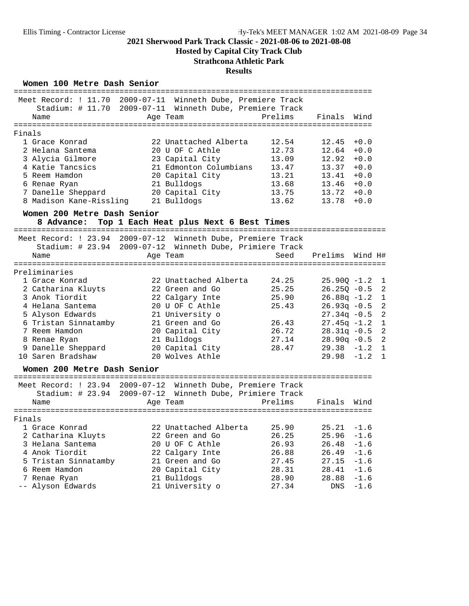**Hosted by Capital City Track Club**

## **Strathcona Athletic Park**

#### **Results**

#### Women 100 Metre Dash Senior

|        |                                                                 | =============================                                |                |
|--------|-----------------------------------------------------------------|--------------------------------------------------------------|----------------|
|        |                                                                 | Meet Record: ! 11.70 2009-07-11 Winneth Dube, Premiere Track |                |
|        |                                                                 | Stadium: # 11.70 2009-07-11 Winneth Dube, Premiere Track     |                |
|        | Name                                                            | Prelims<br>Finals<br>Age Team                                | Wind           |
|        |                                                                 |                                                              |                |
| Finals |                                                                 |                                                              |                |
|        | 1 Grace Konrad                                                  | 22 Unattached Alberta<br>12.54<br>12.45                      | $+0.0$         |
|        | 2 Helana Santema                                                | 12.73<br>20 U OF C Athle<br>12.64                            | $+0.0$         |
|        | 3 Alycia Gilmore                                                | 23 Capital City<br>13.09<br>12.92                            | $+0.0$         |
|        | 4 Katie Tancsics                                                | 21 Edmonton Columbians<br>13.37<br>13.47                     | $+0.0$         |
|        | 5 Reem Hamdon                                                   | 20 Capital City<br>13.21<br>13.41                            | $+0.0$         |
|        | 6 Renae Ryan                                                    | 21 Bulldogs<br>13.68<br>$13.46 + 0.0$                        |                |
|        | 7 Danelle Sheppard                                              | 20 Capital City<br>13.75<br>$13.72 + 0.0$                    |                |
|        | 8 Madison Kane-Rissling                                         | 21 Bulldogs<br>13.62<br>13.78                                | $+0.0$         |
|        | Women 200 Metre Dash Senior                                     |                                                              |                |
|        | 8 Advance:                                                      | Top 1 Each Heat plus Next 6 Best Times                       |                |
|        |                                                                 |                                                              |                |
|        |                                                                 | Meet Record: ! 23.94 2009-07-12 Winneth Dube, Premiere Track |                |
|        |                                                                 | Stadium: # 23.94 2009-07-12 Winneth Dube, Primiere Track     |                |
|        | Name                                                            | Seed<br>Prelims<br>Age Team                                  | Wind H#        |
|        | :================                                               |                                                              |                |
|        | Preliminaries                                                   |                                                              |                |
|        | 1 Grace Konrad                                                  | 22 Unattached Alberta<br>24.25<br>$25.90Q -1.2$              | 1              |
|        | 2 Catharina Kluyts                                              | 22 Green and Go<br>25.25<br>$26.25Q - 0.5$                   | $\overline{2}$ |
|        | 3 Anok Tiordit                                                  | 22 Calgary Inte<br>25.90<br>$26.88q -1.2$                    | 1              |
|        | 4 Helana Santema                                                | 20 U OF C Athle<br>25.43<br>$26.93q - 0.5$                   | $\overline{a}$ |
|        | 5 Alyson Edwards                                                | 21 University o<br>$27.34q - 0.5$                            | $\overline{a}$ |
|        | 6 Tristan Sinnatamby                                            | 21 Green and Go<br>$27.45q -1.2$<br>26.43                    | 1              |
|        | 7 Reem Hamdon                                                   | 20 Capital City<br>26.72<br>$28.31q - 0.5$                   | $\overline{a}$ |
|        | 8 Renae Ryan                                                    | 21 Bulldogs<br>27.14<br>$28.90q - 0.5$                       | $\overline{2}$ |
|        | 9 Danelle Sheppard                                              | 20 Capital City<br>$29.38 - 1.2$<br>28.47                    | $\mathbf{1}$   |
|        | 10 Saren Bradshaw                                               | 20 Wolves Athle<br>$29.98 - 1.2$                             | $\mathbf{1}$   |
|        |                                                                 |                                                              |                |
|        | Women 200 Metre Dash Senior<br>================================ |                                                              |                |
|        |                                                                 | Meet Record: ! 23.94 2009-07-12 Winneth Dube, Premiere Track |                |
|        | Stadium: # 23.94                                                | 2009-07-12 Winneth Dube, Primiere Track                      |                |
|        | Name                                                            | Prelims<br>Finals<br>Age Team                                | Wind           |
|        |                                                                 |                                                              |                |
| Finals |                                                                 |                                                              |                |
|        | 1 Grace Konrad                                                  | 22 Unattached Alberta<br>25.90<br>25.21                      | $-1.6$         |
|        | 2 Catharina Kluyts                                              | 26.25<br>22 Green and Go<br>25.96                            | $-1.6$         |
|        | 3 Helana Santema                                                | 20 U OF C Athle<br>26.93<br>26.48                            | $-1.6$         |
|        | 4 Anok Tiordit                                                  | 26.49<br>22 Calgary Inte<br>26.88                            | $-1.6$         |
|        | 5 Tristan Sinnatamby                                            | 21 Green and Go<br>27.15<br>27.45                            | $-1.6$         |
|        | 6 Reem Hamdon                                                   | 20 Capital City<br>28.31<br>28.41                            | $-1.6$         |
|        | 7 Renae Ryan                                                    | 21 Bulldogs<br>28.90<br>28.88                                | $-1.6$         |
|        | -- Alyson Edwards                                               | 21 University o<br>27.34<br>DNS                              | $-1.6$         |
|        |                                                                 |                                                              |                |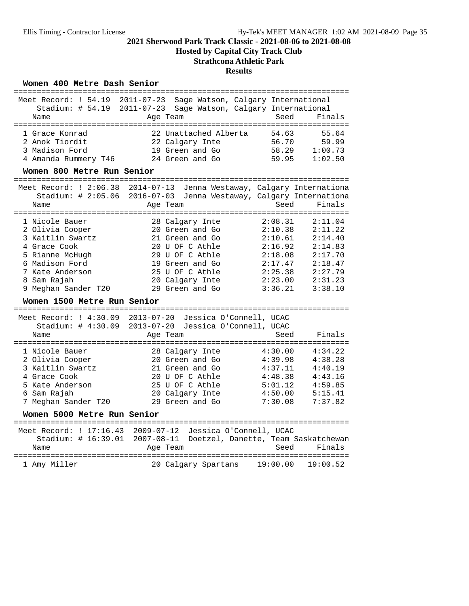**Hosted by Capital City Track Club**

## **Strathcona Athletic Park**

## **Results**

#### Women 400 Metre Dash Senior

| Meet Record: ! 54.19<br>Stadium: # 54.19<br>Name<br>======================                                                                                                               | $2011 - 07 - 23$<br>Sage Watson, Calgary International<br>$2011 - 07 - 23$<br>Sage Watson, Calgary International<br>Age Team<br>=========================<br>---------  | Seed                                                                                            | Finals                                                                                          |
|------------------------------------------------------------------------------------------------------------------------------------------------------------------------------------------|-------------------------------------------------------------------------------------------------------------------------------------------------------------------------|-------------------------------------------------------------------------------------------------|-------------------------------------------------------------------------------------------------|
| 1 Grace Konrad<br>2 Anok Tiordit<br>3 Madison Ford<br>4 Amanda Rummery T46                                                                                                               | 22 Unattached Alberta<br>22 Calgary Inte<br>19 Green and Go<br>24 Green and Go                                                                                          | 54.63<br>56.70<br>58.29<br>59.95                                                                | 55.64<br>59.99<br>1:00.73<br>1:02.50                                                            |
| Women 800 Metre Run Senior                                                                                                                                                               |                                                                                                                                                                         |                                                                                                 |                                                                                                 |
| Meet Record: ! $2:06.38$<br>Stadium: $\#$ 2:05.06<br>Name<br>================                                                                                                            | $2014 - 07 - 13$<br>Jenna Westaway, Calgary Internationa<br>$2016 - 07 - 03$<br>Jenna Westaway, Calgary Internationa<br>Age Team                                        | Seed                                                                                            | Finals                                                                                          |
| 1 Nicole Bauer<br>2 Olivia Cooper<br>3 Kaitlin Swartz<br>4 Grace Cook<br>5 Rianne McHugh<br>6 Madison Ford<br>7 Kate Anderson<br>8 Sam Rajah<br>9 Meghan Sander T20                      | 28 Calgary Inte<br>20 Green and Go<br>21 Green and Go<br>20 U OF C Athle<br>29 U OF C Athle<br>19 Green and Go<br>25 U OF C Athle<br>20 Calgary Inte<br>29 Green and Go | 2:08.31<br>2:10.38<br>2:10.61<br>2:16.92<br>2:18.08<br>2:17.47<br>2:25.38<br>2:23.00<br>3:36.21 | 2:11.04<br>2:11.22<br>2:14.40<br>2:14.83<br>2:17.70<br>2:18.47<br>2:27.79<br>2:31.23<br>3:38.10 |
| Women 1500 Metre Run Senior                                                                                                                                                              |                                                                                                                                                                         |                                                                                                 |                                                                                                 |
| Meet Record: $1\,4:30.09$<br>Stadium: # 4:30.09<br>Name                                                                                                                                  | $2013 - 07 - 20$<br>Jessica O'Connell, UCAC<br>$2013 - 07 - 20$<br>Jessica O'Connell, UCAC<br>Age Team                                                                  | Seed                                                                                            | Finals                                                                                          |
| =======================<br>1 Nicole Bauer<br>2 Olivia Cooper<br>3 Kaitlin Swartz<br>4 Grace Cook<br>5 Kate Anderson<br>6 Sam Rajah<br>7 Meghan Sander T20<br>Women 5000 Metre Run Senior | ----------<br>28 Calgary Inte<br>20 Green and Go<br>21 Green and Go<br>20 U OF C Athle<br>25 U OF C Athle<br>20 Calgary Inte<br>29 Green and Go                         | 4:30.00<br>4:39.98<br>4:37.11<br>4:48.38<br>5:01.12<br>4:50.00<br>7:30.08                       | 4:34.22<br>4:38.28<br>4:40.19<br>4:43.16<br>4:59.85<br>5:15.41<br>7:37.82                       |
|                                                                                                                                                                                          | Meet Record: ! 17:16.43  2009-07-12  Jessica O'Connell, UCAC                                                                                                            |                                                                                                 |                                                                                                 |
| Stadium: # 16:39.01<br>Name                                                                                                                                                              | 2007-08-11 Doetzel, Danette, Team Saskatchewan<br>Age Team                                                                                                              | Seed                                                                                            | Finals                                                                                          |
| :==============<br>1 Amy Miller                                                                                                                                                          | 20 Calgary Spartans                                                                                                                                                     | 19:00.00                                                                                        | 19:00.52                                                                                        |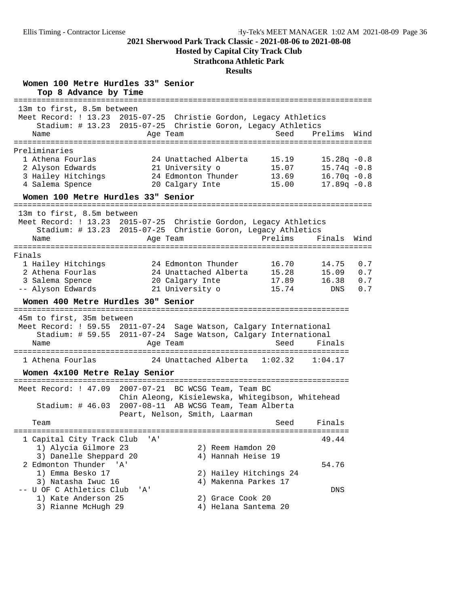**Hosted by Capital City Track Club**

## **Strathcona Athletic Park**

| Women 100 Metre Hurdles 33" Senior<br>Top 8 Advance by Time                                                                                                                 |                                    |                                                                                                                                                                                 |                                            |                                                                      |                          |
|-----------------------------------------------------------------------------------------------------------------------------------------------------------------------------|------------------------------------|---------------------------------------------------------------------------------------------------------------------------------------------------------------------------------|--------------------------------------------|----------------------------------------------------------------------|--------------------------|
| 13m to first, 8.5m between<br>Meet Record: ! 13.23 2015-07-25 Christie Gordon, Legacy Athletics<br>Name                                                                     | Age Team                           | Stadium: # 13.23 2015-07-25 Christie Goron, Legacy Athletics                                                                                                                    | Seed                                       | Prelims                                                              | Wind                     |
|                                                                                                                                                                             |                                    |                                                                                                                                                                                 |                                            |                                                                      |                          |
| Preliminaries<br>1 Athena Fourlas<br>2 Alyson Edwards<br>3 Hailey Hitchings<br>4 Salema Spence                                                                              |                                    | 24 Unattached Alberta<br>21 University o<br>24 Edmonton Thunder<br>20 Calgary Inte                                                                                              | 15.19<br>15.07<br>13.69<br>15.00           | $15.28q - 0.8$<br>$15.74q - 0.8$<br>$16.70q - 0.8$<br>$17.89q - 0.8$ |                          |
| Women 100 Metre Hurdles 33" Senior                                                                                                                                          |                                    |                                                                                                                                                                                 |                                            |                                                                      |                          |
| 13m to first, 8.5m between<br>Meet Record: ! 13.23 2015-07-25 Christie Gordon, Legacy Athletics<br>Name<br>================                                                 | Age Team<br>:===================== | Stadium: # 13.23 2015-07-25 Christie Goron, Legacy Athletics                                                                                                                    | Prelims<br>=============================== | Finals                                                               | Wind                     |
| Finals<br>1 Hailey Hitchings<br>2 Athena Fourlas<br>3 Salema Spence<br>-- Alyson Edwards<br>Women 400 Metre Hurdles 30" Senior                                              |                                    | 24 Edmonton Thunder<br>24 Unattached Alberta<br>20 Calgary Inte<br>21 University o                                                                                              | 16.70<br>15.28<br>17.89<br>15.74           | 14.75<br>15.09<br>16.38<br>DNS                                       | 0.7<br>0.7<br>0.7<br>0.7 |
| 45m to first, 35m between<br>Meet Record: ! 59.55 2011-07-24 Sage Watson, Calgary International<br>Name                                                                     | Age Team                           | Stadium: # 59.55 2011-07-24 Sage Watson, Calgary International                                                                                                                  | Seed                                       | Finals                                                               |                          |
| 1 Athena Fourlas<br>Women 4x100 Metre Relay Senior                                                                                                                          |                                    | 24 Unattached Alberta 1:02.32                                                                                                                                                   |                                            | 1:04.17                                                              |                          |
| Meet Record: ! 47.09                                                                                                                                                        |                                    | 2007-07-21 BC WCSG Team, Team BC<br>Chin Aleong, Kisielewska, Whitegibson, Whitehead<br>Stadium: # 46.03 2007-08-11 AB WCSG Team, Team Alberta<br>Peart, Nelson, Smith, Laarman |                                            |                                                                      |                          |
| Team                                                                                                                                                                        |                                    |                                                                                                                                                                                 | Seed                                       | Finals                                                               |                          |
| 1 Capital City Track Club<br>1) Alycia Gilmore 23<br>3) Danelle Sheppard 20<br>2 Edmonton Thunder 'A'<br>1) Emma Besko 17<br>3) Natasha Iwuc 16<br>-- U OF C Athletics Club | ' A'<br>' A '                      | 2) Reem Hamdon 20<br>4) Hannah Heise 19<br>2) Hailey Hitchings 24<br>4) Makenna Parkes 17                                                                                       |                                            | 49.44<br>54.76<br>DNS                                                |                          |
| 1) Kate Anderson 25<br>3) Rianne McHugh 29                                                                                                                                  |                                    | 2) Grace Cook 20<br>4) Helana Santema 20                                                                                                                                        |                                            |                                                                      |                          |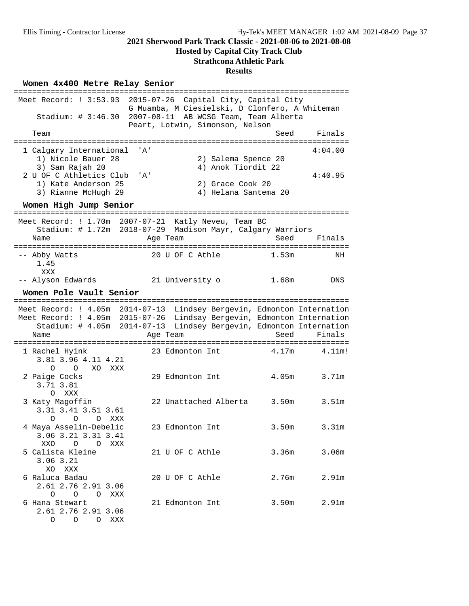## **Hosted by Capital City Track Club**

## **Strathcona Athletic Park**

#### **Results**

## Women  $4x400$  Metre Relay Senior

|                                                                                           | :===========================                                                         |    |
|-------------------------------------------------------------------------------------------|--------------------------------------------------------------------------------------|----|
| Meet Record: $: 3:53.93$<br>$2015 - 07 - 26$                                              | Capital City, Capital City<br>G Muamba, M Ciesielski, D Clonfero, A Whiteman         |    |
| Stadium: $\# 3:46.30$                                                                     | 2007-08-11 AB WCSG Team, Team Alberta<br>Peart, Lotwin, Simonson, Nelson             |    |
| Team<br>============================                                                      | Finals<br>Seed<br>=====================                                              |    |
|                                                                                           |                                                                                      |    |
| 1 Calgary International<br>' A '<br>1) Nicole Bauer 28                                    | 4:04.00                                                                              |    |
| 3) Sam Rajah 20                                                                           | 2) Salema Spence 20<br>4) Anok Tiordit 22                                            |    |
| 2 U OF C Athletics Club<br>' A'                                                           | 4:40.95                                                                              |    |
| 1) Kate Anderson 25                                                                       | 2) Grace Cook 20                                                                     |    |
| 3) Rianne McHugh 29                                                                       | 4) Helana Santema 20                                                                 |    |
| Women High Jump Senior                                                                    |                                                                                      |    |
| ========================<br>:====<br>Meet Record: ! 1.70m 2007-07-21 Katly Neveu, Team BC | --------------------------------                                                     |    |
|                                                                                           | Stadium: # 1.72m 2018-07-29 Madison Mayr, Calgary Warriors                           |    |
| Name                                                                                      | Seed<br>Finals<br>Age Team                                                           |    |
| =======================                                                                   | ===================================                                                  |    |
| -- Abby Watts                                                                             | 20 U OF C Athle<br>1.53m                                                             | ΝH |
| 1.45                                                                                      |                                                                                      |    |
| XXX                                                                                       |                                                                                      |    |
| -- Alyson Edwards                                                                         | 21 University o<br>1.68m<br>DNS                                                      |    |
| Women Pole Vault Senior                                                                   |                                                                                      |    |
| ========                                                                                  | ======================================                                               |    |
|                                                                                           | Meet Record: ! 4.05m 2014-07-13 Lindsey Bergevin, Edmonton Internation               |    |
|                                                                                           | Meet Record: ! 4.05m 2015-07-26 Lindsay Bergevin, Edmonton Internation               |    |
|                                                                                           | Stadium: # 4.05m 2014-07-13 Lindsey Bergevin, Edmonton Internation<br>Seed<br>Finals |    |
| Name                                                                                      | Age Team                                                                             |    |
| 1 Rachel Hyink                                                                            | 4.17m<br>4.11m!<br>23 Edmonton Int                                                   |    |
| 3.81 3.96 4.11 4.21                                                                       |                                                                                      |    |
| $0\qquad 0$<br>XO<br>XXX                                                                  |                                                                                      |    |
| 2 Paige Cocks                                                                             | 4.05 <sub>m</sub><br>3.71m<br>29 Edmonton Int                                        |    |
| 3.71 3.81                                                                                 |                                                                                      |    |
| O XXX                                                                                     |                                                                                      |    |
| 3 Katy Magoffin                                                                           | 22 Unattached Alberta<br>3.50m<br>3.51m                                              |    |
| 3.31 3.41 3.51 3.61                                                                       |                                                                                      |    |
| $\circ$<br>O<br>O XXX                                                                     |                                                                                      |    |
| 4 Maya Asselin-Debelic                                                                    | 3.50m<br>3.31 <sub>m</sub><br>23 Edmonton Int                                        |    |
| 3.06 3.21 3.31 3.41                                                                       |                                                                                      |    |
| XXO O O XXX                                                                               |                                                                                      |    |
| 5 Calista Kleine                                                                          | 21 U OF C Athle<br>3.36m<br>3.06 <sub>m</sub>                                        |    |
| $3.06$ $3.21$                                                                             |                                                                                      |    |
| XO XXX                                                                                    |                                                                                      |    |
| 6 Raluca Badau                                                                            | 2.91m<br>20 U OF C Athle<br>2.76m                                                    |    |
| 2.61 2.76 2.91 3.06                                                                       |                                                                                      |    |
| O O O XXX                                                                                 |                                                                                      |    |
| 6 Hana Stewart<br>2.61 2.76 2.91 3.06                                                     | 21 Edmonton Int<br>2.91m<br>3.50m                                                    |    |
| O O O XXX                                                                                 |                                                                                      |    |
|                                                                                           |                                                                                      |    |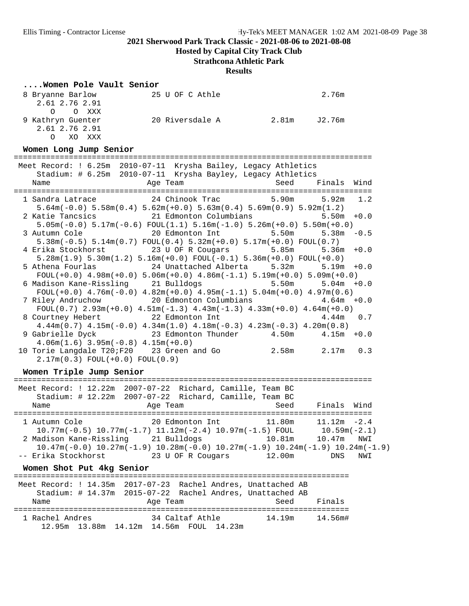**Hosted by Capital City Track Club**

#### **Strathcona Athletic Park**

#### **Results**

#### **....Women Pole Vault Senior**

| 8 Bryanne Barlow   | 25 U OF C Athle |       | 2.76m  |
|--------------------|-----------------|-------|--------|
| 2.61 2.76 2.91     |                 |       |        |
| O O XXX            |                 |       |        |
| 9 Kathryn Guenter  | 20 Riversdale A | 2.81m | J2.76m |
| 2.61 2.76 2.91     |                 |       |        |
| $\Omega$<br>XO XXX |                 |       |        |

**Women Long Jump Senior** ============================================================================== Meet Record: ! 6.25m 2010-07-11 Krysha Bailey, Legacy Athletics Stadium: # 6.25m 2010-07-11 Krysha Bayley, Legacy Athletics Name Age Team Seed Finals Wind ============================================================================== 1 Sandra Latrace 24 Chinook Trac 5.90m 5.92m 1.2 5.64m(-0.0) 5.58m(0.4) 5.62m(+0.0) 5.63m(0.4) 5.69m(0.9) 5.92m(1.2) 2 Katie Tancsics 21 Edmonton Columbians 5.50m +0.0 5.05m(-0.0) 5.17m(-0.6) FOUL(1.1) 5.16m(-1.0) 5.26m(+0.0) 5.50m(+0.0) 20 Edmonton Int 5.50m 5.38m -0.5 5.38m(-0.5) 5.14m(0.7) FOUL(0.4) 5.32m(+0.0) 5.17m(+0.0) FOUL(0.7) 4 Erika Stockhorst 23 U OF R Cougars 5.85m 5.36m +0.0 5.28m(1.9) 5.30m(1.2) 5.16m(+0.0) FOUL(-0.1) 5.36m(+0.0) FOUL(+0.0) 5 Athena Fourlas 24 Unattached Alberta 5.32m 5.19m +0.0 FOUL(+0.0) 4.98m(+0.0) 5.06m(+0.0) 4.86m(-1.1) 5.19m(+0.0) 5.09m(+0.0) 6 Madison Kane-Rissling 21 Bulldogs 5.50m 5.04m +0.0  $F\text{OUL}(+0.0)$  4.76m( $-0.0$ ) 4.82m( $+0.0$ ) 4.95m( $-1.1$ ) 5.04m( $+0.0$ ) 4.97m( $0.6$ ) 7 Riley Andruchow 20 Edmonton Columbians 4.64m +0.0 FOUL $(0.7)$  2.93m $(+0.0)$  4.51m $(-1.3)$  4.43m $(-1.3)$  4.33m $(+0.0)$  4.64m $(+0.0)$ 8 Courtney Hebert 22 Edmonton Int 4.44m 0.7 4.44m(0.7) 4.15m(-0.0) 4.34m(1.0) 4.18m(-0.3) 4.23m(-0.3) 4.20m(0.8) 9 Gabrielle Dyck 23 Edmonton Thunder 4.50m 4.15m +0.0 4.06m(1.6) 3.95m(-0.8) 4.15m(+0.0) 10 Torie Langdale T20;F20 23 Green and Go 2.58m 2.17m 0.3 2.17m(0.3) FOUL(+0.0) FOUL(0.9)

**Women Triple Jump Senior** ============================================================================== Meet Record: ! 12.22m 2007-07-22 Richard, Camille, Team BC Stadium: # 12.22m 2007-07-22 Richard, Camille, Team BC Name Age Team Seed Finals Wind ============================================================================== 1 Autumn Cole 20 Edmonton Int 11.80m 11.12m -2.4 10.77m(-0.5) 10.77m(-1.7) 11.12m(-2.4) 10.97m(-1.5) FOUL 10.59m(-2.1) 2 Madison Kane-Rissling 21 Bulldogs 10.81m 10.47m NWI 10.47m(-0.0) 10.27m(-1.9) 10.28m(-0.0) 10.27m(-1.9) 10.24m(-1.9) 10.24m(-1.9) -- Erika Stockhorst 23 U OF R Cougars 12.00m DNS NWI **Women Shot Put 4kg Senior** ========================================================================= Meet Record: ! 14.35m 2017-07-23 Rachel Andres, Unattached AB Stadium: # 14.37m 2015-07-22 Rachel Andres, Unattached AB Name **Age Team** Age Team Seed Finals ========================================================================= 1 Rachel Andres 34 Caltaf Athle 14.19m 14.56m# 12.95m 13.88m 14.12m 14.56m FOUL 14.23m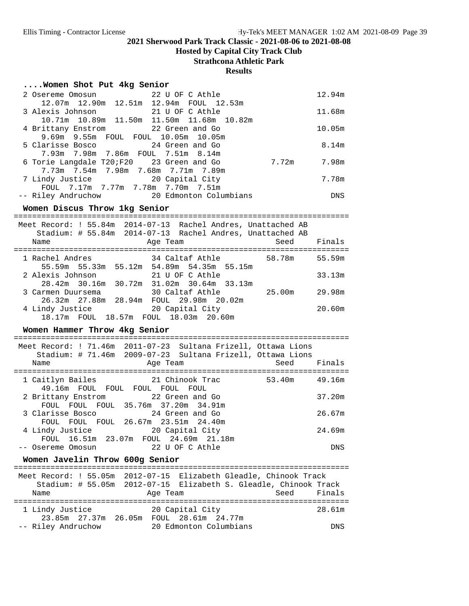**Hosted by Capital City Track Club**

**Strathcona Athletic Park**

#### **Results**

#### **....Women Shot Put 4kg Senior**

| 2 Osereme Omosun                          | 22 U OF C Athle                                |       | 12.94m     |
|-------------------------------------------|------------------------------------------------|-------|------------|
| 12.07m 12.90m 12.51m 12.94m FOUL 12.53m   |                                                |       |            |
|                                           |                                                |       | 11.68m     |
|                                           | 10.71m  10.89m  11.50m  11.50m  11.68m  10.82m |       |            |
| 4 Brittany Enstrom 22 Green and Go        |                                                |       | 10.05m     |
| 9.69m 9.55m FOUL FOUL 10.05m 10.05m       |                                                |       |            |
| 5 Clarisse Bosco 24 Green and Go          |                                                |       | 8.14m      |
| 7.93m 7.98m 7.86m FOUL 7.51m 8.14m        |                                                |       |            |
| 6 Torie Langdale T20;F20 23 Green and Go  |                                                | 7.72m | 7.98m      |
| 7.73m 7.54m 7.98m 7.68m 7.71m 7.89m       |                                                |       |            |
| 7 Lindy Justice 20 Capital City           |                                                |       | 7.78m      |
| FOUL 7.17m 7.77m 7.78m 7.70m 7.51m        |                                                |       |            |
| -- Riley Andruchow 20 Edmonton Columbians |                                                |       | <b>DNS</b> |

**Women Discus Throw 1kg Senior** =========================================================================

| Name              |                      | Meet Record: ! 55.84m 2014-07-13 Rachel Andres, Unattached AB<br>Stadium: # 55.84m 2014-07-13 Rachel Andres, Unattached AB<br>Age Team | Seed   | Finals |
|-------------------|----------------------|----------------------------------------------------------------------------------------------------------------------------------------|--------|--------|
|                   |                      |                                                                                                                                        |        |        |
| 1 Rachel Andres   |                      | 34 Caltaf Athle                                                                                                                        | 58.78m | 55.59m |
|                   |                      | 55.59m 55.33m 55.12m 54.89m 54.35m 55.15m                                                                                              |        |        |
| 2 Alexis Johnson  |                      | 21 U OF C Athle                                                                                                                        |        | 33.13m |
|                   | 28.42m 30.16m 30.72m | 31.02m 30.64m 33.13m                                                                                                                   |        |        |
| 3 Carmen Duursema |                      | 30 Caltaf Athle                                                                                                                        | 25.00m | 29.98m |
|                   |                      | 26.32m  27.88m  28.94m  FOUL  29.98m  20.02m                                                                                           |        |        |
| 4 Lindy Justice   |                      | 20 Capital City                                                                                                                        |        | 20.60m |
|                   |                      | 18.17m FOUL 18.57m FOUL 18.03m 20.60m                                                                                                  |        |        |

#### Women Hammer Throw 4kg Senior

| Name |                                                                                                 |  |                 | Age Team |                 | Meet Record: ! 71.46m 2011-07-23 Sultana Frizell, Ottawa Lions<br>Stadium: # 71.46m 2009-07-23 Sultana Frizell, Ottawa Lions | Seed |        | Finals |
|------|-------------------------------------------------------------------------------------------------|--|-----------------|----------|-----------------|------------------------------------------------------------------------------------------------------------------------------|------|--------|--------|
|      | 1 Caitlyn Bailes                                                                                |  | 21 Chinook Trac |          |                 |                                                                                                                              |      | 53.40m | 49.16m |
|      | 49.16m FOUL FOUL FOUL FOUL FOUL<br>2 Brittany Enstrom 22 Green and Go                           |  |                 |          |                 |                                                                                                                              |      |        | 37.20m |
|      | FOUL FOUL FOUL 35.76m 37.20m 34.91m                                                             |  |                 |          |                 |                                                                                                                              |      |        |        |
|      | 3 Clarisse Bosco                                                                                |  |                 |          | 24 Green and Go |                                                                                                                              |      |        | 26.67m |
|      | FOUL FOUL FOUL 26.67m 23.51m 24.40m<br>4 Lindy Justice<br>FOUL 16.51m 23.07m FOUL 24.69m 21.18m |  |                 |          | 20 Capital City |                                                                                                                              |      |        | 24.69m |
|      | Osereme Omosun                                                                                  |  |                 |          | 22 U OF C Athle |                                                                                                                              |      |        | DNS    |

# **Women Javelin Throw 600g Senior** =========================================================================

## Meet Record: ! 55.05m 2012-07-15 Elizabeth Gleadle, Chinook Track

| Meel Record, : 55.05M ZUIZ-07-15 EIIZADELN GIEAQIE, CNINOOK Irack |  |          |                        |  |  |             |  |
|-------------------------------------------------------------------|--|----------|------------------------|--|--|-------------|--|
| Stadium: # 55.05m 2012-07-15 Elizabeth S. Gleadle, Chinook Track  |  |          |                        |  |  |             |  |
| Name                                                              |  | Age Team |                        |  |  | Seed Finals |  |
|                                                                   |  |          |                        |  |  |             |  |
| 1 Lindy Justice                                                   |  |          | 20 Capital City        |  |  | 28.61m      |  |
| 23.85m 27.37m 26.05m                                              |  |          | FOUL 28.61m 24.77m     |  |  |             |  |
| -- Riley Andruchow                                                |  |          | 20 Edmonton Columbians |  |  | <b>DNS</b>  |  |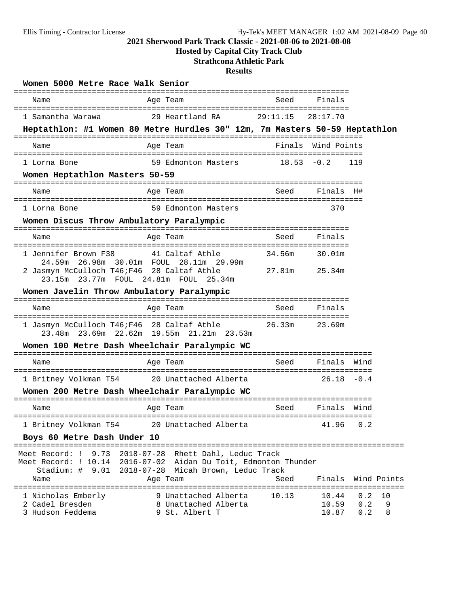**Hosted by Capital City Track Club**

## **Strathcona Athletic Park**

| Women 5000 Metre Race Walk Senior                         |                                                                                                                                              |               |                         |                   |              |
|-----------------------------------------------------------|----------------------------------------------------------------------------------------------------------------------------------------------|---------------|-------------------------|-------------------|--------------|
| Name                                                      | Age Team                                                                                                                                     | Seed          | Finals                  |                   |              |
| 1 Samantha Warawa                                         | 29 Heartland RA                                                                                                                              | 29:11.15      | 28:17.70                |                   |              |
|                                                           | Heptathlon: #1 Women 80 Metre Hurdles 30" 12m, 7m Masters 50-59 Heptathlon                                                                   |               |                         |                   |              |
| Name                                                      | Age Team                                                                                                                                     |               | Finals Wind Points      |                   |              |
| 1 Lorna Bone                                              | 59 Edmonton Masters                                                                                                                          | $18.53 - 0.2$ |                         | 119               |              |
| Women Heptathlon Masters 50-59                            |                                                                                                                                              |               |                         |                   |              |
| Name                                                      | Age Team                                                                                                                                     | Seed          | Finals H#               |                   |              |
| 1 Lorna Bone                                              | 59 Edmonton Masters                                                                                                                          |               | 370                     |                   |              |
| Women Discus Throw Ambulatory Paralympic                  |                                                                                                                                              |               |                         |                   |              |
| Name                                                      | Age Team                                                                                                                                     | Seed          | Finals                  |                   |              |
| 1 Jennifer Brown F38                                      | 41 Caltaf Athle                                                                                                                              | 34.56m        | 30.01m                  |                   |              |
| 24.59m<br>2 Jasmyn McCulloch T46; F46 28 Caltaf Athle     | 26.98m 30.01m FOUL 28.11m 29.99m<br>23.15m 23.77m FOUL 24.81m FOUL 25.34m                                                                    | 27.81m        | 25.34m                  |                   |              |
| Women Javelin Throw Ambulatory Paralympic                 |                                                                                                                                              |               |                         |                   |              |
| Name                                                      | Age Team                                                                                                                                     | Seed          | Finals                  |                   |              |
|                                                           | 1 Jasmyn McCulloch T46; F46 28 Caltaf Athle 26.33m<br>23.48m 23.69m 22.62m 19.55m 21.21m 23.53m                                              |               | 23.69m                  |                   |              |
|                                                           | Women 100 Metre Dash Wheelchair Paralympic WC                                                                                                |               |                         |                   |              |
| Name                                                      | Age Team                                                                                                                                     | Seed          | Finals                  | Wind              |              |
| 1 Britney Volkman T54                                     | ===============<br>20 Unattached Alberta                                                                                                     |               | 26.18                   | $-0.4$            |              |
|                                                           | Women 200 Metre Dash Wheelchair Paralympic WC                                                                                                |               |                         |                   |              |
| Name                                                      | Age Team                                                                                                                                     | Seed          | Finals                  | Wind              |              |
| 1 Britney Volkman T54                                     | 20 Unattached Alberta                                                                                                                        |               | 41.96                   | 0.2               |              |
| Boys 60 Metre Dash Under 10                               |                                                                                                                                              |               |                         |                   |              |
| Meet Record: !<br>9.73<br>Stadium: $\#$ 9.01<br>Name      | 2018-07-28 Rhett Dahl, Leduc Track<br>Meet Record: ! 10.14 2016-07-02 Aidan Du Toit, Edmonton Thunder<br>2018-07-28 Micah Brown, Leduc Track | Seed          | Finals                  |                   | Wind Points  |
|                                                           | Age Team                                                                                                                                     |               | =========               |                   | =========    |
| 1 Nicholas Emberly<br>2 Cadel Bresden<br>3 Hudson Feddema | 9 Unattached Alberta<br>8 Unattached Alberta<br>9 St. Albert T                                                                               | 10.13         | 10.44<br>10.59<br>10.87 | 0.2<br>0.2<br>0.2 | 10<br>9<br>8 |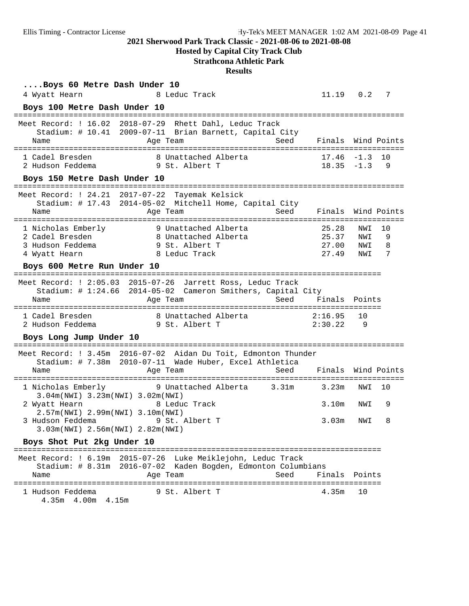**Hosted by Capital City Track Club**

## **Strathcona Athletic Park**

| Boys 60 Metre Dash Under 10                                                |                                                                                                                                         |       |                                  |                          |                   |
|----------------------------------------------------------------------------|-----------------------------------------------------------------------------------------------------------------------------------------|-------|----------------------------------|--------------------------|-------------------|
| 4 Wyatt Hearn                                                              | 8 Leduc Track                                                                                                                           |       | 11.19  0.2  7                    |                          |                   |
| Boys 100 Metre Dash Under 10                                               |                                                                                                                                         |       |                                  |                          |                   |
| Name                                                                       | Meet Record: ! 16.02 2018-07-29 Rhett Dahl, Leduc Track<br>Stadium: # 10.41 2009-07-11 Brian Barnett, Capital City<br>Age Team          | Seed  | Finals Wind Points               |                          |                   |
| 1 Cadel Bresden<br>2 Hudson Feddema                                        | 8 Unattached Alberta<br>9 St. Albert T                                                                                                  |       | $17.46 - 1.3$<br>$18.35 - 1.3$   |                          | 10<br>- 9         |
| Boys 150 Metre Dash Under 10                                               |                                                                                                                                         |       |                                  |                          |                   |
| Meet Record: ! 24.21 2017-07-22<br>Name                                    | Tayemak Kelsick<br>Stadium: # 17.43 2014-05-02 Mitchell Home, Capital City<br>Age Team                                                  | Seed  | Finals Wind Points               |                          |                   |
| 1 Nicholas Emberly<br>2 Cadel Bresden<br>3 Hudson Feddema<br>4 Wyatt Hearn | 9 Unattached Alberta<br>8 Unattached Alberta<br>9 St. Albert T<br>8 Leduc Track                                                         |       | 25.28<br>25.37<br>27.00<br>27.49 | NWI<br>NWI<br>NWI<br>NWI | 10<br>9<br>8<br>7 |
| Boys 600 Metre Run Under 10                                                |                                                                                                                                         |       |                                  |                          |                   |
| Name                                                                       | Meet Record: ! 2:05.03 2015-07-26 Jarrett Ross, Leduc Track<br>Stadium: # 1:24.66 2014-05-02 Cameron Smithers, Capital City<br>Age Team | Seed  | Finals Points                    |                          |                   |
| 1 Cadel Bresden<br>2 Hudson Feddema                                        | 8 Unattached Alberta<br>19 St. Albert T                                                                                                 |       | 2:16.95<br>2:30.22               | 10<br>- 9                |                   |
| Boys Long Jump Under 10                                                    |                                                                                                                                         |       |                                  |                          |                   |
|                                                                            | Meet Record: ! 3.45m 2016-07-02 Aidan Du Toit, Edmonton Thunder<br>Stadium: # 7.38m 2010-07-11 Wade Huber, Excel Athletica              |       | :==========================      |                          |                   |
| Name                                                                       | Age Team                                                                                                                                | Seed  | Finals Wind Points               |                          |                   |
| 1 Nicholas Emberly<br>3.04m(NWI) 3.23m(NWI) 3.02m(NWI)                     | 9 Unattached Alberta                                                                                                                    | 3.31m | 3.23m                            | NWI                      | 10                |
| 2 Wyatt Hearn<br>2.57m(NWI) 2.99m(NWI) 3.10m(NWI)                          | 8 Leduc Track                                                                                                                           |       | 3.10m                            | NWI                      | 9                 |
| 3.03m(NWI) 2.56m(NWI) 2.82m(NWI)                                           | 3 Hudson Feddema 9 St. Albert T                                                                                                         |       | 3.03m                            | NWI                      | - R               |
| Boys Shot Put 2kg Under 10                                                 |                                                                                                                                         |       |                                  |                          |                   |
|                                                                            | Meet Record: ! 6.19m 2015-07-26 Luke Meiklejohn, Leduc Track<br>Stadium: # 8.31m 2016-07-02 Kaden Bogden, Edmonton Columbians           |       |                                  |                          |                   |
| Name                                                                       | Age Team                                                                                                                                | Seed  | Finals Points                    |                          |                   |
| 1 Hudson Feddema<br>4.35m 4.00m 4.15m                                      | 9 St. Albert T                                                                                                                          |       | 4.35m                            | 10                       |                   |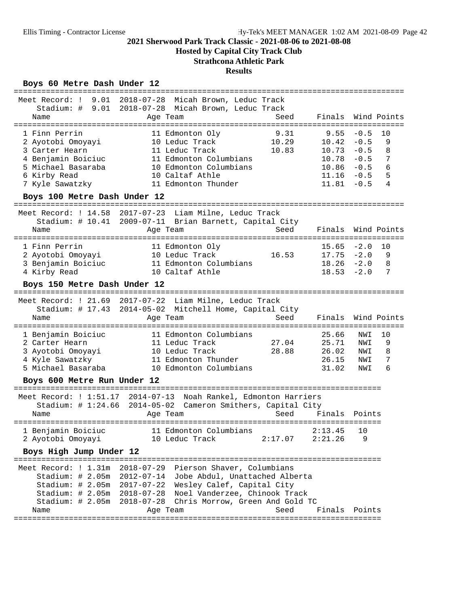**Hosted by Capital City Track Club**

## **Strathcona Athletic Park**

#### **Results**

## Boys 60 Metre Dash Under 12

| 9.01<br>Meet Record: !<br>Stadium: $\#$ 9.01<br>Name                                                                                | 2018-07-28 Micah Brown, Leduc Track<br>2018-07-28 Micah Brown, Leduc Track<br>Age Team                                                                                                                                                                                                                                     | Seed                       | Finals                                                             |                                                          | Wind Points                      |
|-------------------------------------------------------------------------------------------------------------------------------------|----------------------------------------------------------------------------------------------------------------------------------------------------------------------------------------------------------------------------------------------------------------------------------------------------------------------------|----------------------------|--------------------------------------------------------------------|----------------------------------------------------------|----------------------------------|
| ================                                                                                                                    |                                                                                                                                                                                                                                                                                                                            |                            |                                                                    |                                                          |                                  |
| 1 Finn Perrin<br>2 Ayotobi Omoyayi<br>3 Carter Hearn<br>4 Benjamin Boiciuc<br>5 Michael Basaraba<br>6 Kirby Read<br>7 Kyle Sawatzky | 11 Edmonton Oly<br>10 Leduc Track<br>11 Leduc Track<br>11 Edmonton Columbians<br>10 Edmonton Columbians<br>10 Caltaf Athle<br>11 Edmonton Thunder                                                                                                                                                                          | 9.31<br>10.29<br>10.83     | 9.55<br>10.42<br>10.73<br>10.78<br>10.86<br>$11.16 - 0.5$<br>11.81 | $-0.5$<br>$-0.5$<br>$-0.5$<br>$-0.5$<br>$-0.5$<br>$-0.5$ | 10<br>9<br>8<br>7<br>6<br>5<br>4 |
| Boys 100 Metre Dash Under 12                                                                                                        |                                                                                                                                                                                                                                                                                                                            |                            |                                                                    |                                                          |                                  |
| Meet Record: $14.58$                                                                                                                | 2017-07-23 Liam Milne, Leduc Track<br>Stadium: # 10.41 2009-07-11 Brian Barnett, Capital City                                                                                                                                                                                                                              |                            |                                                                    |                                                          |                                  |
| Name<br>====================                                                                                                        | Age Team<br>===================                                                                                                                                                                                                                                                                                            | Seed<br>================== | Finals                                                             | ==========                                               | Wind Points                      |
| 1 Finn Perrin<br>2 Ayotobi Omoyayi<br>3 Benjamin Boiciuc<br>4 Kirby Read                                                            | 11 Edmonton Oly<br>10 Leduc Track<br>11 Edmonton Columbians<br>10 Caltaf Athle                                                                                                                                                                                                                                             | 16.53                      | 15.65<br>17.75<br>$18.26 - 2.0$<br>$18.53 - 2.0$                   | $-2.0$<br>$-2.0$                                         | 10<br>9<br>8<br>7                |
| Boys 150 Metre Dash Under 12                                                                                                        |                                                                                                                                                                                                                                                                                                                            |                            |                                                                    |                                                          |                                  |
| Name                                                                                                                                | Meet Record: ! 21.69 2017-07-22 Liam Milne, Leduc Track<br>Stadium: # 17.43 2014-05-02 Mitchell Home, Capital City<br>Age Team                                                                                                                                                                                             | Seed                       | Finals                                                             |                                                          | Wind Points                      |
| 1 Benjamin Boiciuc<br>2 Carter Hearn<br>3 Ayotobi Omoyayi<br>4 Kyle Sawatzky<br>5 Michael Basaraba                                  | 11 Edmonton Columbians<br>11 Leduc Track<br>10 Leduc Track<br>11 Edmonton Thunder<br>10 Edmonton Columbians                                                                                                                                                                                                                | 27.04<br>28.88             | 25.66<br>25.71<br>26.02<br>26.15<br>31.02                          | NWI<br>NWI<br>NWI<br>NWI<br>NWI                          | 10<br>9<br>8<br>7<br>6           |
| Boys 600 Metre Run Under 12                                                                                                         |                                                                                                                                                                                                                                                                                                                            |                            |                                                                    |                                                          |                                  |
| Name                                                                                                                                | Meet Record: ! 1:51.17 2014-07-13 Noah Rankel, Edmonton Harriers<br>Stadium: # 1:24.66 2014-05-02 Cameron Smithers, Capital City<br>Age Team                                                                                                                                                                               | Seed                       | Finals                                                             | Points                                                   |                                  |
| 1 Benjamin Boiciuc<br>2 Ayotobi Omoyayi                                                                                             | 11 Edmonton Columbians<br>10 Leduc Track                                                                                                                                                                                                                                                                                   | 2:17.07                    | 2:13.45<br>2:21.26                                                 | 10<br>9                                                  |                                  |
| Boys High Jump Under 12                                                                                                             |                                                                                                                                                                                                                                                                                                                            |                            |                                                                    |                                                          |                                  |
| Name                                                                                                                                | Meet Record: ! 1.31m 2018-07-29 Pierson Shaver, Columbians<br>Stadium: # 2.05m 2012-07-14 Jobe Abdul, Unattached Alberta<br>Stadium: # 2.05m 2017-07-22 Wesley Calef, Capital City<br>Stadium: # 2.05m 2018-07-28 Noel Vanderzee, Chinook Track<br>Stadium: # 2.05m 2018-07-28 Chris Morrow, Green And Gold TC<br>Age Team | Seed                       | Finals Points<br>====================                              |                                                          |                                  |
|                                                                                                                                     |                                                                                                                                                                                                                                                                                                                            |                            |                                                                    |                                                          |                                  |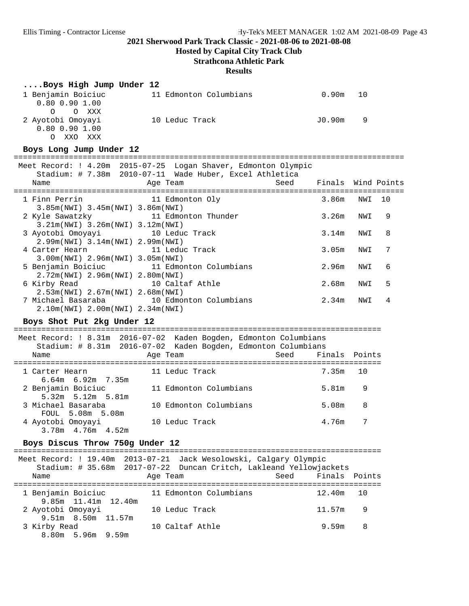**Hosted by Capital City Track Club**

## **Strathcona Athletic Park**

#### **Results**

## **....Boys High Jump Under 12**

| 1 Benjamin Boiciuc   | 11 Edmonton Columbians | 0.90m<br>10                                                                                                               |
|----------------------|------------------------|---------------------------------------------------------------------------------------------------------------------------|
| $0.80$ $0.90$ $1.00$ |                        |                                                                                                                           |
| O O XXX              |                        |                                                                                                                           |
| 2 Ayotobi Omoyayi    | 10 Leduc Track         | JO.90m<br>in the second second second second second second second second second second second second second second second |
| $0.80$ $0.90$ $1.00$ |                        |                                                                                                                           |
| XXX                  |                        |                                                                                                                           |

#### Boys Long Jump Under 12

| Name                                                                   | Meet Record: ! 4.20m 2015-07-25 Logan Shaver, Edmonton Olympic<br>Stadium: # 7.38m 2010-07-11 Wade Huber, Excel Athletica<br>Age Team | Seed | Finals Wind Points       |    |
|------------------------------------------------------------------------|---------------------------------------------------------------------------------------------------------------------------------------|------|--------------------------|----|
| 1 Finn Perrin<br>$3.85m(NW1)$ $3.45m(NW1)$ $3.86m(NW1)$                | 11 Edmonton Oly                                                                                                                       |      | 3.86m<br>NWI             | 10 |
| 2 Kyle Sawatzky<br>$3.21m(NWI)$ 3.26 $m(NWI)$ 3.12 $m(NWI)$            | 11 Edmonton Thunder                                                                                                                   |      | 3.26m<br>NWI             | 9  |
| 3 Ayotobi Omoyayi 10 Leduc Track<br>$2.99m(NWI)$ 3.14m(NWI) 2.99m(NWI) |                                                                                                                                       |      | 3.14m<br>NWI             | 8  |
| 4 Carter Hearn<br>$3.00m(NWI)$ 2.96 $m(NWI)$ 3.05 $m(NWI)$             | 11 Leduc Track                                                                                                                        |      | 3.05m<br>NWI             | 7  |
| $2.72m(NWL)$ 2.96m(NWI) 2.80m(NWI)                                     | 5 Benjamin Boiciuc 11 Edmonton Columbians                                                                                             |      | 2.96m<br>NWI             | 6  |
| 6 Kirby Read<br>$2.53m(NWL)$ 2.67m(NWI) 2.68m(NWI)                     | 10 Caltaf Athle                                                                                                                       |      | 2.68m<br>NWI             | 5  |
| 2.10m(NWI) 2.00m(NWI) 2.34m(NWI)                                       | 7 Michael Basaraba               10 Edmonton Columbians                                                                               |      | 2.34 <sub>m</sub><br>NWI | 4  |

## Boys Shot Put 2kg Under 12

|                                               | Meet Record: ! 8.31m 2016-07-02 Kaden Bogden, Edmonton Columbians |                    |
|-----------------------------------------------|-------------------------------------------------------------------|--------------------|
|                                               | Stadium: # 8.31m 2016-07-02 Kaden Bogden, Edmonton Columbians     |                    |
| Name                                          | Age Team                                                          | Seed Finals Points |
| 1 Carter Hearn<br>$6.64m$ $6.92m$ $7.35m$     | 11 Leduc Track                                                    | 7.35m<br>10        |
| 2 Benjamin Boiciuc<br>$5.32m$ $5.12m$ $5.81m$ | 11 Edmonton Columbians                                            | 9<br>5.81m         |
| 3 Michael Basaraba<br>FOUL 5.08m 5.08m        | 10 Edmonton Columbians                                            | 8<br>5.08m         |
| 4 Ayotobi Omoyayi<br>3.78m 4.76m 4.52m        | 10 Leduc Track                                                    | 4.76m              |

# **Boys Discus Throw 750g Under 12** ================================================================================

|                     |  | Meet Record: ! 19.40m 2013-07-21 Jack Wesolowski, Calgary Olympic  |                    |    |
|---------------------|--|--------------------------------------------------------------------|--------------------|----|
|                     |  | Stadium: # 35.68m 2017-07-22 Duncan Critch, Lakleand Yellowjackets |                    |    |
| Name                |  | Age Team                                                           | Seed Finals Points |    |
|                     |  |                                                                    |                    |    |
| 1 Benjamin Boiciuc  |  | 11 Edmonton Columbians                                             | 12.40m             | 10 |
| 9.85m 11.41m 12.40m |  |                                                                    |                    |    |
| 2 Ayotobi Omoyayi   |  | 10 Leduc Track                                                     | 11.57m             | 9  |
| 9.51m 8.50m 11.57m  |  |                                                                    |                    |    |
| 3 Kirby Read        |  | 10 Caltaf Athle                                                    | 9.59m              | 8  |
| 8.80m 5.96m 9.59m   |  |                                                                    |                    |    |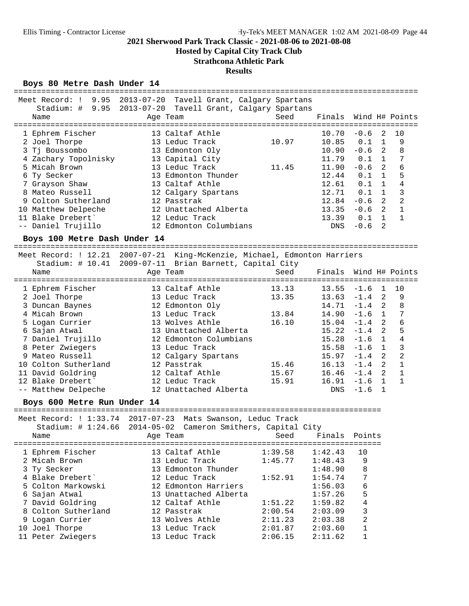**Hosted by Capital City Track Club**

## **Strathcona Athletic Park**

#### **Results**

## Boys 80 Metre Dash Under 14

| Meet Record: !                                              | $9.95$ $2013 - 07 - 20$ | Tavell Grant, Calgary Spartans                       |         | =============================== |            |              |                |
|-------------------------------------------------------------|-------------------------|------------------------------------------------------|---------|---------------------------------|------------|--------------|----------------|
| Stadium: # 9.95                                             | $2013 - 07 - 20$        | Tavell Grant, Calgary Spartans                       |         |                                 |            |              |                |
| Name                                                        |                         | Age Team                                             | Seed    | Finals                          |            |              | Wind H# Points |
| 1 Ephrem Fischer                                            |                         | 13 Caltaf Athle                                      |         | 10.70                           | $-0.6$     | 2            | 10             |
| 2 Joel Thorpe                                               |                         | 13 Leduc Track                                       | 10.97   | 10.85                           | 0.1        | $\mathbf{1}$ | 9              |
| 3 Tj Boussombo                                              |                         | 13 Edmonton Oly                                      |         | 10.90                           | $-0.6$     | 2            | 8              |
| 4 Zachary Topolnisky                                        |                         | 13 Capital City                                      |         | 11.79                           | 0.1        | $\mathbf{1}$ | 7              |
| 5 Micah Brown                                               |                         | 13 Leduc Track                                       | 11.45   | 11.90                           | $-0.6$     | 2            | 6              |
| 6 Ty Secker                                                 |                         | 13 Edmonton Thunder                                  |         | 12.44                           | 0.1        | $\mathbf{1}$ | 5              |
| 7 Grayson Shaw                                              |                         | 13 Caltaf Athle                                      |         | 12.61                           | 0.1        | $\mathbf{1}$ | $\overline{4}$ |
| 8 Mateo Russell                                             |                         | 12 Calgary Spartans                                  |         | 12.71                           | 0.1        | $\mathbf{1}$ | 3              |
| 9 Colton Sutherland                                         |                         | 12 Passtrak                                          |         | 12.84                           | $-0.6$     | 2            | $\overline{2}$ |
| 10 Matthew Delpeche                                         |                         | 12 Unattached Alberta                                |         | 13.35                           | $-0.6$     | 2            | $\mathbf{1}$   |
| 11 Blake Drebert'                                           |                         | 12 Leduc Track                                       |         | 13.39                           | 0.1        | $\mathbf{1}$ | $\mathbf{1}$   |
| -- Daniel Trujillo                                          |                         | 12 Edmonton Columbians                               |         | <b>DNS</b>                      | $-0.6$     | 2            |                |
| Boys 100 Metre Dash Under 14                                |                         |                                                      |         |                                 |            |              |                |
| Meet Record: ! 12.21                                        |                         | 2007-07-21 King-McKenzie, Michael, Edmonton Harriers |         |                                 |            |              |                |
| Stadium: $\#$ 10.41                                         |                         | 2009-07-11 Brian Barnett, Capital City               |         |                                 |            |              |                |
| Name                                                        |                         | Age Team                                             | Seed    | Finals                          |            |              | Wind H# Points |
|                                                             |                         |                                                      |         |                                 |            |              |                |
| 1 Ephrem Fischer                                            |                         | 13 Caltaf Athle                                      | 13.13   | 13.55                           | $-1.6$     | 1            | 10             |
| 2 Joel Thorpe                                               |                         | 13 Leduc Track                                       | 13.35   | 13.63                           | $-1.4$     | 2            | 9              |
| 3 Duncan Baynes                                             |                         | 12 Edmonton Oly                                      |         | 14.71                           | $-1.4$     | 2            | 8              |
| 4 Micah Brown                                               |                         | 13 Leduc Track                                       | 13.84   | 14.90                           | $-1.6$     | $\mathbf{1}$ | 7              |
| 5 Logan Currier                                             |                         | 13 Wolves Athle                                      | 16.10   | $15.04 -1.4$                    |            | 2            | $\overline{6}$ |
| 6 Sajan Atwal                                               |                         | 13 Unattached Alberta                                |         | 15.22                           | $-1.4$     | 2            | 5              |
| 7 Daniel Trujillo                                           |                         | 12 Edmonton Columbians                               |         | 15.28                           | $-1.6$     | $\mathbf{1}$ | $\,4$          |
| 8 Peter Zwiegers                                            |                         | 13 Leduc Track                                       |         | 15.58                           | $-1.6$     | $\mathbf{1}$ | 3              |
| 9 Mateo Russell                                             |                         | 12 Calgary Spartans                                  |         | 15.97                           | $-1.4$     | 2            | $\overline{a}$ |
| 10 Colton Sutherland                                        |                         | 12 Passtrak                                          | 15.46   | 16.13                           | $-1.4$     | 2            | $\mathbf{1}$   |
| 11 David Goldring                                           |                         | 12 Caltaf Athle                                      | 15.67   | $16.46 - 1.4$                   |            | 2            | $\mathbf{1}$   |
| 12 Blake Drebert'                                           |                         | 12 Leduc Track                                       | 15.91   | 16.91                           | $-1.6$     | $\mathbf{1}$ | $\mathbf{1}$   |
| -- Matthew Delpeche                                         |                         | 12 Unattached Alberta                                |         | <b>DNS</b>                      | $-1.6$     | 1            |                |
| Boys 600 Metre Run Under 14                                 |                         |                                                      |         |                                 |            |              |                |
| Meet Record: ! 1:33.74 2017-07-23 Mats Swanson, Leduc Track |                         |                                                      |         |                                 |            |              |                |
| Stadium: $\#$ 1:24.66                                       | $2014 - 05 - 02$        | Cameron Smithers, Capital City                       |         |                                 |            |              |                |
| Name                                                        |                         | Age Team                                             | Seed    | Finals                          | Points     |              |                |
| ===============================                             |                         |                                                      | -----   |                                 | ========== |              |                |
| 1 Ephrem Fischer                                            |                         | 13 Caltaf Athle                                      | 1:39.58 | 1:42.43                         | 10         |              |                |
| 2 Micah Brown                                               |                         | 13 Leduc Track                                       | 1:45.77 | 1:48.43                         | 9          |              |                |
| 3 Ty Secker                                                 |                         | 13 Edmonton Thunder                                  |         | 1:48.90                         | 8          |              |                |
| 4 Blake Drebert'                                            |                         | 12 Leduc Track                                       | 1:52.91 | 1:54.74                         | 7          |              |                |
| 5 Colton Markowski                                          |                         | 12 Edmonton Harriers                                 |         | 1:56.03                         | 6          |              |                |
| 6 Sajan Atwal                                               |                         | 13 Unattached Alberta                                |         | 1:57.26                         | 5          |              |                |
| 7 David Goldring                                            |                         | 12 Caltaf Athle                                      | 1:51.22 | 1:59.82                         | 4          |              |                |
| 8 Colton Sutherland                                         |                         | 12 Passtrak                                          | 2:00.54 | 2:03.09                         | 3          |              |                |
| 9 Logan Currier                                             |                         | 13 Wolves Athle                                      | 2:11.23 | 2:03.38                         | 2          |              |                |
| 10 Joel Thorpe                                              |                         | 13 Leduc Track                                       | 2:01.87 | 2:03.60                         | 1          |              |                |
| 11 Peter Zwiegers                                           |                         | 13 Leduc Track                                       | 2:06.15 | 2:11.62                         | 1          |              |                |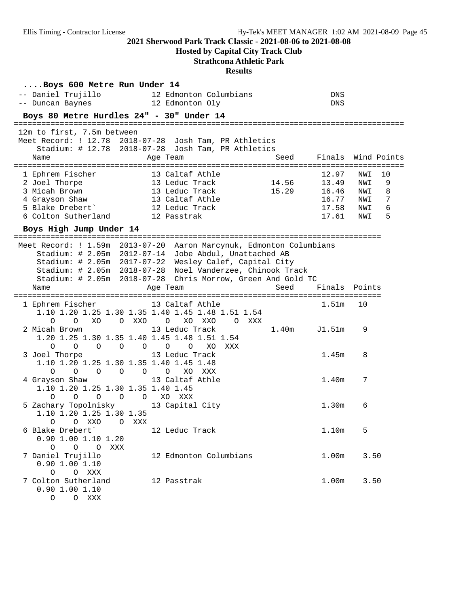## **Hosted by Capital City Track Club**

## **Strathcona Athletic Park**

| Boys 600 Metre Run Under 14<br>-- Daniel Trujillo<br>-- Duncan Baynes                                                                                                    | 12 Edmonton Columbians<br>12 Edmonton Oly                                                                                                                                                                                                                                                                                              | DNS<br>DNS                                                  |                                                                       |
|--------------------------------------------------------------------------------------------------------------------------------------------------------------------------|----------------------------------------------------------------------------------------------------------------------------------------------------------------------------------------------------------------------------------------------------------------------------------------------------------------------------------------|-------------------------------------------------------------|-----------------------------------------------------------------------|
| Boys 80 Metre Hurdles 24" - 30" Under 14                                                                                                                                 |                                                                                                                                                                                                                                                                                                                                        |                                                             |                                                                       |
| 12m to first, 7.5m between<br>Meet Record: ! 12.78 2018-07-28 Josh Tam, PR Athletics<br>Name                                                                             | Stadium: # 12.78 2018-07-28 Josh Tam, PR Athletics<br>Age Team                                                                                                                                                                                                                                                                         | Seed                                                        | Finals Wind Points                                                    |
| 1 Ephrem Fischer<br>2 Joel Thorpe<br>3 Micah Brown<br>4 Grayson Shaw<br>5 Blake Drebert'<br>6 Colton Sutherland 12 Passtrak                                              | 13 Caltaf Athle<br>14.56<br>13 Leduc Track<br>13 Leduc Track<br>13 Caltaf Athle<br>12 Leduc Track                                                                                                                                                                                                                                      | 12.97<br>13.49<br>15.29<br>16.46<br>16.77<br>17.58<br>17.61 | 10<br>NWI<br>9<br>NWI<br>NWI<br>8<br>7<br>NWI<br>6<br>NWI<br>5<br>NWI |
| Boys High Jump Under 14                                                                                                                                                  |                                                                                                                                                                                                                                                                                                                                        |                                                             |                                                                       |
| Name                                                                                                                                                                     | Meet Record: ! 1.59m 2013-07-20 Aaron Marcynuk, Edmonton Columbians<br>Stadium: # 2.05m 2012-07-14 Jobe Abdul, Unattached AB<br>Stadium: # 2.05m 2017-07-22 Wesley Calef, Capital City<br>Stadium: # 2.05m 2018-07-28 Noel Vanderzee, Chinook Track<br>Stadium: # 2.05m 2018-07-28 Chris Morrow, Green And Gold TC<br>Age Team<br>Seed | Finals Points                                               |                                                                       |
| 1 Ephrem Fischer 13 Caltaf Athle                                                                                                                                         | 1.10 1.20 1.25 1.30 1.35 1.40 1.45 1.48 1.51 1.54                                                                                                                                                                                                                                                                                      | 1.51 <sub>m</sub>                                           | 10                                                                    |
| $\Omega$<br>XO<br>O XXO O<br>$\overline{O}$<br>2 Micah Brown<br>1.20 1.25 1.30 1.35 1.40 1.45 1.48 1.51 1.54<br>$\overline{O}$<br>$\circ$<br>$\circ$ $\circ$<br>$\Omega$ | XO XXO<br>O XXX<br>13 Leduc Track                                                                                                                                                                                                                                                                                                      | 1.40m<br>J1.51m                                             | 9                                                                     |
| 3 Joel Thorpe<br>1.10 1.20 1.25 1.30 1.35 1.40 1.45 1.48<br>$0\qquad 0$<br>$\circ$<br>$\overline{O}$                                                                     | $O$ 0<br>XO<br>XXX<br>13 Leduc Track<br>$O$ 0<br>XO XXX                                                                                                                                                                                                                                                                                | 1.45m                                                       | 8                                                                     |
| 4 Grayson Shaw<br>1.10 1.20 1.25 1.30 1.35 1.40 1.45<br>O<br>$\circ$<br>$\circ$<br>$\overline{O}$<br>$\circ$                                                             | 13 Caltaf Athle<br>XO XXX                                                                                                                                                                                                                                                                                                              | 1.40m                                                       | 7                                                                     |
| 5 Zachary Topolnisky 13 Capital City<br>1.10 1.20 1.25 1.30 1.35<br>O O XXO O XXX                                                                                        |                                                                                                                                                                                                                                                                                                                                        | 1.30 <sub>m</sub>                                           | 6                                                                     |
| 6 Blake Drebert'<br>$0.90$ 1.00 1.10 1.20<br>$0\qquad 0\qquad 0$<br>XXX                                                                                                  | 12 Leduc Track                                                                                                                                                                                                                                                                                                                         | 1.10m                                                       | 5                                                                     |
| 7 Daniel Trujillo<br>$0.90$ 1.00 1.10<br>O O XXX                                                                                                                         | 12 Edmonton Columbians                                                                                                                                                                                                                                                                                                                 | 1.00m                                                       | 3.50                                                                  |
| 7 Colton Sutherland<br>0.90 1.00 1.10<br>$\circ$<br>O XXX                                                                                                                | 12 Passtrak                                                                                                                                                                                                                                                                                                                            | 1.00m                                                       | 3.50                                                                  |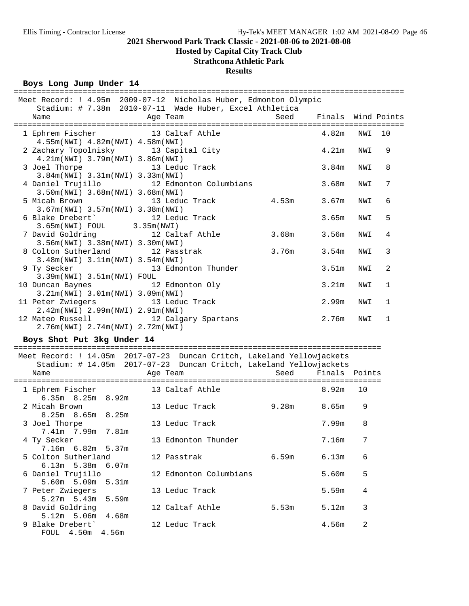**Hosted by Capital City Track Club**

## **Strathcona Athletic Park**

## **Results**

| Boys Long Jump Under 14                                                                           |                                                                                |       | ============================== |        |   |
|---------------------------------------------------------------------------------------------------|--------------------------------------------------------------------------------|-------|--------------------------------|--------|---|
| Meet Record: ! 4.95m 2009-07-12 Nicholas Huber, Edmonton Olympic                                  |                                                                                |       |                                |        |   |
| Name                                                                                              | Stadium: # 7.38m 2010-07-11 Wade Huber, Excel Athletica<br>Age Team            | Seed  | Finals Wind Points             |        |   |
| 1 Ephrem Fischer 13 Caltaf Athle                                                                  |                                                                                |       | 4.82m                          | NWI 10 |   |
| 4.55m (NWI) 4.82m (NWI) 4.58m (NWI)<br>2 Zachary Topolnisky 13 Capital City                       |                                                                                |       | 4.21m                          | NWI    | 9 |
| 4.21m(NWI) 3.79m(NWI) 3.86m(NWI)<br>3 Joel Thorpe                                                 | 13 Leduc Track                                                                 |       | 3.84m                          | NWI    | 8 |
| 3.84m(NWI) 3.31m(NWI) 3.33m(NWI)<br>4 Daniel Trujillo                                             | 12 Edmonton Columbians                                                         |       | 3.68m                          | NWI    | 7 |
| 3.50m(NWI) 3.68m(NWI) 3.68m(NWI)<br>5 Micah Brown                                                 | 13 Leduc Track 1.53m                                                           |       | 3.67m                          | NWI    | 6 |
| 3.67m(NWI) 3.57m(NWI) 3.38m(NWI)<br>6 Blake Drebert 12 Leduc Track<br>3.65m(NWI) FOUL 3.35m(NWI)  |                                                                                |       | 3.65m                          | NWI    | 5 |
| 7 David Goldring                                                                                  | 12 Caltaf Athle                                                                | 3.68m | 3.56m                          | NWI    | 4 |
| 3.56m(NWI) 3.38m(NWI) 3.30m(NWI)<br>8 Colton Sutherland<br>$3.48m(NWT)$ $3.11m(NWT)$ $3.54m(NWT)$ | 12 Passtrak                                                                    | 3.76m | 3.54m                          | NWI    | 3 |
| 9 Ty Secker<br>3.39m(NWI) 3.51m(NWI) FOUL                                                         | 13 Edmonton Thunder                                                            |       | 3.51 <sub>m</sub>              | NWI    | 2 |
| 10 Duncan Baynes<br>3.21m(NWI) 3.01m(NWI) 3.09m(NWI)                                              | 12 Edmonton Oly                                                                |       | 3.21m                          | NWI    | 1 |
| 11 Peter Zwiegers 13 Leduc Track<br>2.42m(NWI) 2.99m(NWI) 2.91m(NWI)                              |                                                                                |       | 2.99m                          | NWI    | 1 |
| 12 Mateo Russell 12 Calgary Spartans<br>2.76m(NWI) 2.74m(NWI) 2.72m(NWI)                          |                                                                                |       | 2.76m                          | NWI    | 1 |
| Boys Shot Put 3kg Under 14                                                                        |                                                                                |       |                                |        |   |
| Meet Record: ! 14.05m 2017-07-23 Duncan Critch, Lakeland Yellowjackets                            |                                                                                |       |                                |        |   |
| Name                                                                                              | Stadium: # 14.05m 2017-07-23 Duncan Critch, Lakeland Yellowjackets<br>Age Team | Seed  | Finals Points                  |        |   |
|                                                                                                   |                                                                                |       |                                |        |   |
| 1 Ephrem Fischer 13 Caltaf Athle<br>6.35m 8.25m 8.92m                                             |                                                                                |       | 8.92m                          | 10     |   |
| 2 Micah Brown<br>8.25m 8.65m 8.25m                                                                | 13 Leduc Track                                                                 | 9.28m | 8.65m 9                        |        |   |
| 3 Joel Thorpe<br>7.41m 7.99m 7.81m                                                                | 13 Leduc Track                                                                 |       | <b>7.99m</b> 8                 |        |   |
| 4 Ty Secker<br>7.16m 6.82m 5.37m                                                                  | 13 Edmonton Thunder                                                            |       | 7.16m                          | 7      |   |
| 5 Colton Sutherland<br>$6.13m$ 5.38m<br>6.07m                                                     | 12 Passtrak                                                                    | 6.59m | 6.13m                          | 6      |   |
| 6 Daniel Trujillo<br>5.60m 5.09m<br>5.31m                                                         | 12 Edmonton Columbians                                                         |       | 5.60m                          | 5      |   |
| 7 Peter Zwiegers<br>$5.27m$ 5.43m<br>5.59m                                                        | 13 Leduc Track                                                                 |       | 5.59m                          | 4      |   |
| 8 David Goldring<br>$5.12m$ 5.06m<br>4.68m                                                        | 12 Caltaf Athle                                                                | 5.53m | 5.12m                          | 3      |   |
| 9 Blake Drebert'                                                                                  | 12 Leduc Track                                                                 |       | 4.56m                          | 2      |   |

FOUL 4.50m 4.56m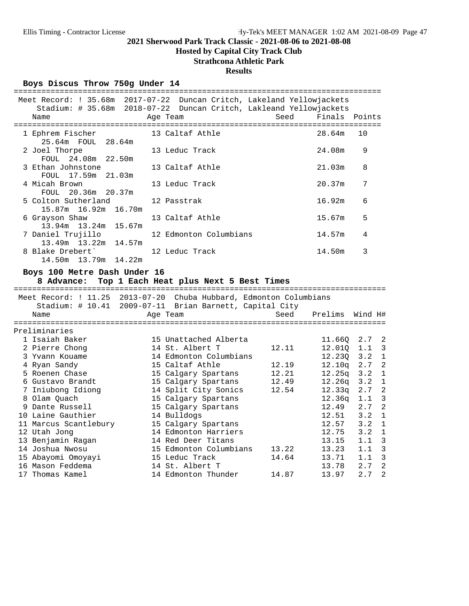## **Hosted by Capital City Track Club**

## **Strathcona Athletic Park**

## **Results**

Boys Discus Throw 750g Under 14

|                                                        | Meet Record: ! 35.68m 2017-07-22 Duncan Critch, Lakeland Yellowjackets |                    |                      |                       |  |
|--------------------------------------------------------|------------------------------------------------------------------------|--------------------|----------------------|-----------------------|--|
|                                                        | Stadium: # 35.68m 2018-07-22 Duncan Critch, Lakleand Yellowjackets     |                    |                      |                       |  |
| Name                                                   | Age Team                                                               | Seed Finals Points |                      |                       |  |
| 1 Ephrem Fischer 13 Caltaf Athle<br>25.64m FOUL 28.64m |                                                                        |                    | 28.64m               | 10                    |  |
| 2 Joel Thorpe<br>FOUL 24.08m 22.50m                    | 13 Leduc Track                                                         |                    | 24.08m               | 9                     |  |
| 3 Ethan Johnstone<br>FOUL 17.59m 21.03m                | 13 Caltaf Athle                                                        |                    | 21.03m               | 8                     |  |
| 4 Micah Brown<br>FOUL 20.36m 20.37m                    | 13 Leduc Track                                                         |                    | 20.37m               | 7                     |  |
| 5 Colton Sutherland<br>15.87m  16.92m  16.70m          | 12 Passtrak                                                            |                    | 16.92m               | 6                     |  |
| 6 Grayson Shaw<br>13.94m 13.24m 15.67m                 | 13 Caltaf Athle                                                        |                    | 15.67m               | 5                     |  |
| 7 Daniel Trujillo<br>13.49m  13.22m  14.57m            | 12 Edmonton Columbians                                                 |                    | 14.57m               | 4                     |  |
| 8 Blake Drebert'<br>14.50m  13.79m  14.22m             | 12 Leduc Track                                                         |                    | 14.50m               | 3                     |  |
| Boys 100 Metre Dash Under 16                           | 8 Advance: Top 1 Each Heat plus Next 5 Best Times                      |                    |                      |                       |  |
|                                                        | Meet Record: ! 11.25 2013-07-20 Chuba Hubbard, Edmonton Columbians     |                    |                      |                       |  |
|                                                        | Stadium: # 10.41 2009-07-11 Brian Barnett, Capital City                |                    |                      |                       |  |
| Name                                                   | Age Team                                                               |                    | Seed Prelims Wind H# |                       |  |
| Preliminaries                                          |                                                                        |                    |                      |                       |  |
| 1 Isaiah Baker                                         | 15 Unattached Alberta                                                  |                    |                      | 11.66Q 2.7 2          |  |
| 2 Pierre Chong                                         | 14 St. Albert T                                                        | 12.11              |                      | 12.01Q 1.1 3          |  |
|                                                        | 14 Edmonton Columbians                                                 |                    | 12.23Q               | $3.2 \quad 1$         |  |
| 3 Yvann Kouame<br>4 Ryan Sandy<br>4 Ryan Sandy         | 15 Caltaf Athle                                                        | 12.19              | 12.10q               | $\overline{c}$<br>2.7 |  |
| 5 Roenen Chase                                         | 15 Calgary Spartans 12.21                                              |                    | 12.25q               | $\mathbf 1$<br>3.2    |  |
| 6 Gustavo Brandt                                       | 15 Calgary Spartans 12.49                                              |                    | 12.26q               | 3.2<br>$\mathbf{1}$   |  |
| 7 Iniubong Idiong                                      | 14 Split City Sonics                                                   | 12.54              | 12.33q               | $2.7-2$               |  |
| 8 Olam Quach                                           | 15 Calgary Spartans                                                    |                    | 12.36q               | 1.1 <sup>3</sup>      |  |
| 9 Dante Russell                                        | 15 Calgary Spartans                                                    |                    | 12.49                | $\overline{c}$<br>2.7 |  |
| 10 Laine Gauthier                                      | 14 Bulldogs                                                            |                    | 12.51                | $\mathbf{1}$<br>3.2   |  |

 11 Marcus Scantlebury 15 Calgary Spartans 12.57 3.2 1 12 Utah Jong 14 Edmonton Harriers 12.75 3.2 1 13 Benjamin Ragan 14 Red Deer Titans 13 1.15 1.1 3 14 Joshua Nwosu 15 Edmonton Columbians 13.22 13.23 1.1 3 15 Abayomi Omoyayi 15 Leduc Track 14.64 13.71 1.1 3 16 Mason Feddema 14 St. Albert T 13.78 2.7 2 17 Thomas Kamel 14 Edmonton Thunder 14.87 13.97 2.7 2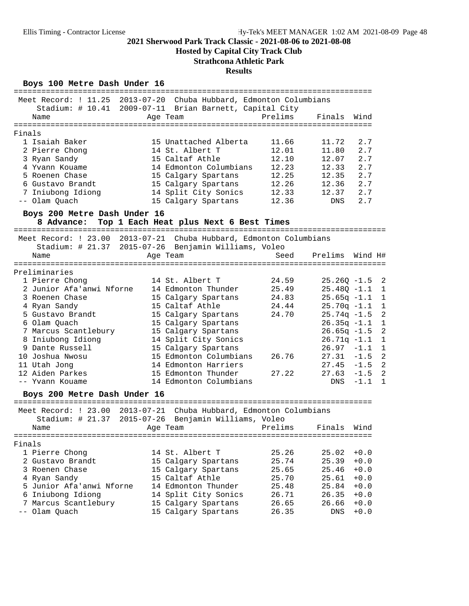**Hosted by Capital City Track Club**

## **Strathcona Athletic Park**

### **Results**

## Boys 100 Metre Dash Under 16

|                                                                    | -----------                                             |                |                |                                 |
|--------------------------------------------------------------------|---------------------------------------------------------|----------------|----------------|---------------------------------|
| Meet Record: ! 11.25 2013-07-20 Chuba Hubbard, Edmonton Columbians | Stadium: # 10.41 2009-07-11 Brian Barnett, Capital City |                |                |                                 |
| Name                                                               | Age Team                                                | Prelims        | Finals         | Wind                            |
| Finals                                                             |                                                         |                |                |                                 |
| 1 Isaiah Baker                                                     | 15 Unattached Alberta                                   | 11.66          | 11.72          | 2.7                             |
| 2 Pierre Chong                                                     | 14 St. Albert T                                         | 12.01          | 11.80          | 2.7                             |
| 3 Ryan Sandy                                                       | 15 Caltaf Athle                                         | 12.10          | 12.07          | 2.7                             |
| 4 Yvann Kouame                                                     | 14 Edmonton Columbians                                  | 12.23          | 12.33          | 2.7                             |
|                                                                    |                                                         |                |                | 2.7                             |
| 5 Roenen Chase<br>6 Gustavo Brandt                                 | 15 Calgary Spartans                                     | 12.25<br>12.26 | 12.35<br>12.36 | 2.7                             |
|                                                                    | 15 Calgary Spartans                                     | 12.33          |                |                                 |
| 7 Iniubong Idiong<br>-- Olam Quach                                 | 14 Split City Sonics<br>15 Calgary Spartans             | 12.36          | 12.37<br>DNS   | 2.7<br>2.7                      |
| Boys 200 Metre Dash Under 16                                       |                                                         |                |                |                                 |
| 8 Advance:                                                         | Top 1 Each Heat plus Next 6 Best Times                  |                |                |                                 |
| Meet Record: ! 23.00 2013-07-21 Chuba Hubbard, Edmonton Columbians |                                                         |                |                |                                 |
|                                                                    | Stadium: # 21.37 2015-07-26 Benjamin Williams, Voleo    |                |                |                                 |
| Name                                                               | Age Team                                                | Seed           | Prelims        | Wind H#                         |
|                                                                    |                                                         |                |                |                                 |
| Preliminaries                                                      |                                                         |                |                |                                 |
| 1 Pierre Chong                                                     | 14 St. Albert T                                         | 24.59          | $25.26Q - 1.5$ | 2                               |
| 2 Junior Afa'anwi Nforne                                           | 14 Edmonton Thunder                                     | 25.49          | $25.48Q -1.1$  | 1                               |
| 3 Roenen Chase                                                     | 15 Calgary Spartans                                     | 24.83          | $25.65q -1.1$  | $\mathbf{1}$                    |
| 4 Ryan Sandy                                                       | 15 Caltaf Athle                                         | 24.44          | $25.70q -1.1$  | $\mathbf{1}$                    |
| 5 Gustavo Brandt                                                   | 15 Calgary Spartans                                     | 24.70          | $25.74q -1.5$  | $\overline{2}$                  |
| 6 Olam Quach                                                       | 15 Calgary Spartans                                     |                | $26.35q -1.1$  | $\mathbf{1}$                    |
| 7 Marcus Scantlebury                                               | 15 Calgary Spartans                                     |                | $26.65q -1.5$  | $\overline{2}$                  |
| 8 Iniubong Idiong                                                  | 14 Split City Sonics                                    |                | $26.71q -1.1$  | $\mathbf 1$                     |
| 9 Dante Russell                                                    | 15 Calgary Spartans                                     |                | $26.97 - 1.1$  | $\mathbf{1}$                    |
| 10 Joshua Nwosu                                                    | 15 Edmonton Columbians                                  | 26.76          | $27.31 - 1.5$  | $\overline{a}$                  |
| 11 Utah Jong                                                       | 14 Edmonton Harriers                                    |                |                | $\overline{2}$<br>$27.45 - 1.5$ |
| 12 Aiden Parkes                                                    | 15 Edmonton Thunder                                     | 27.22          |                | $\overline{2}$<br>$27.63 - 1.5$ |
| -- Yvann Kouame                                                    | 14 Edmonton Columbians                                  |                | DNS            | $-1.1$<br>1                     |
| Boys 200 Metre Dash Under 16                                       |                                                         |                |                |                                 |
| Meet Record: ! 23.00 2013-07-21 Chuba Hubbard, Edmonton Columbians |                                                         |                |                |                                 |
| Stadium: $\#$ 21.37                                                | 2015-07-26 Benjamin Williams, Voleo                     |                |                |                                 |
| Name                                                               | Age Team                                                | Prelims        | Finals         | Wind                            |
|                                                                    |                                                         |                |                |                                 |
| Finals                                                             |                                                         |                |                |                                 |
| 1 Pierre Chong                                                     | 14 St. Albert T                                         | 25.26          | 25.02          | $+0.0$                          |
| 2 Gustavo Brandt                                                   | 15 Calgary Spartans                                     | 25.74          | 25.39          | $+0.0$                          |
| 3 Roenen Chase                                                     | 15 Calgary Spartans                                     | 25.65          | 25.46          | $+0.0$                          |
| 4 Ryan Sandy                                                       | 15 Caltaf Athle                                         | 25.70          | 25.61          | $+0.0$                          |
| 5 Junior Afa'anwi Nforne                                           | 14 Edmonton Thunder                                     | 25.48          | 25.84          | $+0.0$                          |
| 6 Iniubong Idiong                                                  | 14 Split City Sonics                                    | 26.71          | 26.35          | $+0.0$                          |
| 7 Marcus Scantlebury                                               | 15 Calgary Spartans                                     | 26.65          | 26.66          | $+0.0$                          |
| -- Olam Quach                                                      | 15 Calgary Spartans                                     | 26.35          | DNS            | $+0.0$                          |
|                                                                    |                                                         |                |                |                                 |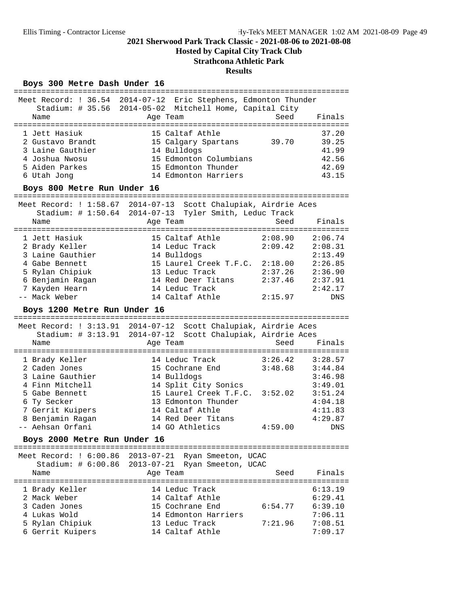**Hosted by Capital City Track Club**

## **Strathcona Athletic Park**

#### **Results**

## Boys 300 Metre Dash Under 16

|                                        | Meet Record: ! 36.54 2014-07-12 Eric Stephens, Edmonton Thunder |                           |                         |
|----------------------------------------|-----------------------------------------------------------------|---------------------------|-------------------------|
|                                        | Stadium: # 35.56 2014-05-02 Mitchell Home, Capital City         |                           |                         |
| Name                                   | Age Team                                                        | Seed                      | Finals                  |
|                                        |                                                                 |                           | ======================= |
| 1 Jett Hasiuk                          | 15 Caltaf Athle                                                 |                           | 37.20                   |
| 2 Gustavo Brandt                       | 15 Calgary Spartans                                             | 39.70                     | 39.25                   |
| 3 Laine Gauthier                       | 14 Bulldogs                                                     |                           | 41.99                   |
| 4 Joshua Nwosu                         | 15 Edmonton Columbians                                          |                           | 42.56                   |
| 5 Aiden Parkes                         | 15 Edmonton Thunder                                             |                           | 42.69                   |
| 6 Utah Jong                            | 14 Edmonton Harriers                                            |                           | 43.15                   |
| Boys 800 Metre Run Under 16            |                                                                 |                           |                         |
|                                        |                                                                 | ========================= |                         |
| Meet Record: ! 1:58.67 2014-07-13      | Scott Chalupiak, Airdrie Aces                                   |                           |                         |
| Stadium: # 1:50.64 2014-07-13          | Tyler Smith, Leduc Track                                        |                           |                         |
| Name                                   | Age Team                                                        | Seed                      | Finals                  |
| 1 Jett Hasiuk                          | 15 Caltaf Athle                                                 | 2:08.90                   | 2:06.74                 |
| 2 Brady Keller                         | 14 Leduc Track                                                  | 2:09.42                   | 2:08.31                 |
| 3 Laine Gauthier                       | 14 Bulldogs                                                     |                           | 2:13.49                 |
| 4 Gabe Bennett                         | 15 Laurel Creek T.F.C. 2:18.00                                  |                           | 2:26.85                 |
| 5 Rylan Chipiuk                        | 13 Leduc Track                                                  | 2:37.26                   | 2:36.90                 |
| 6 Benjamin Ragan                       | 14 Red Deer Titans                                              | 2:37.46                   | 2:37.91                 |
| 7 Kayden Hearn                         | 14 Leduc Track                                                  |                           | 2:42.17                 |
| -- Mack Weber                          | 14 Caltaf Athle                                                 | 2:15.97                   | DNS                     |
|                                        |                                                                 |                           |                         |
| Boys 1200 Metre Run Under 16           |                                                                 |                           |                         |
|                                        |                                                                 |                           |                         |
|                                        |                                                                 |                           |                         |
| Meet Record: ! 3:13.91 2014-07-12      | Scott Chalupiak, Airdrie Aces                                   |                           |                         |
| Stadium: # 3:13.91 2014-07-12<br>Name  | Scott Chalupiak, Airdrie Aces<br>Age Team                       | Seed                      | Finals                  |
|                                        |                                                                 |                           |                         |
| 1 Brady Keller                         | 14 Leduc Track                                                  | 3:26.42                   | 3:28.57                 |
| 2 Caden Jones                          | 15 Cochrane End                                                 | 3:48.68                   | 3:44.84                 |
| 3 Laine Gauthier                       | 14 Bulldogs                                                     |                           | 3:46.98                 |
| 4 Finn Mitchell                        | 14 Split City Sonics                                            |                           | 3:49.01                 |
| 5 Gabe Bennett                         | 15 Laurel Creek T.F.C.                                          | 3:52.02                   | 3:51.24                 |
| 6 Ty Secker                            | 13 Edmonton Thunder                                             |                           | 4:04.18                 |
| 7 Gerrit Kuipers                       | 14 Caltaf Athle                                                 |                           | 4:11.83                 |
| 8 Benjamin Ragan                       | 14 Red Deer Titans                                              |                           | 4:29.87                 |
| -- Aehsan Orfani                       | 14 GO Athletics                                                 | 4:59.00                   | DNS                     |
| Boys 2000 Metre Run Under 16           |                                                                 |                           |                         |
| ====================================== |                                                                 |                           |                         |
| Meet Record: ! 6:00.86                 | $2013 - 07 - 21$<br>Ryan Smeeton, UCAC                          |                           |                         |
| Stadium: $\#$ 6:00.86<br>Name          | $2013 - 07 - 21$<br>Ryan Smeeton, UCAC                          | Seed                      | Finals                  |
|                                        | Age Team                                                        |                           |                         |
| 1 Brady Keller                         | 14 Leduc Track                                                  |                           | 6:13.19                 |
| 2 Mack Weber                           | 14 Caltaf Athle                                                 |                           | 6:29.41                 |
| 3 Caden Jones                          | 15 Cochrane End                                                 | 6:54.77                   | 6:39.10                 |
| 4 Lukas Wold                           | 14 Edmonton Harriers                                            |                           | 7:06.11                 |
| 5 Rylan Chipiuk                        | 13 Leduc Track                                                  | 7:21.96                   | 7:08.51                 |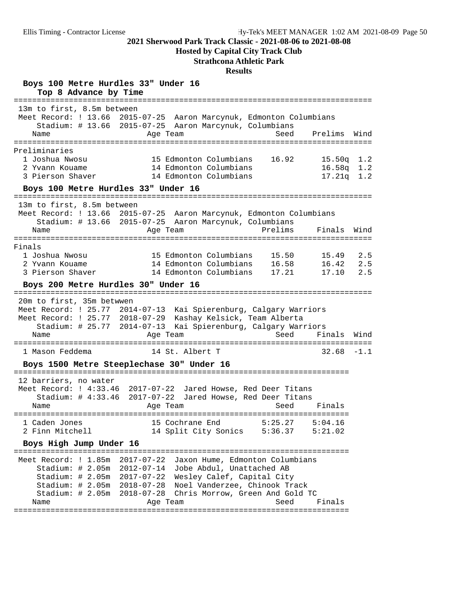**Hosted by Capital City Track Club**

#### **Strathcona Athletic Park**

#### **Results**

**Boys 100 Metre Hurdles 33" Under 16 Top 8 Advance by Time** ============================================================================== 13m to first, 8.5m between Meet Record: ! 13.66 2015-07-25 Aaron Marcynuk, Edmonton Columbians Stadium: # 13.66 2015-07-25 Aaron Marcynuk, Columbians Name Age Team Seed Prelims Wind ============================================================================== Preliminaries 1 Joshua Nwosu 15 Edmonton Columbians 16.92 15.50q 1.2 2 Yvann Kouame 14 Edmonton Columbians 16.58q 1.2 13 Bumonton Columbians 18.92 13.309 1.2<br>2 Yvann Kouame 14 Edmonton Columbians 16.589 1.2<br>3 Pierson Shaver 14 Edmonton Columbians 17.21q 1.2 **Boys 100 Metre Hurdles 33" Under 16** ============================================================================== 13m to first, 8.5m between Meet Record: ! 13.66 2015-07-25 Aaron Marcynuk, Edmonton Columbians Stadium: # 13.66 2015-07-25 Aaron Marcynuk, Columbians Name **Age Team** Prelims Finals Wind ============================================================================== Finals<br>1 Joshua Nwosu<br>2 Yvann Kouame<br>3 Pierson Shaver 1 Joshua Nwosu 15 Edmonton Columbians 15.50 15.49 2.5 2 Yvann Kouame 14 Edmonton Columbians 16.58 16.42 2.5 3 Pierson Shaver 14 Edmonton Columbians 17.21 17.10 2.5 **Boys 200 Metre Hurdles 30" Under 16** ============================================================================== 20m to first, 35m betwwen Meet Record: ! 25.77 2014-07-13 Kai Spierenburg, Calgary Warriors Meet Record: ! 25.77 2018-07-29 Kashay Kelsick, Team Alberta Stadium: # 25.77 2014-07-13 Kai Spierenburg, Calgary Warriors Name Age Team Seed Finals Wind ============================================================================== 1 Mason Feddema 14 St. Albert T 32.68 -1.1 **Boys 1500 Metre Steeplechase 30" Under 16** ========================================================================= 12 barriers, no water Meet Record: ! 4:33.46 2017-07-22 Jared Howse, Red Deer Titans Stadium: # 4:33.46 2017-07-22 Jared Howse, Red Deer Titans Name Age Team Seed Finals ========================================================================= 1 Caden Jones 15 Cochrane End 5:25.27 5:04.16 2 Finn Mitchell 14 Split City Sonics 5:36.37 5:21.02 **Boys High Jump Under 16** ========================================================================= Meet Record: ! 1.85m 2017-07-22 Jaxon Hume, Edmonton Columbians Stadium: # 2.05m 2012-07-14 Jobe Abdul, Unattached AB Stadium: # 2.05m 2017-07-22 Wesley Calef, Capital City Stadium: # 2.05m 2018-07-28 Noel Vanderzee, Chinook Track Stadium: # 2.05m 2018-07-28 Chris Morrow, Green And Gold TC Name **Age Team** Age Team Seed Finals =========================================================================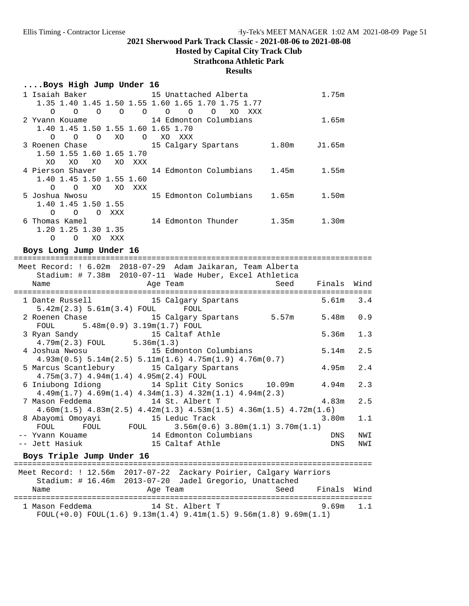## **Hosted by Capital City Track Club**

## **Strathcona Athletic Park**

#### **Results**

## **....Boys High Jump Under 16**

| 1 Isaiah Baker                                    | 15 Unattached Alberta                         | 1.75m           |
|---------------------------------------------------|-----------------------------------------------|-----------------|
| 1.35 1.40 1.45 1.50 1.55 1.60 1.65 1.70 1.75 1.77 |                                               |                 |
| $\Omega$<br>$\Omega$<br>$\Omega$<br>∩<br>$\Omega$ | $\Omega$<br>XO<br>$\Omega$<br>$\Omega$<br>XXX |                 |
| 2 Yvann Kouame                                    | 14 Edmonton Columbians                        | 1.65m           |
| 1.40 1.45 1.50 1.55 1.60 1.65 1.70                |                                               |                 |
| $\Omega$<br>XO<br>$\Omega$<br>$\Omega$<br>$\circ$ | XO.<br>XXX                                    |                 |
| 3 Roenen Chase                                    | 15 Calgary Spartans                           | 1.80m<br>J1.65m |
| 1.50 1.55 1.60 1.65 1.70                          |                                               |                 |
| XO<br>XO.<br>XO.<br>XO.<br>XXX                    |                                               |                 |
| 4 Pierson Shaver                                  | 14 Edmonton Columbians                        | 1.45m<br>1.55m  |
| 1.40 1.45 1.50 1.55 1.60                          |                                               |                 |
| XO<br>$\Omega$<br>$\Omega$<br>XO<br>XXX           |                                               |                 |
| 5 Joshua Nwosu                                    | 15 Edmonton Columbians                        | 1.65m<br>1.50m  |
| 1.40 1.45 1.50 1.55                               |                                               |                 |
| XXX<br>∩<br>$\Omega$<br>$\Omega$                  |                                               |                 |
| Thomas Kamel<br>6                                 | 14 Edmonton Thunder                           | 1.35m<br>1.30m  |
| 1.20 1.25 1.30 1.35                               |                                               |                 |
| O<br>XO.<br>Ο<br>XXX                              |                                               |                 |

#### Boys Long Jump Under 16

|                                 |                                                                                                                                                                                                                                                                                                                                                                                                                                                                                                                                                                                                                                                                                                                 | 3.4                                                                                                                                                                                                                                                                                                                                                                                                                                                                                                                                                                                                                                                                                            |
|---------------------------------|-----------------------------------------------------------------------------------------------------------------------------------------------------------------------------------------------------------------------------------------------------------------------------------------------------------------------------------------------------------------------------------------------------------------------------------------------------------------------------------------------------------------------------------------------------------------------------------------------------------------------------------------------------------------------------------------------------------------|------------------------------------------------------------------------------------------------------------------------------------------------------------------------------------------------------------------------------------------------------------------------------------------------------------------------------------------------------------------------------------------------------------------------------------------------------------------------------------------------------------------------------------------------------------------------------------------------------------------------------------------------------------------------------------------------|
|                                 |                                                                                                                                                                                                                                                                                                                                                                                                                                                                                                                                                                                                                                                                                                                 |                                                                                                                                                                                                                                                                                                                                                                                                                                                                                                                                                                                                                                                                                                |
|                                 |                                                                                                                                                                                                                                                                                                                                                                                                                                                                                                                                                                                                                                                                                                                 | 0.9                                                                                                                                                                                                                                                                                                                                                                                                                                                                                                                                                                                                                                                                                            |
|                                 |                                                                                                                                                                                                                                                                                                                                                                                                                                                                                                                                                                                                                                                                                                                 |                                                                                                                                                                                                                                                                                                                                                                                                                                                                                                                                                                                                                                                                                                |
|                                 |                                                                                                                                                                                                                                                                                                                                                                                                                                                                                                                                                                                                                                                                                                                 | 1.3                                                                                                                                                                                                                                                                                                                                                                                                                                                                                                                                                                                                                                                                                            |
|                                 |                                                                                                                                                                                                                                                                                                                                                                                                                                                                                                                                                                                                                                                                                                                 |                                                                                                                                                                                                                                                                                                                                                                                                                                                                                                                                                                                                                                                                                                |
|                                 |                                                                                                                                                                                                                                                                                                                                                                                                                                                                                                                                                                                                                                                                                                                 | 2.5                                                                                                                                                                                                                                                                                                                                                                                                                                                                                                                                                                                                                                                                                            |
|                                 |                                                                                                                                                                                                                                                                                                                                                                                                                                                                                                                                                                                                                                                                                                                 |                                                                                                                                                                                                                                                                                                                                                                                                                                                                                                                                                                                                                                                                                                |
|                                 |                                                                                                                                                                                                                                                                                                                                                                                                                                                                                                                                                                                                                                                                                                                 | 2.4                                                                                                                                                                                                                                                                                                                                                                                                                                                                                                                                                                                                                                                                                            |
|                                 |                                                                                                                                                                                                                                                                                                                                                                                                                                                                                                                                                                                                                                                                                                                 |                                                                                                                                                                                                                                                                                                                                                                                                                                                                                                                                                                                                                                                                                                |
|                                 |                                                                                                                                                                                                                                                                                                                                                                                                                                                                                                                                                                                                                                                                                                                 | 2.3                                                                                                                                                                                                                                                                                                                                                                                                                                                                                                                                                                                                                                                                                            |
|                                 |                                                                                                                                                                                                                                                                                                                                                                                                                                                                                                                                                                                                                                                                                                                 |                                                                                                                                                                                                                                                                                                                                                                                                                                                                                                                                                                                                                                                                                                |
|                                 |                                                                                                                                                                                                                                                                                                                                                                                                                                                                                                                                                                                                                                                                                                                 | 2.5                                                                                                                                                                                                                                                                                                                                                                                                                                                                                                                                                                                                                                                                                            |
|                                 |                                                                                                                                                                                                                                                                                                                                                                                                                                                                                                                                                                                                                                                                                                                 |                                                                                                                                                                                                                                                                                                                                                                                                                                                                                                                                                                                                                                                                                                |
|                                 | 3.80m                                                                                                                                                                                                                                                                                                                                                                                                                                                                                                                                                                                                                                                                                                           | 1.1                                                                                                                                                                                                                                                                                                                                                                                                                                                                                                                                                                                                                                                                                            |
|                                 |                                                                                                                                                                                                                                                                                                                                                                                                                                                                                                                                                                                                                                                                                                                 |                                                                                                                                                                                                                                                                                                                                                                                                                                                                                                                                                                                                                                                                                                |
|                                 | DNS                                                                                                                                                                                                                                                                                                                                                                                                                                                                                                                                                                                                                                                                                                             | NWI                                                                                                                                                                                                                                                                                                                                                                                                                                                                                                                                                                                                                                                                                            |
|                                 | DNS                                                                                                                                                                                                                                                                                                                                                                                                                                                                                                                                                                                                                                                                                                             | NWI                                                                                                                                                                                                                                                                                                                                                                                                                                                                                                                                                                                                                                                                                            |
|                                 |                                                                                                                                                                                                                                                                                                                                                                                                                                                                                                                                                                                                                                                                                                                 |                                                                                                                                                                                                                                                                                                                                                                                                                                                                                                                                                                                                                                                                                                |
| ===================             |                                                                                                                                                                                                                                                                                                                                                                                                                                                                                                                                                                                                                                                                                                                 |                                                                                                                                                                                                                                                                                                                                                                                                                                                                                                                                                                                                                                                                                                |
|                                 |                                                                                                                                                                                                                                                                                                                                                                                                                                                                                                                                                                                                                                                                                                                 |                                                                                                                                                                                                                                                                                                                                                                                                                                                                                                                                                                                                                                                                                                |
|                                 |                                                                                                                                                                                                                                                                                                                                                                                                                                                                                                                                                                                                                                                                                                                 |                                                                                                                                                                                                                                                                                                                                                                                                                                                                                                                                                                                                                                                                                                |
|                                 |                                                                                                                                                                                                                                                                                                                                                                                                                                                                                                                                                                                                                                                                                                                 |                                                                                                                                                                                                                                                                                                                                                                                                                                                                                                                                                                                                                                                                                                |
|                                 |                                                                                                                                                                                                                                                                                                                                                                                                                                                                                                                                                                                                                                                                                                                 |                                                                                                                                                                                                                                                                                                                                                                                                                                                                                                                                                                                                                                                                                                |
| 1 Mason Feddema 14 St. Albert T | 9.69m                                                                                                                                                                                                                                                                                                                                                                                                                                                                                                                                                                                                                                                                                                           | 1.1                                                                                                                                                                                                                                                                                                                                                                                                                                                                                                                                                                                                                                                                                            |
|                                 | Age Team<br>1 Dante Russell 15 Calgary Spartans<br>5.42m(2.3) 5.61m(3.4) FOUL FOUL<br>FOUL 5.48m (0.9) 3.19m (1.7) FOUL<br>3 Ryan Sandy 15 Caltaf Athle 4.79m(2.3) FOUL $5.36$ m(1.3)<br>4 Joshua Nwosu 15 Edmonton Columbians<br>$4.93m(0.5)$ 5.14m $(2.5)$ 5.11m $(1.6)$ 4.75m $(1.9)$ 4.76m $(0.7)$<br>5 Marcus Scantlebury 15 Calgary Spartans<br>$4.75m(3.7)$ $4.94m(1.4)$ $4.95m(2.4)$ FOUL<br>$4.49m(1.7)$ $4.69m(1.4)$ $4.34m(1.3)$ $4.32m(1.1)$ $4.94m(2.3)$<br>7 Mason Feddema 14 St. Albert T<br>-- Yvann Kouame                           14 Edmonton Columbians<br>-- Jett Hasiuk                             15 Caltaf Athle<br>Boys Triple Jump Under 16<br>and the Magnetic Press, and the Team | Meet Record: ! 6.02m 2018-07-29 Adam Jaikaran, Team Alberta<br>Stadium: # 7.38m 2010-07-11 Wade Huber, Excel Athletica<br>Seed Finals Wind<br>5.61m<br>2 Roenen Chase                             15 Calgary Spartans           5.57m<br>5.48m<br>5.36m<br>5.14m<br>4.95m<br>6 Iniubong Idiong 14 Split City Sonics 10.09m<br>4.94m<br>4.83m<br>$4.60$ m $(1.5)$ $4.83$ m $(2.5)$ $4.42$ m $(1.3)$ $4.53$ m $(1.5)$ $4.36$ m $(1.5)$ $4.72$ m $(1.6)$<br>8 Abayomi Omoyayi 15 Leduc Track<br>FOUL FOUL $3.56m(0.6) 3.80m(1.1) 3.70m(1.1)$<br>Meet Record: ! 12.56m 2017-07-22 Zackary Poirier, Calgary Warriors<br>Stadium: # 16.46m 2013-07-20 Jadel Gregorio, Unattached<br>Seed Finals Wind |

FOUL(+0.0) FOUL(1.6) 9.13m(1.4) 9.41m(1.5) 9.56m(1.8) 9.69m(1.1)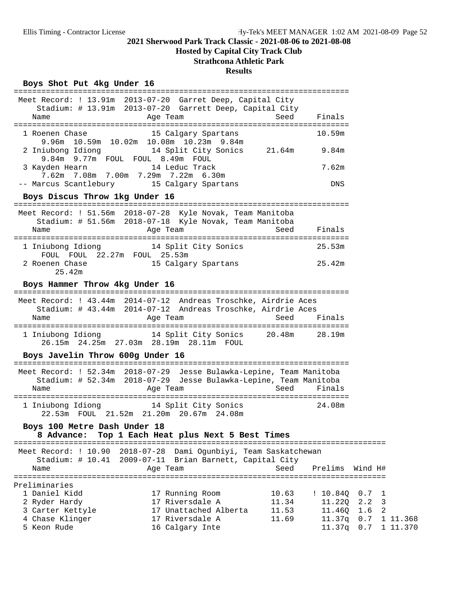## **Hosted by Capital City Track Club**

## **Strathcona Athletic Park**

#### **Results**

#### Boys Shot Put 4kg Under 16

|                                                    | Meet Record: ! 13.91m 2013-07-20 Garret Deep, Capital City<br>Stadium: # 13.91m 2013-07-20 Garrett Deep, Capital City                                |                         |                              |                                  |                      |
|----------------------------------------------------|------------------------------------------------------------------------------------------------------------------------------------------------------|-------------------------|------------------------------|----------------------------------|----------------------|
| Name                                               | Age Team                                                                                                                                             | Seed                    | Finals                       |                                  |                      |
|                                                    | 1 Roenen Chase 15 Calgary Spartans<br>9.96m 10.59m 10.02m 10.08m 10.23m 9.84m                                                                        |                         | 10.59m                       |                                  |                      |
|                                                    | 2 Iniubong Idiong 14 Split City Sonics 21.64m 9.84m<br>9.84m 9.77m FOUL FOUL 8.49m FOUL                                                              |                         |                              |                                  |                      |
| 3 Kayden Hearn                                     | 14 Leduc Track<br>7.62m 7.08m 7.00m 7.29m 7.22m 6.30m                                                                                                |                         | 7.62m                        |                                  |                      |
|                                                    | -- Marcus Scantlebury 15 Calgary Spartans                                                                                                            |                         | DNS                          |                                  |                      |
| Boys Discus Throw 1kg Under 16                     |                                                                                                                                                      |                         |                              |                                  |                      |
|                                                    | Meet Record: ! 51.56m 2018-07-28 Kyle Novak, Team Manitoba<br>Stadium: # 51.56m 2018-07-18 Kyle Novak, Team Manitoba                                 |                         |                              |                                  |                      |
| Name                                               | Age Team                                                                                                                                             | Seed                    | Finals                       |                                  |                      |
| FOUL FOUL 22.27m FOUL 25.53m                       | 1 Iniubong Idiong 14 Split City Sonics                                                                                                               |                         | 25.53m                       |                                  |                      |
| 2 Roenen Chase<br>25.42m                           | 15 Calgary Spartans                                                                                                                                  |                         | 25.42m                       |                                  |                      |
| Boys Hammer Throw 4kg Under 16                     |                                                                                                                                                      |                         |                              |                                  |                      |
|                                                    | Meet Record: ! 43.44m 2014-07-12 Andreas Troschke, Airdrie Aces                                                                                      |                         |                              |                                  |                      |
| Name                                               | Stadium: # 43.44m 2014-07-12 Andreas Troschke, Airdrie Aces<br>Age Team                                                                              | Seed                    | Finals                       |                                  |                      |
|                                                    | 1 Iniubong Idiong 14 Split City Sonics 20.48m 28.19m<br>26.15m  24.25m  27.03m  28.19m  28.11m  FOUL                                                 |                         |                              |                                  |                      |
| Boys Javelin Throw 600g Under 16                   |                                                                                                                                                      |                         |                              |                                  |                      |
| Name                                               | Meet Record: ! 52.34m 2018-07-29 Jesse Bulawka-Lepine, Team Manitoba<br>Stadium: # 52.34m 2018-07-29 Jesse Bulawka-Lepine, Team Manitoba<br>Age Team | Seed                    | Finals                       |                                  |                      |
|                                                    |                                                                                                                                                      |                         |                              |                                  |                      |
|                                                    | 1 Iniubong Idiong 14 Split City Sonics<br>22.53m FOUL 21.52m 21.20m 20.67m 24.08m                                                                    |                         | 24.08m                       |                                  |                      |
| Boys 100 Metre Dash Under 18<br>8 Advance:         | Top 1 Each Heat plus Next 5 Best Times                                                                                                               |                         |                              |                                  |                      |
| Meet Record: ! 10.90                               | 2018-07-28 Dami Ogunbiyi, Team Saskatchewan                                                                                                          |                         |                              |                                  |                      |
| Stadium: $\#$ 10.41<br>Name                        | 2009-07-11 Brian Barnett, Capital City<br>Age Team                                                                                                   | Seed                    | Prelims                      | Wind H#                          |                      |
| Preliminaries                                      |                                                                                                                                                      |                         |                              |                                  |                      |
| 1 Daniel Kidd<br>2 Ryder Hardy<br>3 Carter Kettyle | 17 Running Room<br>17 Riversdale A<br>17 Unattached Alberta                                                                                          | 10.63<br>11.34<br>11.53 | ! 10.84Q<br>11.22Q<br>11.46Q | 0.7<br>ı<br>2.2<br>3<br>1.6<br>2 |                      |
| 4 Chase Klinger<br>5 Keon Rude                     | 17 Riversdale A<br>16 Calgary Inte                                                                                                                   | 11.69                   | 11.37q<br>$11.37q$ 0.7       | 0.7                              | 1 11.368<br>1 11.370 |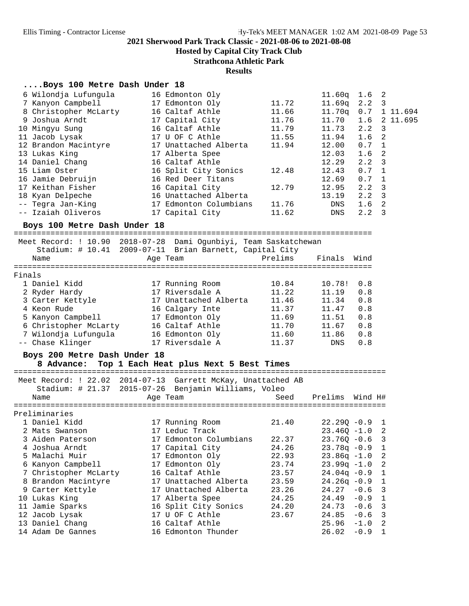**Hosted by Capital City Track Club**

**Strathcona Athletic Park**

#### **Results**

### **....Boys 100 Metre Dash Under 18**

| 6 Wilondja Lufungula         | 16 Edmonton Oly                                                  |         | 11.60q                  | 1.6 <sub>2</sub> |                |
|------------------------------|------------------------------------------------------------------|---------|-------------------------|------------------|----------------|
| 7 Kanyon Campbell            | 17 Edmonton Oly                                                  | 11.72   | 11.69q                  | 2.2              | 3              |
| 8 Christopher McLarty        | 16 Caltaf Athle                                                  | 11.66   | 11.70q                  |                  | $0.7$ 1 11.694 |
| 9 Joshua Arndt               | 17 Capital City                                                  | 11.76   | 11.70                   | 1.6              | 2 11.695       |
| 10 Mingyu Sung               | 16 Caltaf Athle                                                  | 11.79   | 11.73                   | 2.2              | 3              |
| 11 Jacob Lysak               | 17 U OF C Athle                                                  | 11.55   | 11.94                   | 1.6              | 2              |
| 12 Brandon Macintyre         | 17 Unattached Alberta                                            | 11.94   | 12.00                   | 0.7              | 1              |
| 13 Lukas King                | 17 Alberta Spee                                                  |         | 12.03                   | 1.6              | 2              |
| 14 Daniel Chang              | 16 Caltaf Athle                                                  |         | 12.29                   | 2.2              | 3              |
| 15 Liam Oster                | 16 Split City Sonics                                             | 12.48   | 12.43                   | 0.7              | 1              |
| 16 Jamie Debruijn            | 16 Red Deer Titans                                               |         | 12.69                   | 0.7              | $\mathbf{1}$   |
| 17 Keithan Fisher            | 16 Capital City                                                  | 12.79   | 12.95                   | 2.2              | $\overline{3}$ |
| 18 Kyan Delpeche             | 16 Unattached Alberta                                            |         | 13.19                   | $2.2 \quad 3$    |                |
| -- Tegra Jan-King            | 17 Edmonton Columbians                                           | 11.76   | DNS                     | 1.6              | 2              |
| -- Izaiah Oliveros           | 17 Capital City                                                  | 11.62   | DNS                     | $2.2 \quad 3$    |                |
| Boys 100 Metre Dash Under 18 |                                                                  |         |                         |                  |                |
|                              | Meet Record: ! 10.90 2018-07-28 Dami Ogunbiyi, Team Saskatchewan |         |                         |                  |                |
|                              | Stadium: # 10.41 2009-07-11 Brian Barnett, Capital City          |         |                         |                  |                |
| Name                         | Age Team                                                         | Prelims | Finals Wind             |                  |                |
|                              |                                                                  |         |                         |                  |                |
| Finals                       |                                                                  |         |                         |                  |                |
| 1 Daniel Kidd                | 17 Running Room                                                  | 10.84   | 10.78!                  | 0.8              |                |
| 2 Ryder Hardy                | 17 Riversdale A                                                  | 11.22   | 11.19                   | 0.8              |                |
| 3 Carter Kettyle             | 17 Unattached Alberta                                            | 11.46   | 11.34                   | 0.8              |                |
| 4 Keon Rude                  | 16 Calgary Inte                                                  | 11.37   | 11.47                   | 0.8              |                |
| 5 Kanyon Campbell            | 17 Edmonton Oly                                                  | 11.69   | 11.51                   | 0.8              |                |
| 6 Christopher McLarty        | 16 Caltaf Athle                                                  | 11.70   | 11.67                   | 0.8              |                |
| 7 Wilondja Lufungula         | 16 Edmonton Oly                                                  | 11.60   | 11.86                   | 0.8              |                |
| -- Chase Klinger             | 17 Riversdale A                                                  | 11.37   | DNS                     | 0.8              |                |
| Boys 200 Metre Dash Under 18 |                                                                  |         |                         |                  |                |
|                              | 8 Advance: Top 1 Each Heat plus Next 5 Best Times                |         |                         |                  |                |
|                              |                                                                  |         |                         |                  |                |
|                              | Meet Record: ! 22.02 2014-07-13 Garrett McKay, Unattached AB     |         |                         |                  |                |
|                              | Stadium: # 21.37 2015-07-26 Benjamin Williams, Voleo             |         |                         |                  |                |
| Name                         | Age Team                                                         | Seed    | Prelims Wind H#         |                  |                |
|                              |                                                                  |         |                         |                  |                |
| Preliminaries                |                                                                  |         |                         |                  |                |
| 1 Daniel Kidd                | 17 Running Room                                                  | 21.40   | $22.290 - 0.9$ 1        |                  |                |
| 2 Mats Swanson               | 17 Leduc Track                                                   |         | $23.46Q - 1.0$          |                  | 2              |
| 3 Aiden Paterson             | 17 Edmonton Columbians                                           | 22.37   | $23.76Q - 0.6$ 3        |                  |                |
| 4 Joshua Arndt               | 17 Capital City                                                  | 24.26   | $23.78q - 0.9$ 1        |                  |                |
| 5 Malachi Muir               | 17 Edmonton Oly                                                  | 22.93   | $23.86q -1.0$           |                  | 2              |
| $C$ Vanisan Campball         | $17$ Edmonton $01$ .                                             | וויד רר | $22.002 \times 10^{-2}$ |                  |                |

| 5 Malachi Muir        | 17 Edmonton Oly       | 22.93 | $23.86q -1.0$ 2  |  |
|-----------------------|-----------------------|-------|------------------|--|
| 6 Kanyon Campbell     | 17 Edmonton Oly       | 23.74 | $23.99q -1.0$ 2  |  |
| 7 Christopher McLarty | 16 Caltaf Athle       | 23.57 | $24.04q - 0.9$ 1 |  |
| 8 Brandon Macintyre   | 17 Unattached Alberta | 23.59 | $24.26q - 0.9$ 1 |  |
| 9 Carter Kettyle      | 17 Unattached Alberta | 23.26 | $24.27 - 0.6$ 3  |  |
| 10 Lukas King         | 17 Alberta Spee       | 24.25 | $24.49 - 0.9$ 1  |  |
| 11 Jamie Sparks       | 16 Split City Sonics  | 24.20 | $24.73 - 0.6$ 3  |  |
| 12 Jacob Lysak        | 17 U OF C Athle       | 23.67 | $24.85 - 0.6$ 3  |  |
| 13 Daniel Chang       | 16 Caltaf Athle       |       | $25.96 -1.0$ 2   |  |
| 14 Adam De Gannes     | 16 Edmonton Thunder   |       | $26.02 - 0.9$ 1  |  |
|                       |                       |       |                  |  |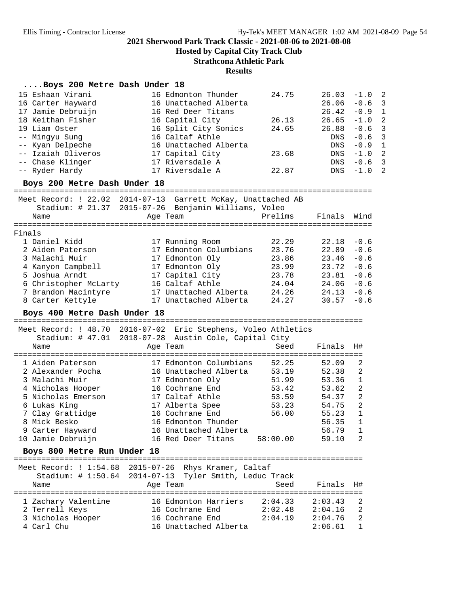**Hosted by Capital City Track Club**

**Strathcona Athletic Park**

#### **Results**

### **....Boys 200 Metre Dash Under 18**

| 15 Eshaan Virani<br>16 Carter Hayward<br>17 Jamie Debruijn<br>18 Keithan Fisher<br>19 Liam Oster<br>-- Mingyu Sung<br>-- Kyan Delpeche<br>-- Izaiah Oliveros<br>-- Chase Klinger<br>-- Ryder Hardy<br>Boys 200 Metre Dash Under 18 | 16 Edmonton Thunder<br>16 Unattached Alberta<br>16 Red Deer Titans<br>16 Capital City<br>16 Split City Sonics<br>16 Caltaf Athle<br>16 Unattached Alberta<br>17 Capital City<br>17 Riversdale A<br>17 Riversdale A | 24.75<br>26.13<br>24.65<br>23.68<br>22.87    | 26.03<br>26.06<br>26.42<br>26.65<br>26.88<br>DNS<br>DNS<br>DNS<br>DNS<br>DNS | $-1.0$<br>$-0.6$<br>$-0.9$<br>$-1.0$<br>$-0.6$<br>$-0.6$<br>$-0.9$<br>$-1.0$<br>$-0.6$<br>$-1.0$ | 2<br>$\overline{3}$<br>$\mathbf{1}$<br>$\overline{2}$<br>$\overline{3}$<br>3<br>$\mathbf{1}$<br>$\overline{2}$<br>$\overline{3}$<br>2 |
|------------------------------------------------------------------------------------------------------------------------------------------------------------------------------------------------------------------------------------|--------------------------------------------------------------------------------------------------------------------------------------------------------------------------------------------------------------------|----------------------------------------------|------------------------------------------------------------------------------|--------------------------------------------------------------------------------------------------|---------------------------------------------------------------------------------------------------------------------------------------|
|                                                                                                                                                                                                                                    | Meet Record: ! 22.02 2014-07-13 Garrett McKay, Unattached AB                                                                                                                                                       |                                              |                                                                              |                                                                                                  |                                                                                                                                       |
| Name                                                                                                                                                                                                                               | Stadium: # 21.37 2015-07-26 Benjamin Williams, Voleo<br>Age Team                                                                                                                                                   | Prelims                                      | Finals                                                                       | Wind                                                                                             |                                                                                                                                       |
| Finals                                                                                                                                                                                                                             |                                                                                                                                                                                                                    |                                              |                                                                              |                                                                                                  |                                                                                                                                       |
| 1 Daniel Kidd<br>2 Aiden Paterson                                                                                                                                                                                                  | 17 Running Room<br>17 Edmonton Columbians                                                                                                                                                                          | 22.29<br>23.76                               | 22.18<br>22.89                                                               | $-0.6$<br>$-0.6$                                                                                 |                                                                                                                                       |
| 3 Malachi Muir<br>4 Kanyon Campbell<br>5 Joshua Arndt<br>6 Christopher McLarty                                                                                                                                                     | 17 Edmonton Oly<br>17 Edmonton Oly<br>17 Capital City<br>16 Caltaf Athle                                                                                                                                           | 23.86<br>23.99<br>23.78<br>24.04             | 23.46<br>23.72<br>23.81<br>24.06                                             | $-0.6$<br>$-0.6$<br>$-0.6$<br>$-0.6$                                                             |                                                                                                                                       |
| 7 Brandon Macintyre<br>8 Carter Kettyle<br>Boys 400 Metre Dash Under 18                                                                                                                                                            | 17 Unattached Alberta<br>17 Unattached Alberta                                                                                                                                                                     | 24.26<br>24.27                               | 24.13<br>30.57                                                               | $-0.6$<br>$-0.6$                                                                                 |                                                                                                                                       |
| Name                                                                                                                                                                                                                               | Meet Record: ! 48.70 2016-07-02 Eric Stephens, Voleo Athletics<br>Stadium: # 47.01 2018-07-28 Austin Cole, Capital City<br>Age Team                                                                                | Seed                                         | Finals                                                                       | H#                                                                                               |                                                                                                                                       |
| 1 Aiden Paterson<br>2 Alexander Pocha<br>3 Malachi Muir<br>4 Nicholas Hooper<br>5 Nicholas Emerson                                                                                                                                 | 17 Edmonton Columbians<br>16 Unattached Alberta<br>17 Edmonton Oly<br>16 Cochrane End<br>17 Caltaf Athle                                                                                                           | 52.25<br>53.19<br>51.99<br>53.42<br>53.59    | 52.09<br>52.38<br>53.36<br>53.62<br>54.37                                    | 2<br>2<br>1<br>2<br>2                                                                            |                                                                                                                                       |
| 6 Lukas King<br>7 Clay Grattidge<br>8 Mick Besko<br>9 Carter Hayward<br>10 Jamie Debruijn                                                                                                                                          | 17 Alberta Spee<br>16 Cochrane End<br>16 Edmonton Thunder<br>16 Unattached Alberta<br>16 Red Deer Titans                                                                                                           | 53.23<br>56.00<br>58:00.00                   | 54.75<br>55.23<br>56.35<br>56.79<br>59.10                                    | 2<br>1<br>1<br>$\mathbf{1}$<br>2                                                                 |                                                                                                                                       |
| Boys 800 Metre Run Under 18                                                                                                                                                                                                        |                                                                                                                                                                                                                    |                                              |                                                                              |                                                                                                  |                                                                                                                                       |
| ===============================<br>Meet Record: $1:54.68$<br>Stadium: $\#$ 1:50.64<br>Name                                                                                                                                         | 2015-07-26 Rhys Kramer, Caltaf<br>2014-07-13 Tyler Smith, Leduc Track<br>Age Team                                                                                                                                  | Seed                                         | Finals                                                                       | H#                                                                                               |                                                                                                                                       |
| 1 Zachary Valentine<br>2 Terrell Keys<br>3 Nicholas Hooper<br>4 Carl Chu                                                                                                                                                           | ===========<br>16 Edmonton Harriers<br>16 Cochrane End<br>16 Cochrane End<br>16 Unattached Alberta                                                                                                                 | -----------<br>2:04.33<br>2:02.48<br>2:04.19 | 2:03.43<br>2:04.16<br>2:04.76<br>2:06.61                                     | 2<br>2<br>2<br>1                                                                                 |                                                                                                                                       |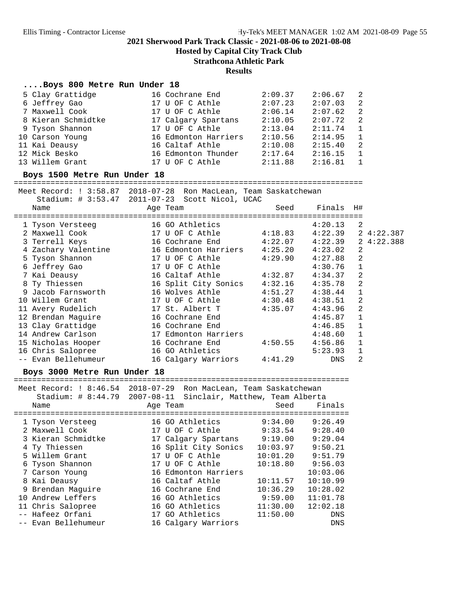**Hosted by Capital City Track Club**

#### **Strathcona Athletic Park**

#### **Results**

#### **....Boys 800 Metre Run Under 18**

| 5 Clay Grattidge   | 16 Cochrane End      | 2:09.37 | 2:06.67 | $\overline{2}$ |
|--------------------|----------------------|---------|---------|----------------|
| 6 Jeffrey Gao      | 17 U OF C Athle      | 2:07.23 | 2:07.03 | $\mathcal{L}$  |
| 7 Maxwell Cook     | 17 U OF C Athle      | 2:06.14 | 2:07.62 | $\mathcal{L}$  |
| 8 Kieran Schmidtke | 17 Calgary Spartans  | 2:10.05 | 2:07.72 | -2             |
| 9 Tyson Shannon    | 17 U OF C Athle      | 2:13.04 | 2:11.74 | $\overline{1}$ |
| 10 Carson Young    | 16 Edmonton Harriers | 2:10.56 | 2:14.95 | $\overline{1}$ |
| 11 Kai Deausy      | 16 Caltaf Athle      | 2:10.08 | 2:15.40 | -2             |
| 12 Mick Besko      | 16 Edmonton Thunder  | 2:17.64 | 2:16.15 | $\overline{1}$ |
| 13 Willem Grant    | 17 U OF C Athle      | 2:11.88 | 2:16.81 | $\overline{1}$ |

**Boys 1500 Metre Run Under 18** ============================================================================

Meet Record: ! 3:58.87 2018-07-28 Ron MacLean, Team Saskatchewan

| Name | Age Team                                                                                                                                                                                                                                                                                                                                         | Seed    |                                                                                                                                   |                |                                                                                        |
|------|--------------------------------------------------------------------------------------------------------------------------------------------------------------------------------------------------------------------------------------------------------------------------------------------------------------------------------------------------|---------|-----------------------------------------------------------------------------------------------------------------------------------|----------------|----------------------------------------------------------------------------------------|
|      | 16 GO Athletics                                                                                                                                                                                                                                                                                                                                  |         | 4:20.13                                                                                                                           | 2              |                                                                                        |
|      | 17 U OF C Athle                                                                                                                                                                                                                                                                                                                                  | 4:18.83 |                                                                                                                                   |                | 24:22.387                                                                              |
|      | 16 Cochrane End                                                                                                                                                                                                                                                                                                                                  | 4:22.07 |                                                                                                                                   |                | 24:22.388                                                                              |
|      |                                                                                                                                                                                                                                                                                                                                                  | 4:25.20 |                                                                                                                                   | 2              |                                                                                        |
|      | 17 U OF C Athle                                                                                                                                                                                                                                                                                                                                  | 4:29.90 |                                                                                                                                   | 2              |                                                                                        |
|      | 17 U OF C Athle                                                                                                                                                                                                                                                                                                                                  |         | 4:30.76                                                                                                                           | $\mathbf{1}$   |                                                                                        |
|      | 16 Caltaf Athle                                                                                                                                                                                                                                                                                                                                  | 4:32.87 |                                                                                                                                   | $\overline{a}$ |                                                                                        |
|      |                                                                                                                                                                                                                                                                                                                                                  |         | 4:35.78                                                                                                                           | 2              |                                                                                        |
|      | 16 Wolves Athle                                                                                                                                                                                                                                                                                                                                  | 4:51.27 |                                                                                                                                   | 1              |                                                                                        |
|      | 17 U OF C Athle                                                                                                                                                                                                                                                                                                                                  | 4:30.48 |                                                                                                                                   | 2              |                                                                                        |
|      | 17 St. Albert T                                                                                                                                                                                                                                                                                                                                  | 4:35.07 | 4:43.96                                                                                                                           | 2              |                                                                                        |
|      | 16 Cochrane End                                                                                                                                                                                                                                                                                                                                  |         | 4:45.87                                                                                                                           | 1              |                                                                                        |
|      | 16 Cochrane End                                                                                                                                                                                                                                                                                                                                  |         | 4:46.85                                                                                                                           | $\mathbf{1}$   |                                                                                        |
|      | 17 Edmonton Harriers                                                                                                                                                                                                                                                                                                                             |         | 4:48.60                                                                                                                           | 1              |                                                                                        |
|      | 16 Cochrane End                                                                                                                                                                                                                                                                                                                                  | 4:50.55 | 4:56.86                                                                                                                           | $\mathbf{1}$   |                                                                                        |
|      | 16 GO Athletics                                                                                                                                                                                                                                                                                                                                  |         | 5:23.93                                                                                                                           | $\mathbf{1}$   |                                                                                        |
|      |                                                                                                                                                                                                                                                                                                                                                  | 4:41.29 | DNS                                                                                                                               | 2              |                                                                                        |
|      | 1 Tyson Versteeg<br>2 Maxwell Cook<br>3 Terrell Keys<br>4 Zachary Valentine<br>5 Tyson Shannon<br>6 Jeffrey Gao<br>7 Kai Deausy<br>8 Ty Thiessen<br>9 Jacob Farnsworth<br>10 Willem Grant<br>11 Avery Rudelich<br>12 Brendan Maquire<br>13 Clay Grattidge<br>14 Andrew Carlson<br>15 Nicholas Hooper<br>16 Chris Salopree<br>-- Evan Bellehumeur |         | $Stadium: # 3:53.47 2011-07-23  Scott Nicol, UCAC$<br>16 Edmonton Harriers<br>16 Split City Sonics 4:32.16<br>16 Calgary Warriors |                | Finals H#<br>4:22.39<br>4:22.39<br>4:23.02<br>4:27.88<br>4:34.37<br>4:38.44<br>4:38.51 |

**Boys 3000 Metre Run Under 18** =========================================================================

| Meet Record: $1.8:46.54$ | $2018 - 07 - 29$<br>Ron MacLean, Team Saskatchewan |          |            |
|--------------------------|----------------------------------------------------|----------|------------|
| Stadium: # 8:44.79       | 2007-08-11<br>Sinclair, Matthew, Team Alberta      |          |            |
| Name                     | Age Team                                           | Seed     | Finals     |
| 1 Tyson Versteeg         | 16 GO Athletics                                    | 9:34.00  | 9:26.49    |
| 2 Maxwell Cook           | 17 U OF C Athle                                    | 9:33.54  | 9:28.40    |
| 3 Kieran Schmidtke       | 17 Calgary Spartans                                | 9:19.00  | 9:29.04    |
| 4 Ty Thiessen            | 16 Split City Sonics                               | 10:03.97 | 9:50.21    |
| 5 Willem Grant           | 17 U OF C Athle                                    | 10:01.20 | 9:51.79    |
| 6 Tyson Shannon          | 17 U OF C Athle                                    | 10:18.80 | 9:56.03    |
| 7 Carson Young           | 16 Edmonton Harriers                               |          | 10:03.06   |
| 8 Kai Deausy             | 16 Caltaf Athle                                    | 10:11.57 | 10:10.99   |
| 9 Brendan Maquire        | 16 Cochrane End                                    | 10:36.29 | 10:28.02   |
| 10 Andrew Leffers        | 16 GO Athletics                                    | 9:59.00  | 11:01.78   |
| 11 Chris Salopree        | 16 GO Athletics                                    | 11:30.00 | 12:02.18   |
| -- Hafeez Orfani         | 17 GO Athletics                                    | 11:50.00 | DNS        |
| -- Evan Bellehumeur      | 16 Calgary Warriors                                |          | <b>DNS</b> |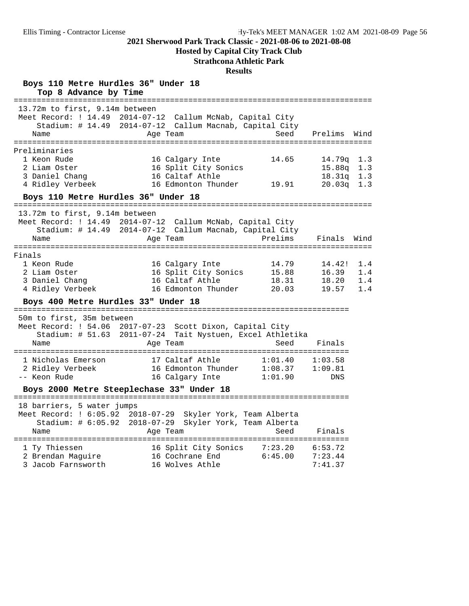**Hosted by Capital City Track Club**

## **Strathcona Athletic Park**

| Boys 110 Metre Hurdles 36" Under 18<br>Top 8 Advance by Time<br>====================================                      |                                                                                                        |                                         |                                             |                          |
|---------------------------------------------------------------------------------------------------------------------------|--------------------------------------------------------------------------------------------------------|-----------------------------------------|---------------------------------------------|--------------------------|
| 13.72m to first, 9.14m between<br>Meet Record: ! 14.49 2014-07-12<br>Name                                                 | Callum McNab, Capital City<br>Stadium: # 14.49 2014-07-12 Callum Macnab, Capital City<br>Age Team      | Seed                                    | Prelims                                     | Wind                     |
| Preliminaries<br>1 Keon Rude<br>2 Liam Oster<br>3 Daniel Chang<br>4 Ridley Verbeek<br>Boys 110 Metre Hurdles 36" Under 18 | 16 Calgary Inte<br>16 Split City Sonics<br>16 Caltaf Athle<br>16 Edmonton Thunder                      | 14.65<br>19.91                          | 14.79q<br>15.88q<br>18.31q<br>$20.03\sigma$ | 1.3<br>1.3<br>1.3<br>1.3 |
|                                                                                                                           |                                                                                                        |                                         |                                             |                          |
| 13.72m to first, 9.14m between<br>Meet Record: ! 14.49 2014-07-12<br>Stadium: # 14.49<br>Name<br>==========               | Callum McNab, Capital City<br>2014-07-12 Callum Macnab, Capital City<br>Age Team<br>================== | Prelims<br>============================ | Finals                                      | Wind                     |
| Finals<br>1 Keon Rude<br>2 Liam Oster<br>3 Daniel Chang<br>4 Ridley Verbeek                                               | 16 Calgary Inte<br>16 Split City Sonics<br>16 Caltaf Athle<br>16 Edmonton Thunder                      | 14.79<br>15.88<br>18.31<br>20.03        | 14.42!<br>16.39<br>18.20<br>19.57           | 1.4<br>1.4<br>1.4<br>1.4 |
| Boys 400 Metre Hurdles 33" Under 18                                                                                       |                                                                                                        |                                         |                                             |                          |
| 50m to first, 35m between<br>Meet Record: ! 54.06<br>Stadium: $\#$ 51.63<br>Name                                          | 2017-07-23 Scott Dixon, Capital City<br>2011-07-24 Tait Nystuen, Excel Athletika<br>Age Team           | Seed                                    | Finals                                      |                          |
| 1 Nicholas Emerson<br>2 Ridley Verbeek<br>-- Keon Rude                                                                    | 17 Caltaf Athle<br>16 Edmonton Thunder<br>16 Calgary Inte                                              | 1:01.40<br>1:08.37<br>1:01.90           | 1:03.58<br>1:09.81<br><b>DNS</b>            |                          |
|                                                                                                                           | Boys 2000 Metre Steeplechase 33" Under 18                                                              |                                         |                                             |                          |
| 18 barriers, 5 water jumps<br>Stadium: # 6:05.92 2018-07-29<br>Name                                                       | Meet Record: ! 6:05.92 2018-07-29 Skyler York, Team Alberta<br>Skyler York, Team Alberta<br>Age Team   | Seed                                    | Finals                                      |                          |
| 1 Ty Thiessen<br>2 Brendan Maquire<br>3 Jacob Farnsworth                                                                  | 16 Split City Sonics<br>16 Cochrane End<br>16 Wolves Athle                                             | 7:23.20<br>6:45.00                      | 6:53.72<br>7:23.44<br>7:41.37               |                          |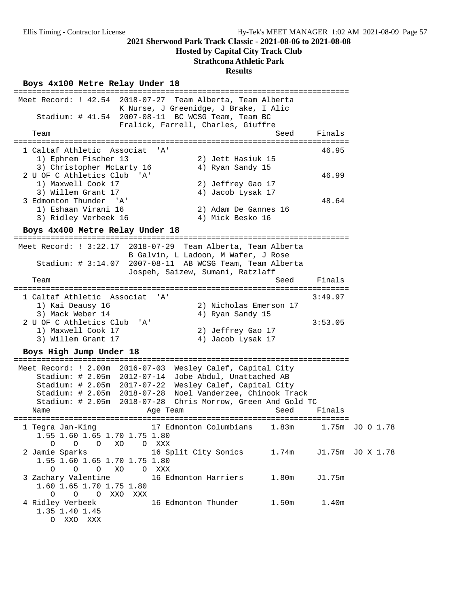O XXO XXX

#### **2021 Sherwood Park Track Classic - 2021-08-06 to 2021-08-08**

#### **Hosted by Capital City Track Club**

#### **Strathcona Athletic Park**

#### **Results**

# **Boys 4x100 Metre Relay Under 18** =========================================================================

 Meet Record: ! 42.54 2018-07-27 Team Alberta, Team Alberta K Nurse, J Greenidge, J Brake, I Alic Stadium: # 41.54 2007-08-11 BC WCSG Team, Team BC Fralick, Farrell, Charles, Giuffre Team Seed Finals ========================================================================= 1 Caltaf Athletic Associat 'A' 46.95 1) Ephrem Fischer 13 2) Jett Hasiuk 15 3) Christopher McLarty 16 (4) Ryan Sandy 15 2 U OF C Athletics Club 'A' 46.99 1) Maxwell Cook 17 2) Jeffrey Gao 17 3) Willem Grant 17<br>3 Edmonton Thunder 'A' 4) Jacob Lysak 17<br>1) Eshaan Virani 16 2) Adam De Gannes 1 3 Edmonton Thunder 'A' 48.64 1) Eshaan Virani 16 2) Adam De Gannes 16 3) Ridley Verbeek 16 4) Mick Besko 16 **Boys 4x400 Metre Relay Under 18** ========================================================================= Meet Record: ! 3:22.17 2018-07-29 Team Alberta, Team Alberta B Galvin, L Ladoon, M Wafer, J Rose Stadium: # 3:14.07 2007-08-11 AB WCSG Team, Team Alberta Jospeh, Saizew, Sumani, Ratzlaff Team Seed Finals ========================================================================= 1 Caltaf Athletic Associat 'A' 3:49.97 1) Kai Deausy 16 2) Nicholas Emerson 17<br>
<sup>2)</sup> Mack Weber 14 2 1 Byan Sandy 15 3) Mack Weber 14 (1998) 4) Ryan Sandy 15 2 U OF C Athletics Club 'A' 3:53.05 1) Maxwell Cook 17 2) Jeffrey Gao 17 3) Willem Grant 17 4) Jacob Lysak 17 **Boys High Jump Under 18** ========================================================================= Meet Record: ! 2.00m 2016-07-03 Wesley Calef, Capital City Stadium: # 2.05m 2012-07-14 Jobe Abdul, Unattached AB Stadium: # 2.05m 2017-07-22 Wesley Calef, Capital City Stadium: # 2.05m 2018-07-28 Noel Vanderzee, Chinook Track Stadium: # 2.05m 2018-07-28 Chris Morrow, Green And Gold TC Name **Age Team** Age Team Seed Finals ========================================================================= 1 Tegra Jan-King 17 Edmonton Columbians 1.83m 1.75m JO O 1.78 1.55 1.60 1.65 1.70 1.75 1.80 O O O XO O XXX 2 Jamie Sparks 16 Split City Sonics 1.74m J1.75m JO X 1.78 1.55 1.60 1.65 1.70 1.75 1.80 O O O XO O XXX 3 Zachary Valentine 16 Edmonton Harriers 1.80m J1.75m 1.60 1.65 1.70 1.75 1.80 O O O XXO XXX 4 Ridley Verbeek 16 Edmonton Thunder 1.50m 1.40m 1.35 1.40 1.45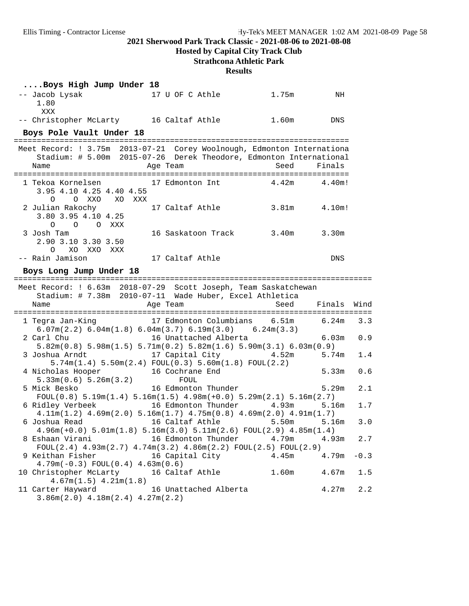## **Hosted by Capital City Track Club**

## **Strathcona Athletic Park**

| Boys High Jump Under 18                                                                            |                                                                                                                                                                          |       |        |        |
|----------------------------------------------------------------------------------------------------|--------------------------------------------------------------------------------------------------------------------------------------------------------------------------|-------|--------|--------|
| -- Jacob Lysak<br>1.80<br>XXX                                                                      | 17 U OF C Athle                                                                                                                                                          | 1.75m | NH     |        |
| -- Christopher McLarty 16 Caltaf Athle 1.60m                                                       |                                                                                                                                                                          |       | DNS    |        |
| Boys Pole Vault Under 18                                                                           |                                                                                                                                                                          |       |        |        |
| Meet Record: ! 3.75m 2013-07-21 Corey Woolnough, Edmonton Internationa<br>Name                     | Stadium: # 5.00m 2015-07-26 Derek Theodore, Edmonton International<br>Age Team                                                                                           | Seed  | Finals |        |
| 1 Tekoa Kornelsen 17 Edmonton Int 4.42m 4.40m!<br>3.95 4.10 4.25 4.40 4.55<br>O XXO<br>XO XXX<br>O |                                                                                                                                                                          |       |        |        |
| 2 Julian Rakochy<br>3.80 3.95 4.10 4.25<br>O O O XXX                                               | 17 Caltaf Athle                                                                                                                                                          | 3.81m | 4.10m! |        |
| 3 Josh Tam<br>2.90 3.10 3.30 3.50<br>$\Omega$<br>XO XXO XXX                                        | 16 Saskatoon Track 3.40m                                                                                                                                                 |       | 3.30m  |        |
| -- Rain Jamison                                                                                    | 17 Caltaf Athle                                                                                                                                                          |       | DNS    |        |
| Boys Long Jump Under 18                                                                            |                                                                                                                                                                          |       |        |        |
| Meet Record: ! 6.63m 2018-07-29 Scott Joseph, Team Saskatchewan                                    |                                                                                                                                                                          |       |        |        |
|                                                                                                    |                                                                                                                                                                          |       |        |        |
|                                                                                                    | Stadium: # 7.38m 2010-07-11 Wade Huber, Excel Athletica                                                                                                                  |       |        |        |
| Name                                                                                               | Age Team                                                                                                                                                                 | Seed  | Finals | Wind   |
| 1 Tegra Jan-King                                                                                   | 17 Edmonton Columbians 6.51m 6.24m<br>$6.07\text{m}(2.2)$ $6.04\text{m}(1.8)$ $6.04\text{m}(3.7)$ $6.19\text{m}(3.0)$ $6.24\text{m}(3.3)$                                |       |        | 3.3    |
| 2 Carl Chu                                                                                         | 16 Unattached Alberta                                                                                                                                                    |       | 6.03m  | 0.9    |
|                                                                                                    | $5.82m(0.8)$ $5.98m(1.5)$ $5.71m(0.2)$ $5.82m(1.6)$ $5.90m(3.1)$ $6.03m(0.9)$                                                                                            |       |        |        |
| 3 Joshua Arndt                                                                                     | 17 Capital City 4.52m                                                                                                                                                    |       | 5.74m  | 1.4    |
| 4 Nicholas Hooper<br>5.33m(0.6) 5.26m(3.2)                                                         | $5.74m(1.4) 5.50m(2.4) FOUL(0.3) 5.60m(1.8) FOUL(2.2)$<br>16 Cochrane End<br>FOUL                                                                                        |       | 5.33m  | 0.6    |
| 5 Mick Besko                                                                                       | 16 Edmonton Thunder                                                                                                                                                      |       | 5.29m  | 2.1    |
| 6 Ridley Verbeek                                                                                   | $FOUL(0.8)$ 5.19m(1.4) 5.16m(1.5) 4.98m(+0.0) 5.29m(2.1) 5.16m(2.7)<br>16 Edmonton Thunder                                                                               | 4.93m | 5.16m  | 1.7    |
| 6 Joshua Read                         16 Caltaf Athle               5.50m         5.16m            | $4.11m(1.2)$ $4.69m(2.0)$ $5.16m(1.7)$ $4.75m(0.8)$ $4.69m(2.0)$ $4.91m(1.7)$                                                                                            |       |        | 3.0    |
| 8 Eshaan Virani                                                                                    | $4.96m(+0.0)$ $5.01m(1.8)$ $5.16m(3.0)$ $5.11m(2.6)$ $FOUL(2.9)$ $4.85m(1.4)$<br>16 Edmonton Thunder<br>$FOUT(2.4) 4.93m(2.7) 4.74m(3.2) 4.86m(2.2) FOUT(2.5) FOUT(2.9)$ | 4.79m | 4.93m  | 2.7    |
| 9 Keithan Fisher                                                                                   | 16 Capital City                                                                                                                                                          | 4.45m | 4.79m  | $-0.3$ |
| $4.79m(-0.3) FOUL(0.4) 4.63m(0.6)$<br>10 Christopher McLarty<br>$4.67m(1.5)$ $4.21m(1.8)$          | 16 Caltaf Athle                                                                                                                                                          | 1.60m | 4.67m  | 1.5    |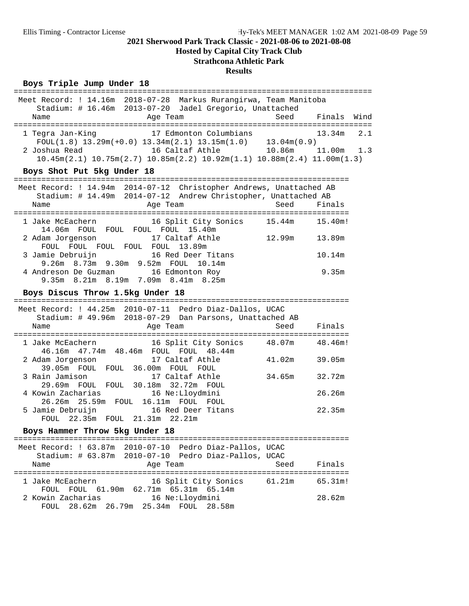**Hosted by Capital City Track Club**

## **Strathcona Athletic Park**

#### **Results**

### Boys Triple Jump Under 18

| Meet Record: ! 14.16m 2018-07-28 Markus Rurangirwa, Team Manitoba<br>Stadium: # 16.46m 2013-07-20 Jadel Gregorio, Unattached<br>Age Team<br>Name                                                                                                                              | Seed   | Finals Wind   |
|-------------------------------------------------------------------------------------------------------------------------------------------------------------------------------------------------------------------------------------------------------------------------------|--------|---------------|
| 1 Tegra Jan-King 17 Edmonton Columbians<br>FOUL(1.8) 13.29m(+0.0) 13.34m(2.1) 13.15m(1.0) 13.04m(0.9)<br>2 Joshua Read 16 Caltaf Athle 10.86m 11.00m 1.3<br>$10.45m(2.1)$ $10.75m(2.7)$ $10.85m(2.2)$ $10.92m(1.1)$ $10.88m(2.4)$ $11.00m(1.3)$<br>Boys Shot Put 5kg Under 18 |        | 13.34m<br>2.1 |
|                                                                                                                                                                                                                                                                               |        |               |
| Meet Record: ! 14.94m 2014-07-12 Christopher Andrews, Unattached AB<br>Stadium: # 14.49m 2014-07-12 Andrew Christopher, Unattached AB                                                                                                                                         |        |               |
| Age Team<br>Name                                                                                                                                                                                                                                                              | Seed   | Finals        |
| 16 Split City Sonics 15.44m 15.40m!<br>1 Jake McEachern                                                                                                                                                                                                                       |        |               |
| 14.06m FOUL FOUL FOUL FOUL 15.40m<br>2 Adam Jorgenson<br>17 Caltaf Athle<br>FOUL FOUL FOUL FOUL FOUL 13.89m                                                                                                                                                                   | 12.99m | 13.89m        |
| 3 Jamie Debruijn 16 Red Deer Titans<br>9.26m 8.73m 9.30m 9.52m FOUL 10.14m                                                                                                                                                                                                    |        | 10.14m        |
| 4 Andreson De Guzman 16 Edmonton Roy<br>9.35m 8.21m 8.19m 7.09m 8.41m 8.25m                                                                                                                                                                                                   |        | 9.35m         |
| Boys Discus Throw 1.5kg Under 18                                                                                                                                                                                                                                              |        |               |
| Meet Record: ! 44.25m 2010-07-11 Pedro Diaz-Dallos, UCAC                                                                                                                                                                                                                      |        |               |
| Stadium: # 49.96m 2018-07-29 Dan Parsons, Unattached AB                                                                                                                                                                                                                       |        |               |
| Age Team<br>Name                                                                                                                                                                                                                                                              | Seed   | Finals        |
| 16 Split City Sonics 48.07m<br>1 Jake McEachern<br>46.16m  47.74m  48.46m  FOUL  FOUL  48.44m                                                                                                                                                                                 |        | 48.46m!       |
| 17 Caltaf Athle<br>2 Adam Jorgenson<br>39.05m FOUL FOUL 36.00m FOUL FOUL                                                                                                                                                                                                      | 41.02m | 39.05m        |
| 3 Rain Jamison<br>17 Caltaf Athle<br>29.69m FOUL FOUL 30.18m 32.72m FOUL                                                                                                                                                                                                      | 34.65m | 32.72m        |
| 4 Kowin Zacharias<br>16 Ne:Lloydmini<br>26.26m  25.59m  FOUL  16.11m  FOUL  FOUL                                                                                                                                                                                              |        | 26.26m        |
| 5 Jamie Debruijn 16 Red Deer Titans<br>FOUL 22.35m FOUL 21.31m 22.21m                                                                                                                                                                                                         |        | 22.35m        |
| Boys Hammer Throw 5kg Under 18                                                                                                                                                                                                                                                |        |               |
| Meet Record: ! 63.87m 2010-07-10 Pedro Diaz-Pallos, UCAC                                                                                                                                                                                                                      |        |               |
| Stadium: # 63.87m 2010-07-10 Pedro Diaz-Pallos, UCAC<br>Age Team<br>Name                                                                                                                                                                                                      | Seed   | Finals        |
| 1 Jake McEachern<br>16 Split City Sonics 61.21m<br>FOUL FOUL 61.90m 62.71m 65.31m 65.14m                                                                                                                                                                                      |        | 65.31m!       |
| 2 Kowin Zacharias<br>16 Ne:Lloydmini<br>FOUL 28.62m 26.79m 25.34m FOUL 28.58m                                                                                                                                                                                                 |        | 28.62m        |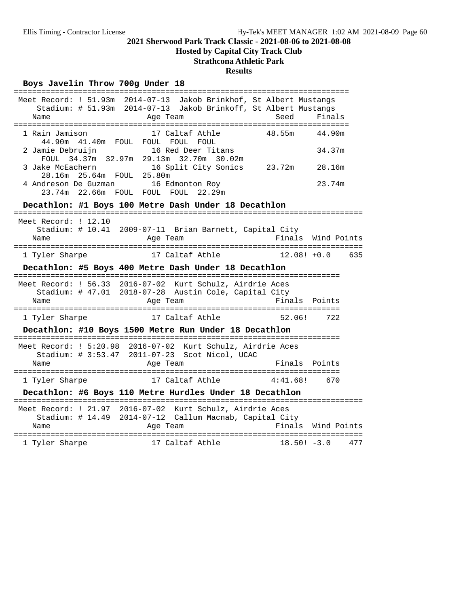**Hosted by Capital City Track Club**

## **Strathcona Athletic Park**

### **Results**

# **Boys Javelin Throw 700g Under 18** =========================================================================

| Name                                             | Meet Record: ! 51.93m 2014-07-13 Jakob Brinkhof, St Albert Mustangs<br>Stadium: # 51.93m 2014-07-13 Jakob Brinkoff, St Albert Mustangs<br>Age Team | Seed               | Finals      |     |
|--------------------------------------------------|----------------------------------------------------------------------------------------------------------------------------------------------------|--------------------|-------------|-----|
| 1 Rain Jamison                                   | 17 Caltaf Athle<br>44.90m 41.40m FOUL FOUL FOUL FOUL                                                                                               | 48.55m             | 44.90m      |     |
| 2 Jamie Debruijn                                 | 16 Red Deer Titans<br>FOUL 34.37m 32.97m 29.13m 32.70m 30.02m                                                                                      |                    | 34.37m      |     |
| 3 Jake McEachern<br>28.16m  25.64m  FOUL  25.80m | 16 Split City Sonics                                                                                                                               | 23.72m             | 28.16m      |     |
| 4 Andreson De Guzman                             | 16 Edmonton Roy<br>23.74m 22.66m FOUL FOUL FOUL 22.29m                                                                                             |                    | 23.74m      |     |
|                                                  | Decathlon: #1 Boys 100 Metre Dash Under 18 Decathlon                                                                                               |                    |             |     |
| Meet Record: ! 12.10<br>Name                     | Stadium: # 10.41 2009-07-11 Brian Barnett, Capital City<br>Age Team                                                                                | Finals Wind Points |             |     |
| 1 Tyler Sharpe                                   | 17 Caltaf Athle                                                                                                                                    | $12.08!$ +0.0      |             | 635 |
|                                                  | Decathlon: #5 Boys 400 Metre Dash Under 18 Decathlon                                                                                               |                    |             |     |
| Name                                             | Meet Record: ! 56.33 2016-07-02 Kurt Schulz, Airdrie Aces<br>Stadium: # 47.01 2018-07-28 Austin Cole, Capital City<br>Age Team                     | Finals Points      |             |     |
| 1 Tyler Sharpe                                   | 17 Caltaf Athle                                                                                                                                    | 52.06!             | 722         |     |
|                                                  | Decathlon: #10 Boys 1500 Metre Run Under 18 Decathlon                                                                                              |                    |             |     |
|                                                  | Meet Record: ! 5:20.98 2016-07-02 Kurt Schulz, Airdrie Aces<br>Stadium: # 3:53.47 2011-07-23 Scot Nicol, UCAC                                      |                    |             |     |
| Name                                             | Age Team                                                                                                                                           | Finals Points      |             |     |
| 1 Tyler Sharpe                                   | 17 Caltaf Athle                                                                                                                                    | 4:41.68!           | 670         |     |
|                                                  | Decathlon: #6 Boys 110 Metre Hurdles Under 18 Decathlon                                                                                            |                    |             |     |
| Name                                             | Meet Record: ! 21.97 2016-07-02 Kurt Schulz, Airdrie Aces<br>Stadium: # 14.49 2014-07-12 Callum Macnab, Capital City<br>Age Team                   | Finals             | Wind Points |     |
| 1 Tyler Sharpe                                   | ======================================<br>17 Caltaf Athle                                                                                          | $18.50! -3.0$      |             | 477 |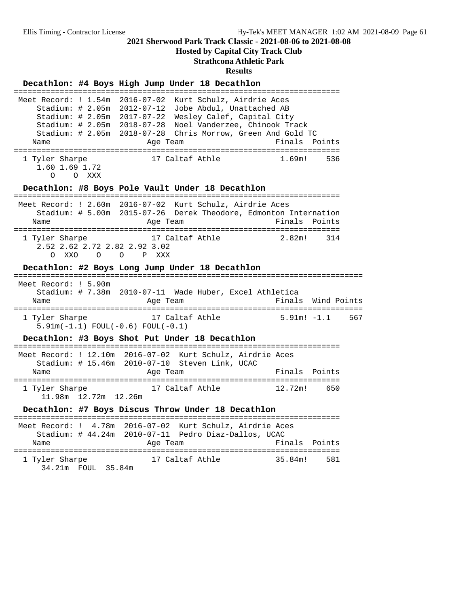**Hosted by Capital City Track Club**

#### **Strathcona Athletic Park**

## **Results Decathlon: #4 Boys High Jump Under 18 Decathlon** ======================================================================= Meet Record: ! 1.54m 2016-07-02 Kurt Schulz, Airdrie Aces Stadium: # 2.05m 2012-07-12 Jobe Abdul, Unattached AB Stadium: # 2.05m 2017-07-22 Wesley Calef, Capital City Stadium: # 2.05m 2018-07-28 Noel Vanderzee, Chinook Track Stadium: # 2.05m 2018-07-28 Chris Morrow, Green And Gold TC Name Age Team Finals Points ======================================================================= 1 Tyler Sharpe 17 Caltaf Athle 1.69m! 536 1.60 1.69 1.72 O O XXX **Decathlon: #8 Boys Pole Vault Under 18 Decathlon** ======================================================================= Meet Record: ! 2.60m 2016-07-02 Kurt Schulz, Airdrie Aces Stadium: # 5.00m 2015-07-26 Derek Theodore, Edmonton Internation Name Age Team Rinals Points ======================================================================= 1 Tyler Sharpe 17 Caltaf Athle 2.82m! 314 2.52 2.62 2.72 2.82 2.92 3.02 O XXO O O P XXX **Decathlon: #2 Boys Long Jump Under 18 Decathlon** ============================================================================ Meet Record: ! 5.90m Stadium: # 7.38m 2010-07-11 Wade Huber, Excel Athletica Name **Age Team Reserve Age Team** Finals Wind Points ============================================================================ 1 Tyler Sharpe 17 Caltaf Athle 5.91m! -1.1 567 5.91m(-1.1) FOUL(-0.6) FOUL(-0.1) **Decathlon: #3 Boys Shot Put Under 18 Decathlon** ======================================================================= Meet Record: ! 12.10m 2016-07-02 Kurt Schulz, Airdrie Aces Stadium: # 15.46m 2010-07-10 Steven Link, UCAC Name Age Team Finals Points ======================================================================= 17 Caltaf Athle 12.72m! 650 11.98m 12.72m 12.26m **Decathlon: #7 Boys Discus Throw Under 18 Decathlon** ======================================================================= Meet Record: ! 4.78m 2016-07-02 Kurt Schulz, Airdrie Aces Stadium: # 44.24m 2010-07-11 Pedro Diaz-Dallos, UCAC Name **Age Team** Age Team Finals Points ======================================================================= 1 Tyler Sharpe 17 Caltaf Athle 35.84m! 581 34.21m FOUL 35.84m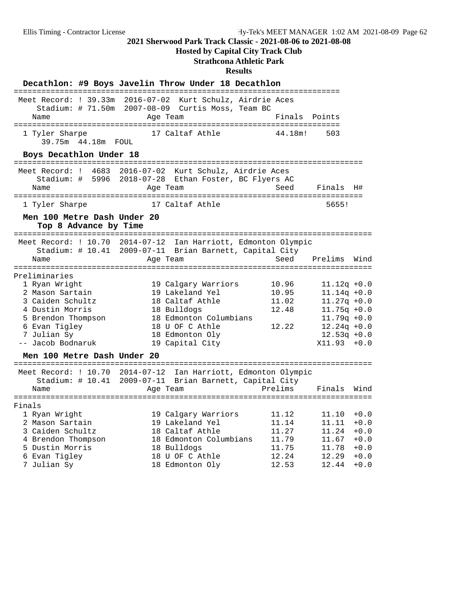**Hosted by Capital City Track Club**

## **Strathcona Athletic Park**

| Decathlon: #9 Boys Javelin Throw Under 18 Decathlon        |                                                         |                                                                          |                |                                           |                  |
|------------------------------------------------------------|---------------------------------------------------------|--------------------------------------------------------------------------|----------------|-------------------------------------------|------------------|
| Meet Record: ! 39.33m 2016-07-02 Kurt Schulz, Airdrie Aces | Stadium: # 71.50m 2007-08-09 Curtis Moss, Team BC       |                                                                          |                |                                           |                  |
| Name                                                       | Age Team                                                |                                                                          | Finals         | Points                                    |                  |
| 1 Tyler Sharpe<br>39.75m  44.18m  FOUL                     |                                                         | 17 Caltaf Athle                                                          | 44.18m!        | 503                                       |                  |
| Boys Decathlon Under 18                                    |                                                         |                                                                          |                |                                           |                  |
| Meet Record: ! 4683                                        |                                                         | 2016-07-02 Kurt Schulz, Airdrie Aces                                     |                |                                           |                  |
| Stadium: # 5996<br>Name                                    | Age Team                                                | 2018-07-28 Ethan Foster, BC Flyers AC                                    | Seed           | Finals                                    | H#               |
| 1 Tyler Sharpe                                             |                                                         | 17 Caltaf Athle                                                          |                | 5655!                                     |                  |
| Men 100 Metre Dash Under 20<br>Top 8 Advance by Time       |                                                         |                                                                          |                |                                           |                  |
| Meet Record: ! 10.70<br>Stadium: $\#$ 10.41                | $2014 - 07 - 12$                                        | Ian Harriott, Edmonton Olympic<br>2009-07-11 Brian Barnett, Capital City |                |                                           |                  |
| Name                                                       | Age Team                                                |                                                                          | Seed           | Prelims<br>============================== | Wind             |
| Preliminaries                                              |                                                         |                                                                          |                |                                           |                  |
| 1 Ryan Wright                                              |                                                         | 19 Calgary Warriors                                                      | 10.96          | $11.12q + 0.0$                            |                  |
| 2 Mason Sartain                                            |                                                         | 19 Lakeland Yel                                                          | 10.95          | $11.14q + 0.0$                            |                  |
| 3 Caiden Schultz                                           |                                                         | 18 Caltaf Athle                                                          | 11.02          | $11.27q + 0.0$                            |                  |
| 4 Dustin Morris                                            |                                                         | 18 Bulldogs                                                              | 12.48          | $11.75q + 0.0$                            |                  |
| 5 Brendon Thompson                                         |                                                         | 18 Edmonton Columbians                                                   |                | $11.79q + 0.0$                            |                  |
| 6 Evan Tigley                                              |                                                         | 18 U OF C Athle                                                          | 12.22          | $12.24q + 0.0$                            |                  |
| 7 Julian Sy                                                |                                                         | 18 Edmonton Oly                                                          |                | $12.53q + 0.0$                            |                  |
| -- Jacob Bodnaruk                                          |                                                         | 19 Capital City                                                          |                | $X11.93 + 0.0$                            |                  |
| Men 100 Metre Dash Under 20                                |                                                         |                                                                          |                |                                           |                  |
| Meet Record: ! 10.70 2014-07-12                            | Stadium: # 10.41 2009-07-11 Brian Barnett, Capital City | Ian Harriott, Edmonton Olympic                                           |                |                                           |                  |
| Name                                                       | Age Team                                                |                                                                          | Prelims        | Finals                                    | Wind             |
|                                                            |                                                         |                                                                          |                |                                           |                  |
| Finals                                                     |                                                         |                                                                          |                |                                           |                  |
| 1 Ryan Wright                                              |                                                         | 19 Calgary Warriors                                                      | 11.12          | 11.10                                     | $+0.0$           |
| 2 Mason Sartain                                            |                                                         | 19 Lakeland Yel                                                          | 11.14          | 11.11                                     | $+0.0$           |
| 3 Caiden Schultz                                           |                                                         | 18 Caltaf Athle                                                          | 11.27          | 11.24                                     | $+0.0$           |
| 4 Brendon Thompson                                         |                                                         | 18 Edmonton Columbians                                                   | 11.79          | 11.67                                     | $+0.0$           |
| 5 Dustin Morris                                            |                                                         | 18 Bulldogs                                                              | 11.75          | 11.78                                     | $+0.0$           |
| 6 Evan Tigley<br>7 Julian Sy                               |                                                         | 18 U OF C Athle<br>18 Edmonton Oly                                       | 12.24<br>12.53 | 12.29<br>12.44                            | $+0.0$<br>$+0.0$ |
|                                                            |                                                         |                                                                          |                |                                           |                  |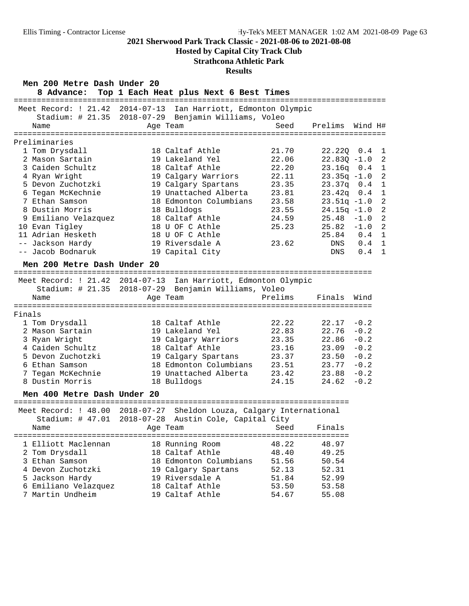**Hosted by Capital City Track Club**

## **Strathcona Athletic Park**

**Results**

| Mell 200 Mecle Dasil Olider 20<br>8 Advance: | Top 1 Each Heat plus Next 6 Best Times                                                                                 |         |                |         |                |
|----------------------------------------------|------------------------------------------------------------------------------------------------------------------------|---------|----------------|---------|----------------|
| Meet Record: ! 21.42                         | $2014 - 07 - 13$<br>Ian Harriott, Edmonton Olympic<br>Stadium: # 21.35 2018-07-29 Benjamin Williams, Voleo             |         |                |         |                |
| Name                                         | Age Team                                                                                                               | Seed    | Prelims        | Wind H# |                |
|                                              |                                                                                                                        |         |                |         |                |
| Preliminaries<br>1 Tom Drysdall              | 18 Caltaf Athle                                                                                                        | 21.70   | 22.22Q         | 0.4     | 1              |
| 2 Mason Sartain                              | 19 Lakeland Yel                                                                                                        | 22.06   | $22.83Q - 1.0$ |         | $\overline{2}$ |
| 3 Caiden Schultz                             | 18 Caltaf Athle                                                                                                        | 22.20   | $23.16q$ 0.4   |         | 1              |
| 4 Ryan Wright                                | 19 Calgary Warriors                                                                                                    | 22.11   | $23.35q -1.0$  |         | $\overline{a}$ |
| 5 Devon Zuchotzki                            | 19 Calgary Spartans                                                                                                    | 23.35   | $23.37q$ 0.4   |         | $\mathbf{1}$   |
| 6 Tegan McKechnie                            | 19 Unattached Alberta                                                                                                  | 23.81   | 23.42q         | 0.4     | $\mathbf{1}$   |
| 7 Ethan Samson                               | 18 Edmonton Columbians                                                                                                 | 23.58   | $23.51q -1.0$  |         | $\overline{2}$ |
| 8 Dustin Morris                              | 18 Bulldogs                                                                                                            | 23.55   | $24.15q - 1.0$ |         | $\overline{a}$ |
| 9 Emiliano Velazquez                         | 18 Caltaf Athle                                                                                                        | 24.59   | 25.48          | $-1.0$  | $\overline{a}$ |
| 10 Evan Tigley                               | 18 U OF C Athle                                                                                                        | 25.23   | 25.82          | $-1.0$  | $\overline{a}$ |
| 11 Adrian Hesketh                            | 18 U OF C Athle                                                                                                        |         | 25.84 0.4      |         | $\mathbf{1}$   |
| -- Jackson Hardy                             | 19 Riversdale A                                                                                                        | 23.62   | DNS            | 0.4     | 1              |
| -- Jacob Bodnaruk                            | 19 Capital City                                                                                                        |         | DNS            | 0.4     | $\mathbf{1}$   |
| Men 200 Metre Dash Under 20                  |                                                                                                                        |         |                |         |                |
|                                              |                                                                                                                        |         |                |         |                |
|                                              | Meet Record: ! 21.42 2014-07-13 Ian Harriott, Edmonton Olympic<br>Stadium: # 21.35 2018-07-29 Benjamin Williams, Voleo |         |                |         |                |
| Name                                         | Age Team                                                                                                               | Prelims | Finals         | Wind    |                |
|                                              |                                                                                                                        |         |                |         |                |
| Finals                                       |                                                                                                                        |         |                |         |                |
| 1 Tom Drysdall                               | 18 Caltaf Athle                                                                                                        | 22.22   | 22.17          | $-0.2$  |                |
| 2 Mason Sartain                              | 19 Lakeland Yel                                                                                                        | 22.83   | 22.76          | $-0.2$  |                |
| 3 Ryan Wright                                | 19 Calgary Warriors                                                                                                    | 23.35   | 22.86          | $-0.2$  |                |
| 4 Caiden Schultz                             | 18 Caltaf Athle                                                                                                        | 23.16   | 23.09          | $-0.2$  |                |
| 5 Devon Zuchotzki                            | 19 Calgary Spartans                                                                                                    | 23.37   | 23.50          | $-0.2$  |                |
| 6 Ethan Samson                               | 18 Edmonton Columbians                                                                                                 | 23.51   | 23.77          | $-0.2$  |                |
| 7 Tegan McKechnie                            | 19 Unattached Alberta                                                                                                  | 23.42   | 23.88          | $-0.2$  |                |
| 8 Dustin Morris                              | 18 Bulldogs                                                                                                            | 24.15   | 24.62          | $-0.2$  |                |
| Men 400 Metre Dash Under 20                  |                                                                                                                        |         |                |         |                |
|                                              | Meet Record: ! 48.00 2018-07-27 Sheldon Louza, Calgary International                                                   |         |                |         |                |
| Stadium: $\#$ 47.01                          | 2018-07-28 Austin Cole, Capital City                                                                                   |         |                |         |                |
| Name                                         |                                                                                                                        |         |                |         |                |
|                                              |                                                                                                                        |         |                |         |                |
| 1 Elliott Maclennan                          | 18 Running Room                                                                                                        | 48.22   | 48.97          |         |                |
| 2 Tom Drysdall                               | 18 Caltaf Athle                                                                                                        | 48.40   | 49.25          |         |                |
| 3 Ethan Samson                               | 18 Edmonton Columbians                                                                                                 | 51.56   | 50.54          |         |                |
| 4 Devon Zuchotzki                            | 19 Calgary Spartans                                                                                                    | 52.13   | 52.31          |         |                |
| 5 Jackson Hardy                              | 19 Riversdale A                                                                                                        | 51.84   | 52.99          |         |                |
| 6 Emiliano Velazquez                         | 18 Caltaf Athle                                                                                                        | 53.50   | 53.58          |         |                |

7 Martin Undheim 19 Caltaf Athle 54.67 55.08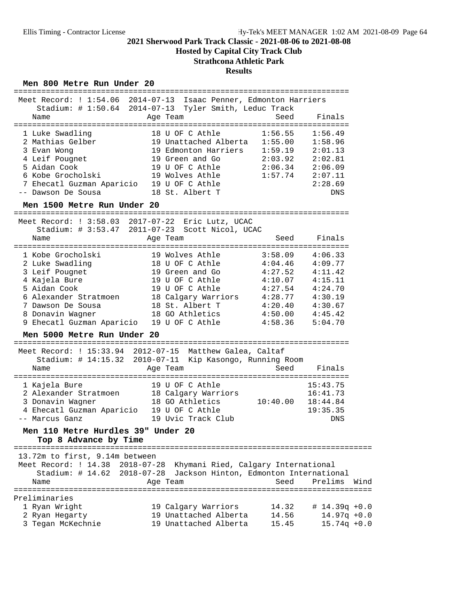**Hosted by Capital City Track Club**

## **Strathcona Athletic Park**

#### **Results**

#### Men 800 Metre Run Under 20

|                                                             | Meet Record: ! 1:54.06 2014-07-13 Isaac Penner, Edmonton Harriers |          |                             |
|-------------------------------------------------------------|-------------------------------------------------------------------|----------|-----------------------------|
|                                                             | Stadium: # 1:50.64 2014-07-13 Tyler Smith, Leduc Track            |          |                             |
| Name                                                        | Age Team                                                          | Seed     | Finals                      |
|                                                             |                                                                   |          |                             |
| 1 Luke Swadling                                             | 18 U OF C Athle                                                   | 1:56.55  | 1:56.49                     |
| 2 Mathias Gelber                                            | 19 Unattached Alberta                                             | 1:55.00  | 1:58.96                     |
|                                                             | 19 Edmonton Harriers                                              | 1:59.19  | 2:01.13                     |
| 3 Evan Wong                                                 |                                                                   |          |                             |
| 4 Leif Pougnet                                              | 19 Green and Go                                                   | 2:03.92  | 2:02.81                     |
| 5 Aidan Cook                                                | 19 U OF C Athle                                                   | 2:06.34  | 2:06.09                     |
| 6 Kobe Grocholski                                           | 19 Wolves Athle                                                   | 1:57.74  | 2:07.11                     |
| 7 Ehecatl Guzman Aparicio 19 U OF C Athle                   |                                                                   |          | 2:28.69                     |
| -- Dawson De Sousa                                          | 18 St. Albert T                                                   |          | DNS                         |
| Men 1500 Metre Run Under 20                                 |                                                                   |          |                             |
|                                                             |                                                                   |          |                             |
|                                                             | Meet Record: ! 3:58.03 2017-07-22 Eric Lutz, UCAC                 |          |                             |
|                                                             | Stadium: # 3:53.47 2011-07-23 Scott Nicol, UCAC                   |          |                             |
| Name                                                        | Age Team                                                          | Seed     | Finals                      |
| 1 Kobe Grocholski                                           | 19 Wolves Athle                                                   | 3:58.09  | 4:06.33                     |
| 2 Luke Swadling                                             | 18 U OF C Athle                                                   | 4:04.46  | 4:09.77                     |
| 3 Leif Pougnet                                              | 19 Green and Go                                                   | 4:27.52  | 4:11.42                     |
|                                                             | 19 U OF C Athle                                                   | 4:10.07  | 4:15.11                     |
| 4 Kajela Bure<br>5 Aidan Cook                               | 19 U OF C Athle                                                   |          | 4:24.70                     |
|                                                             |                                                                   | 4:27.54  |                             |
| 6 Alexander Stratmoen                                       | 18 Calgary Warriors                                               | 4:28.77  | 4:30.19                     |
| 7 Dawson De Sousa                                           | 18 St. Albert T                                                   | 4:20.40  | 4:30.67                     |
| 8 Donavin Wagner                                            | 18 GO Athletics                                                   | 4:50.00  | 4:45.42                     |
| 9 Ehecatl Guzman Aparicio                                   | 19 U OF C Athle                                                   | 4:58.36  | 5:04.70                     |
| Men 5000 Metre Run Under 20                                 |                                                                   |          |                             |
|                                                             | Meet Record: ! 15:33.94 2012-07-15 Matthew Galea, Caltaf          |          |                             |
|                                                             | Stadium: # 14:15.32 2010-07-11 Kip Kasongo, Running Room          |          |                             |
| Name                                                        | Age Team                                                          | Seed     | Finals                      |
|                                                             |                                                                   |          |                             |
| 1 Kajela Bure                                               | 19 U OF C Athle                                                   |          | 15:43.75                    |
|                                                             | 2 Alexander Stratmoen 18 Calgary Warriors                         |          | 16:41.73                    |
| 3 Donavin Wagner                                            | 18 GO Athletics                                                   | 10:40.00 | 18:44.84                    |
| 4 Ehecatl Guzman Aparicio 19 U OF C Athle                   |                                                                   |          | 19:35.35                    |
| -- Marcus Ganz                                              | 19 Uvic Track Club                                                |          | DNS                         |
|                                                             |                                                                   |          |                             |
| Men 110 Metre Hurdles 39" Under 20<br>Top 8 Advance by Time |                                                                   |          |                             |
|                                                             |                                                                   |          |                             |
| 13.72m to first, 9.14m between                              |                                                                   |          |                             |
| Meet Record: ! 14.38                                        | $2018 - 07 - 28$<br>Khymani Ried, Calgary International           |          |                             |
| Stadium: # 14.62                                            | Jackson Hinton, Edmonton International<br>$2018 - 07 - 28$        |          |                             |
| Name                                                        | Age Team                                                          | Seed     | Prelims<br>Wind             |
| ====================                                        |                                                                   |          | =========================== |
| Preliminaries                                               |                                                                   |          |                             |
| 1 Ryan Wright                                               | 19 Calgary Warriors                                               | 14.32    | $# 14.39q +0.0$             |
| 2 Ryan Hegarty                                              | 19 Unattached Alberta                                             | 14.56    | $14.97q + 0.0$              |
| 3 Tegan McKechnie                                           | 19 Unattached Alberta                                             | 15.45    | $15.74q + 0.0$              |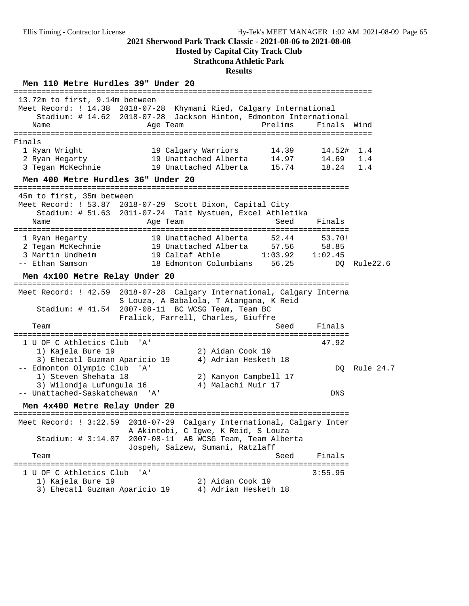**Hosted by Capital City Track Club**

#### **Strathcona Athletic Park**

#### **Results**

**Men 110 Metre Hurdles 39" Under 20** ============================================================================== 13.72m to first, 9.14m between Meet Record: ! 14.38 2018-07-28 Khymani Ried, Calgary International Stadium: # 14.62 2018-07-28 Jackson Hinton, Edmonton International Name **Age Team** Prelims Finals Wind ============================================================================== Finals 1 Ryan Wright 19 Calgary Warriors 14.39 14.52# 1.4 2 Ryan Hegarty 19 Unattached Alberta 14.97 14.69 1.4 3 Tegan McKechnie 19 Unattached Alberta 15.74 18.24 1.4 **Men 400 Metre Hurdles 36" Under 20** ========================================================================= 45m to first, 35m between Meet Record: ! 53.87 2018-07-29 Scott Dixon, Capital City Stadium: # 51.63 2011-07-24 Tait Nystuen, Excel Athletika Name **Age Team** Age Team Seed Finals ========================================================================= 1 Ryan Hegarty 19 Unattached Alberta 52.44 53.70! 2 Tegan McKechnie 19 Unattached Alberta 57.56 58.85 3 Martin Undheim 19 Caltaf Athle 1:03.92 1:02.45 -- Ethan Samson 18 Edmonton Columbians 56.25 DQ Rule22.6 **Men 4x100 Metre Relay Under 20** ========================================================================= Meet Record: ! 42.59 2018-07-28 Calgary International, Calgary Interna S Louza, A Babalola, T Atangana, K Reid Stadium: # 41.54 2007-08-11 BC WCSG Team, Team BC Fralick, Farrell, Charles, Giuffre Team Seed Finals ========================================================================= 1 U OF C Athletics Club 'A' 47.92 1) Kajela Bure 19 2) Aidan Cook 19 3) Ehecatl Guzman Aparicio 19 4) Adrian Hesketh 18 -- Edmonton Olympic Club 'A' DQ Rule 24.7 1) Steven Shehata 18 2) Kanyon Campbell 17 3) Wilondja Lufungula 16 4) Malachi Muir 17 -- Unattached-Saskatchewan 'A' DNS **Men 4x400 Metre Relay Under 20** ========================================================================= Meet Record: ! 3:22.59 2018-07-29 Calgary International, Calgary Inter A Akintobi, C Igwe, K Reid, S Louza Stadium: # 3:14.07 2007-08-11 AB WCSG Team, Team Alberta Jospeh, Saizew, Sumani, Ratzlaff Team Seed Finals ========================================================================= 1 U OF C Athletics Club 'A' 3:55.95 1) Kajela Bure 19 2) Aidan Cook 19 3) Ehecatl Guzman Aparicio 19 4) Adrian Hesketh 18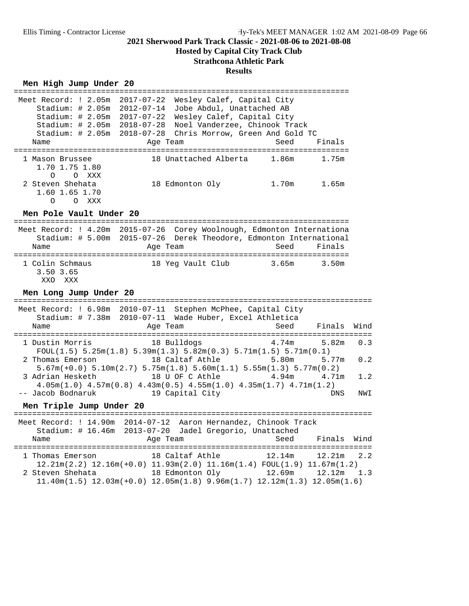## **Hosted by Capital City Track Club**

# **Strathcona Athletic Park**

## **Results**

### Men High Jump Under 20

|                                                                      | ================                                                                                                                                         | ============= | ============== |      |
|----------------------------------------------------------------------|----------------------------------------------------------------------------------------------------------------------------------------------------------|---------------|----------------|------|
| Meet Record: ! 2.05m<br>Stadium: $\# 2.05m$                          | Wesley Calef, Capital City<br>2017-07-22<br>2012-07-14<br>Jobe Abdul, Unattached AB                                                                      |               |                |      |
| Stadium: # 2.05m                                                     | 2017-07-22<br>Wesley Calef, Capital City                                                                                                                 |               |                |      |
| Stadium: # 2.05m 2018-07-28<br>Stadium: # 2.05m                      | Noel Vanderzee, Chinook Track<br>Chris Morrow, Green And Gold TC<br>2018-07-28                                                                           |               |                |      |
| Name                                                                 | Age Team                                                                                                                                                 | Seed          | Finals         |      |
| 1 Mason Brussee<br>1.70 1.75 1.80<br>$\Omega$<br>O XXX               | 18 Unattached Alberta                                                                                                                                    | 1.86m         | 1.75m          |      |
| 2 Steven Shehata<br>1.60 1.65 1.70<br>$\Omega$<br>O XXX              | 18 Edmonton Oly                                                                                                                                          | 1.70m         | 1.65m          |      |
| Men Pole Vault Under 20                                              |                                                                                                                                                          |               |                |      |
| Name                                                                 | Meet Record: ! 4.20m 2015-07-26 Corey Woolnough, Edmonton Internationa<br>Stadium: # 5.00m 2015-07-26 Derek Theodore, Edmonton International<br>Age Team | Seed          | Finals         |      |
| 1 Colin Schmaus<br>3.50 3.65<br>XXO<br>XXX<br>Men Long Jump Under 20 | 18 Yeg Vault Club                                                                                                                                        | 3.65m         | 3.50m          |      |
|                                                                      |                                                                                                                                                          |               |                |      |
| Meet Record: ! 6.98m 2010-07-11                                      | Stephen McPhee, Capital City<br>Stadium: # 7.38m 2010-07-11 Wade Huber, Excel Athletica                                                                  |               |                |      |
| Name                                                                 | Age Team                                                                                                                                                 | Seed          | Finals         | Wind |
| 1 Dustin Morris                                                      | 18 Bulldogs<br>$FOUT(1.5) 5.25m(1.8) 5.39m(1.3) 5.82m(0.3) 5.71m(1.5) 5.71m(0.1)$                                                                        | 4.74m         | 5.82m          | 0.3  |
| 2 Thomas Emerson                                                     | 18 Caltaf Athle<br>$5.67m(+0.0)$ $5.10m(2.7)$ $5.75m(1.8)$ $5.60m(1.1)$ $5.55m(1.3)$ $5.77m(0.2)$                                                        | 5.80m         | 5.77m          | 0.2  |
| 3 Adrian Hesketh                                                     | 18 U OF C Athle<br>$4.05m(1.0)$ $4.57m(0.8)$ $4.43m(0.5)$ $4.55m(1.0)$ $4.35m(1.7)$ $4.71m(1.2)$                                                         | 4.94m         | 4.71m          | 1.2  |
| -- Jacob Bodnaruk                                                    | 19 Capital City                                                                                                                                          |               | <b>DNS</b>     | NWI  |
| Men Triple Jump Under 20                                             |                                                                                                                                                          |               |                |      |
|                                                                      | Meet Record: ! 14.90m 2014-07-12 Aaron Hernandez, Chinook Track<br>Stadium: # 16.46m 2013-07-20 Jadel Gregorio, Unattached                               |               |                |      |
| Name                                                                 | Age Team                                                                                                                                                 | Seed          | Finals         | Wind |
| 1 Thomas Emerson                                                     | 18 Caltaf Athle<br>$12.21\text{m}(2.2)$ $12.16\text{m}(+0.0)$ $11.93\text{m}(2.0)$ $11.16\text{m}(1.4)$ $FOUL(1.9)$ $11.67\text{m}(1.2)$                 | 12.14m        | 12.21m         | 2.2  |
| 2 Steven Shehata                                                     | 18 Edmonton Oly<br>$11.40m(1.5)$ $12.03m(+0.0)$ $12.05m(1.8)$ $9.96m(1.7)$ $12.12m(1.3)$ $12.05m(1.6)$                                                   | 12.69m        | 12.12m         | 1.3  |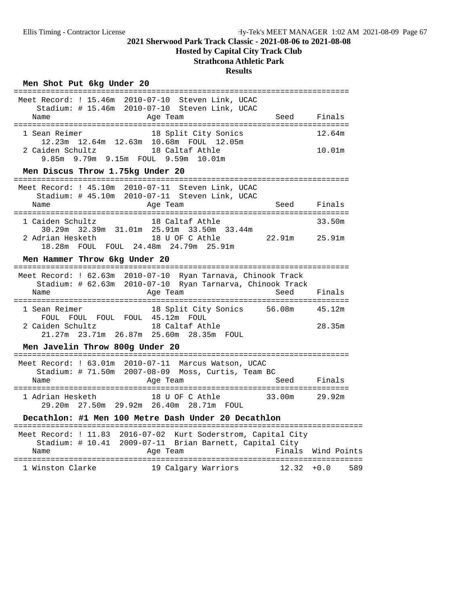**Hosted by Capital City Track Club**

## **Strathcona Athletic Park**

#### **Results**

### Men Shot Put 6kg Under 20

| Meet Record: ! 15.46m 2010-07-10 Steven Link, UCAC                                                                        |        |
|---------------------------------------------------------------------------------------------------------------------------|--------|
| Stadium: # 15.46m 2010-07-10 Steven Link, UCAC<br>Age Team<br>Seed Finals<br>Name                                         |        |
| 18 Split City Sonics<br>1 Sean Reimer<br>12.23m  12.64m  12.63m  10.68m  FOUL  12.05m                                     | 12.64m |
| 2 Caiden Schultz<br>18 Caltaf Athle<br>9.85m 9.79m 9.15m FOUL 9.59m 10.01m                                                | 10.01m |
| Men Discus Throw 1.75kg Under 20                                                                                          |        |
| Meet Record: ! 45.10m 2010-07-11 Steven Link, UCAC<br>Stadium: # 45.10m 2010-07-11 Steven Link, UCAC                      |        |
| Name<br>Age Team<br>Seed                                                                                                  | Finals |
| 18 Caltaf Athle<br>1 Caiden Schultz<br>30.29m 32.39m 31.01m 25.91m 33.50m 33.44m                                          | 33.50m |
| 22.91m 25.91m<br>2 Adrian Hesketh<br>18 U OF C Athle<br>18.28m FOUL FOUL 24.48m 24.79m 25.91m                             |        |
| Men Hammer Throw 6kg Under 20                                                                                             |        |
|                                                                                                                           |        |
| Meet Record: ! 62.63m 2010-07-10 Ryan Tarnava, Chinook Track<br>Stadium: # 62.63m 2010-07-10 Ryan Tarnarva, Chinook Track |        |
| Age Team<br>Seed<br>Name                                                                                                  | Finals |
| 18 Split City Sonics 56.08m 45.12m<br>1 Sean Reimer<br>FOUL FOUL FOUL FOUL 45.12m FOUL                                    |        |
| 2 Caiden Schultz<br>18 Caltaf Athle<br>21.27m 23.71m 26.87m 25.60m 28.35m FOUL                                            | 28.35m |
| Men Javelin Throw 800g Under 20                                                                                           |        |
| Meet Record: ! 63.01m 2010-07-11 Marcus Watson, UCAC<br>Stadium: # 71.50m 2007-08-09 Moss, Curtis, Team BC                |        |
| Age Team<br>Seed Finals<br>Name                                                                                           |        |
| 18 U OF C Athle 33.00m 29.92m<br>1 Adrian Hesketh<br>29.20m  27.50m  29.92m  26.40m  28.71m  FOUL                         |        |
| Decathlon: #1 Men 100 Metre Dash Under 20 Decathlon                                                                       |        |

|                  |  |                     | $Sta$ dium: # 10.41 $2009 - 07 - 11$ Brian Barnett, Capital City |     |
|------------------|--|---------------------|------------------------------------------------------------------|-----|
| Name             |  | Age Team            | Finals Wind Points                                               |     |
| 1 Winston Clarke |  | 19 Calgary Warriors | $12.32 + 0.0$                                                    | 589 |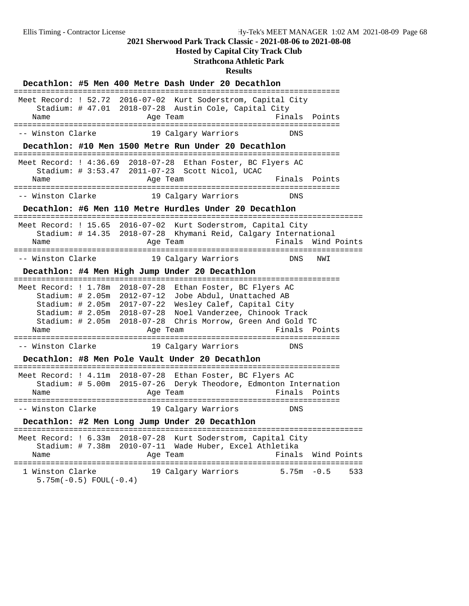**Hosted by Capital City Track Club**

## **Strathcona Athletic Park**

|                                                           |                                 | Decathlon: #5 Men 400 Metre Dash Under 20 Decathlon         |                                                                                                                                                                                                                                                                                                                  |                      |
|-----------------------------------------------------------|---------------------------------|-------------------------------------------------------------|------------------------------------------------------------------------------------------------------------------------------------------------------------------------------------------------------------------------------------------------------------------------------------------------------------------|----------------------|
| Name                                                      |                                 | Age Team                                                    | Meet Record: ! 52.72 2016-07-02 Kurt Soderstrom, Capital City<br>Stadium: # 47.01 2018-07-28 Austin Cole, Capital City<br>Finals                                                                                                                                                                                 | Points               |
| ====================================<br>-- Winston Clarke |                                 | 19 Calgary Warriors                                         | DNS                                                                                                                                                                                                                                                                                                              |                      |
|                                                           |                                 |                                                             | Decathlon: #10 Men 1500 Metre Run Under 20 Decathlon                                                                                                                                                                                                                                                             |                      |
| Name                                                      |                                 | Stadium: # 3:53.47 2011-07-23 Scott Nicol, UCAC<br>Age Team | --------------------<br>Meet Record: ! 4:36.69 2018-07-28 Ethan Foster, BC Flyers AC                                                                                                                                                                                                                             | Finals Points        |
| -- Winston Clarke                                         |                                 | 19 Calgary Warriors                                         | DNS                                                                                                                                                                                                                                                                                                              |                      |
|                                                           |                                 |                                                             | Decathlon: #6 Men 110 Metre Hurdles Under 20 Decathlon                                                                                                                                                                                                                                                           |                      |
| Name                                                      | ------------------------------- | Age Team                                                    | Meet Record: ! 15.65 2016-07-02 Kurt Soderstrom, Capital City<br>Stadium: # 14.35 2018-07-28 Khymani Reid, Calgary International<br>Finals                                                                                                                                                                       | Wind Points          |
| -- Winston Clarke                                         |                                 | 19 Calgary Warriors                                         | DNS                                                                                                                                                                                                                                                                                                              | NWI                  |
|                                                           |                                 | Decathlon: #4 Men High Jump Under 20 Decathlon              |                                                                                                                                                                                                                                                                                                                  |                      |
| Name<br>==================================                | Stadium: # 2.05m 2012-07-12     | Age Team                                                    | Meet Record: ! 1.78m 2018-07-28 Ethan Foster, BC Flyers AC<br>Jobe Abdul, Unattached AB<br>Stadium: # 2.05m 2017-07-22 Wesley Calef, Capital City<br>Stadium: # 2.05m 2018-07-28 Noel Vanderzee, Chinook Track<br>Stadium: # 2.05m 2018-07-28 Chris Morrow, Green And Gold TC<br>-============================== | Finals Points        |
| -- Winston Clarke                                         |                                 | 19 Calgary Warriors                                         | DNS                                                                                                                                                                                                                                                                                                              |                      |
|                                                           |                                 | Decathlon: #8 Men Pole Vault Under 20 Decathlon             |                                                                                                                                                                                                                                                                                                                  |                      |
| Name                                                      |                                 | Age Team                                                    | Meet Record: ! 4.11m 2018-07-28 Ethan Foster, BC Flyers AC<br>Stadium: # 5.00m 2015-07-26 Deryk Theodore, Edmonton Internation<br>Finals                                                                                                                                                                         | Points               |
| -- Winston Clarke                                         |                                 | 19 Calgary Warriors                                         | DNS                                                                                                                                                                                                                                                                                                              |                      |
|                                                           |                                 | Decathlon: #2 Men Long Jump Under 20 Decathlon              |                                                                                                                                                                                                                                                                                                                  |                      |
| Name                                                      |                                 | Age Team                                                    | Meet Record: ! 6.33m 2018-07-28 Kurt Soderstrom, Capital City<br>Stadium: # 7.38m 2010-07-11 Wade Huber, Excel Athletika<br>Finals                                                                                                                                                                               | Wind Points          |
| 1 Winston Clarke<br>$5.75m(-0.5)$ FOUL(-0.4)              |                                 | 19 Calgary Warriors                                         |                                                                                                                                                                                                                                                                                                                  | $5.75m - 0.5$<br>533 |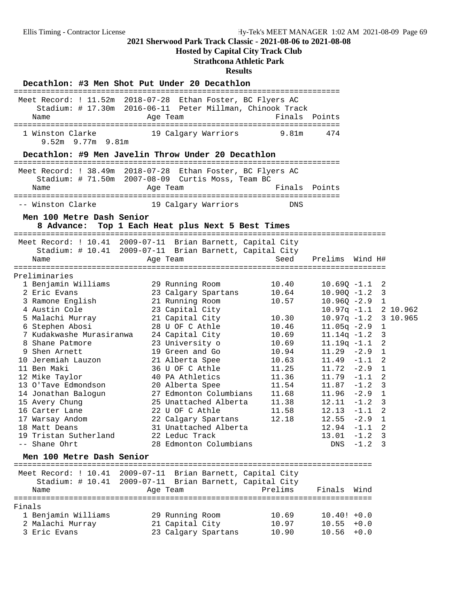## **Hosted by Capital City Track Club**

## **Strathcona Athletic Park**

#### **Results**

#### Decathlon: #3 Men Shot Put Under 20 Decathlon

| Name                                                                                                                                                                                                                                                                                                                                                                                                                    | Meet Record: ! 11.52m 2018-07-28 Ethan Foster, BC Flyers AC<br>Stadium: # 17.30m 2016-06-11 Peter Millman, Chinook Track<br>Age Team                                                                                                                                                                                                                                                                                      | Finals Points                                                                                                                                |                                                                                                                                                                                                                                                                                                                                      |                            |                                                                                                                                                             |          |
|-------------------------------------------------------------------------------------------------------------------------------------------------------------------------------------------------------------------------------------------------------------------------------------------------------------------------------------------------------------------------------------------------------------------------|---------------------------------------------------------------------------------------------------------------------------------------------------------------------------------------------------------------------------------------------------------------------------------------------------------------------------------------------------------------------------------------------------------------------------|----------------------------------------------------------------------------------------------------------------------------------------------|--------------------------------------------------------------------------------------------------------------------------------------------------------------------------------------------------------------------------------------------------------------------------------------------------------------------------------------|----------------------------|-------------------------------------------------------------------------------------------------------------------------------------------------------------|----------|
| 1 Winston Clarke<br>$9.52m$ 9.77m 9.81m                                                                                                                                                                                                                                                                                                                                                                                 | 19 Calgary Warriors                                                                                                                                                                                                                                                                                                                                                                                                       | 9.81m                                                                                                                                        | 474                                                                                                                                                                                                                                                                                                                                  |                            |                                                                                                                                                             |          |
|                                                                                                                                                                                                                                                                                                                                                                                                                         | Decathlon: #9 Men Javelin Throw Under 20 Decathlon                                                                                                                                                                                                                                                                                                                                                                        |                                                                                                                                              |                                                                                                                                                                                                                                                                                                                                      |                            |                                                                                                                                                             |          |
|                                                                                                                                                                                                                                                                                                                                                                                                                         | Meet Record: ! 38.49m 2018-07-28 Ethan Foster, BC Flyers AC                                                                                                                                                                                                                                                                                                                                                               |                                                                                                                                              |                                                                                                                                                                                                                                                                                                                                      |                            |                                                                                                                                                             |          |
| Name                                                                                                                                                                                                                                                                                                                                                                                                                    | Stadium: # 71.50m 2007-08-09 Curtis Moss, Team BC<br>Age Team                                                                                                                                                                                                                                                                                                                                                             | Finals Points                                                                                                                                |                                                                                                                                                                                                                                                                                                                                      |                            |                                                                                                                                                             |          |
| -- Winston Clarke                                                                                                                                                                                                                                                                                                                                                                                                       | 19 Calgary Warriors                                                                                                                                                                                                                                                                                                                                                                                                       | DNS                                                                                                                                          |                                                                                                                                                                                                                                                                                                                                      |                            |                                                                                                                                                             |          |
| Men 100 Metre Dash Senior<br>8 Advance:                                                                                                                                                                                                                                                                                                                                                                                 | Top 1 Each Heat plus Next 5 Best Times                                                                                                                                                                                                                                                                                                                                                                                    |                                                                                                                                              |                                                                                                                                                                                                                                                                                                                                      |                            |                                                                                                                                                             |          |
| Name                                                                                                                                                                                                                                                                                                                                                                                                                    | Meet Record: ! 10.41 2009-07-11 Brian Barnett, Capital City<br>Stadium: # 10.41 2009-07-11 Brian Barnett, Capital City<br>Age Team                                                                                                                                                                                                                                                                                        | Seed                                                                                                                                         | Prelims Wind H#                                                                                                                                                                                                                                                                                                                      |                            |                                                                                                                                                             |          |
| Preliminaries<br>1 Benjamin Williams<br>2 Eric Evans<br>3 Ramone English<br>4 Austin Cole<br>5 Malachi Murray<br>6 Stephen Abosi<br>7 Kudakwashe Murasiranwa<br>8 Shane Patmore<br>9 Shen Arnett<br>10 Jeremiah Lauzon<br>11 Ben Maki<br>12 Mike Taylor<br>13 O'Tave Edmondson<br>14 Jonathan Balogun<br>15 Avery Chung<br>16 Carter Lane<br>17 Warsay Andom<br>18 Matt Deans<br>19 Tristan Sutherland<br>-- Shane Ohrt | 29 Running Room<br>23 Calgary Spartans<br>21 Running Room<br>23 Capital City<br>21 Capital City<br>28 U OF C Athle<br>24 Capital City<br>23 University o<br>19 Green and Go<br>21 Alberta Spee<br>36 U OF C Athle<br>40 PA Athletics<br>20 Alberta Spee<br>27 Edmonton Columbians<br>25 Unattached Alberta<br>22 U OF C Athle<br>22 Calgary Spartans<br>31 Unattached Alberta<br>22 Leduc Track<br>28 Edmonton Columbians | 10.40<br>10.64<br>10.57<br>10.30<br>10.46<br>10.69<br>10.69<br>10.94<br>10.63<br>11.25<br>11.36<br>11.54<br>11.68<br>11.38<br>11.58<br>12.18 | $10.69Q - 1.1$<br>$10.90Q - 1.2$<br>$10.96Q - 2.9$<br>$10.97q -1.1$ 2 10.962<br>$10.97q -1.2$<br>$11.05q -2.9$<br>$11.14q - 1.2$<br>$11.19q - 1.1$<br>$11.29 - 2.9$<br>$11.49 - 1.1$<br>$11.72 - 2.9$<br>$11.79 - 1.1$<br>$11.87 - 1.2$<br>$11.96 - 2.9$<br>$12.11 - 1.2$<br>$12.13 - 1.1$<br>$12.55 - 2.9$<br>12.94<br>13.01<br>DNS | $-1.1$<br>$-1.2$<br>$-1.2$ | 2<br>3<br>$\mathbf{1}$<br>$\mathbf{1}$<br>3<br>2<br>$\mathbf{1}$<br>2<br>$\mathbf{1}$<br>-2<br>3<br>$\mathbf{1}$<br>$\overline{3}$<br>2<br>1<br>2<br>3<br>3 | 3 10.965 |
| Men 100 Metre Dash Senior                                                                                                                                                                                                                                                                                                                                                                                               |                                                                                                                                                                                                                                                                                                                                                                                                                           |                                                                                                                                              |                                                                                                                                                                                                                                                                                                                                      |                            |                                                                                                                                                             |          |
| Stadium: $\#$ 10.41<br>Name                                                                                                                                                                                                                                                                                                                                                                                             | Meet Record: ! 10.41 2009-07-11 Brian Barnett, Capital City<br>2009-07-11 Brian Barnett, Capital City<br>Age Team                                                                                                                                                                                                                                                                                                         | Prelims                                                                                                                                      | Finals                                                                                                                                                                                                                                                                                                                               | Wind                       |                                                                                                                                                             |          |
| Finals<br>1 Benjamin Williams<br>2 Malachi Murray<br>3 Eric Evans                                                                                                                                                                                                                                                                                                                                                       | 29 Running Room<br>21 Capital City<br>23 Calgary Spartans                                                                                                                                                                                                                                                                                                                                                                 | 10.69<br>10.97<br>10.90                                                                                                                      | $10.40! +0.0$<br>10.55<br>10.56                                                                                                                                                                                                                                                                                                      | $+0.0$<br>$+0.0$           |                                                                                                                                                             |          |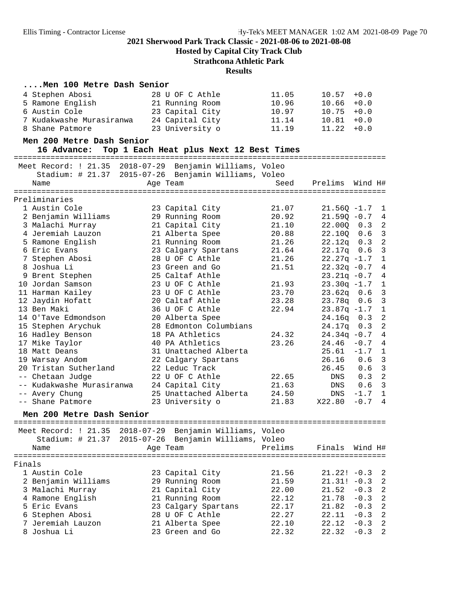**Hosted by Capital City Track Club**

**Strathcona Athletic Park**

#### **Results**

#### **....Men 100 Metre Dash Senior**

| 28 U OF C Athle | 11.05 | $10.57 + 0.0$ |
|-----------------|-------|---------------|
| 21 Running Room | 10.96 | $10.66 + 0.0$ |
| 23 Capital City | 10.97 | $10.75 + 0.0$ |
| 24 Capital City | 11.14 | $10.81 + 0.0$ |
| 23 University o | 11.19 | $11.22 + 0.0$ |
|                 |       |               |

#### **Men 200 Metre Dash Senior**

16 Advance: Top 1 Each Heat plus Next 12 Best Times

|                           |               | Meet Record: ! 21.35 2018-07-29 Benjamin Williams, Voleo |       |                  |         |                |
|---------------------------|---------------|----------------------------------------------------------|-------|------------------|---------|----------------|
|                           |               | Stadium: # 21.37 2015-07-26 Benjamin Williams, Voleo     |       |                  |         |                |
| Name                      |               | Age Team                                                 | Seed  | Prelims          | Wind H# |                |
| ======================    | ============= |                                                          |       |                  |         |                |
| Preliminaries             |               |                                                          |       |                  |         |                |
| 1 Austin Cole             |               | 23 Capital City                                          | 21.07 | $21.560 - 1.7$ 1 |         |                |
| 2 Benjamin Williams       |               | 29 Running Room                                          | 20.92 | $21.59Q - 0.7$   |         | $\overline{4}$ |
| 3 Malachi Murray          |               | 21 Capital City                                          | 21.10 | 22.000 0.3       |         | 2              |
| 4 Jeremiah Lauzon         |               | 21 Alberta Spee                                          | 20.88 | 22.100 0.6       |         | $\overline{3}$ |
| 5 Ramone English          |               | 21 Running Room                                          | 21.26 | $22.12q$ 0.3     |         | $\overline{2}$ |
| 6 Eric Evans              |               | 23 Calgary Spartans                                      | 21.64 | $22.17q$ 0.6     |         | $\overline{3}$ |
| 7 Stephen Abosi           |               | 28 U OF C Athle                                          | 21.26 | $22.27q -1.7$    |         | 1              |
| 8 Joshua Li               |               | 23 Green and Go                                          | 21.51 | $22.32q -0.7$    |         | 4              |
| 9 Brent Stephen           |               | 25 Caltaf Athle                                          |       | $23.21q - 0.7$ 4 |         |                |
| 10 Jordan Samson          |               | 23 U OF C Athle                                          | 21.93 | $23.30q -1.7$    |         | 1              |
| 11 Harman Kailey          |               | 23 U OF C Athle                                          | 23.70 | $23.62q$ $0.6$   |         | $\overline{3}$ |
| 12 Jaydin Hofatt          |               | 20 Caltaf Athle                                          | 23.28 | $23.78q$ 0.6     |         | $\overline{3}$ |
| 13 Ben Maki               |               | 36 U OF C Athle                                          | 22.94 | $23.87q - 1.7$   |         | 1              |
| 14 O'Tave Edmondson       |               | 20 Alberta Spee                                          |       | $24.16q$ $0.3$   |         | $\overline{2}$ |
| 15 Stephen Arychuk        |               | 28 Edmonton Columbians                                   |       | $24.17q$ 0.3     |         | $\overline{2}$ |
| 16 Hadley Benson          |               | 18 PA Athletics                                          | 24.32 | $24.34q -0.7$    |         | $\overline{4}$ |
| 17 Mike Taylor            |               | 40 PA Athletics                                          | 23.26 | $24.46 - 0.7$    |         | $\overline{4}$ |
| 18 Matt Deans             |               | 31 Unattached Alberta                                    |       | $25.61 -1.7 1$   |         |                |
| 19 Warsay Andom           |               | 22 Calgary Spartans                                      |       | $26.16$ 0.6      |         | $\overline{3}$ |
| 20 Tristan Sutherland     |               | 22 Leduc Track                                           |       | 26.45 0.6        |         | $\overline{3}$ |
| -- Chetaan Judge          |               | 22 U OF C Athle                                          | 22.65 | DNS              | 0.3     | $\overline{2}$ |
| -- Kudakwashe Murasiranwa |               | 24 Capital City                                          | 21.63 | DNS              | 0.6     | $\overline{3}$ |
| -- Avery Chung            |               | 25 Unattached Alberta                                    | 24.50 | DNS              | $-1.7$  | $\mathbf{1}$   |
| -- Shane Patmore          |               | 23 University o                                          | 21.83 | X22.80           | $-0.7$  | $\overline{4}$ |
|                           |               |                                                          |       |                  |         |                |

#### Men 200 Metre Dash Senior

| Name                | Meet Record: ! 21.35 2018-07-29 Benjamin Williams, Voleo<br>Stadium: # 21.37 2015-07-26 Benjamin Williams, Voleo<br>Age Team | Prelims | Finals Wind H# |                 |
|---------------------|------------------------------------------------------------------------------------------------------------------------------|---------|----------------|-----------------|
| Finals              |                                                                                                                              |         |                |                 |
| 1 Austin Cole       | 23 Capital City                                                                                                              | 21.56   |                | $21.22! -0.3$ 2 |
| 2 Benjamin Williams | 29 Running Room                                                                                                              | 21.59   |                | $21.31! -0.3$ 2 |
| 3 Malachi Murray    | 21 Capital City                                                                                                              | 22.00   |                | $21.52 -0.3$ 2  |
| 4 Ramone English    | 21 Running Room                                                                                                              | 22.12   |                | $21.78 - 0.3$ 2 |
| 5 Eric Evans        | 23 Calgary Spartans                                                                                                          | 22.17   |                | $21.82 - 0.3$ 2 |
| 6 Stephen Abosi     | 28 U OF C Athle                                                                                                              | 22.27   | 22.11          | $-0.3$ 2        |
| 7 Jeremiah Lauzon   | 21 Alberta Spee                                                                                                              | 22.10   |                | $22.12 - 0.3$ 2 |
| 8 Joshua Li         | 23 Green and Go                                                                                                              | 22.32   | 22.32          | $-0.3$ 2        |
|                     |                                                                                                                              |         |                |                 |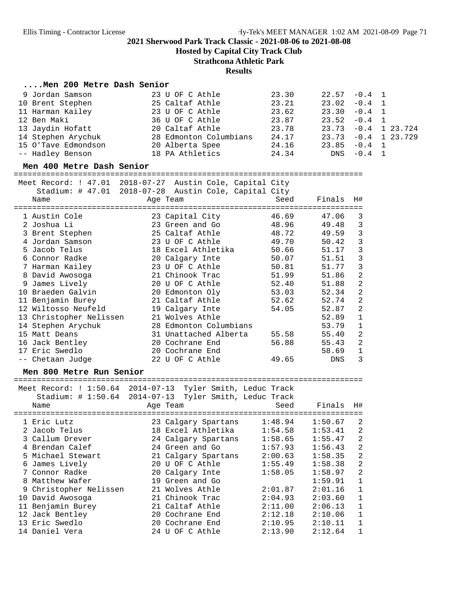**Hosted by Capital City Track Club**

**Strathcona Athletic Park**

#### **Results**

#### **....Men 200 Metre Dash Senior**

| 9 Jordan Samson     | 23 U OF C Athle        | 23.30 | $22.57 -0.4$ 1 |          |                        |
|---------------------|------------------------|-------|----------------|----------|------------------------|
| 10 Brent Stephen    | 25 Caltaf Athle        | 23.21 | $23.02 -0.4$ 1 |          |                        |
| 11 Harman Kailey    | 23 U OF C Athle        | 23.62 | $23.30 -0.4$ 1 |          |                        |
| 12 Ben Maki         | 36 U OF C Athle        | 23.87 | $23.52 -0.4$ 1 |          |                        |
| 13 Jaydin Hofatt    | 20 Caltaf Athle        | 23.78 |                |          | $23.73 - 0.4$ 1 23.724 |
| 14 Stephen Arychuk  | 28 Edmonton Columbians | 24.17 |                |          | $23.73 - 0.4$ 1 23.729 |
| 15 O'Tave Edmondson | 20 Alberta Spee        | 24.16 | $23.85 -0.4$ 1 |          |                        |
| -- Hadley Benson    | 18 PA Athletics        | 24.34 | DNS            | $-0.4$ 1 |                        |

**Men 400 Metre Dash Senior** ============================================================================

|  | Meet Record: ! 47.01      | 2018-07-27 Austin Cole, Capital City<br>Stadium: # 47.01 2018-07-28 Austin Cole, Capital City |       |        |                |
|--|---------------------------|-----------------------------------------------------------------------------------------------|-------|--------|----------------|
|  | Name                      | Age Team                                                                                      | Seed  | Finals | H#             |
|  | ========================= | =====================                                                                         |       |        |                |
|  | 1 Austin Cole             | 23 Capital City                                                                               | 46.69 | 47.06  | 3              |
|  | 2 Joshua Li               | 23 Green and Go                                                                               | 48.96 | 49.48  | 3              |
|  | 3 Brent Stephen           | 25 Caltaf Athle                                                                               | 48.72 | 49.59  | 3              |
|  | 4 Jordan Samson           | 23 U OF C Athle                                                                               | 49.70 | 50.42  | 3              |
|  | 5 Jacob Telus             | 18 Excel Athletika                                                                            | 50.66 | 51.17  | 3              |
|  | 6 Connor Radke            | 20 Calgary Inte                                                                               | 50.07 | 51.51  | 3              |
|  | 7 Harman Kailey           | 23 U OF C Athle                                                                               | 50.81 | 51.77  | 3              |
|  | 8 David Awosoga           | 21 Chinook Trac                                                                               | 51.99 | 51.86  | $\overline{a}$ |
|  | 9 James Lively            | 20 U OF C Athle                                                                               | 52.40 | 51.88  | $\overline{c}$ |
|  | 10 Braeden Galvin         | 20 Edmonton Oly                                                                               | 53.03 | 52.34  | $\overline{a}$ |
|  | 11 Benjamin Burey         | 21 Caltaf Athle                                                                               | 52.62 | 52.74  | $\overline{2}$ |
|  | 12 Wiltosso Neufeld       | 19 Calgary Inte                                                                               | 54.05 | 52.87  | $\overline{a}$ |
|  | 13 Christopher Nelissen   | 21 Wolves Athle                                                                               |       | 52.89  | $\mathbf 1$    |
|  | 14 Stephen Arychuk        | 28 Edmonton Columbians                                                                        |       | 53.79  | $\mathbf{1}$   |
|  | 15 Matt Deans             | 31 Unattached Alberta                                                                         | 55.58 | 55.40  | $\overline{a}$ |
|  | 16 Jack Bentley           | 20 Cochrane End                                                                               | 56.88 | 55.43  | $\overline{2}$ |
|  | 17 Eric Swedlo            | 20 Cochrane End                                                                               |       | 58.69  | $\mathbf{1}$   |
|  | -- Chetaan Judge          | 22 U OF C Athle                                                                               | 49.65 | DNS    | 3              |
|  |                           |                                                                                               |       |        |                |

**Men 800 Metre Run Senior** ============================================================================

Meet Record: ! 1:50.64 2014-07-13 Tyler Smith, Leduc Track

| Stadium: # 1:50.64 2014-07-13 Tyler Smith, Leduc Track |                     | Seed    | Finals  | H#             |
|--------------------------------------------------------|---------------------|---------|---------|----------------|
| Name                                                   | Age Team            |         |         |                |
| 1 Eric Lutz                                            | 23 Calgary Spartans | 1:48.94 | 1:50.67 | 2              |
| 2 Jacob Telus                                          | 18 Excel Athletika  | 1:54.58 | 1:53.41 | $\overline{2}$ |
| 3 Callum Drever                                        | 24 Calgary Spartans | 1:58.65 | 1:55.47 | $\overline{2}$ |
| 4 Brendan Calef                                        | 24 Green and Go     | 1:57.93 | 1:56.43 | $\overline{2}$ |
| 5 Michael Stewart                                      | 21 Calgary Spartans | 2:00.63 | 1:58.35 | $\overline{2}$ |
| 6 James Lively                                         | 20 U OF C Athle     | 1:55.49 | 1:58.38 | $\overline{2}$ |
| 7 Connor Radke                                         | 20 Calgary Inte     | 1:58.05 | 1:58.97 | $\overline{2}$ |
| 8 Matthew Wafer                                        | 19 Green and Go     |         | 1:59.91 | 1              |
| 9 Christopher Nelissen                                 | 21 Wolves Athle     | 2:01.87 | 2:01.16 | $\mathbf{1}$   |
| 10 David Awosoga                                       | 21 Chinook Trac     | 2:04.93 | 2:03.60 | $\mathbf{1}$   |
| 11 Benjamin Burey                                      | 21 Caltaf Athle     | 2:11.00 | 2:06.13 | 1              |
| 12 Jack Bentley                                        | 20 Cochrane End     | 2:12.18 | 2:10.06 | $\mathbf{1}$   |
| 13 Eric Swedlo                                         | 20 Cochrane End     | 2:10.95 | 2:10.11 | 1              |
| 14 Daniel Vera                                         | 24 U OF C Athle     | 2:13.90 | 2:12.64 | $\mathbf{1}$   |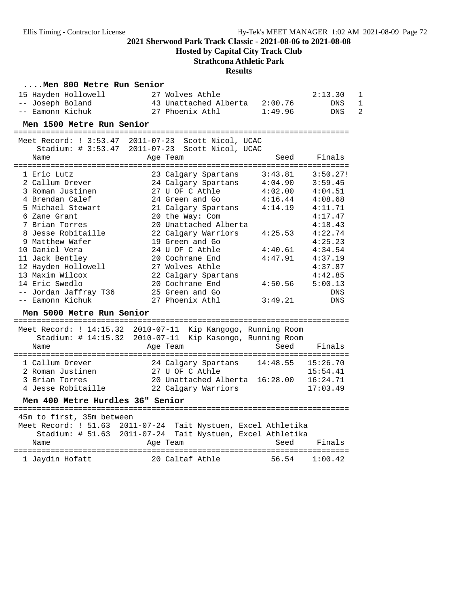**Hosted by Capital City Track Club**

## **Strathcona Athletic Park**

| Men 800 Metre Run Senior                                        |                                                           |          |                              |  |  |  |  |
|-----------------------------------------------------------------|-----------------------------------------------------------|----------|------------------------------|--|--|--|--|
| 15 Hayden Hollowell                                             | 27 Wolves Athle                                           |          | 2:13.30<br>1                 |  |  |  |  |
| -- Joseph Boland                                                | 43 Unattached Alberta 2:00.76                             |          | $\mathbf{1}$<br><b>DNS</b>   |  |  |  |  |
| -- Eamonn Kichuk                                                | 27 Phoenix Athl                                           | 1:49.96  | $\mathfrak{D}$<br><b>DNS</b> |  |  |  |  |
| Men 1500 Metre Run Senior                                       |                                                           |          |                              |  |  |  |  |
|                                                                 |                                                           |          |                              |  |  |  |  |
| Meet Record: ! 3:53.47 2011-07-23                               | Scott Nicol, UCAC                                         |          |                              |  |  |  |  |
| Stadium: $\#$ 3:53.47                                           | 2011-07-23 Scott Nicol, UCAC                              |          |                              |  |  |  |  |
| Name                                                            | Age Team                                                  | Seed     | Finals                       |  |  |  |  |
| 1 Eric Lutz                                                     | 23 Calgary Spartans                                       | 3:43.81  | 3:50.27!                     |  |  |  |  |
| 2 Callum Drever                                                 | 24 Calgary Spartans                                       | 4:04.90  | 3:59.45                      |  |  |  |  |
| 3 Roman Justinen                                                | 27 U OF C Athle                                           | 4:02.00  | 4:04.51                      |  |  |  |  |
| 4 Brendan Calef                                                 | 24 Green and Go                                           | 4:16.44  | 4:08.68                      |  |  |  |  |
| 5 Michael Stewart                                               | 21 Calgary Spartans                                       | 4:14.19  | 4:11.71                      |  |  |  |  |
| 6 Zane Grant                                                    | 20 the Way: Com                                           |          | 4:17.47                      |  |  |  |  |
| 7 Brian Torres                                                  | 20 Unattached Alberta                                     |          | 4:18.43                      |  |  |  |  |
| 8 Jesse Robitaille                                              | 22 Calgary Warriors                                       | 4:25.53  | 4:22.74                      |  |  |  |  |
| 9 Matthew Wafer                                                 | 19 Green and Go                                           |          | 4:25.23                      |  |  |  |  |
| 10 Daniel Vera                                                  | 24 U OF C Athle                                           | 4:40.61  | 4:34.54                      |  |  |  |  |
| 11 Jack Bentley                                                 | 20 Cochrane End                                           | 4:47.91  | 4:37.19                      |  |  |  |  |
| 12 Hayden Hollowell                                             | 27 Wolves Athle                                           |          | 4:37.87                      |  |  |  |  |
| 13 Maxim Wilcox                                                 | 22 Calgary Spartans                                       |          | 4:42.85                      |  |  |  |  |
| 14 Eric Swedlo                                                  | 20 Cochrane End                                           | 4:50.56  | 5:00.13                      |  |  |  |  |
| -- Jordan Jaffray T36                                           | 25 Green and Go                                           |          | <b>DNS</b>                   |  |  |  |  |
| -- Eamonn Kichuk                                                | 27 Phoenix Athl                                           | 3:49.21  | <b>DNS</b>                   |  |  |  |  |
|                                                                 |                                                           |          |                              |  |  |  |  |
| Men 5000 Metre Run Senior                                       |                                                           |          |                              |  |  |  |  |
| Meet Record: $1\ 14:15.32$ 2010-07-11 Kip Kangogo, Running Room |                                                           |          |                              |  |  |  |  |
| Stadium: # 14:15.32 2010-07-11                                  | Kip Kasongo, Running Room                                 |          |                              |  |  |  |  |
| Name                                                            | Age Team                                                  | Seed     | Finals                       |  |  |  |  |
|                                                                 |                                                           |          |                              |  |  |  |  |
| 1 Callum Drever                                                 | 24 Calgary Spartans                                       | 14:48.55 | 15:26.70                     |  |  |  |  |
| 2 Roman Justinen                                                | 27 U OF C Athle                                           |          | 15:54.41                     |  |  |  |  |
| 3 Brian Torres                                                  | 20 Unattached Alberta 16:28.00 16:24.71                   |          |                              |  |  |  |  |
| 4 Jesse Robitaille                                              | 22 Calgary Warriors                                       |          | 17:03.49                     |  |  |  |  |
| Men 400 Metre Hurdles 36" Senior                                |                                                           |          |                              |  |  |  |  |
|                                                                 |                                                           |          |                              |  |  |  |  |
| 45m to first, 35m between                                       |                                                           |          |                              |  |  |  |  |
| Meet Record: ! 51.63 2011-07-24 Tait Nystuen, Excel Athletika   |                                                           |          |                              |  |  |  |  |
|                                                                 | Stadium: # 51.63 2011-07-24 Tait Nystuen, Excel Athletika |          |                              |  |  |  |  |
| Name                                                            | Age Team                                                  | Seed     | Finals                       |  |  |  |  |
|                                                                 |                                                           |          |                              |  |  |  |  |
| 1 Jaydin Hofatt                                                 | 20 Caltaf Athle                                           | 56.54    | 1:00.42                      |  |  |  |  |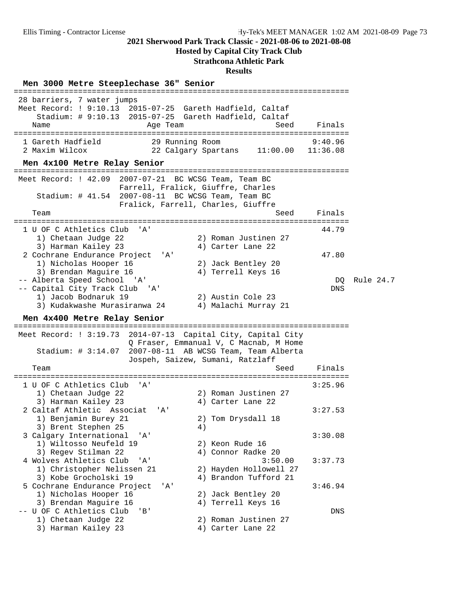**Hosted by Capital City Track Club**

## **Strathcona Athletic Park**

| Men 3000 Metre Steeplechase 36" Senior                                                                                                                               |                                                                                  |                     |           |
|----------------------------------------------------------------------------------------------------------------------------------------------------------------------|----------------------------------------------------------------------------------|---------------------|-----------|
| 28 barriers, 7 water jumps<br>Meet Record: ! 9:10.13 2015-07-25 Gareth Hadfield, Caltaf<br>Stadium: # 9:10.13 2015-07-25 Gareth Hadfield, Caltaf<br>Age Team<br>Name | Seed                                                                             | Finals              |           |
| 1 Gareth Hadfield<br>29 Running Room<br>2 Maxim Wilcox                                                                                                               | 22 Calgary Spartans<br>11:00.00                                                  | 9:40.96<br>11:36.08 |           |
| Men 4x100 Metre Relay Senior                                                                                                                                         | ===============================                                                  |                     |           |
| Meet Record: ! 42.09 2007-07-21 BC WCSG Team, Team BC<br>Stadium: $\#$ 41.54 2007-08-11 BC WCSG Team, Team BC<br>Team                                                | Farrell, Fralick, Giuffre, Charles<br>Fralick, Farrell, Charles, Giuffre<br>Seed | Finals              |           |
| 1 U OF C Athletics Club<br>' A'                                                                                                                                      | ========================                                                         | 44.79               |           |
| 1) Chetaan Judge 22<br>3) Harman Kailey 23                                                                                                                           | 2) Roman Justinen 27<br>4) Carter Lane 22                                        |                     |           |
| 2 Cochrane Endurance Project<br>'A'                                                                                                                                  |                                                                                  | 47.80               |           |
| 1) Nicholas Hooper 16<br>3) Brendan Maguire 16                                                                                                                       | 2) Jack Bentley 20<br>4) Terrell Keys 16                                         |                     |           |
| -- Alberta Speed School<br>'' A '                                                                                                                                    |                                                                                  | DQ                  | Rule 24.7 |
| -- Capital City Track Club<br>'' A '                                                                                                                                 |                                                                                  | DNS                 |           |
| 1) Jacob Bodnaruk 19<br>3) Kudakwashe Murasiranwa 24                                                                                                                 | 2) Austin Cole 23<br>4) Malachi Murray 21                                        |                     |           |
| Men 4x400 Metre Relay Senior                                                                                                                                         |                                                                                  |                     |           |
| ==================================                                                                                                                                   |                                                                                  |                     |           |
| Meet Record: ! 3:19.73 2014-07-13 Capital City, Capital City<br>Stadium: # 3:14.07 2007-08-11 AB WCSG Team, Team Alberta                                             | Q Fraser, Emmanual V, C Macnab, M Home<br>Jospeh, Saizew, Sumani, Ratzlaff       |                     |           |
| Team                                                                                                                                                                 | Seed                                                                             | Finals              |           |
| 1 U OF C Athletics Club<br>' A'                                                                                                                                      | :========================                                                        | 3:25.96             |           |
| 1) Chetaan Judge 22                                                                                                                                                  | 2) Roman Justinen 27                                                             |                     |           |
| 3) Harman Kailey 23                                                                                                                                                  | 4) Carter Lane 22                                                                |                     |           |
| 2 Caltaf Athletic Associat<br>'A'<br>1) Benjamin Burey 21<br>3) Brent Stephen 25                                                                                     | 2) Tom Drysdall 18<br>4)                                                         | 3:27.53             |           |
| 3 Calgary International<br>'A'                                                                                                                                       |                                                                                  | 3:30.08             |           |
| 1) Wiltosso Neufeld 19                                                                                                                                               | 2) Keon Rude 16                                                                  |                     |           |
| 3) Regev Stilman 22<br>4 Wolves Athletics Club<br>'A'                                                                                                                | 4) Connor Radke 20<br>3:50.00                                                    | 3:37.73             |           |
| 1) Christopher Nelissen 21<br>3) Kobe Grocholski 19                                                                                                                  | 2) Hayden Hollowell 27<br>4) Brandon Tufford 21                                  |                     |           |
| 5 Cochrane Endurance Project<br>' A '                                                                                                                                |                                                                                  | 3:46.94             |           |
| 1) Nicholas Hooper 16                                                                                                                                                | 2) Jack Bentley 20                                                               |                     |           |
| 3) Brendan Maguire 16<br>-- U OF C Athletics Club<br>'B'                                                                                                             | 4) Terrell Keys 16                                                               | DNS                 |           |
| 1) Chetaan Judge 22<br>3) Harman Kailey 23                                                                                                                           | 2) Roman Justinen 27<br>4) Carter Lane 22                                        |                     |           |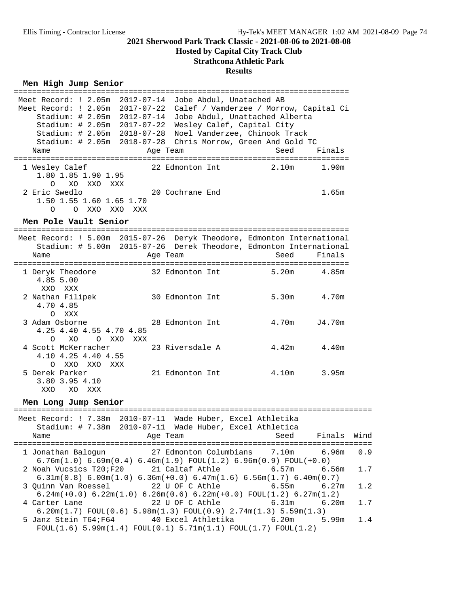## **Hosted by Capital City Track Club Strathcona Athletic Park**

## **Results**

### $Men$  High Jump Senior

| Meet Record: ! 2.05m 2012-07-14 Jobe Abdul, Unatached AB<br>Meet Record: ! 2.05m 2017-07-22 Calef / Vamderzee / Morrow, Capital Ci<br>Stadium: # 2.05m 2012-07-14<br>Stadium: # 2.05m 2017-07-22<br>Stadium: # 2.05m 2018-07-28<br>Name | Jobe Abdul, Unattached Alberta<br>Wesley Calef, Capital City<br>Noel Vanderzee, Chinook Track<br>Stadium: # 2.05m 2018-07-28 Chris Morrow, Green And Gold TC<br>Age Team                     | Seed           | Finals         |            |
|-----------------------------------------------------------------------------------------------------------------------------------------------------------------------------------------------------------------------------------------|----------------------------------------------------------------------------------------------------------------------------------------------------------------------------------------------|----------------|----------------|------------|
| 1 Wesley Calef<br>1.80 1.85 1.90 1.95<br>XO XXO XXX<br>$\Omega$                                                                                                                                                                         | 22 Edmonton Int 2.10m 1.90m                                                                                                                                                                  |                |                |            |
| 2 Eric Swedlo<br>1.50 1.55 1.60 1.65 1.70<br>0 0 XXO XXO XXX                                                                                                                                                                            | 20 Cochrane End                                                                                                                                                                              |                | 1.65m          |            |
| Men Pole Vault Senior                                                                                                                                                                                                                   |                                                                                                                                                                                              |                |                |            |
| Meet Record: ! 5.00m 2015-07-26 Deryk Theodore, Edmonton International<br>Name                                                                                                                                                          | Stadium: # 5.00m 2015-07-26 Derek Theodore, Edmonton International<br>Age Team                                                                                                               | Seed           | Finals         |            |
| 1 Deryk Theodore 32 Edmonton Int<br>4.85 5.00<br>XXO XXX                                                                                                                                                                                |                                                                                                                                                                                              | 5.20m 4.85m    |                |            |
| 2 Nathan Filipek<br>4.70 4.85<br>O XXX                                                                                                                                                                                                  | 30 Edmonton Int                                                                                                                                                                              | 5.30m 4.70m    |                |            |
| 3 Adam Osborne<br>4.25 4.40 4.55 4.70 4.85<br>XO<br>O XXO XXX<br>$\Omega$                                                                                                                                                               | 28 Edmonton Int                                                                                                                                                                              | 4.70m          | J4.70m         |            |
| 4 Scott McKerracher<br>4.10 4.25 4.40 4.55<br>O XXO XXO XXX                                                                                                                                                                             | 23 Riversdale A                                                                                                                                                                              | 4.42m 4.40m    |                |            |
| 5 Derek Parker<br>3.80 3.95 4.10<br>XXO<br>XO XXX                                                                                                                                                                                       | 21 Edmonton Int                                                                                                                                                                              | 4.10m 3.95m    |                |            |
| Men Long Jump Senior                                                                                                                                                                                                                    |                                                                                                                                                                                              |                |                |            |
| Meet Record: ! 7.38m 2010-07-11 Wade Huber, Excel Athletika                                                                                                                                                                             | Stadium: # 7.38m 2010-07-11 Wade Huber, Excel Athletica                                                                                                                                      |                |                |            |
| Name                                                                                                                                                                                                                                    | Age Team and Seed Finals Wind                                                                                                                                                                |                |                |            |
| 1 Jonathan Balogun                                                                                                                                                                                                                      | 27 Edmonton Columbians<br>$6.76m(1.0) 6.69m(0.4) 6.46m(1.9) FOUL(1.2) 6.96m(0.9) FOUL(+0.0)$                                                                                                 | 7.10m          | 6.96m          | 0.9        |
| 2 Noah Vucsics T20;F20<br>3 Quinn Van Roessel                                                                                                                                                                                           | 21 Caltaf Athle<br>$6.31m(0.8)$ $6.00m(1.0)$ $6.36m(+0.0)$ $6.47m(1.6)$ $6.56m(1.7)$ $6.40m(0.7)$<br>22 U OF C Athle                                                                         | 6.57m<br>6.55m | 6.56m<br>6.27m | 1.7<br>1.2 |
| 4 Carter Lane                                                                                                                                                                                                                           | $6.24m(+0.0)$ $6.22m(1.0)$ $6.26m(0.6)$ $6.22m(+0.0)$ $F\text{OUL}(1.2)$ $6.27m(1.2)$<br>22 U OF C Athle<br>$6.20m(1.7)$ FOUL $(0.6)$ 5.98 $m(1.3)$ FOUL $(0.9)$ 2.74 $m(1.3)$ 5.59 $m(1.3)$ | 6.31m          | 6.20m          | 1.7        |
| 5 Janz Stein T64;F64      40 Excel Athletika                                                                                                                                                                                            | $FOUT(1.6) 5.99m(1.4) FOUT(0.1) 5.71m(1.1) FOUT(1.7) FOUT(1.2)$                                                                                                                              | 6.20m          | 5.99m          | 1.4        |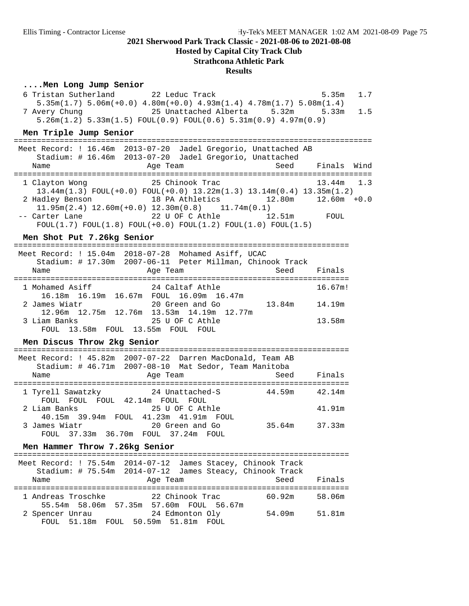#### **Hosted by Capital City Track Club**

#### **Strathcona Athletic Park**

#### **Results**

#### **....Men Long Jump Senior**

 6 Tristan Sutherland 22 Leduc Track 5.35m 1.7 5.35m(1.7) 5.06m(+0.0) 4.80m(+0.0) 4.93m(1.4) 4.78m(1.7) 5.08m(1.4) 7 Avery Chung 25 Unattached Alberta 5.32m 5.33m 1.5 5.26m(1.2) 5.33m(1.5) FOUL(0.9) FOUL(0.6) 5.31m(0.9) 4.97m(0.9)

# **Men Triple Jump Senior** ==============================================================================

| Meet Record: ! 16.46m 2013-07-20 Jadel Gregorio, Unattached AB<br>Name | Stadium: # 16.46m 2013-07-20 Jadel Gregorio, Unattached<br>Age Team                    |  |  | Seed Finals Wind |  |
|------------------------------------------------------------------------|----------------------------------------------------------------------------------------|--|--|------------------|--|
|                                                                        |                                                                                        |  |  |                  |  |
|                                                                        |                                                                                        |  |  |                  |  |
| 1 Clayton Wong                                                         | 25 Chinook Trac                                                                        |  |  | $13.44m$ $1.3$   |  |
|                                                                        | $13.44m(1.3)$ FOUL $(+0.0)$ FOUL $(+0.0)$ 13.22m $(1.3)$ 13.14m $(0.4)$ 13.35m $(1.2)$ |  |  |                  |  |
| 2 Hadley Benson                                                        |                                                                                        |  |  |                  |  |
|                                                                        | $11.95m(2.4)$ $12.60m(+0.0)$ $12.30m(0.8)$ $11.74m(0.1)$                               |  |  |                  |  |
| -- Carter Lane                                                         | 22 U OF C Athle 12.51m                                                                 |  |  | FOUL             |  |
|                                                                        | $FOUT(1.7) FOUT(1.8) FOUT(+0.0) FOUT(1.2) FOUT(1.0) FOUT(1.5)$                         |  |  |                  |  |

#### Men Shot Put 7.26kg Senior

| Name            |                                   | Age Team | Meet Record: ! 15.04m  2018-07-28  Mohamed Asiff, UCAC<br>Stadium: # 17.30m 2007-06-11 Peter Millman, Chinook Track | Seed   | Finals  |
|-----------------|-----------------------------------|----------|---------------------------------------------------------------------------------------------------------------------|--------|---------|
| 1 Mohamed Asiff |                                   |          | 24 Caltaf Athle                                                                                                     |        | 16.67m! |
| 2 James Wiatr   |                                   |          | 16.18m 16.19m 16.67m FOUL 16.09m 16.47m<br>20 Green and Go                                                          | 13.84m | 14.19m  |
| 3 Liam Banks    | FOUL 13.58m FOUL 13.55m FOUL FOUL |          | 12.96m 12.75m 12.76m 13.53m 14.19m 12.77m<br>25 U OF C Athle                                                        |        | 13.58m  |

#### Men Discus Throw 2kg Senior

|                   | Meet Record: ! 45.82m 2007-07-22 Darren MacDonald, Team AB |        |        |
|-------------------|------------------------------------------------------------|--------|--------|
|                   | Stadium: # 46.71m 2007-08-10 Mat Sedor, Team Manitoba      |        |        |
| Name              | Age Team                                                   | Seed   | Finals |
|                   |                                                            |        |        |
| 1 Tyrell Sawatzky | 24 Unattached-S                                            | 44.59m | 42.14m |
|                   | FOUL FOUL FOUL 42.14m FOUL FOUL                            |        |        |
| 2 Liam Banks      | 25 U OF C Athle                                            |        | 41.91m |
|                   | 40.15m 39.94m FOUL 41.23m 41.91m FOUL                      |        |        |
| 3 James Wiatr     | 20 Green and Go                                            | 35.64m | 37.33m |
|                   | FOUL 37.33m 36.70m FOUL 37.24m FOUL                        |        |        |

# **Men Hammer Throw 7.26kg Senior** =========================================================================

|                    | Meet Record: ! 75.54m  2014-07-12  James Stacey, Chinook Track<br>Stadium: # 75.54m 2014-07-12 James Steacy, Chinook Track |        |        |
|--------------------|----------------------------------------------------------------------------------------------------------------------------|--------|--------|
| Name               | Age Team                                                                                                                   | Seed   | Finals |
| 1 Andreas Troschke | 22 Chinook Trac                                                                                                            | 60.92m | 58.06m |
|                    | 55.54m 58.06m 57.35m 57.60m FOUL 56.67m                                                                                    |        |        |
| 2 Spencer Unrau    | 24 Edmonton Oly                                                                                                            | 54.09m | 51.81m |
|                    | FOUL 51.18m FOUL 50.59m 51.81m FOUL                                                                                        |        |        |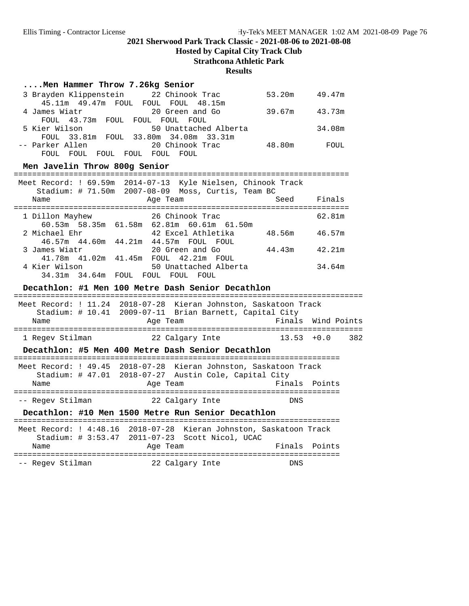**Hosted by Capital City Track Club**

### **Strathcona Athletic Park**

#### **Results**

#### **....Men Hammer Throw 7.26kg Senior**

| 3 Brayden Klippenstein 22 Chinook Trac |                                       | 53.20m | 49.47m |
|----------------------------------------|---------------------------------------|--------|--------|
| 45.11m 49.47m FOUL FOUL FOUL 48.15m    |                                       |        |        |
| 4 James Wiatr                          | 20 Green and Go                       | 39.67m | 43.73m |
| FOUL 43.73m FOUL FOUL FOUL FOUL        |                                       |        |        |
| 5 Kier Wilson                          | 50 Unattached Alberta                 |        | 34.08m |
|                                        | FOUL 33.81m FOUL 33.80m 34.08m 33.31m |        |        |
| -- Parker Allen                        | 20 Chinook Trac                       | 48.80m | FOUL   |
| FOUL<br>FOUL<br>FOUL.<br>FOUL.         | FOUL<br>FOUL.                         |        |        |

# **Men Javelin Throw 800g Senior** =========================================================================

|                 |                        | Meet Record: ! 69.59m 2014-07-13 Kyle Nielsen, Chinook Track<br>Stadium: # 71.50m 2007-08-09 Moss, Curtis, Team BC |        |
|-----------------|------------------------|--------------------------------------------------------------------------------------------------------------------|--------|
| Name            |                        | Seed<br>Age Team                                                                                                   | Finals |
| 1 Dillon Mayhew |                        | 26 Chinook Trac                                                                                                    | 62.81m |
| 2 Michael Ehr   |                        | 60.53m 58.35m 61.58m 62.81m 60.61m 61.50m<br>48.56m<br>42 Excel Athletika                                          | 46.57m |
| 3 James Wiatr   | 46.57m  44.60m  44.21m | 44.57m FOUL FOUL<br>44.43m<br>20 Green and Go                                                                      | 42.21m |
| 4 Kier Wilson   | 41.78m  41.02m  41.45m | FOUL 42.21m FOUL<br>50 Unattached Alberta                                                                          | 34.64m |
| 34.31m 34.64m   |                        | FOUL<br>FOUL<br>FOUL.<br>FOUL.                                                                                     |        |

#### Decathlon: #1 Men 100 Metre Dash Senior Decathlon

| Name            | Meet Record: ! 11.24 2018-07-28 Kieran Johnston, Saskatoon Track<br>Stadium: # 10.41 2009-07-11 Brian Barnett, Capital City<br>Age Team | Finals Wind Points |     |
|-----------------|-----------------------------------------------------------------------------------------------------------------------------------------|--------------------|-----|
| 1 Regev Stilman | 22 Calgary Inte                                                                                                                         | $13.53 + 0.0$      | 382 |

#### Decathlon: #5 Men 400 Metre Dash Senior Decathlon

| Name             | Meet Record: ! 49.45 2018-07-28 Kieran Johnston, Saskatoon Track<br>Stadium: # 47.01 2018-07-27 Austin Cole, Capital City<br>Age Team | Finals Points |
|------------------|---------------------------------------------------------------------------------------------------------------------------------------|---------------|
| -- Regev Stilman | 22 Calgary Inte                                                                                                                       | <b>DNS</b>    |

#### Decathlon: #10 Men 1500 Metre Run Senior Decathlon

|                  | Meet Record: ! 4:48.16 2018-07-28 Kieran Johnston, Saskatoon Track<br>Stadium: # 3:53.47 2011-07-23 Scott Nicol, UCAC |      |               |
|------------------|-----------------------------------------------------------------------------------------------------------------------|------|---------------|
| Name             | Age Team                                                                                                              |      | Finals Points |
| -- Regev Stilman | 22 Calgary Inte                                                                                                       | DNS. |               |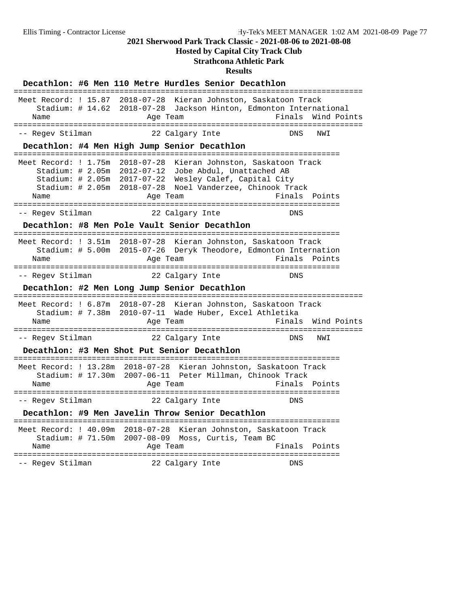**Hosted by Capital City Track Club**

## **Strathcona Athletic Park**

|                                            |                 | Decathlon: #6 Men 110 Metre Hurdles Senior Decathlon                                                                                                                                                                                               |               |             |
|--------------------------------------------|-----------------|----------------------------------------------------------------------------------------------------------------------------------------------------------------------------------------------------------------------------------------------------|---------------|-------------|
| Name                                       | Age Team        | Meet Record: ! 15.87 2018-07-28 Kieran Johnston, Saskatoon Track<br>Stadium: # 14.62 2018-07-28 Jackson Hinton, Edmonton International                                                                                                             | Finals        | Wind Points |
| -- Reqev Stilman                           |                 | 22 Calgary Inte                                                                                                                                                                                                                                    | DNS           | NWI         |
|                                            |                 | Decathlon: #4 Men High Jump Senior Decathlon                                                                                                                                                                                                       |               |             |
| Name<br>================================== | Age Team        | Meet Record: ! 1.75m 2018-07-28 Kieran Johnston, Saskatoon Track<br>Stadium: # 2.05m 2012-07-12 Jobe Abdul, Unattached AB<br>Stadium: # 2.05m 2017-07-22 Wesley Calef, Capital City<br>Stadium: # 2.05m  2018-07-28  Noel Vanderzee, Chinook Track | Finals Points |             |
| -- Regev Stilman                           | 22 Calgary Inte |                                                                                                                                                                                                                                                    | DNS           |             |
|                                            |                 | Decathlon: #8 Men Pole Vault Senior Decathlon                                                                                                                                                                                                      |               |             |
| Name                                       | Age Team        | Meet Record: ! 3.51m 2018-07-28 Kieran Johnston, Saskatoon Track<br>Stadium: # 5.00m 2015-07-26 Deryk Theodore, Edmonton Internation                                                                                                               | Finals        | Points      |
| -- Regev Stilman                           | 22 Calgary Inte |                                                                                                                                                                                                                                                    | DNS           |             |
|                                            |                 | Decathlon: #2 Men Long Jump Senior Decathlon                                                                                                                                                                                                       |               |             |
| Name                                       | Age Team        | Meet Record: ! 6.87m 2018-07-28 Kieran Johnston, Saskatoon Track<br>Stadium: # 7.38m 2010-07-11 Wade Huber, Excel Athletika                                                                                                                        | Finals        | Wind Points |
| -- Regev Stilman                           | 22 Calgary Inte |                                                                                                                                                                                                                                                    | DNS           | NWI         |
|                                            |                 | Decathlon: #3 Men Shot Put Senior Decathlon                                                                                                                                                                                                        |               |             |
| Name                                       | Age Team        | Meet Record: ! 13.28m 2018-07-28 Kieran Johnston, Saskatoon Track<br>Stadium: # 17.30m 2007-06-11 Peter Millman, Chinook Track                                                                                                                     | Finals Points |             |
| -- Regev Stilman                           | 22 Calgary Inte |                                                                                                                                                                                                                                                    | DNS           |             |
|                                            |                 | Decathlon: #9 Men Javelin Throw Senior Decathlon                                                                                                                                                                                                   |               |             |
|                                            |                 | Meet Record: ! 40.09m 2018-07-28 Kieran Johnston, Saskatoon Track<br>Stadium: # 71.50m 2007-08-09 Moss, Curtis, Team BC                                                                                                                            |               |             |
| Name<br>================================== | Age Team        | =====================================                                                                                                                                                                                                              | Finals        | Points      |
| -- Reqev Stilman                           |                 | 22 Calgary Inte                                                                                                                                                                                                                                    | DNS           |             |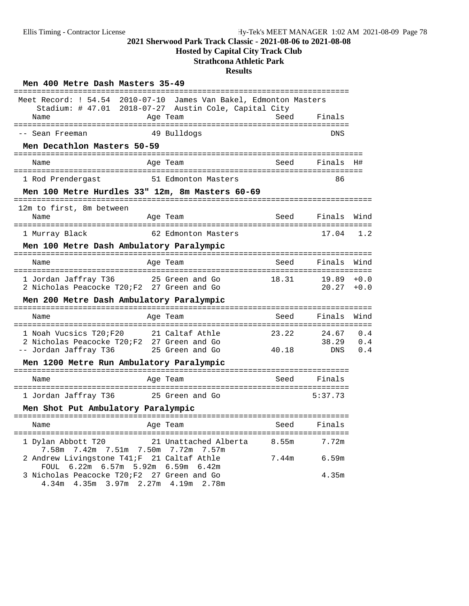## **Hosted by Capital City Track Club**

## **Strathcona Athletic Park**

| Men 400 Metre Dash Masters 35-49                                                                                                      | ====================================          |                |                       |                   |
|---------------------------------------------------------------------------------------------------------------------------------------|-----------------------------------------------|----------------|-----------------------|-------------------|
| Meet Record: ! 54.54 2010-07-10<br>Stadium: # 47.01 2018-07-27 Austin Cole, Capital City<br>Name                                      | James Van Bakel, Edmonton Masters<br>Age Team | Seed           | Finals                |                   |
| -- Sean Freeman                                                                                                                       | 49 Bulldogs                                   |                | <b>DNS</b>            |                   |
| Men Decathlon Masters 50-59                                                                                                           |                                               |                |                       |                   |
| Name                                                                                                                                  | Age Team                                      | Seed           | Finals                | - H#              |
| 1 Rod Prendergast                                                                                                                     | 51 Edmonton Masters                           |                | 86                    |                   |
| Men 100 Metre Hurdles 33" 12m, 8m Masters 60-69                                                                                       |                                               |                |                       |                   |
| 12m to first, 8m between<br>Name                                                                                                      | Age Team                                      |                | Seed Finals           | Wind              |
| 1 Murray Black                                                                                                                        | 62 Edmonton Masters                           |                | 17.04                 | 1.2               |
| Men 100 Metre Dash Ambulatory Paralympic                                                                                              |                                               |                |                       |                   |
| Name                                                                                                                                  | Age Team                                      | Seed           | Finals                | Wind              |
| 1 Jordan Jaffray T36 35 Green and Go<br>2 Nicholas Peacocke T20;F2 27 Green and Go                                                    |                                               | 18.31          | 19.89<br>20.27        | $+0.0$<br>$+0.0$  |
| Men 200 Metre Dash Ambulatory Paralympic                                                                                              |                                               |                |                       |                   |
| Name                                                                                                                                  | Age Team                                      | Seed           | Finals                | Wind              |
| 1 Noah Vucsics T20;F20<br>2 Nicholas Peacocke T20;F2 27 Green and Go<br>- Jordan Jaffray T36 25 Green and Go<br>-- Jordan Jaffray T36 | 21 Caltaf Athle                               | 23.22<br>40.18 | 24.67<br>38.29<br>DNS | 0.4<br>0.4<br>0.4 |
| Men 1200 Metre Run Ambulatory Paralympic                                                                                              |                                               |                |                       |                   |
| Name                                                                                                                                  | Age Team                                      | Seed           | Finals                |                   |
| 1 Jordan Jaffray T36 35 Green and Go                                                                                                  |                                               |                | 5:37.73               |                   |
| Men Shot Put Ambulatory Paralympic                                                                                                    |                                               |                |                       |                   |
| Name                                                                                                                                  | Age Team                                      | Seed           | Finals                |                   |
| 1 Dylan Abbott T20<br>7.58m 7.42m 7.51m 7.50m 7.72m 7.57m                                                                             | 21 Unattached Alberta                         | 8.55m          | 7.72m                 |                   |
| 2 Andrew Livingstone T41;F 21 Caltaf Athle<br>FOUL 6.22m 6.57m 5.92m 6.59m 6.42m                                                      |                                               | 7.44m          | 6.59m                 |                   |
| 3 Nicholas Peacocke T20;F2 27 Green and Go<br>4.34m  4.35m  3.97m  2.27m  4.19m  2.78m                                                |                                               |                | 4.35m                 |                   |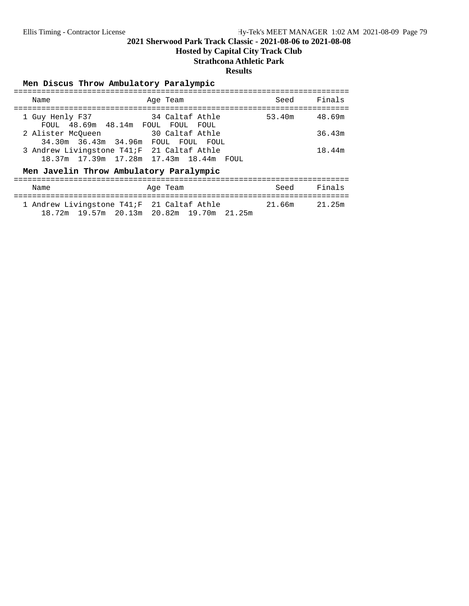**Hosted by Capital City Track Club**

## **Strathcona Athletic Park**

#### **Results**

### **Men Discus Throw Ambulatory Paralympic**

| Name                                                     | Age Team                                | Seed   | Finals |
|----------------------------------------------------------|-----------------------------------------|--------|--------|
| 1 Guy Henly F37<br>FOUL 48.69m 48.14m FOUL FOUL FOUL     | 34 Caltaf Athle                         | 53.40m | 48.69m |
| 2 Alister McOueen<br>34.30m 36.43m 34.96m FOUL FOUL FOUL | 30 Caltaf Athle                         |        | 36.43m |
| 3 Andrew Livingstone T41; F 21 Caltaf Athle              | 18.37m 17.39m 17.28m 17.43m 18.44m FOUL |        | 18.44m |

### Men Javelin Throw Ambulatory Paralympic

| Name                                                                                     | Age Team | Seed   | Finals |
|------------------------------------------------------------------------------------------|----------|--------|--------|
| 1 Andrew Livingstone T41; F 21 Caltaf Athle<br>18.72m 19.57m 20.13m 20.82m 19.70m 21.25m |          | 21.66m | 21.25m |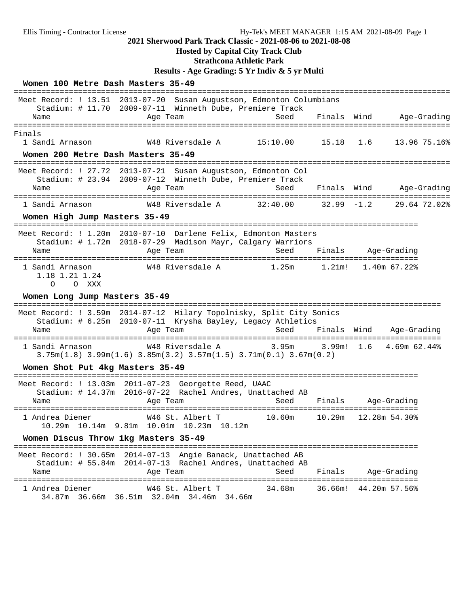## **Hosted by Capital City Track Club**

**Strathcona Athletic Park**

**Results - Age Grading: 5 Yr Indiv & 5 yr Multi**

| Women 100 Metre Dash Masters 35-49                              |                                                                                                                                                 |                        |               |                                              |              |
|-----------------------------------------------------------------|-------------------------------------------------------------------------------------------------------------------------------------------------|------------------------|---------------|----------------------------------------------|--------------|
| Meet Record: ! 13.51<br>Name<br>=============                   | 2013-07-20 Susan Augustson, Edmonton Columbians<br>Stadium: # 11.70 2009-07-11 Winneth Dube, Premiere Track<br>Age Team<br>===================  | Seed                   | Finals Wind   |                                              | Age-Grading  |
| Finals<br>1 Sandi Arnason<br>Women 200 Metre Dash Masters 35-49 | W48 Riversdale A                                                                                                                                | 15:10.00               | 15.18         | 1.6                                          | 13.96 75.16% |
| Name                                                            | Meet Record: ! 27.72 2013-07-21 Susan Augustson, Edmonton Col<br>Stadium: # 23.94 2009-07-12 Winneth Dube, Premiere Track<br>Age Team           | Seed                   | Finals        | Wind                                         | Age-Grading  |
| 1 Sandi Arnason                                                 | W48 Riversdale A                                                                                                                                | 32:40.00               | $32.99 - 1.2$ |                                              | 29.64 72.02% |
| Women High Jump Masters 35-49                                   |                                                                                                                                                 |                        |               |                                              |              |
| Meet Record: ! 1.20m<br>Name                                    | 2010-07-10 Darlene Felix, Edmonton Masters<br>Stadium: # 1.72m 2018-07-29 Madison Mayr, Calgary Warriors<br>Age Team                            | Seed                   | Finals        | Age-Grading                                  |              |
| 1 Sandi Arnason<br>1.18 1.21 1.24<br>O XXX<br>$\circ$           | W48 Riversdale A                                                                                                                                | 1.25m                  | $1.21$ m!     | 1.40m 67.22%                                 |              |
| Women Long Jump Masters 35-49                                   |                                                                                                                                                 |                        |               |                                              |              |
| Name                                                            | Meet Record: ! 3.59m 2014-07-12 Hilary Topolnisky, Split City Sonics<br>Stadium: # 6.25m 2010-07-11 Krysha Bayley, Legacy Athletics<br>Age Team | Seed                   | Finals        | Wind<br>Age-Grading                          |              |
| 1 Sandi Arnason                                                 | W48 Riversdale A<br>$3.75m(1.8)$ $3.99m(1.6)$ $3.85m(3.2)$ $3.57m(1.5)$ $3.71m(0.1)$ $3.67m(0.2)$                                               | $3.95m$ $3.99m!$ $1.6$ |               | 4.69m 62.44%                                 |              |
| Women Shot Put 4kg Masters 35-49                                |                                                                                                                                                 |                        |               |                                              |              |
| Name                                                            | Meet Record: ! 13.03m 2011-07-23 Georgette Reed, UAAC<br>Stadium: # 14.37m 2016-07-22 Rachel Andres, Unattached AB<br>Age Team                  | Seed                   | Finals        | Age-Grading<br>===================           |              |
| 1 Andrea Diener                                                 | W46 St. Albert T<br>10.29m 10.14m 9.81m 10.01m 10.23m 10.12m                                                                                    | 10.60m                 | 10.29m        | 12.28m 54.30%                                |              |
| Women Discus Throw 1kg Masters 35-49                            |                                                                                                                                                 |                        |               |                                              |              |
| Name                                                            | Meet Record: ! 30.65m 2014-07-13 Angie Banack, Unattached AB<br>Stadium: # 55.84m 2014-07-13 Rachel Andres, Unattached AB<br>Age Team           | Seed                   | Finals        | Age-Grading                                  |              |
| 1 Andrea Diener                                                 | W46 St. Albert T<br>34.87m 36.66m 36.51m 32.04m 34.46m 34.66m                                                                                   | 34.68m                 |               | ===================<br>36.66m! 44.20m 57.56% |              |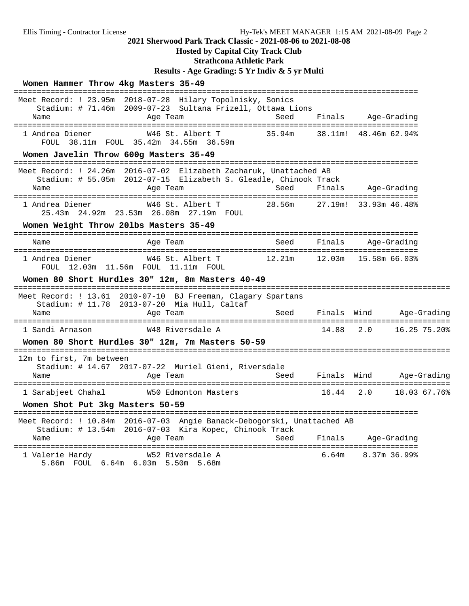#### **Hosted by Capital City Track Club**

**Strathcona Athletic Park**

**Results - Age Grading: 5 Yr Indiv & 5 yr Multi**

#### **Women Hammer Throw 4kg Masters 35-49** ======================================================================================== Meet Record: ! 23.95m 2018-07-28 Hilary Topolnisky, Sonics Stadium: # 71.46m 2009-07-23 Sultana Frizell, Ottawa Lions Name **Age Team** Age Team Seed Finals Age-Grading ======================================================================================== 1 Andrea Diener W46 St. Albert T 35.94m 38.11m! 48.46m 62.94% FOUL 38.11m FOUL 35.42m 34.55m 36.59m **Women Javelin Throw 600g Masters 35-49** ======================================================================================== Meet Record: ! 24.26m 2016-07-02 Elizabeth Zacharuk, Unattached AB Stadium: # 55.05m 2012-07-15 Elizabeth S. Gleadle, Chinook Track Name Age Team Seed Finals Age-Grading ======================================================================================== 28.56m 27.19m! 33.93m 46.48% 25.43m 24.92m 23.53m 26.08m 27.19m FOUL **Women Weight Throw 20lbs Masters 35-49** ======================================================================================== Name **Age Team** Age Team Seed Finals Age-Grading ======================================================================================== 1 Andrea Diener W46 St. Albert T 12.21m 12.03m 15.58m 66.03% FOUL 12.03m 11.56m FOUL 11.11m FOUL **Women 80 Short Hurdles 30" 12m, 8m Masters 40-49** =============================================================================================== Meet Record: ! 13.61 2010-07-10 BJ Freeman, Clagary Spartans Stadium: # 11.78 2013-07-20 Mia Hull, Caltaf Name Age Team Seed Finals Wind Age-Grading =============================================================================================== 1 Sandi Arnason W48 Riversdale A 14.88 2.0 16.25 75.20% **Women 80 Short Hurdles 30" 12m, 7m Masters 50-59** =============================================================================================== 12m to first, 7m between Stadium: # 14.67 2017-07-22 Muriel Gieni, Riversdale Name Mone Age Team Age Team Seed Finals Wind Age-Grading =============================================================================================== 1 Sarabjeet Chahal W50 Edmonton Masters 16.44 2.0 18.03 67.76% **Women Shot Put 3kg Masters 50-59** ======================================================================================== Meet Record: ! 10.84m 2016-07-03 Angie Banack-Debogorski, Unattached AB Stadium: # 13.54m 2016-07-03 Kira Kopec, Chinook Track Name Age Team Seed Finals Age-Grading ======================================================================================== 1 Valerie Hardy **M52 Riversdale A** 6.64m 8.37m 36.99% 5.86m FOUL 6.64m 6.03m 5.50m 5.68m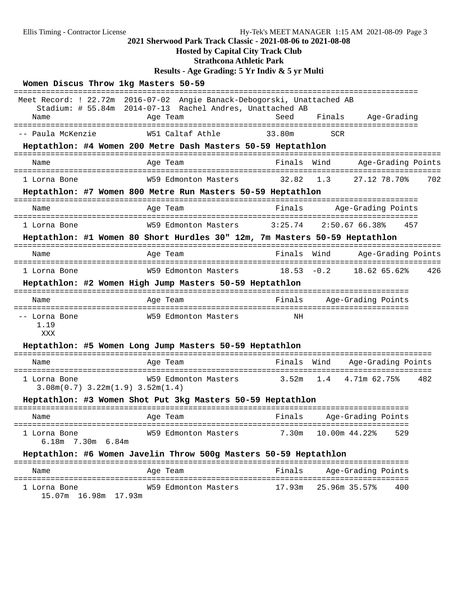## **Hosted by Capital City Track Club**

**Strathcona Athletic Park**

## **Results - Age Grading: 5 Yr Indiv & 5 yr Multi**

| Women Discus Throw 1kg Masters 50-59                   |                                                                                                                                                                    |               |            |                                                  |     |
|--------------------------------------------------------|--------------------------------------------------------------------------------------------------------------------------------------------------------------------|---------------|------------|--------------------------------------------------|-----|
| Name                                                   | ==============<br>Meet Record: ! 22.72m 2016-07-02 Angie Banack-Debogorski, Unattached AB<br>Stadium: # 55.84m 2014-07-13 Rachel Andres, Unattached AB<br>Age Team | Seed          | Finals     | Age-Grading                                      |     |
| -- Paula McKenzie                                      | W51 Caltaf Athle                                                                                                                                                   | 33.80m        | <b>SCR</b> | ==================                               |     |
|                                                        | Heptathlon: #4 Women 200 Metre Dash Masters 50-59 Heptathlon                                                                                                       |               |            |                                                  |     |
| Name                                                   | Age Team                                                                                                                                                           | Finals        | Wind       | Age-Grading Points                               |     |
| 1 Lorna Bone                                           | W59 Edmonton Masters                                                                                                                                               | 32.82         | 1.3        | 27.12 78.70%                                     | 702 |
|                                                        | Heptathlon: #7 Women 800 Metre Run Masters 50-59 Heptathlon<br>-------------------------------                                                                     |               |            |                                                  |     |
| Name                                                   | Age Team                                                                                                                                                           | Finals        |            | Age-Grading Points                               |     |
| 1 Lorna Bone                                           | W59 Edmonton Masters                                                                                                                                               | 3:25.74       |            | 2:50.6766.38%<br>457                             |     |
|                                                        | Heptathlon: #1 Women 80 Short Hurdles 30" 12m, 7m Masters 50-59 Heptathlon                                                                                         |               |            |                                                  |     |
| Name                                                   | ==============================<br>Age Team                                                                                                                         | Finals        | Wind       | Age-Grading Points                               |     |
| 1 Lorna Bone                                           | W59 Edmonton Masters                                                                                                                                               | $18.53 - 0.2$ |            | 18.62 65.62%                                     | 426 |
|                                                        | Heptathlon: #2 Women High Jump Masters 50-59 Heptathlon                                                                                                            |               |            |                                                  |     |
| Name                                                   | ==================<br>Age Team                                                                                                                                     | Finals        |            | ==========================<br>Age-Grading Points |     |
| -- Lorna Bone<br>1.19<br>XXX                           | W59 Edmonton Masters                                                                                                                                               | ΝH            |            |                                                  |     |
|                                                        | Heptathlon: #5 Women Long Jump Masters 50-59 Heptathlon                                                                                                            |               |            |                                                  |     |
| Name                                                   | Age Team                                                                                                                                                           | Finals        | Wind       | Age-Grading Points                               |     |
| 1 Lorna Bone<br>$3.08m(0.7)$ $3.22m(1.9)$ $3.52m(1.4)$ | W59 Edmonton Masters                                                                                                                                               | $3.52m$ 1.4   |            | 4.71m 62.75%                                     | 482 |
|                                                        | Heptathlon: #3 Women Shot Put 3kg Masters 50-59 Heptathlon<br>----------                                                                                           |               |            | =========================                        |     |
| Name                                                   | Age Team                                                                                                                                                           | Finals        |            | Age-Grading Points                               |     |
| 1 Lorna Bone<br>$6.18m$ 7.30 $m$ 6.84 $m$              | W59 Edmonton Masters                                                                                                                                               | 7.30m         |            | 10.00m 44.22%<br>529                             |     |
|                                                        | Heptathlon: #6 Women Javelin Throw 500g Masters 50-59 Heptathlon                                                                                                   |               |            | ================                                 |     |
| Name                                                   | Aqe Team                                                                                                                                                           | Finals        |            | Age-Grading Points                               |     |
| 1 Lorna Bone<br>15.07m 16.98m 17.93m                   | W59 Edmonton Masters                                                                                                                                               | 17.93m        |            | 25.96m 35.57%<br>400                             |     |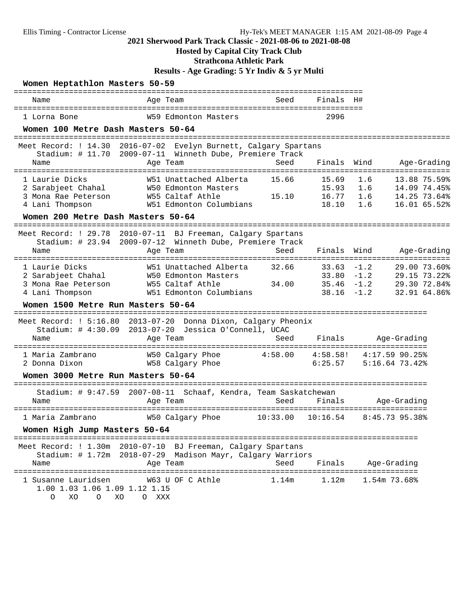## **Hosted by Capital City Track Club**

**Strathcona Athletic Park**

**Results - Age Grading: 5 Yr Indiv & 5 yr Multi**

| Women Heptathlon Masters 50-59                                                                                       |             |                                                                                                        | ==================         |                                  |                                                    |                                                              |
|----------------------------------------------------------------------------------------------------------------------|-------------|--------------------------------------------------------------------------------------------------------|----------------------------|----------------------------------|----------------------------------------------------|--------------------------------------------------------------|
| Name                                                                                                                 |             | Age Team                                                                                               | Seed                       | Finals                           | H#                                                 |                                                              |
| 1 Lorna Bone                                                                                                         |             | W59 Edmonton Masters                                                                                   |                            | =========<br>2996                |                                                    |                                                              |
| Women 100 Metre Dash Masters 50-64                                                                                   |             |                                                                                                        |                            |                                  |                                                    |                                                              |
| ==========================<br>Meet Record: ! 14.30 2016-07-02 Evelyn Burnett, Calgary Spartans<br>Name               |             | Stadium: # 11.70 2009-07-11 Winneth Dube, Premiere Track<br>Age Team                                   | Seed                       | Finals                           | Wind                                               | Age-Grading                                                  |
| 1 Laurie Dicks<br>2 Sarabjeet Chahal<br>3 Mona Rae Peterson<br>4 Lani Thompson                                       |             | W51 Unattached Alberta<br>W50 Edmonton Masters<br>W55 Caltaf Athle<br>W51 Edmonton Columbians          | 15.66<br>15.10             | 15.69<br>15.93<br>16.77<br>18.10 | 1.6<br>1.6<br>1.6<br>1.6                           | 13.88 75.59%<br>14.09 74.45%<br>14.25 73.64%<br>16.01 65.52% |
| Women 200 Metre Dash Masters 50-64                                                                                   |             |                                                                                                        |                            |                                  |                                                    |                                                              |
| Meet Record: ! 29.78<br>Stadium: $\#$ 23.94<br>Name                                                                  |             | 2010-07-11 BJ Freeman, Calgary Spartans<br>2009-07-12 Winneth Dube, Premiere Track<br>Age Team         | Seed                       | Finals                           | Wind                                               | Age-Grading                                                  |
| 1 Laurie Dicks<br>2 Sarabjeet Chahal<br>3 Mona Rae Peterson<br>4 Lani Thompson<br>Women 1500 Metre Run Masters 50-64 |             | W51 Unattached Alberta<br>W50 Edmonton Masters<br>W55 Caltaf Athle<br>W51 Edmonton Columbians          | 32.66<br>34.00             | 33.63<br>38.16                   | $-1.2$<br>$33.80 - 1.2$<br>$35.46 - 1.2$<br>$-1.2$ | 29.00 73.60%<br>29.15 73.22%<br>29.30 72.84%<br>32.91 64.86% |
| Meet Record: ! 5:16.80 2013-07-20 Donna Dixon, Calgary Pheonix<br>Stadium: # 4:30.09<br>Name                         |             | 2013-07-20 Jessica O'Connell, UCAC<br>Age Team                                                         | Seed                       | Finals                           |                                                    | Age-Grading                                                  |
| =====================<br>1 Maria Zambrano<br>2 Donna Dixon<br>Women 3000 Metre Run Masters 50-64                     |             | ============<br>W50 Calgary Phoe<br>W58 Calgary Phoe                                                   | :==============<br>4:58.00 | 4:58.58!<br>6:25.57              |                                                    | ===================<br>$4:17.59$ 90.25%<br>$5:16.64$ 73.42%  |
| Name                                                                                                                 |             | Stadium: # 9:47.59 2007-08-11 Schaaf, Kendra, Team Saskatchewan<br>Age Team                            | Seed                       | Finals                           |                                                    | Age-Grading                                                  |
| 1 Maria Zambrano                                                                                                     |             | W50 Calgary Phoe                                                                                       | 10:33.00                   | 10:16.54                         |                                                    | 8:45.73 95.38%                                               |
| Women High Jump Masters 50-64<br>======<br>=================                                                         |             | ---------                                                                                              |                            |                                  |                                                    |                                                              |
| Meet Record: $! 1.30m$<br>Name<br>================================                                                   | 2010-07-10  | BJ Freeman, Calgary Spartans<br>Stadium: # 1.72m 2018-07-29 Madison Mayr, Calgary Warriors<br>Age Team | Seed<br>=================  | Finals                           | =============                                      | Age-Grading                                                  |
| 1 Susanne Lauridsen<br>1.00 1.03 1.06 1.09 1.12 1.15<br>XO<br>O<br>0                                                 | XO<br>O XXX | W63 U OF C Athle                                                                                       | 1.14m                      | 1.12m                            |                                                    | 1.54m 73.68%                                                 |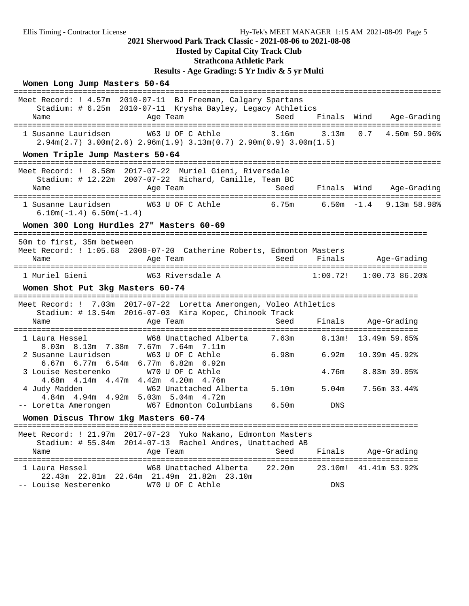## **Hosted by Capital City Track Club**

## **Strathcona Athletic Park**

**Results - Age Grading: 5 Yr Indiv & 5 yr Multi**

#### **Women Long Jump Masters 50-64**

| Meet Record: ! 4.57m 2010-07-11 BJ Freeman, Calgary Spartans<br>Stadium: # 6.25m 2010-07-11 Krysha Bayley, Legacy Athletics            |        |                 |                      |                             |
|----------------------------------------------------------------------------------------------------------------------------------------|--------|-----------------|----------------------|-----------------------------|
| Age Team<br>Name                                                                                                                       | Seed   | Finals Wind     |                      | Age-Grading                 |
| W63 U OF C Athle<br>1 Susanne Lauridsen<br>$2.94m(2.7)$ $3.00m(2.6)$ $2.96m(1.9)$ $3.13m(0.7)$ $2.90m(0.9)$ $3.00m(1.5)$               |        | $3.16m$ $3.13m$ | 0.7                  | 4.50m 59.96%                |
| Women Triple Jump Masters 50-64<br>--------------------------                                                                          |        |                 |                      |                             |
| Meet Record: ! 8.58m 2017-07-22 Muriel Gieni, Riversdale<br>Stadium: # 12.22m 2007-07-22 Richard, Camille, Team BC<br>Age Team<br>Name | Seed   |                 | Finals Wind          | Age-Grading                 |
| W63 U OF C Athle 6.75m<br>1 Susanne Lauridsen<br>$6.10m(-1.4) 6.50m(-1.4)$                                                             |        |                 |                      | $6.50m - 1.4$ 9.13m 58.98%  |
| Women 300 Long Hurdles 27" Masters 60-69                                                                                               |        |                 |                      |                             |
| 50m to first, 35m between<br>Meet Record: ! 1:05.68 2008-07-20 Catherine Roberts, Edmonton Masters<br>Age Team<br>Name                 | Seed   | Finals          |                      | Age-Grading                 |
| 1 Muriel Gieni<br>W63 Riversdale A                                                                                                     |        |                 |                      | $1:00.72!$ $1:00.73$ 86.20% |
| Women Shot Put 3kg Masters 60-74                                                                                                       |        |                 |                      |                             |
| Meet Record: ! 7.03m 2017-07-22 Loretta Amerongen, Voleo Athletics                                                                     |        |                 |                      |                             |
| Stadium: # 13.54m 2016-07-03 Kira Kopec, Chinook Track<br>Age Team<br>Name                                                             | Seed   |                 | Finals Age-Grading   |                             |
| W68 Unattached Alberta 7.63m 8.13m! 13.49m 59.65%<br>1 Laura Hessel                                                                    |        |                 |                      |                             |
| 8.03m 8.13m 7.38m 7.67m 7.64m 7.11m<br>2 Susanne Lauridsen<br>W63 U OF C Athle<br>6.67m 6.77m 6.54m 6.77m 6.82m 6.92m                  | 6.98m  | 6.92m           |                      | 10.39m 45.92%               |
| 3 Louise Nesterenko W70 U OF C Athle<br>4.68m  4.14m  4.47m  4.42m  4.20m  4.76m                                                       |        |                 | 4.76m 8.83m 39.05%   |                             |
| W62 Unattached Alberta 5.10m<br>4 Judy Madden<br>4.84m  4.94m  4.92m  5.03m  5.04m  4.72m                                              |        |                 | $5.04m$ 7.56m 33.44% |                             |
| -- Loretta Amerongen W67 Edmonton Columbians                                                                                           | 6.50m  | DNS             |                      |                             |
| Women Discus Throw 1kg Masters 60-74                                                                                                   |        |                 |                      |                             |
| Meet Record: ! 21.97m 2017-07-23 Yuko Nakano, Edmonton Masters<br>Stadium: # 55.84m 2014-07-13 Rachel Andres, Unattached AB            |        |                 |                      |                             |
| Age Team<br>Name                                                                                                                       | Seed   | Finals          |                      | Age-Grading                 |
| W68 Unattached Alberta<br>1 Laura Hessel<br>22.43m  22.81m  22.64m  21.49m  21.82m  23.10m                                             | 22.20m | 23.10m!         |                      | 41.41m 53.92%               |
| W70 U OF C Athle<br>-- Louise Nesterenko                                                                                               |        | DNS             |                      |                             |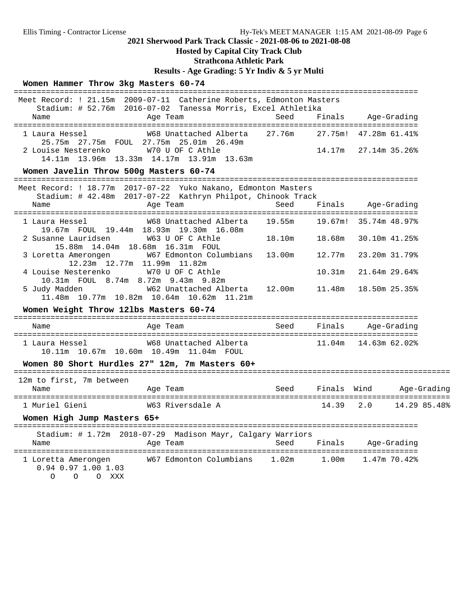### **Hosted by Capital City Track Club**

## **Strathcona Athletic Park**

## **Results - Age Grading: 5 Yr Indiv & 5 yr Multi**

## **Women Hammer Throw 3kg Masters 60-74**

| Meet Record: ! 21.15m 2009-07-11 Catherine Roberts, Edmonton Masters<br>Stadium: # 52.76m 2016-07-02 Tanessa Morris, Excel Athletika |             |             |                             |             |              |
|--------------------------------------------------------------------------------------------------------------------------------------|-------------|-------------|-----------------------------|-------------|--------------|
| Name<br>Age Team                                                                                                                     | Seed        | Finals      | Aqe-Gradinq                 |             |              |
| W68 Unattached Alberta 27.76m<br>1 Laura Hessel<br>25.75m  27.75m  FOUL  27.75m  25.01m  26.49m                                      |             |             | 27.75m! 47.28m 61.41%       |             |              |
| W70 U OF C Athle<br>2 Louise Nesterenko<br>14.11m  13.96m  13.33m  14.17m  13.91m  13.63m                                            |             |             | 14.17m 27.14m 35.26%        |             |              |
| Women Javelin Throw 500g Masters 60-74                                                                                               |             |             |                             |             |              |
| Meet Record: ! 18.77m 2017-07-22 Yuko Nakano, Edmonton Masters<br>Stadium: # 42.48m 2017-07-22 Kathryn Philpot, Chinook Track        |             |             |                             |             |              |
| Age Team<br>Name                                                                                                                     | Seed        |             | Finals Age-Grading          |             |              |
| W68 Unattached Alberta 19.55m<br>1 Laura Hessel<br>19.67m FOUL 19.44m 18.93m 19.30m 16.08m                                           |             |             | 19.67m! 35.74m 48.97%       |             |              |
| 2 Susanne Lauridsen<br>W63 U OF C Athle<br>15.88m 14.04m 18.68m 16.31m FOUL                                                          | 18.10m      | 18.68m      | 30.10m 41.25%               |             |              |
| W67 Edmonton Columbians 13.00m<br>3 Loretta Amerongen<br>12.23m 12.77m 11.99m 11.82m                                                 |             | 12.77m      | 23.20m 31.79%               |             |              |
| W70 U OF C Athle<br>4 Louise Nesterenko<br>10.31m FOUL 8.74m 8.72m 9.43m 9.82m                                                       |             | 10.31m      | 21.64m 29.64%               |             |              |
| W62 Unattached Alberta 12.00m<br>5 Judy Madden<br>11.48m 10.77m 10.82m 10.64m 10.62m 11.21m                                          |             | 11.48m      | 18.50m 25.35%               |             |              |
| Women Weight Throw 121bs Masters 60-74                                                                                               |             |             |                             |             |              |
| Age Team<br>Name                                                                                                                     | Seed        | Finals      |                             | Age-Grading |              |
| W68 Unattached Alberta<br>1 Laura Hessel<br>10.11m  10.67m  10.60m  10.49m  11.04m  FOUL                                             |             |             | $11.04m$ $14.63m$ $62.02\%$ |             |              |
| Women 80 Short Hurdles 27" 12m, 7m Masters 60+                                                                                       |             |             |                             |             |              |
| 12m to first, 7m between                                                                                                             |             |             |                             |             |              |
| Age Team<br>Name                                                                                                                     | <b>Seed</b> | Finals Wind |                             |             | Age-Grading  |
| 1 Muriel Gieni<br>W63 Riversdale A                                                                                                   |             | 14.39       | 2.0                         |             | 14.29 85.48% |
| Women High Jump Masters 65+                                                                                                          |             |             |                             |             |              |
| Stadium: # 1.72m 2018-07-29 Madison Mayr, Calgary Warriors<br>Name<br>Age Team                                                       | Seed        | Finals      |                             | Age-Grading |              |
| 1 Loretta Amerongen<br>$0.94$ 0.97 1.00 1.03<br>O O XXX<br>$\Omega$                                                                  |             |             |                             |             |              |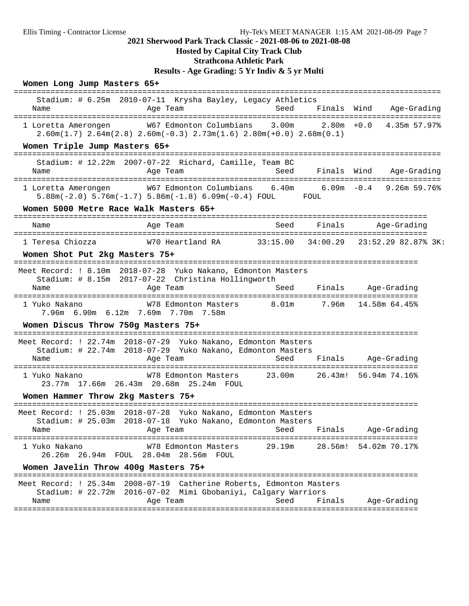## **Hosted by Capital City Track Club**

## **Strathcona Athletic Park**

**Results - Age Grading: 5 Yr Indiv & 5 yr Multi**

#### **Women Long Jump Masters 65+**

| Name                                                                         | Stadium: # 6.25m 2010-07-11 Krysha Bayley, Legacy Athletics<br>Age Team                                                                                                                                                                                                                      | Seed   |               | Finals Wind<br>Age-Grading           |  |
|------------------------------------------------------------------------------|----------------------------------------------------------------------------------------------------------------------------------------------------------------------------------------------------------------------------------------------------------------------------------------------|--------|---------------|--------------------------------------|--|
| 1 Loretta Amerongen                                                          | W67 Edmonton Columbians 3.00m<br>$2.60m(1.7)$ $2.64m(2.8)$ $2.60m(-0.3)$ $2.73m(1.6)$ $2.80m(+0.0)$ $2.68m(0.1)$                                                                                                                                                                             |        | $2.80m + 0.0$ | 4.35m 57.97%                         |  |
| Women Triple Jump Masters 65+                                                |                                                                                                                                                                                                                                                                                              |        |               |                                      |  |
| Name                                                                         | Stadium: # 12.22m 2007-07-22 Richard, Camille, Team BC<br>Age Team                                                                                                                                                                                                                           | Seed   | Finals Wind   | Age-Grading<br>===================== |  |
| 1 Loretta Amerongen<br>Women 5000 Metre Race Walk Masters 65+                | W67 Edmonton Columbians 6.40m 6.09m -0.4 9.26m 59.76%<br>$5.88m(-2.0)$ $5.76m(-1.7)$ $5.86m(-1.8)$ $6.09m(-0.4)$ FOUL FOUL                                                                                                                                                                   |        |               |                                      |  |
| Name                                                                         | Age Team                                                                                                                                                                                                                                                                                     | Seed   | Finals        | Age-Grading                          |  |
| 1 Teresa Chiozza                                                             |                                                                                                                                                                                                                                                                                              |        |               |                                      |  |
| Women Shot Put 2kg Masters 75+                                               |                                                                                                                                                                                                                                                                                              |        |               |                                      |  |
| Meet Record: ! 8.10m 2018-07-28 Yuko Nakano, Edmonton Masters<br>Name        | Stadium: # 8.15m 2017-07-22 Christina Hollingworth<br>Age Team                                                                                                                                                                                                                               | Seed   | Finals        | Age-Grading                          |  |
| 1 Yuko Nakano<br>7.96m 6.90m 6.12m 7.69m 7.70m 7.58m                         | W78 Edmonton Masters                                                                                                                                                                                                                                                                         |        |               | 8.01m 7.96m 14.58m 64.45%            |  |
| Women Discus Throw 750g Masters 75+                                          |                                                                                                                                                                                                                                                                                              |        |               |                                      |  |
| Meet Record: ! 22.74m 2018-07-29 Yuko Nakano, Edmonton Masters<br>Name       | Stadium: # 22.74m 2018-07-29 Yuko Nakano, Edmonton Masters<br>Age Team                                                                                                                                                                                                                       | Seed   |               | Finals Age-Grading                   |  |
| 1 Yuko Nakano                                                                | W78 Edmonton Masters 23.00m<br>23.77m 17.66m 26.43m 20.68m 25.24m FOUL                                                                                                                                                                                                                       |        |               | 26.43m! 56.94m 74.16%                |  |
| Women Hammer Throw 2kg Masters 75+                                           |                                                                                                                                                                                                                                                                                              |        |               |                                      |  |
| Meet Record: ! 25.03m 2018-07-28 Yuko Nakano, Edmonton Masters<br>Name       | Stadium: # 25.03m 2018-07-18 Yuko Nakano, Edmonton Masters<br>er in the second team of the second second second second second second second second second second second second second second second second second second second second second second second second second second second seco |        |               | Finals Age-Grading                   |  |
| 1 Yuko Nakano<br>26.26m  26.94m  FOUL  28.04m  28.56m  FOUL                  | W78 Edmonton Masters                                                                                                                                                                                                                                                                         | 29.19m |               | 28.56m! 54.02m 70.17%                |  |
| Women Javelin Throw 400g Masters 75+                                         |                                                                                                                                                                                                                                                                                              |        |               |                                      |  |
| Meet Record: ! 25.34m 2008-07-19 Catherine Roberts, Edmonton Masters<br>Name | Stadium: # 22.72m 2016-07-02 Mimi Gbobaniyi, Calgary Warriors<br>Age Team                                                                                                                                                                                                                    | Seed   | Finals        | Aqe-Gradinq                          |  |
|                                                                              |                                                                                                                                                                                                                                                                                              |        |               |                                      |  |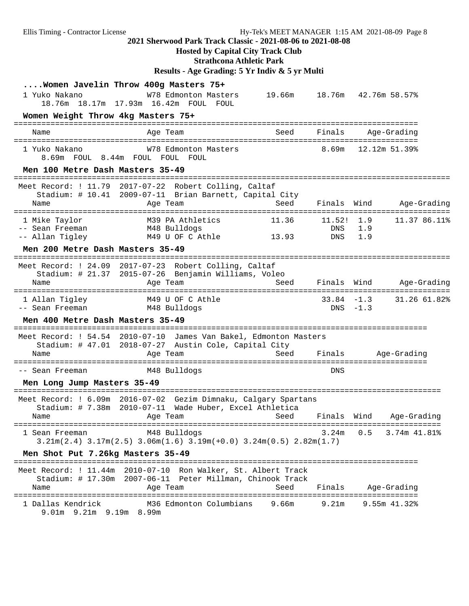## **Hosted by Capital City Track Club**

**Strathcona Athletic Park**

## **Results - Age Grading: 5 Yr Indiv & 5 yr Multi**

| 1 Yuko Nakano                                                           | Women Javelin Throw 400g Masters 75+<br>W78 Edmonton Masters<br>18.76m 18.17m 17.93m 16.42m FOUL<br>FOUL                                          | 19.66m 18.76m 42.76m 58.57%   |                          |                             |                  |
|-------------------------------------------------------------------------|---------------------------------------------------------------------------------------------------------------------------------------------------|-------------------------------|--------------------------|-----------------------------|------------------|
| Women Weight Throw 4kg Masters 75+                                      |                                                                                                                                                   |                               |                          |                             |                  |
| Name                                                                    | Age Team                                                                                                                                          | Seed                          | Finals                   |                             | Age-Grading      |
| 1 Yuko Nakano                                                           | W78 Edmonton Masters<br>8.69m FOUL 8.44m FOUL FOUL FOUL                                                                                           |                               | 8.69m                    | 12.12m 51.39%               |                  |
| Men 100 Metre Dash Masters 35-49                                        |                                                                                                                                                   |                               |                          |                             |                  |
| Meet Record: ! 11.79<br>Name                                            | 2017-07-22 Robert Colling, Caltaf<br>Stadium: # 10.41 2009-07-11 Brian Barnett, Capital City<br>Age Team                                          | Seed                          | Finals Wind              |                             | Age-Grading      |
| 1 Mike Taylor<br>-- Sean Freeman<br>-- Allan Tigley                     | M39 PA Athletics<br>M48 Bulldogs<br>M49 U OF C Athle                                                                                              | 11.36<br>13.93                | 11.52! 1.9<br>DNS<br>DNS | 1.9<br>1.9                  | 11.37 86.11%     |
| Men 200 Metre Dash Masters 35-49<br>=================================== |                                                                                                                                                   | ----------------------------- |                          |                             |                  |
| Name<br>=========================                                       | Meet Record: ! 24.09 2017-07-23 Robert Colling, Caltaf<br>Stadium: # 21.37 2015-07-26 Benjamin Williams, Voleo<br>Age Team<br>------------------- | Seed                          | Finals Wind              |                             | Age-Grading      |
| 1 Allan Tigley<br>-- Sean Freeman                                       | M49 U OF C Athle<br>M48 Bulldogs                                                                                                                  |                               |                          | $33.84 - 1.3$<br>$DNS -1.3$ | 31.26 61.82%     |
| Men 400 Metre Dash Masters 35-49                                        |                                                                                                                                                   |                               |                          |                             |                  |
| Name                                                                    | Meet Record: ! 54.54 2010-07-10 James Van Bakel, Edmonton Masters<br>Stadium: # 47.01 2018-07-27 Austin Cole, Capital City<br>Age Team            | Seed                          | Finals                   | Age-Grading                 |                  |
| -- Sean Freeman                                                         | M48 Bulldogs                                                                                                                                      |                               | <b>DNS</b>               |                             |                  |
| Men Long Jump Masters 35-49                                             |                                                                                                                                                   |                               |                          |                             |                  |
| Name                                                                    | Meet Record: ! 6.09m 2016-07-02 Gezim Dimnaku, Calgary Spartans<br>Stadium: # 7.38m 2010-07-11 Wade Huber, Excel Athletica<br>Age Team<br>======  | Seed                          | Finals Wind              |                             | Age-Grading      |
| 1 Sean Freeman                                                          | M48 Bulldogs<br>$3.21m(2.4)$ $3.17m(2.5)$ $3.06m(1.6)$ $3.19m(+0.0)$ $3.24m(0.5)$ $2.82m(1.7)$                                                    |                               | 3.24m                    | 0.5                         | 3.74m 41.81%     |
| Men Shot Put 7.26kg Masters 35-49                                       |                                                                                                                                                   |                               |                          |                             |                  |
| Name                                                                    | Meet Record: ! 11.44m  2010-07-10  Ron Walker, St. Albert Track<br>Stadium: # 17.30m  2007-06-11  Peter Millman, Chinook Track<br>Age Team        | Seed                          | Finals                   |                             | Age-Grading      |
| 1 Dallas Kendrick<br>9.01m 9.21m 9.19m 8.99m                            | M36 Edmonton Columbians                                                                                                                           | 9.66m                         | 9.21m                    |                             | $9.55m$ $41.328$ |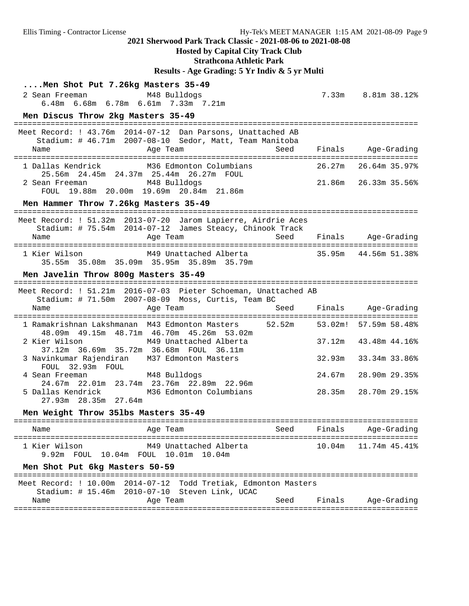## **Hosted by Capital City Track Club**

**Strathcona Athletic Park**

**Results - Age Grading: 5 Yr Indiv & 5 yr Multi**

| Men Shot Put 7.26kg Masters 35-49<br>2 Sean Freeman<br>M48 Bulldogs<br>6.48m 6.68m 6.78m 6.61m 7.33m 7.21m                                 |        | 7.33m 8.81m 38.12%      |
|--------------------------------------------------------------------------------------------------------------------------------------------|--------|-------------------------|
| Men Discus Throw 2kg Masters 35-49                                                                                                         |        |                         |
| Meet Record: ! 43.76m 2014-07-12 Dan Parsons, Unattached AB<br>Stadium: # 46.71m 2007-08-10 Sedor, Matt, Team Manitoba<br>Name<br>Age Team |        | Seed Finals Age-Grading |
| 1 Dallas Kendrick M36 Edmonton Columbians<br>25.56m  24.45m  24.37m  25.44m  26.27m  FOUL                                                  | 26.27m | 26.64m 35.97%           |
| M48 Bulldogs<br>2 Sean Freeman<br>FOUL 19.88m 20.00m 19.69m 20.84m 21.86m                                                                  |        | 21.86m 26.33m 35.56%    |
| Men Hammer Throw 7.26kg Masters 35-49                                                                                                      |        |                         |
| Meet Record: ! 51.32m 2013-07-20 Jarom Lapierre, Airdrie Aces<br>Stadium: # 75.54m 2014-07-12 James Steacy, Chinook Track                  |        |                         |
| Age Team<br>Seed<br>Name                                                                                                                   |        | Finals Age-Grading      |
| 1 Kier Wilson<br>35.55m 35.08m 35.09m 35.95m 35.89m 35.79m                                                                                 |        |                         |
| Men Javelin Throw 800g Masters 35-49                                                                                                       |        |                         |
| Meet Record: ! 51.21m 2016-07-03 Pieter Schoeman, Unattached AB<br>Stadium: # 71.50m 2007-08-09 Moss, Curtis, Team BC                      |        |                         |
| Seed<br>Age Team<br>Name                                                                                                                   |        | Finals Age-Grading      |
| 52.52m<br>1 Ramakrishnan Lakshmanan M43 Edmonton Masters<br>48.09m  49.15m  48.71m  46.70m  45.26m  53.02m                                 |        | 53.02m! 57.59m 58.48%   |
| M49 Unattached Alberta<br>2 Kier Wilson<br>37.12m  36.69m  35.72m  36.68m  FOUL  36.11m                                                    | 37.12m | 43.48m 44.16%           |
| 3 Navinkumar Rajendiran M37 Edmonton Masters<br>FOUL 32.93m FOUL                                                                           | 32.93m | 33.34m 33.86%           |
| M48 Bulldogs<br>4 Sean Freeman<br>24.67m 22.01m 23.74m 23.76m 22.89m 22.96m                                                                | 24.67m | 28.90m 29.35%           |
| 5 Dallas Kendrick M36 Edmonton Columbians<br>27.93m 28.35m 27.64m                                                                          | 28.35m | 28.70m 29.15%           |
| Men Weight Throw 351bs Masters 35-49                                                                                                       |        |                         |
| Seed<br>Name<br>Age Team                                                                                                                   | Finals | Age-Grading             |
| 1 Kier Wilson<br>M49 Unattached Alberta<br>9.92m FOUL 10.04m FOUL 10.01m 10.04m                                                            | 10.04m | 11.74m 45.41%           |
| Men Shot Put 6kg Masters 50-59                                                                                                             |        |                         |
| Meet Record: ! 10.00m 2014-07-12 Todd Tretiak, Edmonton Masters<br>Stadium: # 15.46m 2010-07-10 Steven Link, UCAC                          |        |                         |
| Seed<br>Name<br>Age Team                                                                                                                   | Finals | Age-Grading             |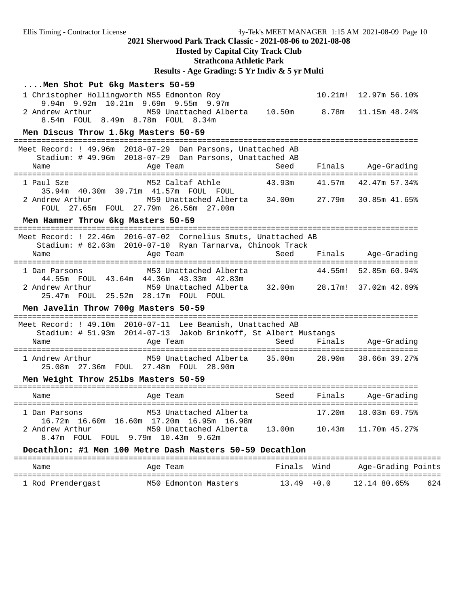## **Hosted by Capital City Track Club**

**Strathcona Athletic Park**

# **Results - Age Grading: 5 Yr Indiv & 5 yr Multi**

| Men Shot Put 6kg Masters 50-59<br>1 Christopher Hollingworth M55 Edmonton Roy<br>9.94m 9.92m 10.21m 9.69m 9.55m 9.97m<br>2 Andrew Arthur<br>M59 Unattached Alberta<br>8.54m FOUL 8.49m 8.78m FOUL 8.34m<br>Men Discus Throw 1.5kg Masters 50-59 | 10.50m | $10.21$ m!<br>8.78m | 12.97m 56.10%<br>11.15m 48.24%                 |
|-------------------------------------------------------------------------------------------------------------------------------------------------------------------------------------------------------------------------------------------------|--------|---------------------|------------------------------------------------|
| Meet Record: ! 49.96m 2018-07-29 Dan Parsons, Unattached AB<br>Stadium: # 49.96m 2018-07-29 Dan Parsons, Unattached AB<br>Name<br>Age Team                                                                                                      | Seed   |                     | Finals Age-Grading                             |
| M52 Caltaf Athle<br>1 Paul Sze<br>35.94m  40.30m  39.71m  41.57m  FOUL  FOUL<br>M59 Unattached Alberta 34.00m<br>2 Andrew Arthur<br>FOUL 27.65m FOUL 27.79m 26.56m 27.00m                                                                       | 43.93m | 41.57m              | 42.47m 57.34%<br>27.79m 30.85m 41.65%          |
| Men Hammer Throw 6kg Masters 50-59                                                                                                                                                                                                              |        |                     |                                                |
| Meet Record: ! 22.46m 2016-07-02 Cornelius Smuts, Unattached AB<br>Stadium: # 62.63m 2010-07-10 Ryan Tarnarva, Chinook Track<br>Age Team<br>Name                                                                                                | Seed   |                     | Finals Age-Grading                             |
| M53 Unattached Alberta<br>1 Dan Parsons<br>44.55m FOUL 43.64m 44.36m 43.33m 42.83m<br>M59 Unattached Alberta     32.00m<br>2 Andrew Arthur<br>25.47m FOUL 25.52m 28.17m FOUL FOUL                                                               |        |                     | 44.55m! 52.85m 60.94%<br>28.17m! 37.02m 42.69% |
| Men Javelin Throw 700g Masters 50-59                                                                                                                                                                                                            |        |                     |                                                |
| Meet Record: ! 49.10m 2010-07-11 Lee Beamish, Unattached AB<br>Stadium: # 51.93m 2014-07-13 Jakob Brinkoff, St Albert Mustangs<br>Name<br>Age Team                                                                                              | Seed   | Finals              | Aqe-Gradinq                                    |
| M59 Unattached Alberta 35.00m<br>1 Andrew Arthur<br>25.08m  27.36m  FOUL  27.48m  FOUL  28.90m                                                                                                                                                  |        |                     | 28.90m 38.66m 39.27%                           |
| Men Weight Throw 251bs Masters 50-59                                                                                                                                                                                                            |        |                     |                                                |
| Age Team<br>Name                                                                                                                                                                                                                                | Seed   | Finals              | Age-Grading                                    |
| 1 Dan Parsons<br>M53 Unattached Alberta<br>16.72m 16.60m 16.60m 17.20m 16.95m 16.98m<br>M59 Unattached Alberta 13.00m 10.43m<br>2 Andrew Arthur<br>8.47m FOUL FOUL 9.79m 10.43m 9.62m                                                           |        | 17.20m              | 18.03m 69.75%<br>11.70m 45.27%                 |
| Decathlon: #1 Men 100 Metre Dash Masters 50-59 Decathlon                                                                                                                                                                                        |        |                     |                                                |

| Name              | Age Team             | Finals Wind   | Age-Grading Points  |
|-------------------|----------------------|---------------|---------------------|
| 1 Rod Prendergast | M50 Edmonton Masters | $13.49 + 0.0$ | 624<br>12.14 80.65% |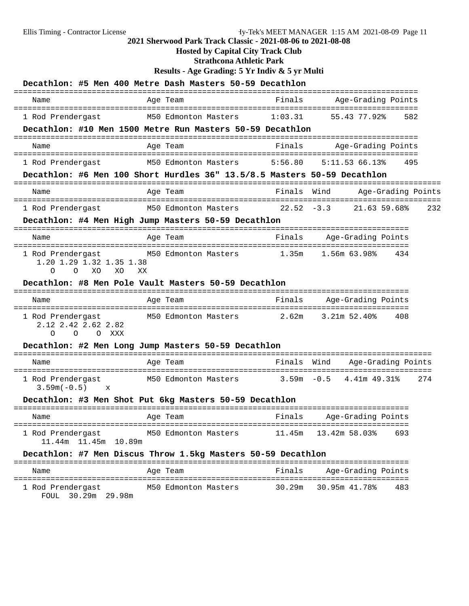# **Hosted by Capital City Track Club**

**Strathcona Athletic Park**

**Results - Age Grading: 5 Yr Indiv & 5 yr Multi**

|                                                                                   | Decathlon: #5 Men 400 Metre Dash Masters 50-59 Decathlon                 |               |                              |     |
|-----------------------------------------------------------------------------------|--------------------------------------------------------------------------|---------------|------------------------------|-----|
| Name                                                                              | Age Team                                                                 | Finals        | Age-Grading Points           |     |
| 1 Rod Prendergast                                                                 | M50 Edmonton Masters                                                     | 1:03.31       | 582<br>55.43 77.92%          |     |
|                                                                                   | Decathlon: #10 Men 1500 Metre Run Masters 50-59 Decathlon                |               | ============================ |     |
| Name                                                                              | Age Team                                                                 | Finals        | Age-Grading Points           |     |
| 1 Rod Prendergast                                                                 | M50 Edmonton Masters                                                     | 5:56.80       | 5:11.5366.13%<br>495         |     |
|                                                                                   | Decathlon: #6 Men 100 Short Hurdles 36" 13.5/8.5 Masters 50-59 Decathlon |               | ==================           |     |
| Name                                                                              | Age Team                                                                 | Finals        | Wind<br>Age-Grading Points   |     |
| 1 Rod Prendergast                                                                 | M50 Edmonton Masters                                                     | $22.52 - 3.3$ | 21.63 59.68%                 | 232 |
|                                                                                   | Decathlon: #4 Men High Jump Masters 50-59 Decathlon                      |               |                              |     |
| Name                                                                              | Age Team                                                                 | Finals        | Age-Grading Points           |     |
| 1 Rod Prendergast<br>1.20 1.29 1.32 1.35 1.38<br>XO<br>$\Omega$<br>$\Omega$<br>XO | M50 Edmonton Masters<br>ХX                                               | 1.35m         | 1.56m 63.98%<br>434          |     |
|                                                                                   | Decathlon: #8 Men Pole Vault Masters 50-59 Decathlon                     |               |                              |     |
| Name                                                                              | Age Team                                                                 | Finals        | Age-Grading Points           |     |
| 1 Rod Prendergast<br>2.12 2.42 2.62 2.82<br>$\Omega$<br>$\Omega$<br>O XXX         | M50 Edmonton Masters                                                     | 2.62m         | $3.21m$ 52.40%<br>408        |     |
| Decathlon: #2 Men Long Jump Masters 50-59 Decathlon                               |                                                                          |               |                              |     |
|                                                                                   |                                                                          |               |                              |     |
| Name                                                                              | Age Team                                                                 | Finals        | Wind<br>Age-Grading Points   |     |
| 1 Rod Prendergast<br>$3.59m(-0.5)$<br>$\mathbf x$                                 | M50 Edmonton Masters 3.59m -0.5                                          |               | 4.41m 49.31%<br>274          |     |
|                                                                                   | Decathlon: #3 Men Shot Put 6kg Masters 50-59 Decathlon                   |               |                              |     |
| Name                                                                              | Aqe Team                                                                 | Finals        | Age-Grading Points           |     |
| 1 Rod Prendergast M50 Edmonton Masters<br>11.44m  11.45m  10.89m                  |                                                                          |               | $11.45m$ $13.42m$ 58.03% 693 |     |
|                                                                                   | Decathlon: #7 Men Discus Throw 1.5kg Masters 50-59 Decathlon             |               |                              |     |
| Name                                                                              | Age Team                                                                 | Finals        | Age-Grading Points           |     |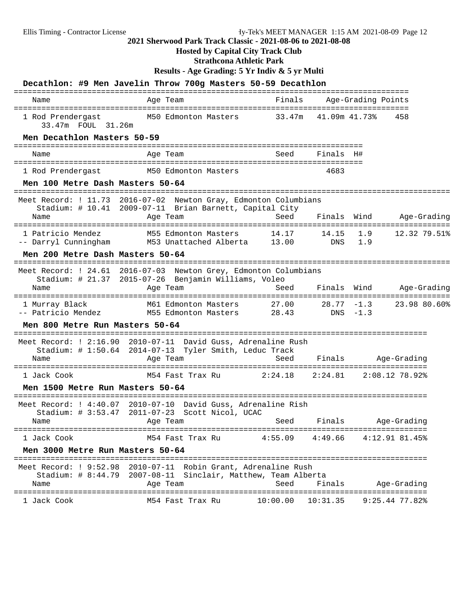## **Hosted by Capital City Track Club**

**Strathcona Athletic Park**

**Results - Age Grading: 5 Yr Indiv & 5 yr Multi**

|                                                                          | Decathlon: #9 Men Javelin Throw 700g Masters 50-59 Decathlon                                                                                |                         |               |                    |                            |
|--------------------------------------------------------------------------|---------------------------------------------------------------------------------------------------------------------------------------------|-------------------------|---------------|--------------------|----------------------------|
| Name                                                                     | Age Team                                                                                                                                    | Finals                  |               | Age-Grading Points |                            |
| 33.47m FOUL 31.26m                                                       | 1 Rod Prendergast M50 Edmonton Masters 33.47m 41.09m 41.73%                                                                                 |                         |               |                    | 458                        |
| Men Decathlon Masters 50-59                                              |                                                                                                                                             |                         |               |                    |                            |
| Name                                                                     | Age Team                                                                                                                                    | Seed                    | Finals H#     |                    |                            |
| 1 Rod Prendergast                                                        | M50 Edmonton Masters                                                                                                                        |                         | 4683          |                    |                            |
| Men 100 Metre Dash Masters 50-64<br>==================================== | -----------------------------------                                                                                                         |                         |               |                    |                            |
|                                                                          | Meet Record: ! 11.73 2016-07-02 Newton Gray, Edmonton Columbians<br>Stadium: # 10.41 2009-07-11 Brian Barnett, Capital City                 |                         |               |                    |                            |
| Name                                                                     | Age Team                                                                                                                                    | Seed                    | Finals        | Wind               | Age-Grading                |
| 1 Patricio Mendez                                                        | M55 Edmonton Masters<br>-- Darryl Cunningham M53 Unattached Alberta 13.00                                                                   | 14.17                   | 14.15         | 1.9<br>DNS 1.9     | 12.32 79.51%               |
| Men 200 Metre Dash Masters 50-64                                         |                                                                                                                                             |                         |               |                    |                            |
| Name                                                                     | Meet Record: ! 24.61 2016-07-03 Newton Grey, Edmonton Columbians<br>Stadium: # 21.37 2015-07-26 Benjamin Williams, Voleo<br>Age Team        | Seed                    | Finals        | Wind               | Age-Grading                |
| 1 Murray Black                                                           | M61 Edmonton Masters                                                                                                                        | 27.00                   | $28.77 - 1.3$ |                    | 23.98 80.60%               |
| -- Patricio Mendez                                                       | M55 Edmonton Masters 28.43                                                                                                                  |                         | $DNS - 1.3$   |                    |                            |
| Men 800 Metre Run Masters 50-64                                          |                                                                                                                                             |                         |               |                    |                            |
| Name                                                                     | Meet Record: ! 2:16.90 2010-07-11 David Guss, Adrenaline Rush<br>Stadium: # 1:50.64 2014-07-13 Tyler Smith, Leduc Track<br>Age Team         | Seed                    |               |                    | Finals Age-Grading         |
| 1 Jack Cook                                                              | M54 Fast Trax Ru                                                                                                                            | 2:24.18                 |               |                    | $2:24.81$ $2:08.12$ 78.92% |
| Men 1500 Metre Run Masters 50-64                                         |                                                                                                                                             |                         |               |                    |                            |
|                                                                          | Meet Record: ! 4:40.07 2010-07-10 David Guss, Adrenaline Rish                                                                               |                         |               |                    |                            |
|                                                                          | Stadium: # 3:53.47 2011-07-23 Scott Nicol, UCAC                                                                                             |                         |               |                    |                            |
| Name                                                                     | Age Team                                                                                                                                    | Seed Finals Age-Grading |               |                    |                            |
| 1 Jack Cook                                                              | M54 Fast Trax Ru                                                                                                                            | $4:55.09$ $4:49.66$     |               |                    | 4:12.91.81.45%             |
| Men 3000 Metre Run Masters 50-64                                         |                                                                                                                                             |                         |               |                    |                            |
| Name                                                                     | Meet Record: ! 9:52.98 2010-07-11 Robin Grant, Adrenaline Rush<br>Stadium: # 8:44.79 2007-08-11 Sinclair, Matthew, Team Alberta<br>Age Team | Seed                    | Finals        |                    | Age-Grading                |
| 1 Jack Cook                                                              |                                                                                                                                             |                         |               |                    |                            |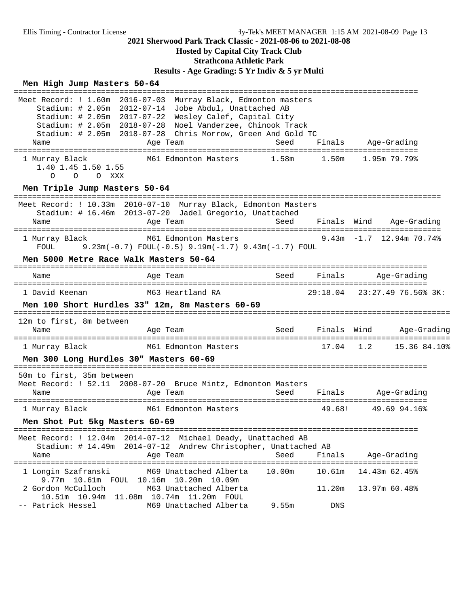# **Hosted by Capital City Track Club**

# **Strathcona Athletic Park**

**Results - Age Grading: 5 Yr Indiv & 5 yr Multi**

#### **Men High Jump Masters 50-64**

```
========================================================================================
 Meet Record: ! 1.60m 2016-07-03 Murray Black, Edmonton masters
 Stadium: # 2.05m 2012-07-14 Jobe Abdul, Unattached AB
 Stadium: # 2.05m 2017-07-22 Wesley Calef, Capital City
 Stadium: # 2.05m 2018-07-28 Noel Vanderzee, Chinook Track
 Stadium: # 2.05m 2018-07-28 Chris Morrow, Green And Gold TC
   Name Age Team Seed Finals Age-Grading
========================================================================================
  1 Murray Black M61 Edmonton Masters 1.58m 1.50m 1.95m 79.79%
     1.40 1.45 1.50 1.55
       O O O XXX
 Men Triple Jump Masters 50-64 =============================================================================================
 Meet Record: ! 10.33m 2010-07-10 Murray Black, Edmonton Masters
     Stadium: # 16.46m 2013-07-20 Jadel Gregorio, Unattached
   Name and Age Team Seed Finals Wind Age-Grading
=============================================================================================
  1 Murray Black M61 Edmonton Masters 9.43m -1.7 12.94m 70.74%
     FOUL 9.23m(-0.7) FOUL(-0.5) 9.19m(-1.7) 9.43m(-1.7) FOUL
 Men 5000 Metre Race Walk Masters 50-64 ==========================================================================================
   Name Age Team Seed Finals Age-Grading
==========================================================================================
  1 David Keenan M63 Heartland RA 29:18.04 23:27.49 76.56% 3K: 
 Men 100 Short Hurdles 33" 12m, 8m Masters 60-69 ===============================================================================================
 12m to first, 8m between
   Name Age Team Seed Finals Wind Age-Grading
===============================================================================================
  1 Murray Black M61 Edmonton Masters 17.04 1.2 15.36 84.10%
 Men 300 Long Hurdles 30" Masters 60-69 ==========================================================================================
 50m to first, 35m between
 Meet Record: ! 52.11 2008-07-20 Bruce Mintz, Edmonton Masters
  Name Age Team Age Team Seed Finals Age-Grading
==========================================================================================
 1 Murray Black M61 Edmonton Masters
 Men Shot Put 5kg Masters 60-69 ========================================================================================
 Meet Record: ! 12.04m 2014-07-12 Michael Deady, Unattached AB
    Stadium: # 14.49m 2014-07-12 Andrew Christopher, Unattached AB
  Name Age Team Age Team Seed Finals Age-Grading
========================================================================================
  1 Longin Szafranski M69 Unattached Alberta 10.00m 10.61m 14.43m 62.45%
     9.77m 10.61m FOUL 10.16m 10.20m 10.09m
 2 Gordon McCulloch M63 Unattached Alberta 11.20m 13.97m 60.48%
 10.51m 10.94m 11.08m 10.74m 11.20m FOUL
 -- Patrick Hessel M69 Unattached Alberta 9.55m DNS
```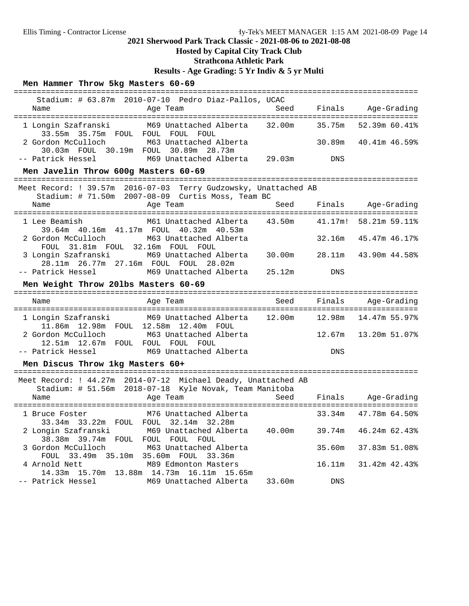### **Hosted by Capital City Track Club**

### **Strathcona Athletic Park**

**Results - Age Grading: 5 Yr Indiv & 5 yr Multi**

#### **Men Hammer Throw 5kg Masters 60-69**

| Stadium: # 63.87m 2010-07-10 Pedro Diaz-Pallos, UCAC                                                                              |                         |                      |
|-----------------------------------------------------------------------------------------------------------------------------------|-------------------------|----------------------|
| Name<br>and the Magnetic Press, and the Team                                                                                      | Seed Finals Age-Grading |                      |
| 1 Longin Szafranski M69 Unattached Alberta 32.00m 35.75m 52.39m 60.41%<br>33.55m 35.75m FOUL FOUL FOUL FOUL                       |                         |                      |
| 2 Gordon McCulloch M63 Unattached Alberta<br>30.03m FOUL 30.19m FOUL 30.89m 28.73m                                                |                         | 30.89m 40.41m 46.59% |
| -- Patrick Hessel            M69 Unattached Alberta    29.03m           DNS                                                       |                         |                      |
| Men Javelin Throw 600g Masters 60-69                                                                                              |                         |                      |
| ---------<br>Meet Record: ! 39.57m 2016-07-03 Terry Gudzowsky, Unattached AB<br>Stadium: # 71.50m 2007-08-09 Curtis Moss, Team BC |                         |                      |
| Name                                                                                                                              |                         |                      |
| 1 Lee Beamish M61 Unattached Alberta 43.50m 41.17m! 58.21m 59.11%<br>39.64m 40.16m 41.17m FOUL 40.32m 40.53m                      |                         |                      |
| 2 Gordon McCulloch M63 Unattached Alberta<br>FOUL 31.81m FOUL 32.16m FOUL FOUL                                                    |                         | 32.16m 45.47m 46.17% |
| 3 Longin Szafranski M69 Unattached Alberta 30.00m 28.11m 43.90m 44.58%<br>28.11m  26.77m  27.16m  FOUL  FOUL  28.02m              |                         |                      |
| -- Patrick Hessel 60 M69 Unattached Alberta 25.12m 20NS                                                                           |                         |                      |

#### **Men Weight Throw 20lbs Masters 60-69**

| Name                | Age Team                                                                       | Seed | Finals     | Age-Grading              |
|---------------------|--------------------------------------------------------------------------------|------|------------|--------------------------|
| 1 Longin Szafranski | M69 Unattached Alberta    12.00m<br>11.86m  12.98m  FOUL  12.58m  12.40m  FOUL |      |            |                          |
| 2 Gordon McCulloch  | M63 Unattached Alberta<br>FOUL FOUL FOUL                                       |      |            | 12.67m   13.20m   51.07% |
| -- Patrick Hessel   | M69 Unattached Alberta                                                         |      | <b>DNS</b> |                          |

#### **Men Discus Throw 1kg Masters 60+**

| Meet Record: ! 44.27m 2014-07-12 Michael Deady, Unattached AB<br>Stadium: # 51.56m 2018-07-18 Kyle Novak, Team Manitoba |        |                             |
|-------------------------------------------------------------------------------------------------------------------------|--------|-----------------------------|
| Seed<br>Age Team<br>Name                                                                                                | Finals | Age-Grading                 |
|                                                                                                                         |        |                             |
| 1 Bruce Foster 6 M76 Unattached Alberta                                                                                 |        | 33.34m 47.78m 64.50%        |
| 33.34m 33.22m FOUL FOUL 32.14m 32.28m                                                                                   |        |                             |
| 2 Longin Szafranski       M69 Unattached Alberta<br>40.00m                                                              |        | $39.74m$ $46.24m$ $62.43\%$ |
| 38.38m 39.74m FOUL<br>FOUL FOUL FOUL                                                                                    |        |                             |
| 3 Gordon McCulloch<br>M63 Unattached Alberta                                                                            | 35.60m | 37.83m 51.08%               |
| FOUL 33.49m 35.10m 35.60m FOUL 33.36m                                                                                   |        |                             |
| 4 Arnold Nett<br>M89 Edmonton Masters                                                                                   |        | 16.11m 31.42m 42.43%        |
| 14.33m 15.70m 13.88m 14.73m 16.11m 15.65m                                                                               |        |                             |
|                                                                                                                         |        |                             |
| -- Patrick Hessel<br>M69 Unattached Alberta 33.60m                                                                      | DNS    |                             |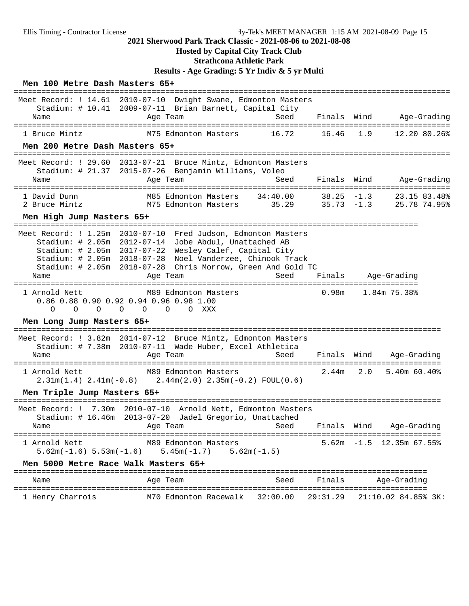## **Hosted by Capital City Track Club**

# **Strathcona Athletic Park**

**Results - Age Grading: 5 Yr Indiv & 5 yr Multi**

#### **Men 100 Metre Dash Masters 65+**

| Name                                                                                       | Meet Record: ! 14.61 2010-07-10 Dwight Swane, Edmonton Masters<br>Stadium: # 10.41 2009-07-11 Brian Barnett, Capital City<br>Age Team                                                                                          | Seed                                  | Finals<br>======       | Wind   | Age-Grading                    |
|--------------------------------------------------------------------------------------------|--------------------------------------------------------------------------------------------------------------------------------------------------------------------------------------------------------------------------------|---------------------------------------|------------------------|--------|--------------------------------|
| 1 Bruce Mintz                                                                              | M75 Edmonton Masters                                                                                                                                                                                                           | 16.72                                 | 16.46                  | 1.9    | 12.20 80.26%                   |
| Men 200 Metre Dash Masters 65+                                                             |                                                                                                                                                                                                                                |                                       |                        |        |                                |
| Meet Record: ! 29.60<br>Name                                                               | 2013-07-21 Bruce Mintz, Edmonton Masters<br>Stadium: # 21.37 2015-07-26 Benjamin Williams, Voleo<br>Age Team                                                                                                                   | Seed                                  | Finals                 | Wind   | Age-Grading                    |
| 1 David Dunn<br>2 Bruce Mintz                                                              | M85 Edmonton Masters<br>M75 Edmonton Masters                                                                                                                                                                                   | 34:40.00<br>35.29                     | 38.25<br>$35.73 - 1.3$ | $-1.3$ | 23.15 83.48%<br>25.78 74.95%   |
| Men High Jump Masters 65+                                                                  |                                                                                                                                                                                                                                |                                       |                        |        |                                |
| Meet Record: ! 1.25m<br>Stadium: # 2.05m<br>Stadium: # 2.05m<br>Stadium: $# 2.05m$<br>Name | $2010 - 07 - 10$<br>2012-07-14<br>Jobe Abdul, Unattached AB<br>2017-07-22<br>Wesley Calef, Capital City<br>2018-07-28 Noel Vanderzee, Chinook Track<br>Stadium: # 2.05m 2018-07-28 Chris Morrow, Green And Gold TC<br>Age Team | Fred Judson, Edmonton Masters<br>Seed | Finals                 |        | Age-Grading                    |
| 1 Arnold Nett<br>$\Omega$<br>$\Omega$<br>$\Omega$                                          | M89 Edmonton Masters<br>0.86 0.88 0.90 0.92 0.94 0.96 0.98 1.00<br>$\circ$<br>O XXX<br>$\circ$<br>$\circ$                                                                                                                      | -------                               | 0.98m                  |        | 1.84m 75.38%                   |
| Men Long Jump Masters 65+                                                                  |                                                                                                                                                                                                                                |                                       |                        |        |                                |
| Meet Record: ! 3.82m<br>Name                                                               | 2014-07-12 Bruce Mintz, Edmonton Masters<br>Stadium: # 7.38m 2010-07-11 Wade Huber, Excel Athletica<br>Age Team                                                                                                                | Seed                                  | Finals                 | Wind   | Age-Grading                    |
| =======================<br>1 Arnold Nett                                                   | -------<br>M89 Edmonton Masters<br>$2.31m(1.4)$ $2.41m(-0.8)$ $2.44m(2.0)$ $2.35m(-0.2)$ $FOUL(0.6)$                                                                                                                           |                                       | =======<br>2.44m       | 2.0    | $5.40m$ 60.40%                 |
| Men Triple Jump Masters 65+                                                                |                                                                                                                                                                                                                                |                                       |                        |        |                                |
| Name                                                                                       | Meet Record: ! 7.30m 2010-07-10 Arnold Nett, Edmonton Masters<br>Stadium: # 16.46m 2013-07-20 Jadel Gregorio, Unattached<br>Age Team                                                                                           | Seed                                  | Finals                 | Wind   | Age-Grading                    |
| 1 Arnold Nett<br>$5.62m(-1.6) 5.53m(-1.6)$                                                 | M89 Edmonton Masters<br>$5.45m(-1.7)$ $5.62m(-1.5)$                                                                                                                                                                            |                                       |                        |        | $5.62m - 1.5$ 12.35m $67.55\%$ |
| Men 5000 Metre Race Walk Masters 65+                                                       |                                                                                                                                                                                                                                |                                       |                        |        |                                |
| Name                                                                                       | Age Team                                                                                                                                                                                                                       | Seed                                  | Finals                 |        | Age-Grading                    |
| 1 Henry Charrois                                                                           | M70 Edmonton Racewalk                                                                                                                                                                                                          | 32:00.00                              | 29:31.29               |        | 21:10.02 84.85% 3K:            |